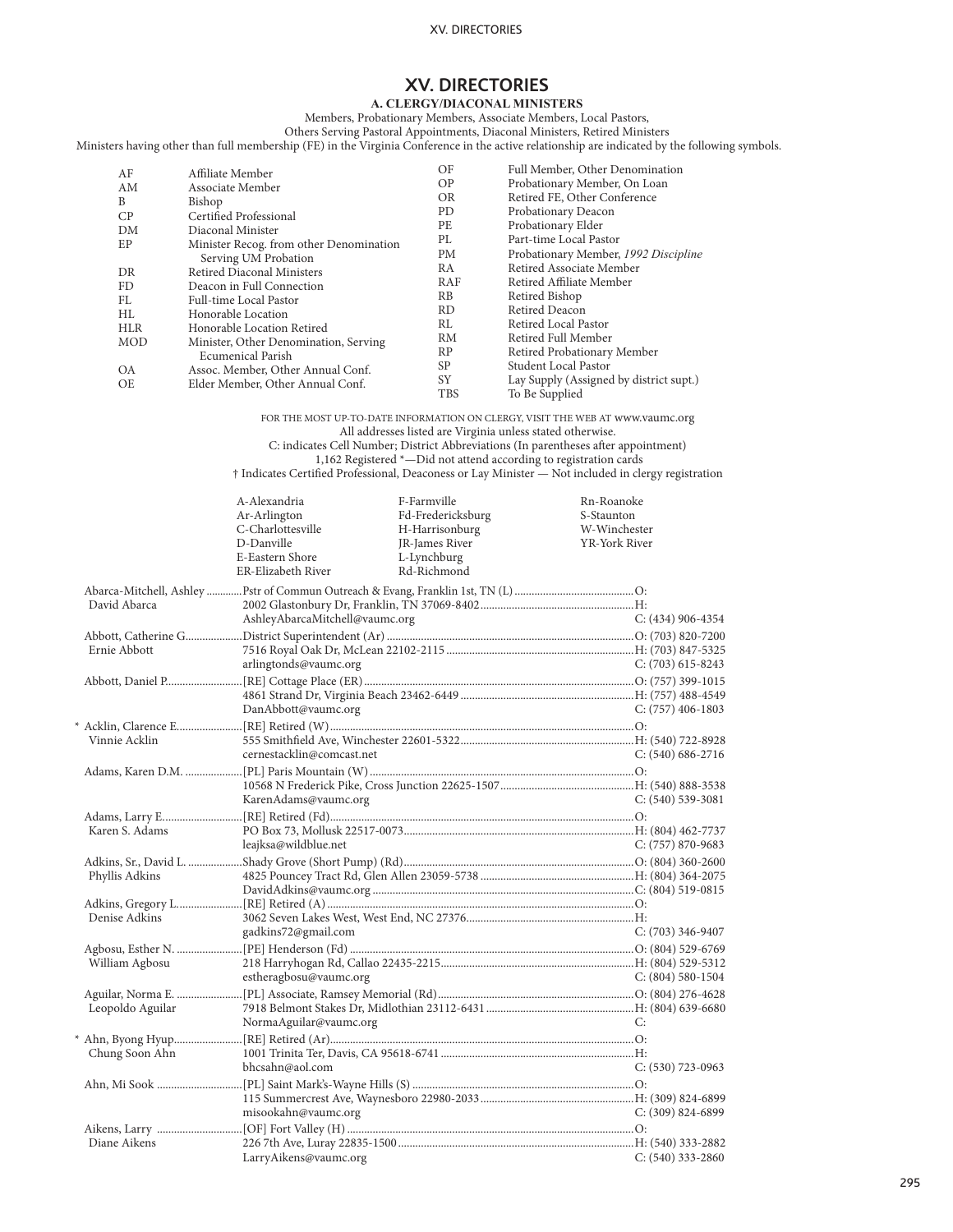#### XV. DIRECTORIES

## **XV. DIRECTORIES A. CLERGY/DIACONAL MINISTERS**

Members, Probationary Members, Associate Members, Local Pastors,

Others Serving Pastoral Appointments, Diaconal Ministers, Retired Ministers Ministers having other than full membership (FE) in the Virginia Conference in the active relationship are indicated by the following symbols.

| AF             | Affiliate Member                        | OF             | Full Member, Other Denomination         |
|----------------|-----------------------------------------|----------------|-----------------------------------------|
| AM             | Associate Member                        | O <sub>P</sub> | Probationary Member, On Loan            |
| B              | Bishop                                  | OR.            | Retired FE, Other Conference            |
| C <sub>P</sub> | Certified Professional                  | PD.            | Probationary Deacon                     |
| DM             | Diaconal Minister                       | <b>PE</b>      | Probationary Elder                      |
| EP             |                                         | PL             | Part-time Local Pastor                  |
|                | Minister Recog. from other Denomination | PM             | Probationary Member, 1992 Discipline    |
|                | Serving UM Probation                    | RA.            | Retired Associate Member                |
| DR             | Retired Diaconal Ministers              |                |                                         |
| FD.            | Deacon in Full Connection               | RAF            | Retired Affiliate Member                |
| FL.            | Full-time Local Pastor                  | <b>RB</b>      | Retired Bishop                          |
| HL             | Honorable Location                      | RD.            | Retired Deacon                          |
| <b>HLR</b>     | Honorable Location Retired              | RL             | Retired Local Pastor                    |
| <b>MOD</b>     | Minister, Other Denomination, Serving   | <b>RM</b>      | Retired Full Member                     |
|                | Ecumenical Parish                       | R <sub>P</sub> | Retired Probationary Member             |
| OA.            | Assoc. Member, Other Annual Conf.       | SP             | Student Local Pastor                    |
|                |                                         | <b>SY</b>      | Lay Supply (Assigned by district supt.) |
| OE             | Elder Member, Other Annual Conf.        |                |                                         |
|                |                                         | <b>TBS</b>     | To Be Supplied                          |

FOR THE MOST UP-TO-DATE INFORMATION ON CLERGY, VISIT THE WEB AT www.vaumc.org All addresses listed are Virginia unless stated otherwise. C: indicates Cell Number; District Abbreviations (In parentheses after appointment) 1,162 Registered \*—Did not attend according to registration cards

† Indicates Certified Professional, Deaconess or Lay Minister — Not included in clergy registration

|                  | A-Alexandria<br>Ar-Arlington<br>C-Charlottesville<br>D-Danville<br>E-Eastern Shore<br>ER-Elizabeth River | F-Farmville<br>Fd-Fredericksburg<br>H-Harrisonburg<br><b>IR-James River</b><br>L-Lynchburg<br>Rd-Richmond | Rn-Roanoke<br>S-Staunton<br>W-Winchester<br>YR-York River |
|------------------|----------------------------------------------------------------------------------------------------------|-----------------------------------------------------------------------------------------------------------|-----------------------------------------------------------|
| David Abarca     | AshleyAbarcaMitchell@vaumc.org                                                                           |                                                                                                           | $C: (434)$ 906-4354                                       |
| Ernie Abbott     | arlingtonds@vaumc.org                                                                                    |                                                                                                           | C: $(703)$ 615-8243                                       |
|                  | DanAbbott@vaumc.org                                                                                      |                                                                                                           | C: $(757)$ 406-1803                                       |
| Vinnie Acklin    | cernestacklin@comcast.net                                                                                |                                                                                                           | C: $(540)$ 686-2716                                       |
|                  | KarenAdams@vaumc.org                                                                                     |                                                                                                           | $C: (540)$ 539-3081                                       |
| Karen S. Adams   | leajksa@wildblue.net                                                                                     |                                                                                                           | C: (757) 870-9683                                         |
| Phyllis Adkins   |                                                                                                          |                                                                                                           |                                                           |
| Denise Adkins    | gadkins72@gmail.com                                                                                      |                                                                                                           | C: (703) 346-9407                                         |
| William Agbosu   | estheragbosu@vaumc.org                                                                                   |                                                                                                           | C: $(804)$ 580-1504                                       |
| Leopoldo Aguilar | NormaAguilar@vaumc.org                                                                                   |                                                                                                           | C:                                                        |
| Chung Soon Ahn   | bhcsahn@aol.com                                                                                          |                                                                                                           | C: (530) 723-0963                                         |
|                  | misookahn@vaumc.org                                                                                      |                                                                                                           | C: (309) 824-6899                                         |
| Diane Aikens     | LarryAikens@vaumc.org                                                                                    |                                                                                                           | $C: (540)$ 333-2860                                       |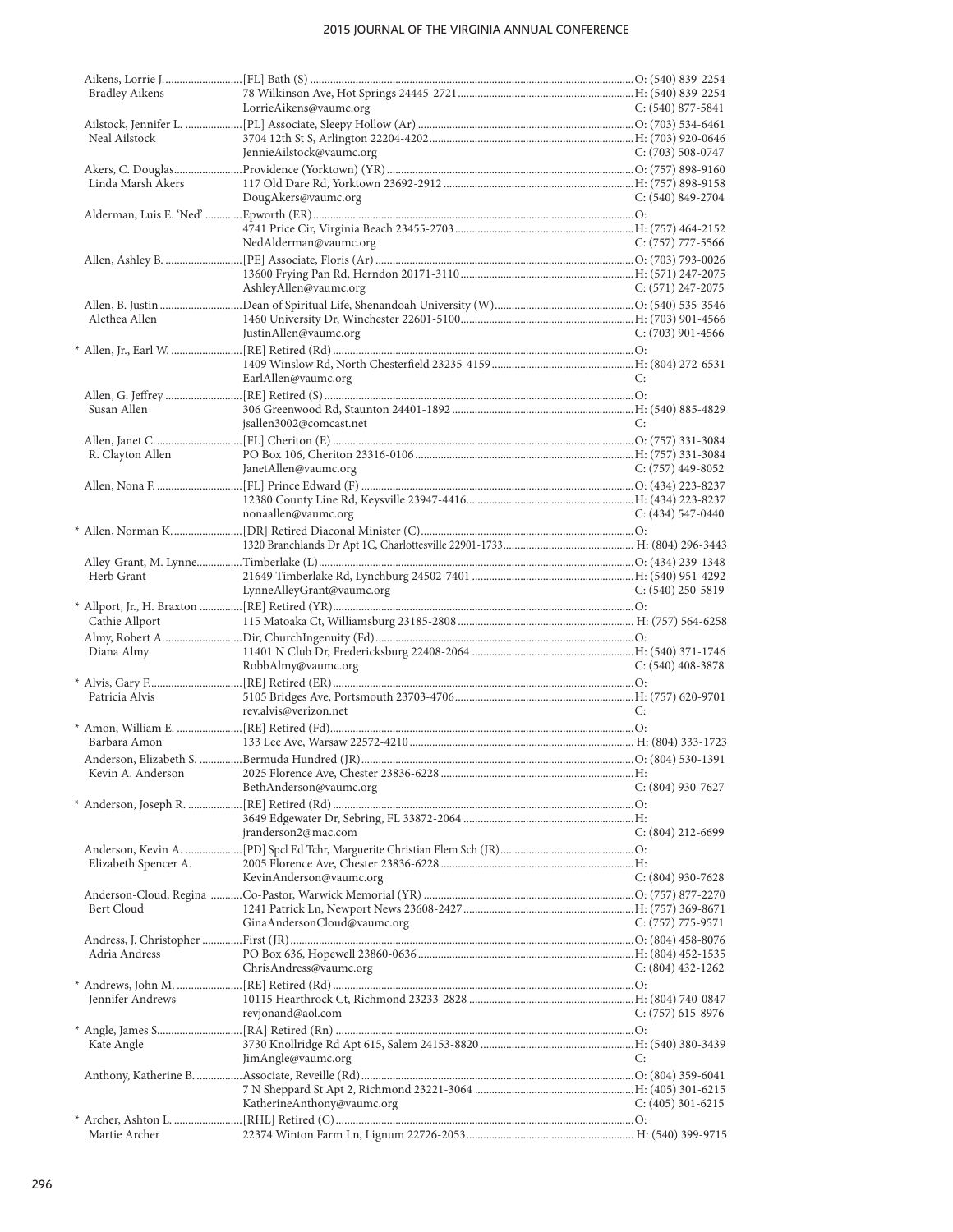| <b>Bradley Aikens</b> |                             |                       |
|-----------------------|-----------------------------|-----------------------|
|                       | LorrieAikens@vaumc.org      | $C: (540) 877 - 5841$ |
|                       |                             |                       |
|                       |                             |                       |
| Neal Ailstock         |                             |                       |
|                       | JennieAilstock@vaumc.org    | C: $(703)$ 508-0747   |
|                       |                             |                       |
| Linda Marsh Akers     |                             |                       |
|                       | DougAkers@vaumc.org         | $C: (540) 849-2704$   |
|                       |                             |                       |
|                       |                             |                       |
|                       |                             |                       |
|                       | NedAlderman@vaumc.org       | C: (757) 777-5566     |
|                       |                             |                       |
|                       |                             |                       |
|                       |                             |                       |
|                       | AshleyAllen@vaumc.org       | C: (571) 247-2075     |
|                       |                             |                       |
| Alethea Allen         |                             |                       |
|                       | JustinAllen@vaumc.org       | $C: (703)$ 901-4566   |
|                       |                             |                       |
|                       |                             |                       |
|                       |                             |                       |
|                       | EarlAllen@vaumc.org         | C:                    |
|                       |                             |                       |
|                       |                             |                       |
| Susan Allen           |                             |                       |
|                       | jsallen3002@comcast.net     | C:                    |
|                       |                             |                       |
|                       |                             |                       |
| R. Clayton Allen      |                             |                       |
|                       | JanetAllen@vaumc.org        | C: (757) 449-8052     |
|                       |                             |                       |
|                       |                             |                       |
|                       | nonaallen@vaumc.org         | C: $(434)$ 547-0440   |
|                       |                             |                       |
|                       |                             |                       |
|                       |                             |                       |
|                       |                             |                       |
| Herb Grant            |                             |                       |
|                       |                             |                       |
|                       | LynneAlleyGrant@vaumc.org   | C: $(540)$ 250-5819   |
|                       |                             |                       |
|                       |                             |                       |
|                       |                             |                       |
| Cathie Allport        |                             |                       |
|                       |                             |                       |
| Diana Almy            |                             |                       |
|                       | RobbAlmy@vaumc.org          | $C: (540)$ 408-3878   |
|                       |                             |                       |
|                       |                             |                       |
| Patricia Alvis        |                             |                       |
|                       | rev.alvis@verizon.net       | C:                    |
|                       |                             |                       |
|                       |                             |                       |
| Barbara Amon          |                             |                       |
|                       |                             |                       |
|                       |                             |                       |
|                       | BethAnderson@vaumc.org      | $C: (804)$ 930-7627   |
|                       |                             |                       |
|                       |                             |                       |
|                       |                             |                       |
|                       | jranderson2@mac.com         | $C: (804)$ 212-6699   |
|                       |                             |                       |
|                       |                             |                       |
| Elizabeth Spencer A.  |                             |                       |
|                       | KevinAnderson@vaumc.org     | $C: (804)$ 930-7628   |
|                       |                             |                       |
| Bert Cloud            |                             |                       |
|                       | GinaAndersonCloud@vaumc.org | C: (757) 775-9571     |
|                       |                             |                       |
|                       |                             |                       |
| Adria Andress         |                             |                       |
|                       | ChrisAndress@vaumc.org      | C: $(804)$ 432-1262   |
|                       |                             |                       |
|                       |                             |                       |
| Jennifer Andrews      |                             |                       |
|                       | revjonand@aol.com           | $C: (757)$ 615-8976   |
|                       |                             |                       |
| Kate Angle            |                             |                       |
|                       | JimAngle@vaumc.org          | C:                    |
|                       |                             |                       |
|                       |                             |                       |
|                       |                             |                       |
|                       | KatherineAnthony@vaumc.org  | C: $(405)$ 301-6215   |
|                       |                             |                       |
| Martie Archer         |                             |                       |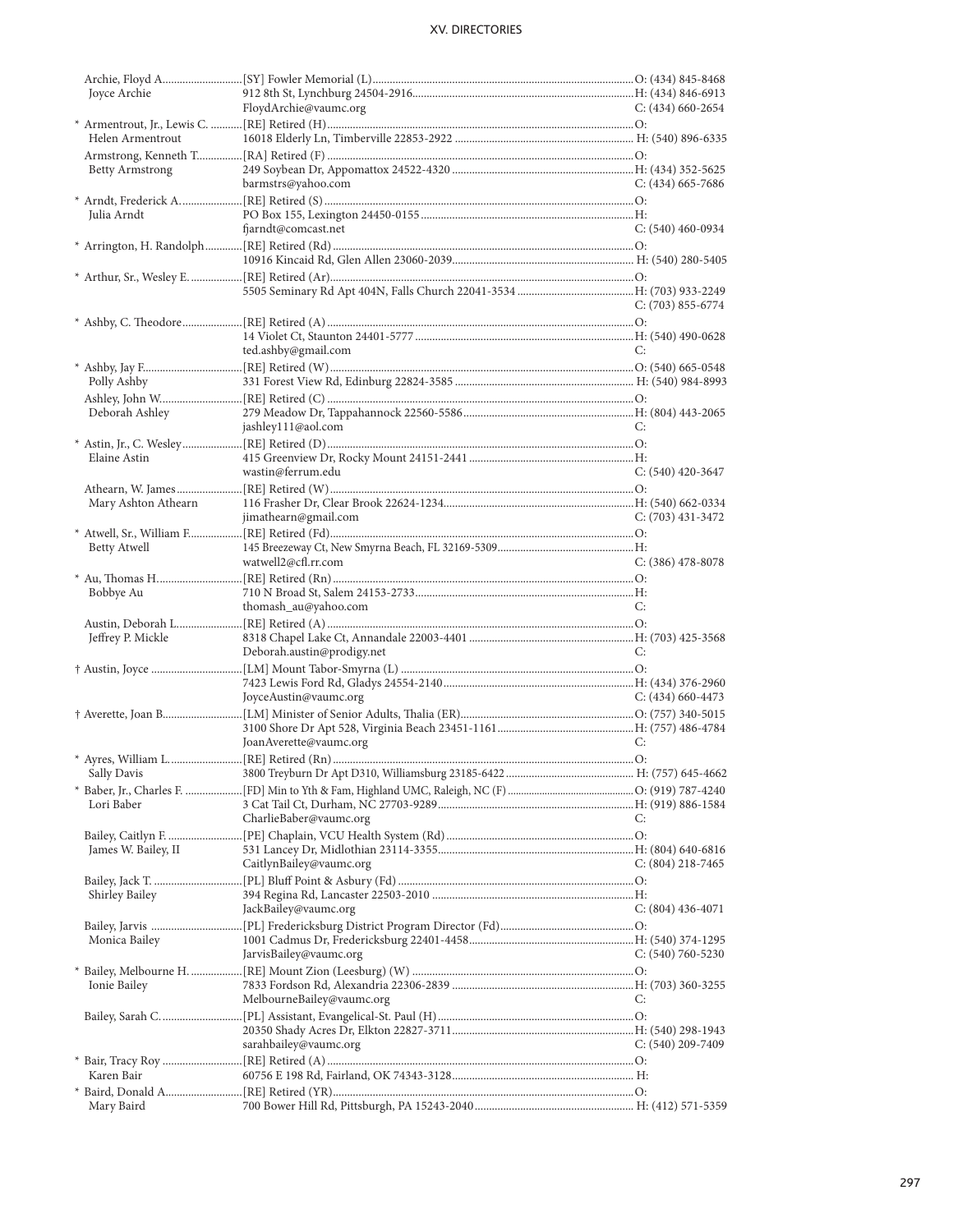| Joyce Archie           |                            |    |                       |
|------------------------|----------------------------|----|-----------------------|
|                        | FloydArchie@vaumc.org      |    | $C: (434)$ 660-2654   |
|                        |                            |    |                       |
| Helen Armentrout       |                            |    |                       |
|                        |                            |    |                       |
| <b>Betty Armstrong</b> |                            |    |                       |
|                        | barmstrs@yahoo.com         |    | $C: (434)$ 665-7686   |
|                        |                            |    |                       |
| Julia Arndt            |                            |    |                       |
|                        | fjarndt@comcast.net        |    | $C: (540)$ 460-0934   |
|                        |                            |    |                       |
|                        |                            |    |                       |
|                        |                            |    |                       |
|                        |                            |    |                       |
|                        |                            |    |                       |
|                        |                            |    | $C: (703) 855-6774$   |
|                        |                            |    |                       |
|                        |                            |    |                       |
|                        | ted.ashby@gmail.com        | C: |                       |
|                        |                            |    |                       |
| Polly Ashby            |                            |    |                       |
|                        |                            |    |                       |
| Deborah Ashley         |                            |    |                       |
|                        | jashley111@aol.com         | C: |                       |
|                        |                            |    |                       |
|                        |                            |    |                       |
| Elaine Astin           |                            |    |                       |
|                        | wastin@ferrum.edu          |    | $C: (540)$ 420-3647   |
|                        |                            |    |                       |
| Mary Ashton Athearn    |                            |    |                       |
|                        | jimathearn@gmail.com       |    | $C: (703)$ 431-3472   |
|                        |                            |    |                       |
| <b>Betty Atwell</b>    |                            |    |                       |
|                        | watwell2@cfl.rr.com        |    | $C: (386)$ 478-8078   |
|                        |                            |    |                       |
| Bobbye Au              |                            |    |                       |
|                        | thomash_au@yahoo.com       | C: |                       |
|                        |                            |    |                       |
|                        |                            |    |                       |
| Jeffrey P. Mickle      |                            |    |                       |
|                        | Deborah.austin@prodigy.net | C: |                       |
|                        |                            |    |                       |
|                        |                            |    |                       |
|                        | JoyceAustin@vaumc.org      |    | $C: (434)$ 660-4473   |
|                        |                            |    |                       |
|                        |                            |    |                       |
|                        | Joan Averette@vaumc.org    | C: |                       |
|                        |                            |    |                       |
|                        |                            |    |                       |
|                        |                            |    |                       |
| Lori Baber             |                            |    |                       |
|                        |                            | C: |                       |
|                        | CharlieBaber@vaumc.org     |    |                       |
|                        |                            |    |                       |
| James W. Bailey, II    |                            |    |                       |
|                        | CaitlynBailey@vaumc.org    |    | C: $(804)$ 218-7465   |
|                        |                            |    |                       |
| Shirley Bailey         |                            |    |                       |
|                        | JackBailey@vaumc.org       |    | $C: (804)$ 436-4071   |
|                        |                            |    |                       |
| Monica Bailey          |                            |    |                       |
|                        | JarvisBailey@vaumc.org     |    | $C: (540) 760 - 5230$ |
|                        |                            |    |                       |
| Ionie Bailey           |                            |    |                       |
|                        | MelbourneBailey@vaumc.org  | C: |                       |
|                        |                            |    |                       |
|                        |                            |    |                       |
|                        |                            |    |                       |
|                        | sarahbailey@vaumc.org      |    | $C: (540)$ 209-7409   |
|                        |                            |    |                       |
| Karen Bair             |                            |    |                       |
|                        |                            |    |                       |
| Mary Baird             |                            |    |                       |
|                        |                            |    |                       |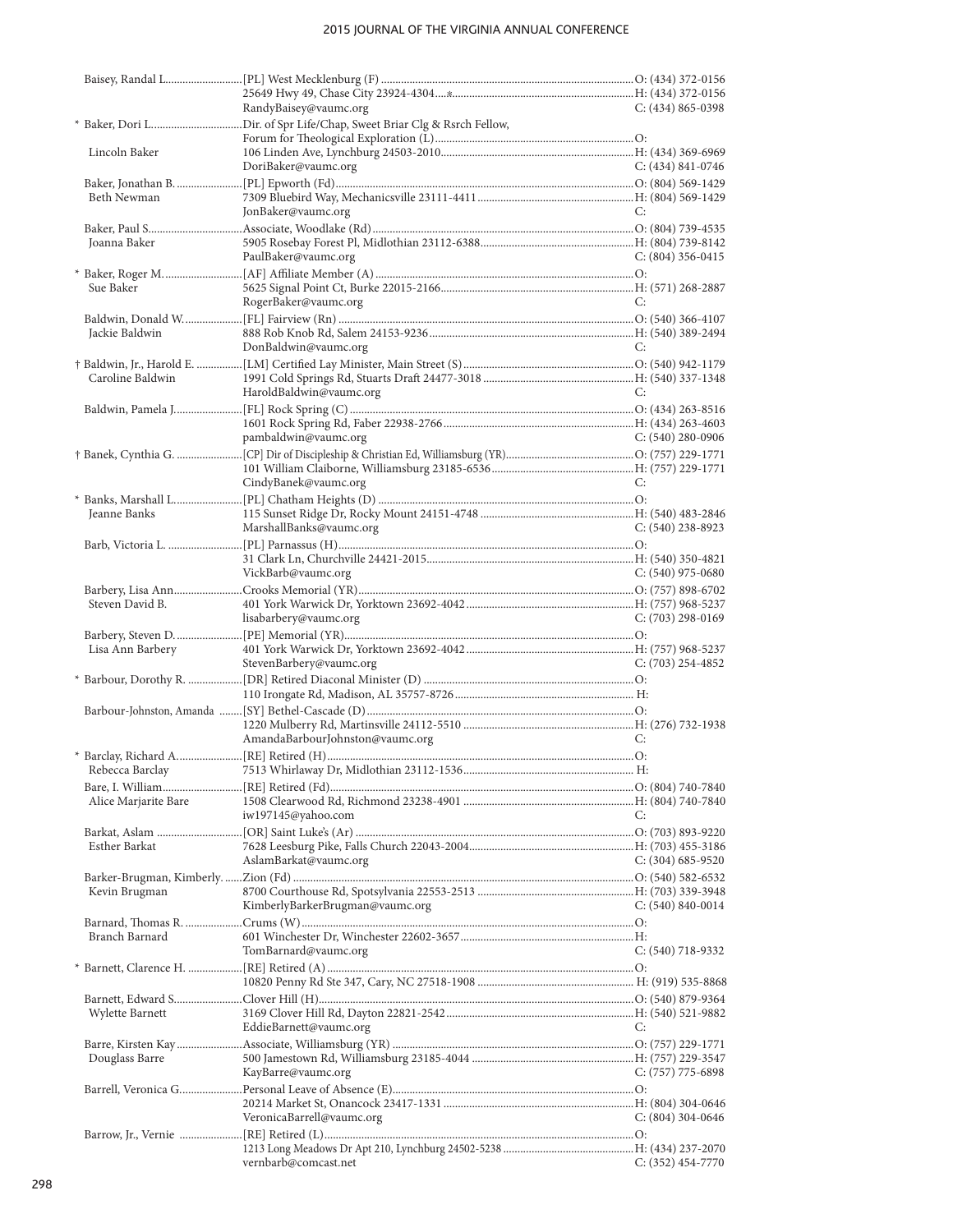|                      | RandyBaisey@vaumc.org                                                 | $C: (434) 865 - 0398$ |
|----------------------|-----------------------------------------------------------------------|-----------------------|
|                      | * Baker, Dori LDir. of Spr Life/Chap, Sweet Briar Clg & Rsrch Fellow, |                       |
|                      |                                                                       |                       |
| Lincoln Baker        |                                                                       |                       |
|                      | DoriBaker@vaumc.org                                                   | C: $(434)$ 841-0746   |
|                      |                                                                       |                       |
| Beth Newman          |                                                                       |                       |
|                      | JonBaker@vaumc.org                                                    | C:                    |
|                      |                                                                       |                       |
| Joanna Baker         |                                                                       |                       |
|                      | PaulBaker@vaumc.org                                                   | $C: (804)$ 356-0415   |
|                      |                                                                       |                       |
| Sue Baker            |                                                                       |                       |
|                      | RogerBaker@vaumc.org                                                  | C:                    |
|                      |                                                                       |                       |
| Jackie Baldwin       |                                                                       |                       |
|                      | DonBaldwin@vaumc.org                                                  | C:                    |
|                      |                                                                       |                       |
| Caroline Baldwin     |                                                                       |                       |
|                      | HaroldBaldwin@vaumc.org                                               | C:                    |
|                      |                                                                       |                       |
|                      |                                                                       |                       |
|                      | pambaldwin@vaumc.org                                                  | $C: (540)$ 280-0906   |
|                      |                                                                       |                       |
|                      |                                                                       |                       |
|                      | CindyBanek@vaumc.org                                                  | C:                    |
|                      |                                                                       |                       |
| Jeanne Banks         |                                                                       |                       |
|                      | MarshallBanks@vaumc.org                                               | $C: (540)$ 238-8923   |
|                      |                                                                       |                       |
|                      |                                                                       |                       |
|                      | VickBarb@vaumc.org                                                    | C: $(540)$ 975-0680   |
|                      |                                                                       |                       |
| Steven David B.      |                                                                       |                       |
|                      | lisabarbery@vaumc.org                                                 | $C: (703)$ 298-0169   |
|                      |                                                                       |                       |
|                      |                                                                       |                       |
| Lisa Ann Barbery     |                                                                       | $C: (703)$ 254-4852   |
|                      | StevenBarbery@vaumc.org                                               |                       |
|                      |                                                                       |                       |
|                      |                                                                       |                       |
|                      |                                                                       |                       |
|                      |                                                                       |                       |
|                      | AmandaBarbourJohnston@vaumc.org                                       | C:                    |
|                      |                                                                       |                       |
| Rebecca Barclay      |                                                                       |                       |
|                      |                                                                       |                       |
| Alice Marjarite Bare |                                                                       |                       |
|                      | iw197145@yahoo.com                                                    | C:                    |
|                      |                                                                       |                       |
| Esther Barkat        |                                                                       |                       |
|                      | AslamBarkat@vaumc.org                                                 | $C: (304)$ 685-9520   |
|                      |                                                                       |                       |
| Kevin Brugman        |                                                                       |                       |
|                      | KimberlyBarkerBrugman@vaumc.org                                       | C: $(540) 840 - 0014$ |
|                      |                                                                       |                       |
| Branch Barnard       |                                                                       |                       |
|                      | TomBarnard@vaumc.org                                                  | $C: (540)$ 718-9332   |
|                      |                                                                       |                       |
|                      |                                                                       |                       |
|                      |                                                                       |                       |
| Wylette Barnett      |                                                                       |                       |
|                      | EddieBarnett@vaumc.org                                                | C:                    |
|                      |                                                                       |                       |
| Douglass Barre       |                                                                       |                       |
|                      | KayBarre@vaumc.org                                                    | C: $(757)$ 775-6898   |
|                      |                                                                       |                       |
|                      |                                                                       |                       |
|                      | VeronicaBarrell@vaumc.org                                             | $C: (804)$ 304-0646   |
|                      |                                                                       |                       |
|                      |                                                                       |                       |
|                      | vernbarb@comcast.net                                                  | $C: (352)$ 454-7770   |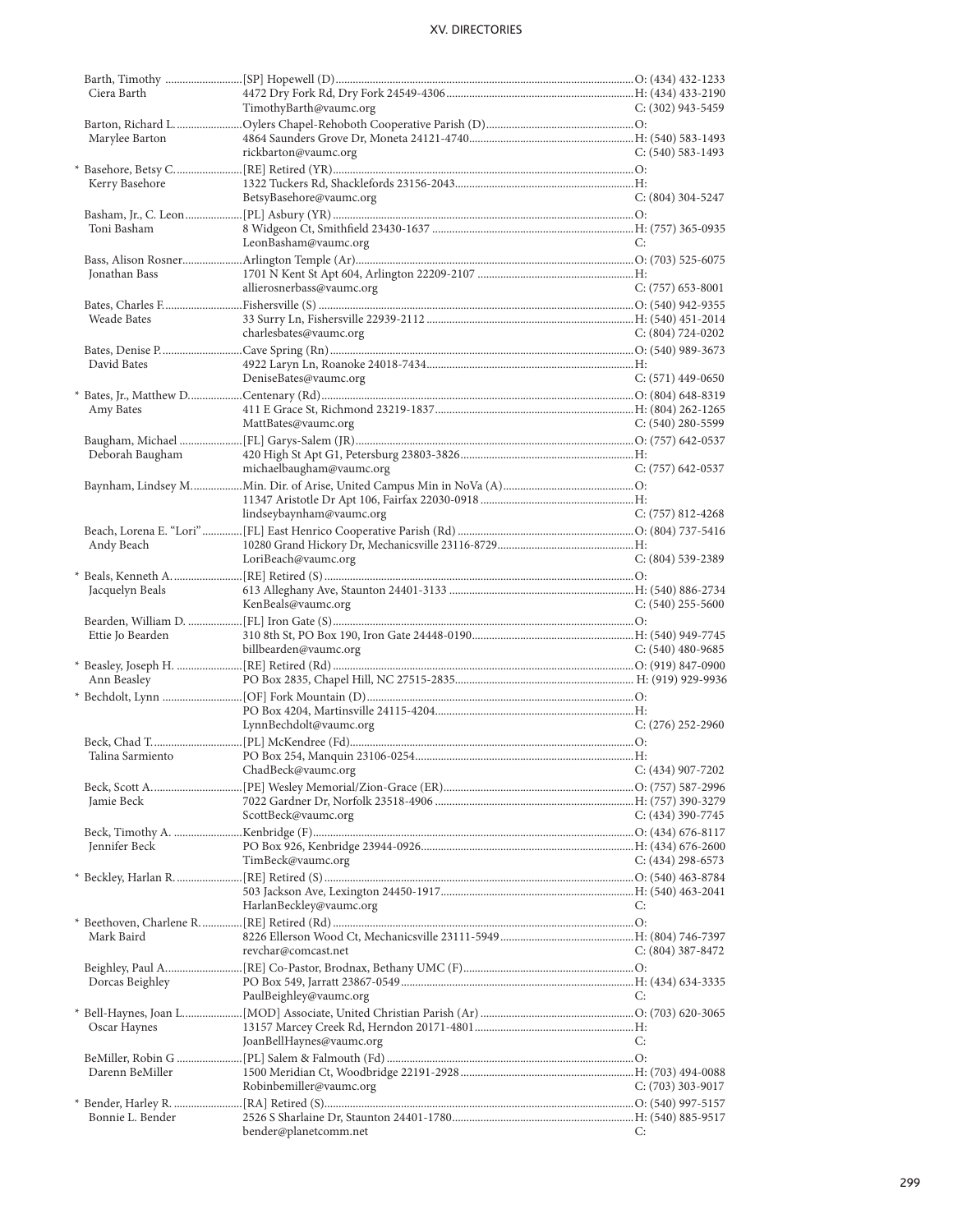| Ciera Barth          |                                           |                       |
|----------------------|-------------------------------------------|-----------------------|
|                      | TimothyBarth@vaumc.org                    | $C: (302)$ 943-5459   |
|                      |                                           |                       |
| Marylee Barton       |                                           |                       |
|                      | rickbarton@vaumc.org                      | $C: (540) 583 - 1493$ |
|                      |                                           |                       |
|                      |                                           |                       |
| Kerry Basehore       |                                           |                       |
|                      | BetsyBasehore@vaumc.org                   | $C: (804)$ 304-5247   |
|                      |                                           |                       |
| Toni Basham          |                                           |                       |
|                      | LeonBasham@vaumc.org                      | C:                    |
|                      |                                           |                       |
| <b>Jonathan Bass</b> |                                           |                       |
|                      | allierosnerbass@vaumc.org                 | $C: (757)$ 653-8001   |
|                      |                                           |                       |
|                      |                                           |                       |
| <b>Weade Bates</b>   |                                           |                       |
|                      | charlesbates@vaumc.org                    | $C: (804) 724-0202$   |
|                      |                                           |                       |
| David Bates          |                                           |                       |
|                      | DeniseBates@vaumc.org                     | $C: (571)$ 449-0650   |
|                      |                                           |                       |
|                      |                                           |                       |
| Amy Bates            |                                           |                       |
|                      | MattBates@vaumc.org                       | $C: (540)$ 280-5599   |
|                      |                                           |                       |
| Deborah Baugham      |                                           |                       |
|                      | michaelbaugham@vaumc.org                  | $C: (757)$ 642-0537   |
|                      |                                           |                       |
|                      |                                           |                       |
|                      | lindseybaynham@vaumc.org                  | $C: (757) 812 - 4268$ |
|                      |                                           |                       |
|                      |                                           |                       |
| Andy Beach           |                                           |                       |
|                      | LoriBeach@vaumc.org                       | $C: (804)$ 539-2389   |
|                      |                                           |                       |
| Jacquelyn Beals      |                                           |                       |
|                      | KenBeals@vaumc.org                        | $C: (540)$ 255-5600   |
|                      |                                           |                       |
| Ettie Jo Bearden     |                                           |                       |
|                      | billbearden@vaumc.org                     | $C: (540)$ 480-9685   |
|                      |                                           |                       |
|                      |                                           |                       |
| Ann Beasley          |                                           |                       |
|                      |                                           |                       |
|                      |                                           |                       |
|                      | LynnBechdolt@vaumc.org                    | C: (276) 252-2960     |
|                      |                                           |                       |
| Talina Sarmiento     |                                           |                       |
|                      | ChadBeck@vaumc.org<br>$C: (434)$ 907-7202 |                       |
|                      |                                           |                       |
|                      |                                           |                       |
| Jamie Beck           |                                           |                       |
|                      | ScottBeck@vaumc.org                       | C: (434) 390-7745     |
|                      |                                           |                       |
| Jennifer Beck        |                                           |                       |
|                      | TimBeck@vaumc.org                         | $C: (434)$ 298-6573   |
|                      |                                           |                       |
|                      |                                           |                       |
|                      |                                           |                       |
|                      | HarlanBeckley@vaumc.org                   | C:                    |
|                      |                                           |                       |
| Mark Baird           |                                           |                       |
|                      | revchar@comcast.net                       | $C: (804)$ 387-8472   |
|                      |                                           |                       |
| Dorcas Beighley      |                                           |                       |
|                      | PaulBeighley@vaumc.org                    | C:                    |
|                      |                                           |                       |
|                      |                                           |                       |
| Oscar Haynes         |                                           |                       |
|                      | JoanBellHaynes@vaumc.org                  | C:                    |
|                      |                                           |                       |
| Darenn BeMiller      |                                           |                       |
|                      | Robinbemiller@vaumc.org                   | $C: (703)$ 303-9017   |
|                      |                                           |                       |
| Bonnie L. Bender     |                                           |                       |
|                      | bender@planetcomm.net                     | C:                    |
|                      |                                           |                       |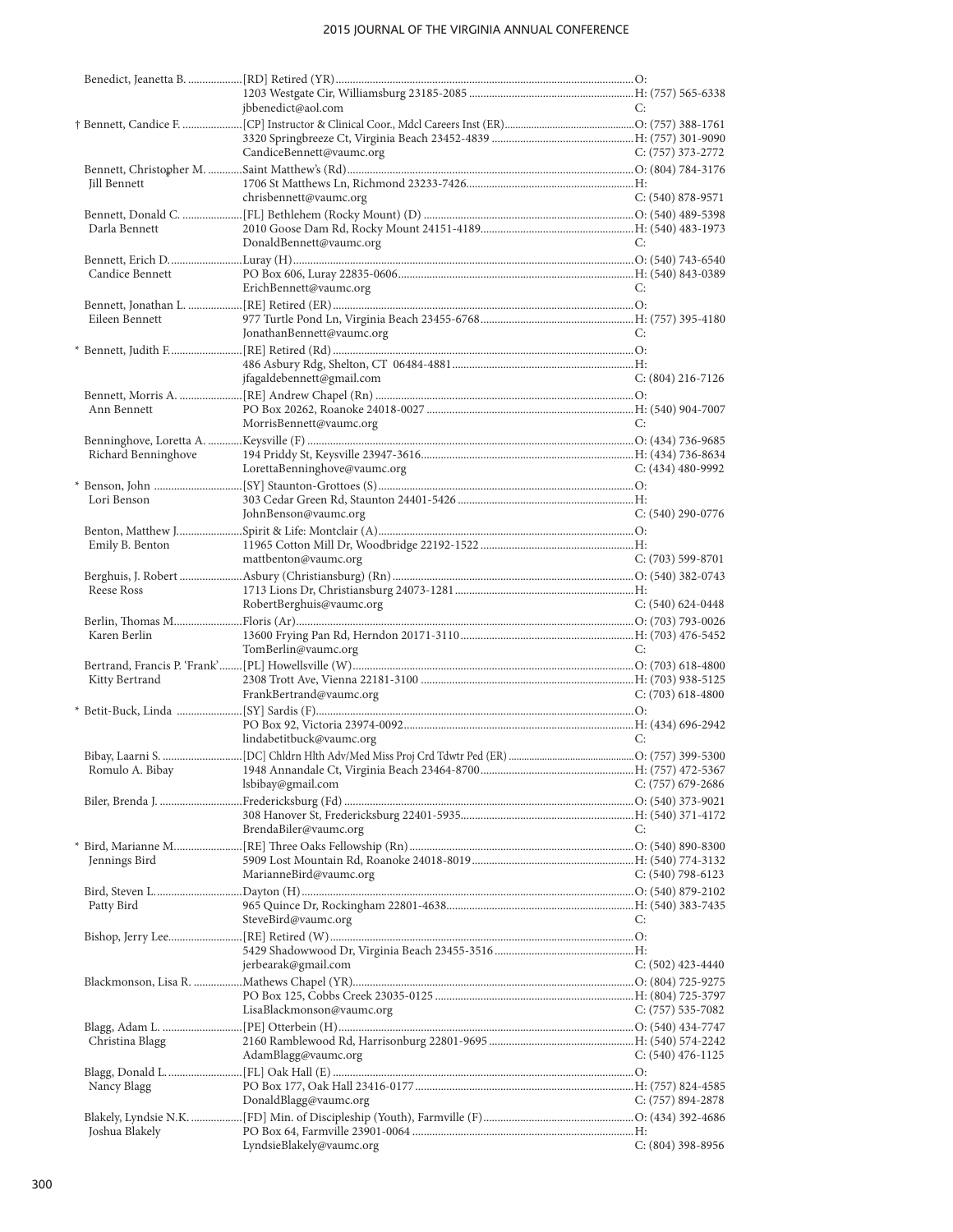|                     | jbbenedict@aol.com           | C:                  |
|---------------------|------------------------------|---------------------|
|                     |                              |                     |
|                     |                              |                     |
|                     | CandiceBennett@vaumc.org     | C: (757) 373-2772   |
|                     |                              |                     |
| <b>Iill Bennett</b> |                              |                     |
|                     | chrisbennett@vaumc.org       | $C: (540) 878-9571$ |
|                     |                              |                     |
|                     |                              |                     |
| Darla Bennett       |                              |                     |
|                     | DonaldBennett@vaumc.org      | C:                  |
|                     |                              |                     |
| Candice Bennett     |                              |                     |
|                     | ErichBennett@vaumc.org       | C:                  |
|                     |                              |                     |
| Eileen Bennett      |                              |                     |
|                     | JonathanBennett@vaumc.org    | C:                  |
|                     |                              |                     |
|                     |                              |                     |
|                     | jfagaldebennett@gmail.com    | $C: (804)$ 216-7126 |
|                     |                              |                     |
|                     |                              |                     |
| Ann Bennett         |                              |                     |
|                     | MorrisBennett@vaumc.org      | C:                  |
|                     |                              |                     |
| Richard Benninghove |                              |                     |
|                     | LorettaBenninghove@vaumc.org | C: $(434)$ 480-9992 |
|                     |                              |                     |
| Lori Benson         |                              |                     |
|                     | JohnBenson@vaumc.org         | $C: (540)$ 290-0776 |
|                     |                              |                     |
|                     |                              |                     |
|                     |                              |                     |
| Emily B. Benton     |                              |                     |
|                     | mattbenton@vaumc.org         | $C: (703)$ 599-8701 |
|                     |                              |                     |
| Reese Ross          |                              |                     |
|                     | RobertBerghuis@vaumc.org     | $C: (540) 624-0448$ |
|                     |                              |                     |
| Karen Berlin        |                              |                     |
|                     | TomBerlin@vaumc.org          | C:                  |
|                     |                              |                     |
|                     |                              |                     |
| Kitty Bertrand      |                              |                     |
|                     | FrankBertrand@vaumc.org      | $C: (703)$ 618-4800 |
|                     |                              |                     |
|                     |                              |                     |
|                     | lindabetitbuck@vaumc.org     | C:                  |
|                     |                              |                     |
|                     |                              |                     |
|                     | lsbibay@gmail.com            | $C: (757)$ 679-2686 |
|                     |                              |                     |
|                     |                              |                     |
|                     |                              | C:                  |
|                     | BrendaBiler@vaumc.org        |                     |
|                     |                              |                     |
| Jennings Bird       |                              |                     |
|                     | MarianneBird@vaumc.org       | $C: (540) 798-6123$ |
|                     |                              |                     |
| Patty Bird          |                              |                     |
|                     | SteveBird@vaumc.org          | C:                  |
|                     |                              |                     |
|                     |                              |                     |
|                     | jerbearak@gmail.com          | $C: (502)$ 423-4440 |
|                     |                              |                     |
|                     |                              |                     |
|                     | LisaBlackmonson@vaumc.org    |                     |
|                     |                              | $C: (757) 535-7082$ |
|                     |                              |                     |
| Christina Blagg     |                              |                     |
|                     | AdamBlagg@vaumc.org          | $C: (540)$ 476-1125 |
|                     |                              |                     |
| Nancy Blagg         |                              |                     |
|                     | DonaldBlagg@vaumc.org        | $C: (757) 894-2878$ |
|                     |                              |                     |
| Joshua Blakely      | LyndsieBlakely@vaumc.org     |                     |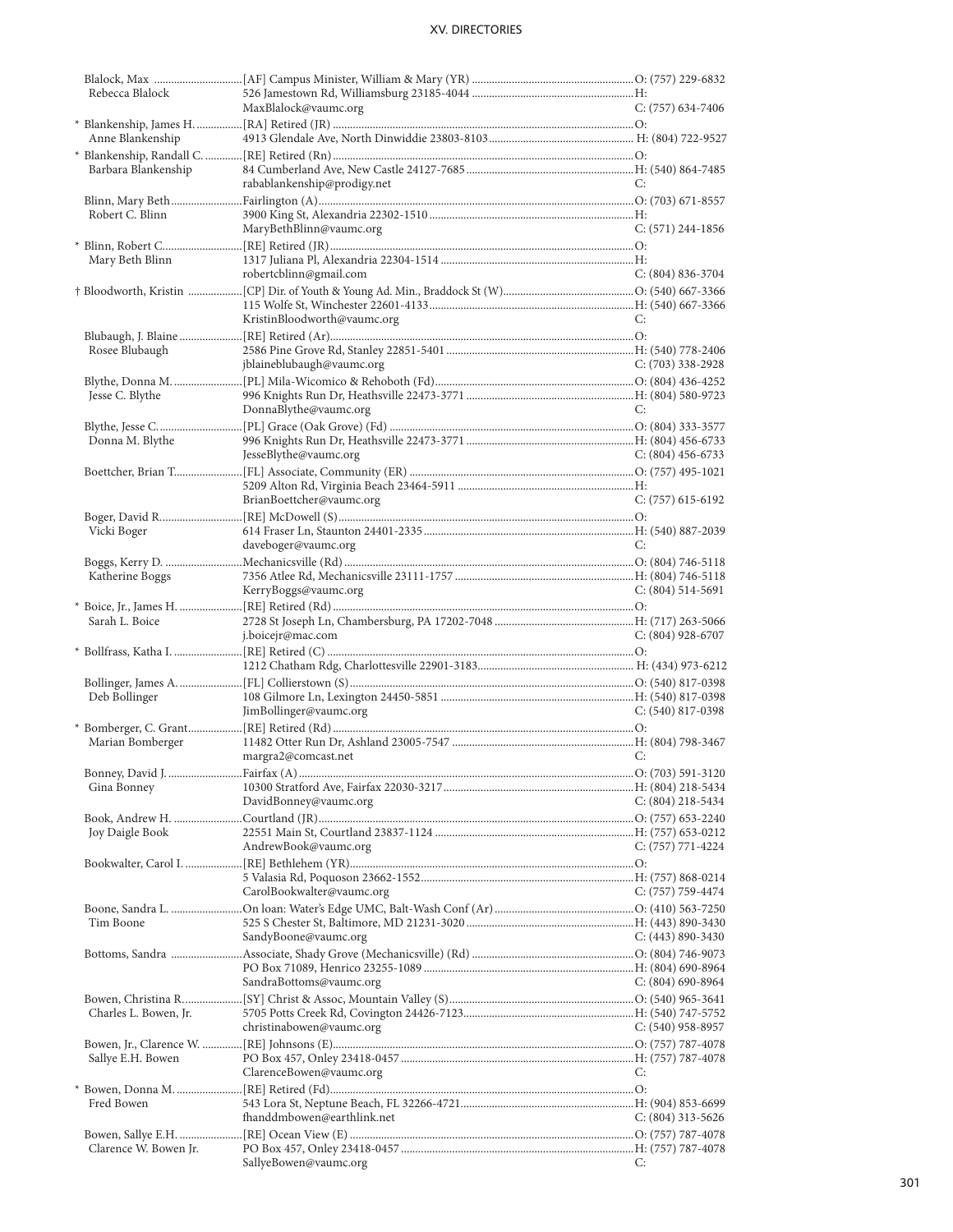| Rebecca Blalock       | MaxBlalock@vaumc.org        | $C: (757)$ 634-7406   |
|-----------------------|-----------------------------|-----------------------|
|                       |                             |                       |
| Anne Blankenship      |                             |                       |
| Barbara Blankenship   | rabablankenship@prodigy.net | C:                    |
|                       |                             |                       |
| Robert C. Blinn       |                             |                       |
|                       | MaryBethBlinn@vaumc.org     | $C: (571)$ 244-1856   |
|                       |                             |                       |
| Mary Beth Blinn       | robertcblinn@gmail.com      | $C: (804) 836 - 3704$ |
|                       |                             |                       |
|                       | KristinBloodworth@vaumc.org | C:                    |
|                       |                             |                       |
| Rosee Blubaugh        | jblaineblubaugh@vaumc.org   | $C: (703)$ 338-2928   |
|                       |                             |                       |
| Jesse C. Blythe       | DonnaBlythe@vaumc.org       | C:                    |
|                       |                             |                       |
| Donna M. Blythe       |                             |                       |
|                       | JesseBlythe@vaumc.org       | $C: (804)$ 456-6733   |
|                       |                             |                       |
|                       |                             |                       |
|                       | BrianBoettcher@vaumc.org    | $C: (757)$ 615-6192   |
| Vicki Boger           |                             |                       |
|                       | daveboger@vaumc.org         | C:                    |
|                       |                             |                       |
| Katherine Boggs       |                             |                       |
|                       | KerryBoggs@vaumc.org        | $C: (804) 514-5691$   |
|                       |                             |                       |
| Sarah L. Boice        |                             |                       |
|                       | j.boicejr@mac.com           | $C: (804)$ 928-6707   |
|                       |                             |                       |
|                       |                             |                       |
| Deb Bollinger         |                             |                       |
|                       | JimBollinger@vaumc.org      | $C: (540) 817-0398$   |
|                       |                             |                       |
| Marian Bomberger      |                             |                       |
|                       | margra2@comcast.net         | C:                    |
| Gina Bonney           |                             |                       |
|                       | DavidBonney@vaumc.org       | $C: (804)$ 218-5434   |
|                       |                             |                       |
| Joy Daigle Book       |                             |                       |
|                       | AndrewBook@vaumc.org        | $C: (757) 771-4224$   |
|                       |                             |                       |
|                       | CarolBookwalter@vaumc.org   | $C: (757) 759-4474$   |
|                       |                             |                       |
| Tim Boone             |                             |                       |
|                       | SandyBoone@vaumc.org        | $C: (443) 890 - 3430$ |
|                       |                             |                       |
|                       |                             |                       |
|                       | SandraBottoms@vaumc.org     | $C: (804)$ 690-8964   |
| Charles L. Bowen, Jr. |                             |                       |
|                       | christinabowen@vaumc.org    | $C: (540)$ 958-8957   |
|                       |                             |                       |
| Sallye E.H. Bowen     |                             |                       |
|                       | ClarenceBowen@vaumc.org     | C:                    |
|                       |                             |                       |
| Fred Bowen            | fhanddmbowen@earthlink.net  | C: (804) 313-5626     |
|                       |                             |                       |
| Clarence W. Bowen Jr. |                             |                       |
|                       | SallyeBowen@vaumc.org       | C:                    |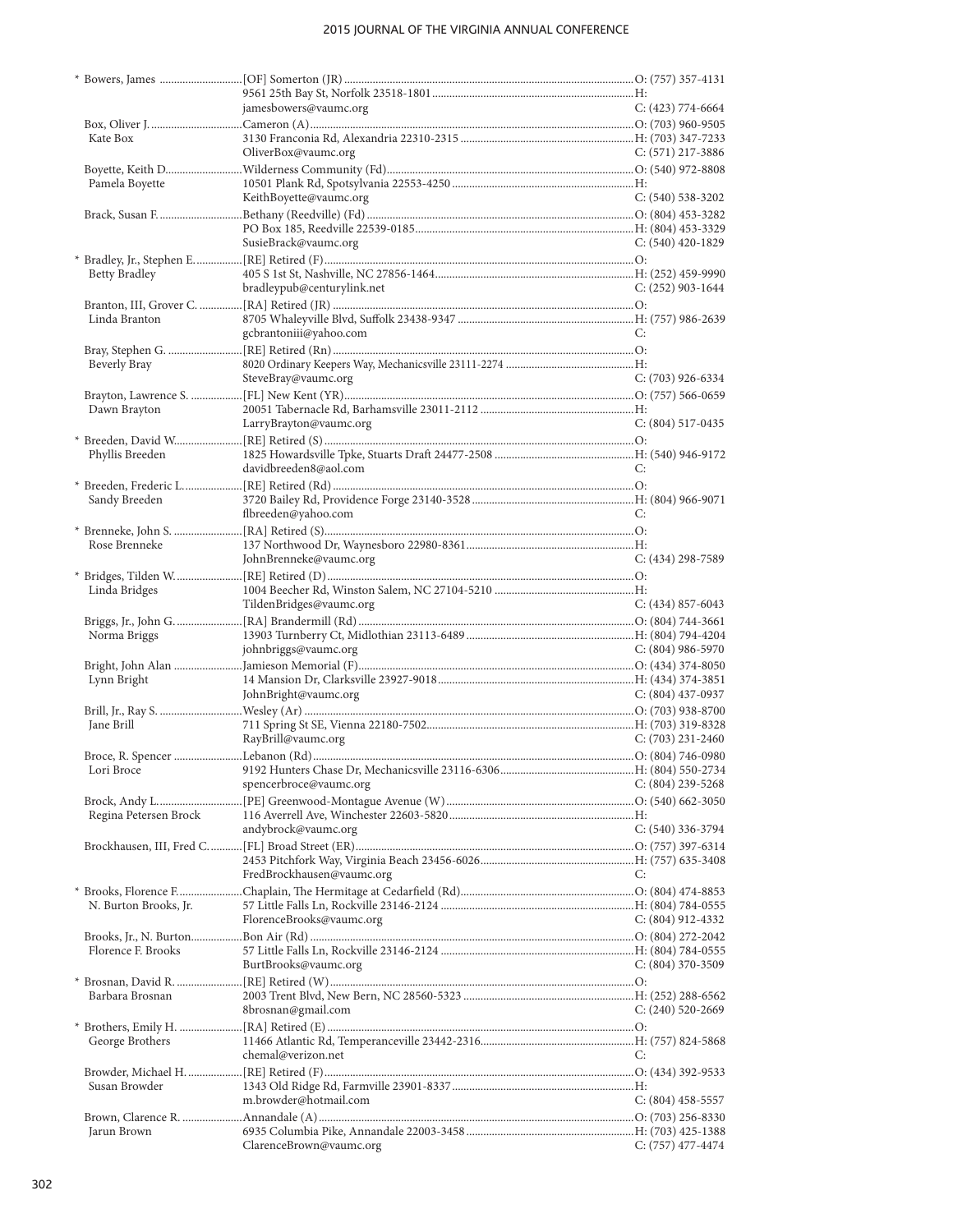|                       | jamesbowers@vaumc.org      | $C: (423) 774-6664$ |
|-----------------------|----------------------------|---------------------|
|                       |                            |                     |
| Kate Box              |                            |                     |
|                       | OliverBox@vaumc.org        | C: $(571)$ 217-3886 |
|                       |                            |                     |
| Pamela Boyette        |                            |                     |
|                       | KeithBoyette@vaumc.org     | $C: (540)$ 538-3202 |
|                       |                            |                     |
|                       |                            |                     |
|                       | SusieBrack@vaumc.org       | $C: (540)$ 420-1829 |
|                       |                            |                     |
| <b>Betty Bradley</b>  |                            |                     |
|                       | bradleypub@centurylink.net | $C: (252)$ 903-1644 |
|                       |                            |                     |
| Linda Branton         |                            |                     |
|                       | gcbrantoniii@yahoo.com     | C:                  |
|                       |                            |                     |
| Beverly Bray          |                            |                     |
|                       | SteveBray@vaumc.org        | $C: (703)$ 926-6334 |
|                       |                            |                     |
|                       |                            |                     |
| Dawn Brayton          |                            | $C: (804) 517-0435$ |
|                       | LarryBrayton@vaumc.org     |                     |
|                       |                            |                     |
| Phyllis Breeden       |                            |                     |
|                       | davidbreeden8@aol.com      | C:                  |
|                       |                            |                     |
| Sandy Breeden         |                            |                     |
|                       | flbreeden@yahoo.com        | C:                  |
|                       |                            |                     |
| Rose Brenneke         |                            |                     |
|                       | JohnBrenneke@vaumc.org     | $C: (434)$ 298-7589 |
|                       |                            |                     |
| Linda Bridges         |                            |                     |
|                       | TildenBridges@vaumc.org    | $C: (434) 857-6043$ |
|                       |                            |                     |
| Norma Briggs          |                            |                     |
|                       | johnbriggs@vaumc.org       | C: (804) 986-5970   |
|                       |                            |                     |
| Lynn Bright           |                            |                     |
|                       | JohnBright@vaumc.org       | $C: (804)$ 437-0937 |
|                       |                            |                     |
| Jane Brill            |                            |                     |
|                       | RayBrill@vaumc.org         | $C: (703)$ 231-2460 |
|                       |                            |                     |
|                       |                            |                     |
|                       |                            |                     |
|                       | spencerbroce@vaumc.org     | $C: (804)$ 239-5268 |
|                       |                            |                     |
| Regina Petersen Brock |                            |                     |
|                       | andybrock@vaumc.org        | $C: (540)$ 336-3794 |
|                       |                            |                     |
|                       |                            |                     |
|                       | FredBrockhausen@vaumc.org  | C:                  |
|                       |                            |                     |
| N. Burton Brooks, Jr. |                            |                     |
|                       | FlorenceBrooks@vaumc.org   | $C: (804)$ 912-4332 |
|                       |                            |                     |
| Florence F. Brooks    |                            |                     |
|                       | BurtBrooks@vaumc.org       | $C: (804)$ 370-3509 |
|                       |                            |                     |
| Barbara Brosnan       |                            |                     |
|                       | 8brosnan@gmail.com         | $C: (240)$ 520-2669 |
|                       |                            |                     |
| George Brothers       |                            |                     |
|                       | chemal@verizon.net         | C:                  |
|                       |                            |                     |
| Susan Browder         |                            |                     |
|                       | m.browder@hotmail.com      | $C: (804)$ 458-5557 |
|                       |                            |                     |
|                       |                            |                     |
| Jarun Brown           |                            |                     |
|                       | ClarenceBrown@vaumc.org    | $C: (757)$ 477-4474 |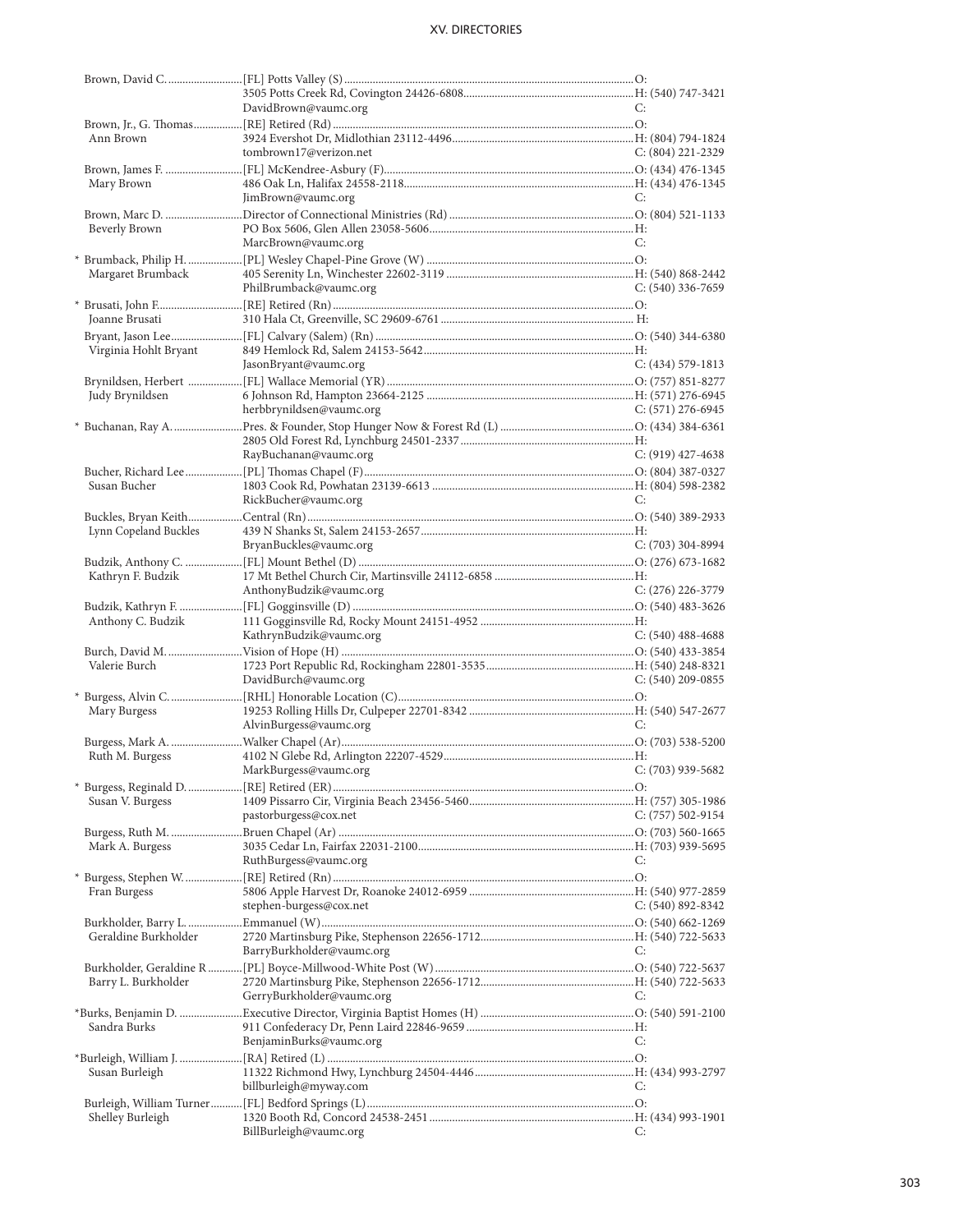|                       | DavidBrown@vaumc.org                         | C:                  |
|-----------------------|----------------------------------------------|---------------------|
|                       |                                              |                     |
| Ann Brown             |                                              |                     |
|                       | tombrown17@verizon.net                       | $C: (804)$ 221-2329 |
|                       |                                              |                     |
| Mary Brown            |                                              |                     |
|                       | JimBrown@vaumc.org                           | C:                  |
|                       |                                              |                     |
| Beverly Brown         |                                              |                     |
|                       | MarcBrown@vaumc.org                          | C:                  |
|                       |                                              |                     |
| Margaret Brumback     |                                              |                     |
|                       | PhilBrumback@vaumc.org                       | $C: (540)$ 336-7659 |
|                       |                                              |                     |
| Joanne Brusati        |                                              |                     |
|                       |                                              |                     |
|                       |                                              |                     |
| Virginia Hohlt Bryant |                                              |                     |
|                       | JasonBryant@vaumc.org                        | $C: (434) 579-1813$ |
|                       |                                              |                     |
| Judy Brynildsen       |                                              |                     |
|                       | herbbrynildsen@vaumc.org                     | C: $(571)$ 276-6945 |
|                       |                                              |                     |
|                       |                                              |                     |
|                       | RayBuchanan@vaumc.org                        | $C: (919)$ 427-4638 |
|                       |                                              |                     |
| Susan Bucher          |                                              |                     |
|                       | RickBucher@vaumc.org                         | C:                  |
|                       |                                              |                     |
| Lynn Copeland Buckles |                                              |                     |
|                       | BryanBuckles@vaumc.org                       | $C: (703)$ 304-8994 |
|                       |                                              |                     |
| Kathryn F. Budzik     |                                              |                     |
|                       | AnthonyBudzik@vaumc.org                      | $C: (276)$ 226-3779 |
|                       |                                              |                     |
|                       |                                              |                     |
|                       |                                              |                     |
| Anthony C. Budzik     |                                              |                     |
|                       | KathrynBudzik@vaumc.org                      | $C: (540)$ 488-4688 |
|                       |                                              |                     |
| Valerie Burch         |                                              |                     |
|                       | DavidBurch@vaumc.org                         | $C: (540)$ 209-0855 |
|                       |                                              |                     |
| Mary Burgess          |                                              |                     |
|                       | AlvinBurgess@vaumc.org                       | C:                  |
|                       |                                              |                     |
| Ruth M. Burgess       |                                              |                     |
|                       | $C: (703)$ 939-5682<br>MarkBurgess@vaumc.org |                     |
|                       |                                              |                     |
| Susan V. Burgess      |                                              |                     |
|                       | pastorburgess@cox.net                        | $C: (757) 502-9154$ |
|                       |                                              |                     |
| Mark A. Burgess       |                                              |                     |
|                       | RuthBurgess@vaumc.org                        | C:                  |
|                       |                                              |                     |
| Fran Burgess          |                                              |                     |
|                       | stephen-burgess@cox.net                      | C: $(540)$ 892-8342 |
|                       |                                              |                     |
| Geraldine Burkholder  |                                              |                     |
|                       | BarryBurkholder@vaumc.org                    | C:                  |
|                       |                                              |                     |
| Barry L. Burkholder   |                                              |                     |
|                       | GerryBurkholder@vaumc.org                    | C:                  |
|                       |                                              |                     |
| Sandra Burks          |                                              |                     |
|                       | BenjaminBurks@vaumc.org                      | C:                  |
|                       |                                              |                     |
|                       |                                              |                     |
| Susan Burleigh        |                                              | C:                  |
|                       | billburleigh@myway.com                       |                     |
|                       |                                              |                     |
| Shelley Burleigh      | BillBurleigh@vaumc.org                       | C:                  |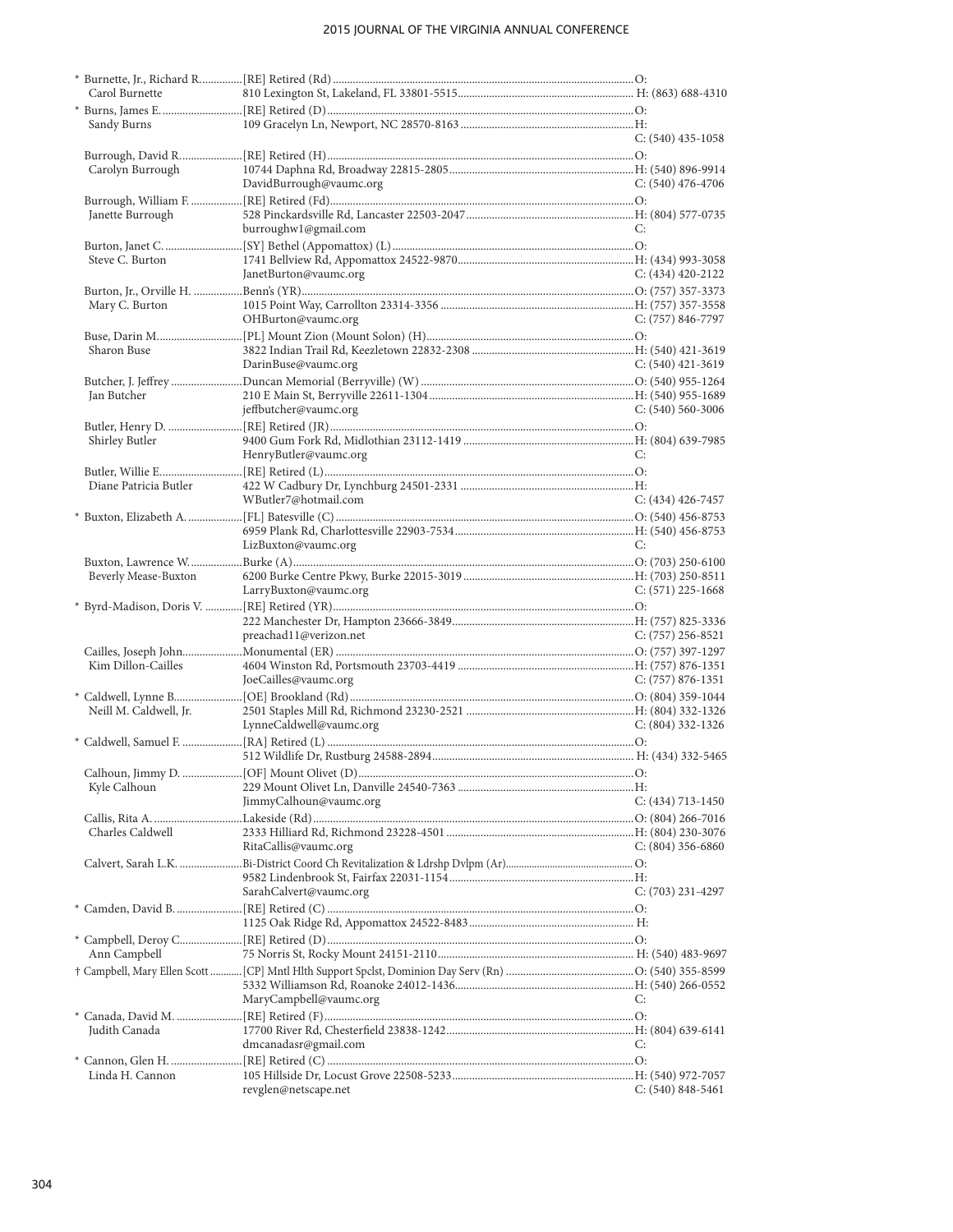### 2015 JOURNAL OF THE VIRGINIA ANNUAL CONFERENCE

| Carol Burnette         |                         |                       |
|------------------------|-------------------------|-----------------------|
|                        |                         |                       |
| Sandy Burns            |                         |                       |
|                        |                         | $C: (540)$ 435-1058   |
|                        |                         |                       |
| Carolyn Burrough       |                         |                       |
|                        | DavidBurrough@vaumc.org | $C: (540)$ 476-4706   |
|                        |                         |                       |
| Janette Burrough       |                         |                       |
|                        | burroughw1@gmail.com    | C:                    |
|                        |                         |                       |
| Steve C. Burton        |                         |                       |
|                        | JanetBurton@vaumc.org   | $C: (434)$ 420-2122   |
|                        |                         |                       |
| Mary C. Burton         |                         |                       |
|                        | OHBurton@vaumc.org      | $C: (757) 846-7797$   |
|                        |                         |                       |
| Sharon Buse            |                         |                       |
|                        | DarinBuse@vaumc.org     | $C: (540)$ 421-3619   |
|                        |                         |                       |
|                        |                         |                       |
| Jan Butcher            |                         |                       |
|                        | jeffbutcher@vaumc.org   | $C: (540) 560-3006$   |
|                        |                         |                       |
| Shirley Butler         |                         |                       |
|                        | HenryButler@vaumc.org   | C:                    |
|                        |                         |                       |
| Diane Patricia Butler  |                         |                       |
|                        | WButler7@hotmail.com    | $C: (434)$ 426-7457   |
|                        |                         |                       |
|                        |                         |                       |
|                        | LizBuxton@vaumc.org     | C:                    |
|                        |                         |                       |
| Beverly Mease-Buxton   |                         |                       |
|                        | LarryBuxton@vaumc.org   | $C: (571)$ 225-1668   |
|                        |                         |                       |
|                        |                         |                       |
|                        | preachad11@verizon.net  | $C: (757)$ 256-8521   |
|                        |                         |                       |
| Kim Dillon-Cailles     |                         |                       |
|                        | JoeCailles@vaumc.org    | C: $(757)$ 876-1351   |
|                        |                         |                       |
| Neill M. Caldwell, Jr. |                         |                       |
|                        | LynneCaldwell@vaumc.org | $C: (804)$ 332-1326   |
|                        |                         |                       |
|                        |                         |                       |
|                        |                         |                       |
| Kyle Calhoun           |                         |                       |
|                        | JimmyCalhoun@vaumc.org  | $C: (434) 713 - 1450$ |
|                        |                         |                       |
| Charles Caldwell       |                         |                       |
|                        |                         |                       |
|                        | RitaCallis@vaumc.org    | $C: (804)$ 356-6860   |
|                        |                         |                       |
|                        |                         |                       |
|                        | SarahCalvert@vaumc.org  | $C: (703)$ 231-4297   |
|                        |                         |                       |
|                        |                         |                       |
|                        |                         |                       |
| Ann Campbell           |                         |                       |
|                        |                         |                       |
|                        |                         |                       |
|                        | MaryCampbell@vaumc.org  | C:                    |
|                        |                         |                       |
| Judith Canada          |                         |                       |
|                        | dmcanadasr@gmail.com    | C:                    |
|                        |                         |                       |
| Linda H. Cannon        |                         |                       |
|                        | revglen@netscape.net    | $C: (540) 848 - 5461$ |
|                        |                         |                       |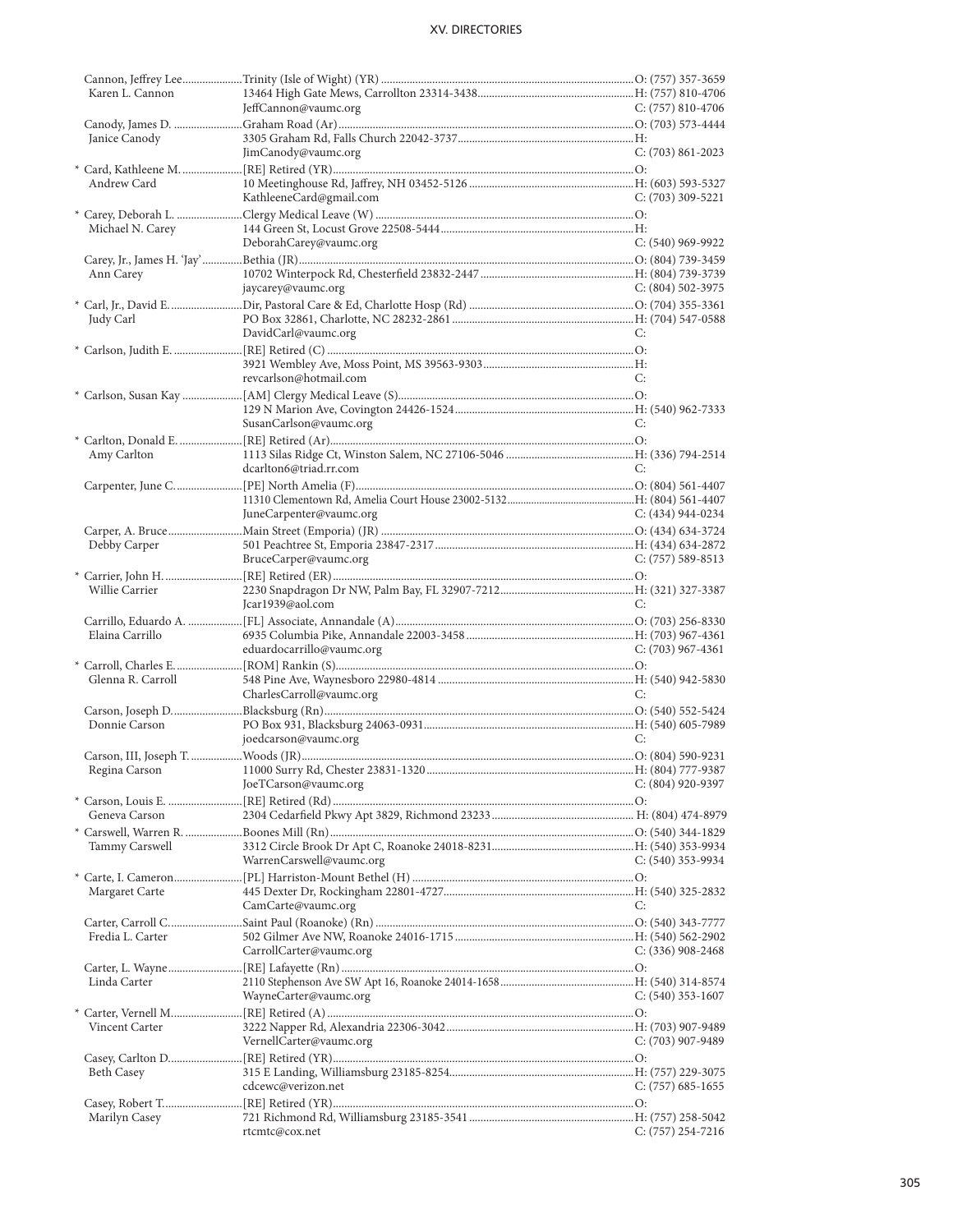| Karen L. Cannon   |                           |                       |
|-------------------|---------------------------|-----------------------|
|                   | JeffCannon@vaumc.org      | C: (757) 810-4706     |
|                   |                           |                       |
| Janice Canody     |                           |                       |
|                   | JimCanody@vaumc.org       | $C: (703) 861 - 2023$ |
|                   |                           |                       |
|                   |                           |                       |
| Andrew Card       |                           |                       |
|                   | KathleeneCard@gmail.com   | C: (703) 309-5221     |
|                   |                           |                       |
| Michael N. Carey  |                           |                       |
|                   | DeborahCarey@vaumc.org    | $C: (540)$ 969-9922   |
|                   |                           |                       |
| Ann Carey         |                           |                       |
|                   |                           |                       |
|                   | jaycarey@vaumc.org        | C: $(804)$ 502-3975   |
|                   |                           |                       |
| Judy Carl         |                           |                       |
|                   | DavidCarl@vaumc.org       | C:                    |
|                   |                           |                       |
|                   |                           |                       |
|                   | revcarlson@hotmail.com    | C:                    |
|                   |                           |                       |
|                   |                           |                       |
|                   |                           |                       |
|                   | SusanCarlson@vaumc.org    | C:                    |
|                   |                           |                       |
| Amy Carlton       |                           |                       |
|                   | dcarlton6@triad.rr.com    | C:                    |
|                   |                           |                       |
|                   |                           |                       |
|                   | JuneCarpenter@vaumc.org   | C: $(434)$ 944-0234   |
|                   |                           |                       |
|                   |                           |                       |
| Debby Carper      |                           |                       |
|                   | BruceCarper@vaumc.org     | C: $(757)$ 589-8513   |
|                   |                           |                       |
| Willie Carrier    |                           |                       |
|                   | Jcar1939@aol.com          | C:                    |
|                   |                           |                       |
|                   |                           |                       |
|                   |                           |                       |
| Elaina Carrillo   |                           |                       |
|                   | eduardocarrillo@vaumc.org | C: $(703)$ 967-4361   |
|                   |                           |                       |
| Glenna R. Carroll |                           |                       |
|                   | CharlesCarroll@vaumc.org  | C:                    |
|                   |                           |                       |
| Donnie Carson     |                           |                       |
|                   |                           |                       |
|                   | joedcarson@vaumc.org      | C:                    |
|                   |                           |                       |
|                   |                           |                       |
|                   | JoeTCarson@vaumc.org      | C: (804) 920-9397     |
|                   |                           |                       |
| Geneva Carson     |                           |                       |
|                   |                           |                       |
|                   |                           |                       |
| Tammy Carswell    |                           |                       |
|                   | WarrenCarswell@vaumc.org  | $C: (540)$ 353-9934   |
|                   |                           |                       |
| Margaret Carte    |                           |                       |
|                   | CamCarte@vaumc.org        | C:                    |
|                   |                           |                       |
| Fredia L. Carter  |                           |                       |
|                   | CarrollCarter@vaumc.org   | $C: (336)$ 908-2468   |
|                   |                           |                       |
|                   |                           |                       |
| Linda Carter      |                           |                       |
|                   | WayneCarter@vaumc.org     | $C: (540)$ 353-1607   |
|                   |                           |                       |
| Vincent Carter    |                           |                       |
|                   | VernellCarter@vaumc.org   | $C: (703)$ 907-9489   |
|                   |                           |                       |
| Beth Casey        |                           |                       |
|                   | cdcewc@verizon.net        |                       |
|                   |                           | $C: (757)$ 685-1655   |
|                   |                           |                       |
| Marilyn Casey     | rtcmtc@cox.net            | $C: (757)$ 254-7216   |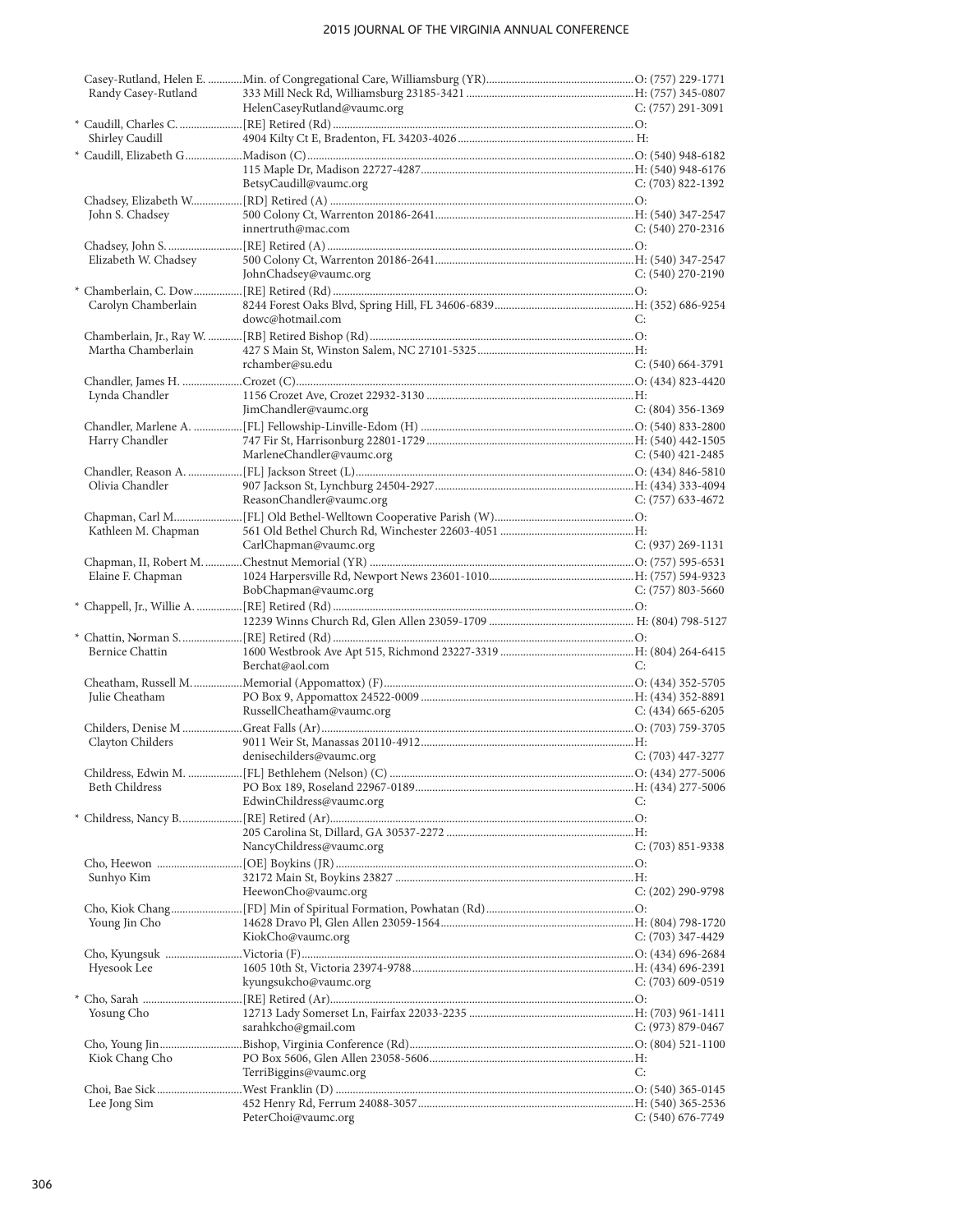| Randy Casey-Rutland    |                             |                       |
|------------------------|-----------------------------|-----------------------|
|                        | HelenCaseyRutland@vaumc.org | C: (757) 291-3091     |
|                        |                             |                       |
| Shirley Caudill        |                             |                       |
|                        |                             |                       |
|                        |                             |                       |
|                        | BetsyCaudill@vaumc.org      | $C: (703)$ 822-1392   |
|                        |                             |                       |
| John S. Chadsey        |                             |                       |
|                        | innertruth@mac.com          | $C: (540)$ 270-2316   |
|                        |                             |                       |
| Elizabeth W. Chadsey   |                             |                       |
|                        | JohnChadsey@vaumc.org       | $C: (540)$ 270-2190   |
|                        |                             |                       |
| Carolyn Chamberlain    |                             |                       |
|                        | dowc@hotmail.com            | C:                    |
|                        |                             |                       |
| Martha Chamberlain     |                             |                       |
|                        | rchamber@su.edu             | $C: (540) 664-3791$   |
|                        |                             |                       |
|                        |                             |                       |
| Lynda Chandler         |                             |                       |
|                        | JimChandler@vaumc.org       | $C: (804)$ 356-1369   |
|                        |                             |                       |
| Harry Chandler         |                             |                       |
|                        | MarleneChandler@vaumc.org   | $C: (540)$ 421-2485   |
|                        |                             |                       |
| Olivia Chandler        |                             |                       |
|                        | ReasonChandler@vaumc.org    | $C: (757)$ 633-4672   |
|                        |                             |                       |
| Kathleen M. Chapman    |                             |                       |
|                        | CarlChapman@vaumc.org       | $C: (937) 269 - 1131$ |
|                        |                             |                       |
| Elaine F. Chapman      |                             |                       |
|                        | BobChapman@vaumc.org        | $C: (757) 803 - 5660$ |
|                        |                             |                       |
|                        |                             |                       |
|                        |                             |                       |
|                        |                             |                       |
|                        |                             |                       |
| <b>Bernice Chattin</b> |                             | C:                    |
|                        | Berchat@aol.com             |                       |
|                        |                             |                       |
| Julie Cheatham         |                             |                       |
|                        | RussellCheatham@vaumc.org   | $C: (434)$ 665-6205   |
|                        |                             |                       |
| Clayton Childers       |                             |                       |
|                        | denisechilders@vaumc.org    | $C: (703)$ 447-3277   |
|                        |                             |                       |
| Beth Childress         |                             |                       |
|                        | EdwinChildress@vaumc.org    | C:                    |
|                        |                             |                       |
|                        |                             |                       |
|                        | NancyChildress@vaumc.org    | $C: (703) 851 - 9338$ |
|                        |                             |                       |
| Sunhyo Kim             |                             |                       |
|                        | HeewonCho@vaumc.org         | C: (202) 290-9798     |
|                        |                             |                       |
|                        |                             |                       |
| Young Jin Cho          |                             |                       |
|                        | KiokCho@vaumc.org           | $C: (703)$ 347-4429   |
|                        |                             |                       |
| Hyesook Lee            |                             |                       |
|                        | kyungsukcho@vaumc.org       | $C: (703)$ 609-0519   |
|                        |                             |                       |
| Yosung Cho             |                             |                       |
|                        | sarahkcho@gmail.com         | $C: (973) 879-0467$   |
|                        |                             |                       |
| Kiok Chang Cho         |                             |                       |
|                        | TerriBiggins@vaumc.org      | C:                    |
|                        |                             |                       |
| Lee Jong Sim           | PeterChoi@vaumc.org         | $C: (540) 676-7749$   |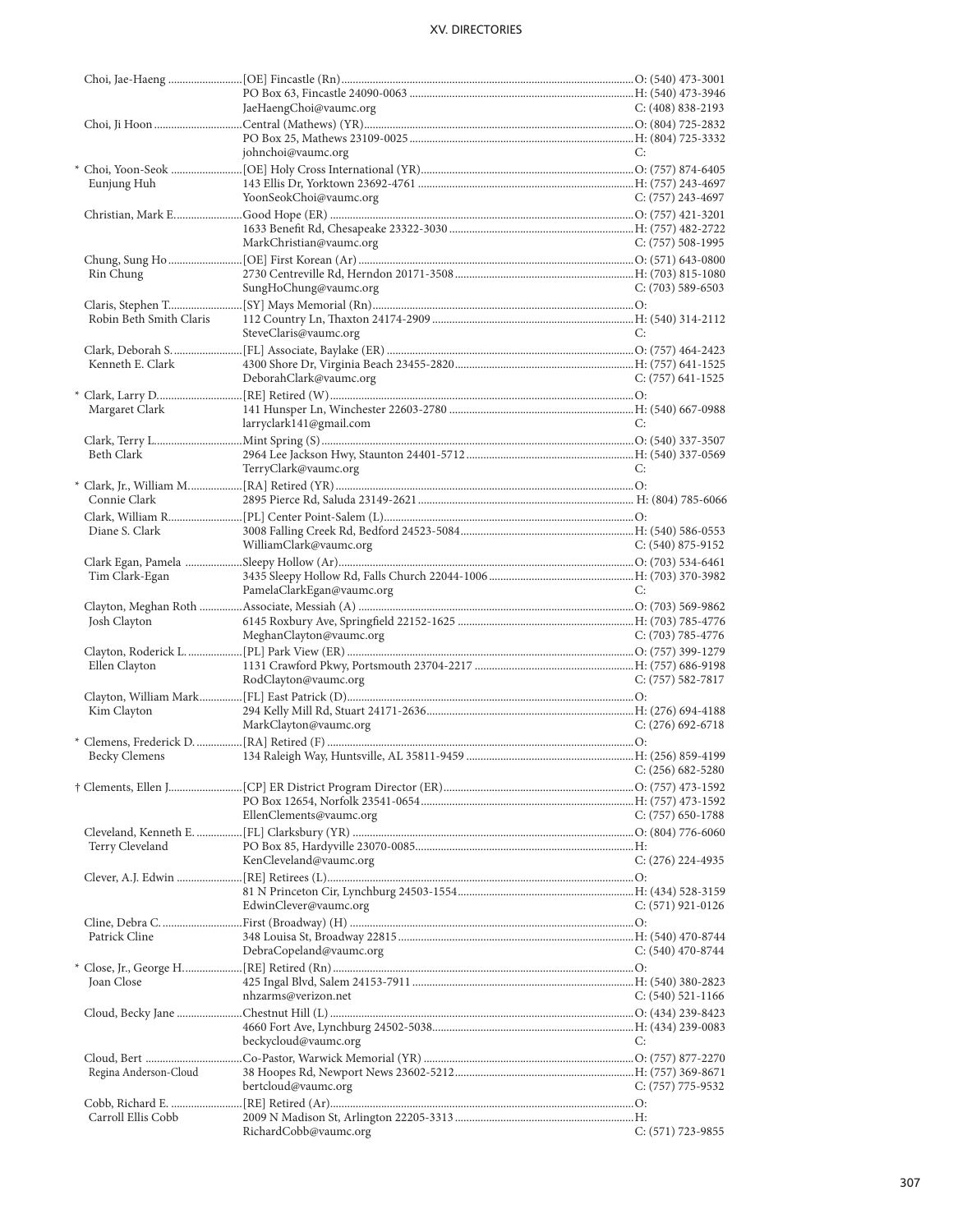# XV. DIRECTORIES

|               |                         | JaeHaengChoi@vaumc.org    | $C: (408) 838-2193$   |
|---------------|-------------------------|---------------------------|-----------------------|
|               |                         |                           |                       |
|               |                         |                           |                       |
|               |                         | johnchoi@vaumc.org        | C:                    |
|               |                         |                           |                       |
|               | Eunjung Huh             |                           |                       |
|               |                         | YoonSeokChoi@vaumc.org    | C: $(757)$ 243-4697   |
|               |                         |                           |                       |
|               |                         |                           |                       |
|               |                         |                           |                       |
|               |                         | MarkChristian@vaumc.org   | $C: (757) 508-1995$   |
|               |                         |                           |                       |
| Rin Chung     |                         |                           |                       |
|               |                         | SungHoChung@vaumc.org     | $C: (703)$ 589-6503   |
|               |                         |                           |                       |
|               | Robin Beth Smith Claris |                           |                       |
|               |                         | SteveClaris@vaumc.org     | C:                    |
|               |                         |                           |                       |
|               |                         |                           |                       |
|               | Kenneth E. Clark        |                           |                       |
|               |                         | DeborahClark@vaumc.org    | $C: (757)$ 641-1525   |
|               |                         |                           |                       |
|               | Margaret Clark          |                           |                       |
|               |                         | larryclark141@gmail.com   | C:                    |
|               |                         |                           |                       |
| Beth Clark    |                         |                           |                       |
|               |                         | TerryClark@vaumc.org      | C:                    |
|               |                         |                           |                       |
|               |                         |                           |                       |
|               | Connie Clark            |                           |                       |
|               |                         |                           |                       |
|               | Diane S. Clark          |                           |                       |
|               |                         | WilliamClark@vaumc.org    | $C: (540) 875-9152$   |
|               |                         |                           |                       |
|               | Tim Clark-Egan          |                           |                       |
|               |                         | PamelaClarkEgan@vaumc.org | C:                    |
|               |                         |                           |                       |
| Josh Clayton  |                         |                           |                       |
|               |                         | MeghanClayton@vaumc.org   | C: (703) 785-4776     |
|               |                         |                           |                       |
|               |                         |                           |                       |
|               | Ellen Clayton           |                           |                       |
|               |                         |                           |                       |
|               |                         | RodClayton@vaumc.org      | $C: (757) 582-7817$   |
|               |                         |                           |                       |
|               | Kim Clayton             |                           |                       |
|               |                         | MarkClayton@vaumc.org     | $C: (276)$ 692-6718   |
|               |                         |                           |                       |
|               |                         |                           |                       |
|               | <b>Becky Clemens</b>    |                           |                       |
|               |                         | $C: (256) 682 - 5280$     |                       |
|               |                         |                           |                       |
|               |                         |                           |                       |
|               |                         | EllenClements@vaumc.org   | C: $(757)$ 650-1788   |
|               |                         |                           |                       |
|               | Terry Cleveland         |                           |                       |
|               |                         | KenCleveland@vaumc.org    | C: (276) 224-4935     |
|               |                         |                           |                       |
|               |                         |                           |                       |
|               |                         |                           |                       |
|               |                         | EdwinClever@vaumc.org     | $C: (571)$ 921-0126   |
|               |                         |                           |                       |
| Patrick Cline |                         |                           |                       |
|               |                         | DebraCopeland@vaumc.org   | C: $(540)$ 470-8744   |
|               |                         |                           |                       |
| Joan Close    |                         |                           |                       |
|               |                         | nhzarms@verizon.net       | $C: (540) 521 - 1166$ |
|               |                         |                           |                       |
|               |                         |                           |                       |
|               |                         |                           |                       |
|               |                         | beckycloud@vaumc.org      | C:                    |
|               |                         |                           |                       |
|               | Regina Anderson-Cloud   |                           |                       |
|               |                         | bertcloud@vaumc.org       | $C: (757) 775-9532$   |
|               |                         |                           |                       |
|               | Carroll Ellis Cobb      |                           |                       |
|               |                         | RichardCobb@vaumc.org     | $C: (571) 723-9855$   |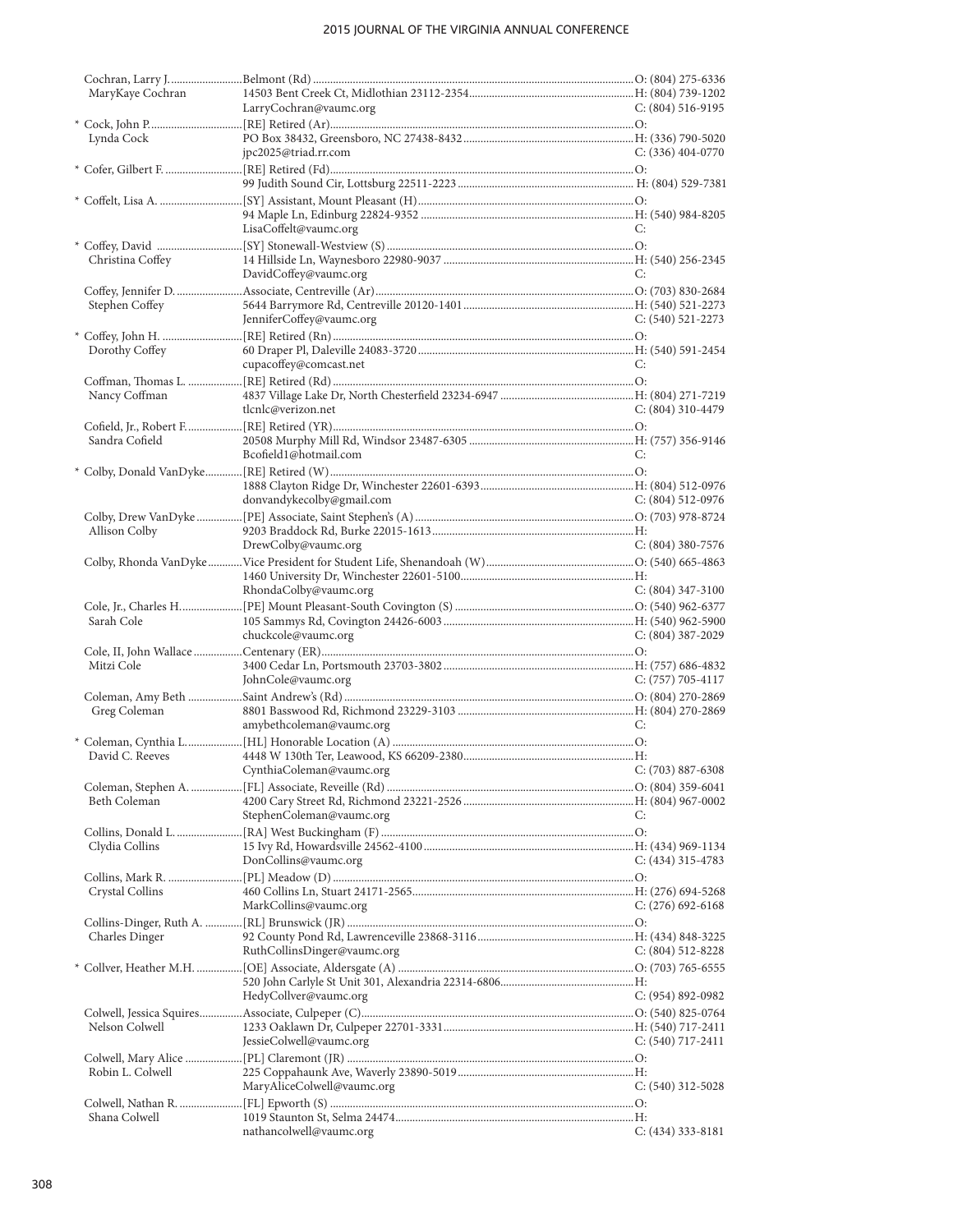| MaryKaye Cochran      |                             |                       |
|-----------------------|-----------------------------|-----------------------|
|                       | LarryCochran@vaumc.org      | $C: (804) 516-9195$   |
|                       |                             |                       |
|                       |                             |                       |
| Lynda Cock            |                             |                       |
|                       | jpc2025@triad.rr.com        | $C: (336)$ 404-0770   |
|                       |                             |                       |
|                       |                             |                       |
|                       |                             |                       |
|                       |                             |                       |
|                       |                             |                       |
|                       | LisaCoffelt@vaumc.org       | C:                    |
|                       |                             |                       |
| Christina Coffey      |                             |                       |
|                       | DavidCoffey@vaumc.org       | C:                    |
|                       |                             |                       |
|                       |                             |                       |
| Stephen Coffey        |                             |                       |
|                       | JenniferCoffey@vaumc.org    | $C: (540)$ 521-2273   |
|                       |                             |                       |
|                       |                             |                       |
| Dorothy Coffey        |                             |                       |
|                       | cupacoffey@comcast.net      | C:                    |
|                       |                             |                       |
| Nancy Coffman         |                             |                       |
|                       | tlcnlc@verizon.net          | $C: (804)$ 310-4479   |
|                       |                             |                       |
|                       |                             |                       |
| Sandra Cofield        |                             |                       |
|                       | Bcofield1@hotmail.com       | C:                    |
|                       |                             |                       |
|                       |                             |                       |
|                       | donvandykecolby@gmail.com   |                       |
|                       |                             | $C: (804)$ 512-0976   |
|                       |                             |                       |
| Allison Colby         |                             |                       |
|                       | DrewColby@vaumc.org         | $C: (804)$ 380-7576   |
|                       |                             |                       |
|                       |                             |                       |
|                       |                             |                       |
|                       | RhondaColby@vaumc.org       | $C: (804)$ 347-3100   |
|                       |                             |                       |
| Sarah Cole            |                             |                       |
|                       | chuckcole@vaumc.org         | $C: (804)$ 387-2029   |
|                       |                             |                       |
|                       |                             |                       |
|                       |                             |                       |
| Mitzi Cole            |                             |                       |
|                       | JohnCole@vaumc.org          | $C: (757) 705-4117$   |
|                       |                             |                       |
|                       |                             |                       |
| Greg Coleman          |                             |                       |
|                       | amybethcoleman@vaumc.org    | C:                    |
|                       |                             |                       |
|                       |                             |                       |
| David C. Reeves       |                             |                       |
|                       | CynthiaColeman@yaumc.org    | $C: (703) 887-6308$   |
|                       |                             |                       |
| Beth Coleman          |                             |                       |
|                       | StephenColeman@vaumc.org    | C:                    |
|                       |                             |                       |
|                       |                             |                       |
| Clydia Collins        |                             |                       |
|                       | DonCollins@vaumc.org        | $C: (434)$ 315-4783   |
|                       |                             |                       |
|                       |                             |                       |
| Crystal Collins       |                             |                       |
|                       | MarkCollins@vaumc.org       | $C: (276)$ 692-6168   |
|                       |                             |                       |
| <b>Charles Dinger</b> |                             |                       |
|                       | RuthCollinsDinger@vaumc.org | $C: (804) 512 - 8228$ |
|                       |                             |                       |
|                       |                             |                       |
|                       |                             |                       |
|                       | HedyCollver@vaumc.org       | $C: (954) 892-0982$   |
|                       |                             |                       |
| Nelson Colwell        |                             |                       |
|                       |                             |                       |
|                       | JessieColwell@vaumc.org     | $C: (540)$ 717-2411   |
|                       |                             |                       |
| Robin L. Colwell      |                             |                       |
|                       | MaryAliceColwell@vaumc.org  | C: (540) 312-5028     |
|                       |                             |                       |
|                       |                             |                       |
| Shana Colwell         | nathancolwell@vaumc.org     | $C: (434)$ 333-8181   |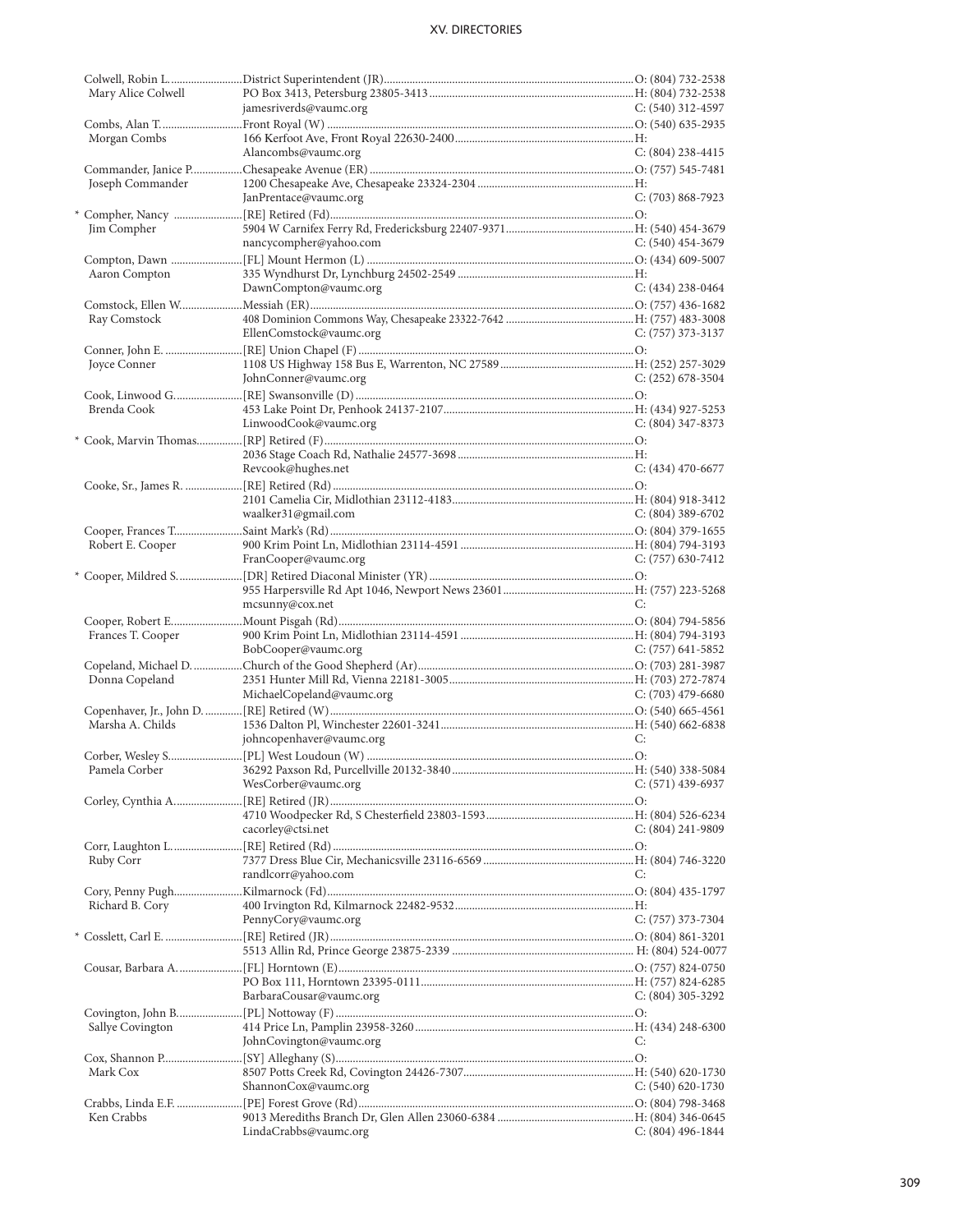| Mary Alice Colwell |                           |                       |
|--------------------|---------------------------|-----------------------|
|                    | jamesriverds@vaumc.org    | $C: (540)$ 312-4597   |
|                    |                           |                       |
| Morgan Combs       |                           |                       |
|                    | Alancombs@vaumc.org       | $C: (804)$ 238-4415   |
|                    |                           |                       |
| Joseph Commander   |                           |                       |
|                    |                           |                       |
|                    | JanPrentace@vaumc.org     | $C: (703) 868 - 7923$ |
|                    |                           |                       |
| Jim Compher        |                           |                       |
|                    | nancycompher@yahoo.com    | $C: (540)$ 454-3679   |
|                    |                           |                       |
| Aaron Compton      |                           |                       |
|                    | DawnCompton@vaumc.org     | $C: (434)$ 238-0464   |
|                    |                           |                       |
|                    |                           |                       |
| Ray Comstock       |                           |                       |
|                    | EllenComstock@vaumc.org   | $C: (757)$ 373-3137   |
|                    |                           |                       |
| Joyce Conner       |                           |                       |
|                    | JohnConner@vaumc.org      | $C: (252)$ 678-3504   |
|                    |                           |                       |
|                    |                           |                       |
| Brenda Cook        |                           |                       |
|                    | LinwoodCook@vaumc.org     | $C: (804)$ 347-8373   |
|                    |                           |                       |
|                    |                           |                       |
|                    | Revcook@hughes.net        | $C: (434)$ 470-6677   |
|                    |                           |                       |
|                    |                           |                       |
|                    |                           |                       |
|                    | waalker31@gmail.com       | $C: (804)$ 389-6702   |
|                    |                           |                       |
| Robert E. Cooper   |                           |                       |
|                    | FranCooper@vaumc.org      | $C: (757)$ 630-7412   |
|                    |                           |                       |
|                    |                           |                       |
|                    | mcsunny@cox.net           | C:                    |
|                    |                           |                       |
|                    |                           |                       |
| Frances T. Cooper  |                           |                       |
|                    | BobCooper@vaumc.org       | $C: (757)$ 641-5852   |
|                    |                           |                       |
| Donna Copeland     |                           |                       |
|                    | MichaelCopeland@vaumc.org | $C: (703)$ 479-6680   |
|                    |                           |                       |
| Marsha A. Childs   |                           |                       |
|                    | johncopenhaver@vaumc.org  | C:                    |
|                    |                           |                       |
|                    |                           |                       |
|                    |                           |                       |
|                    | WesCorber@vaumc.org       | $C: (571)$ 439-6937   |
|                    |                           |                       |
|                    |                           |                       |
|                    | cacorley@ctsi.net         | $C: (804)$ 241-9809   |
|                    |                           |                       |
| Ruby Corr          |                           |                       |
|                    |                           | C:                    |
|                    | randlcorr@yahoo.com       |                       |
|                    |                           |                       |
| Richard B. Cory    |                           |                       |
|                    | PennyCory@vaumc.org       | $C: (757)$ 373-7304   |
|                    |                           |                       |
|                    |                           |                       |
|                    |                           |                       |
|                    |                           |                       |
|                    |                           |                       |
|                    | BarbaraCousar@vaumc.org   | $C: (804)$ 305-3292   |
|                    |                           |                       |
| Sallye Covington   |                           |                       |
|                    | JohnCovington@vaumc.org   | C:                    |
|                    |                           |                       |
| Mark Cox           |                           |                       |
|                    |                           |                       |
|                    |                           |                       |
|                    | ShannonCox@vaumc.org      | $C: (540) 620-1730$   |
|                    |                           |                       |
| Ken Crabbs         |                           |                       |
|                    | LindaCrabbs@vaumc.org     | $C: (804)$ 496-1844   |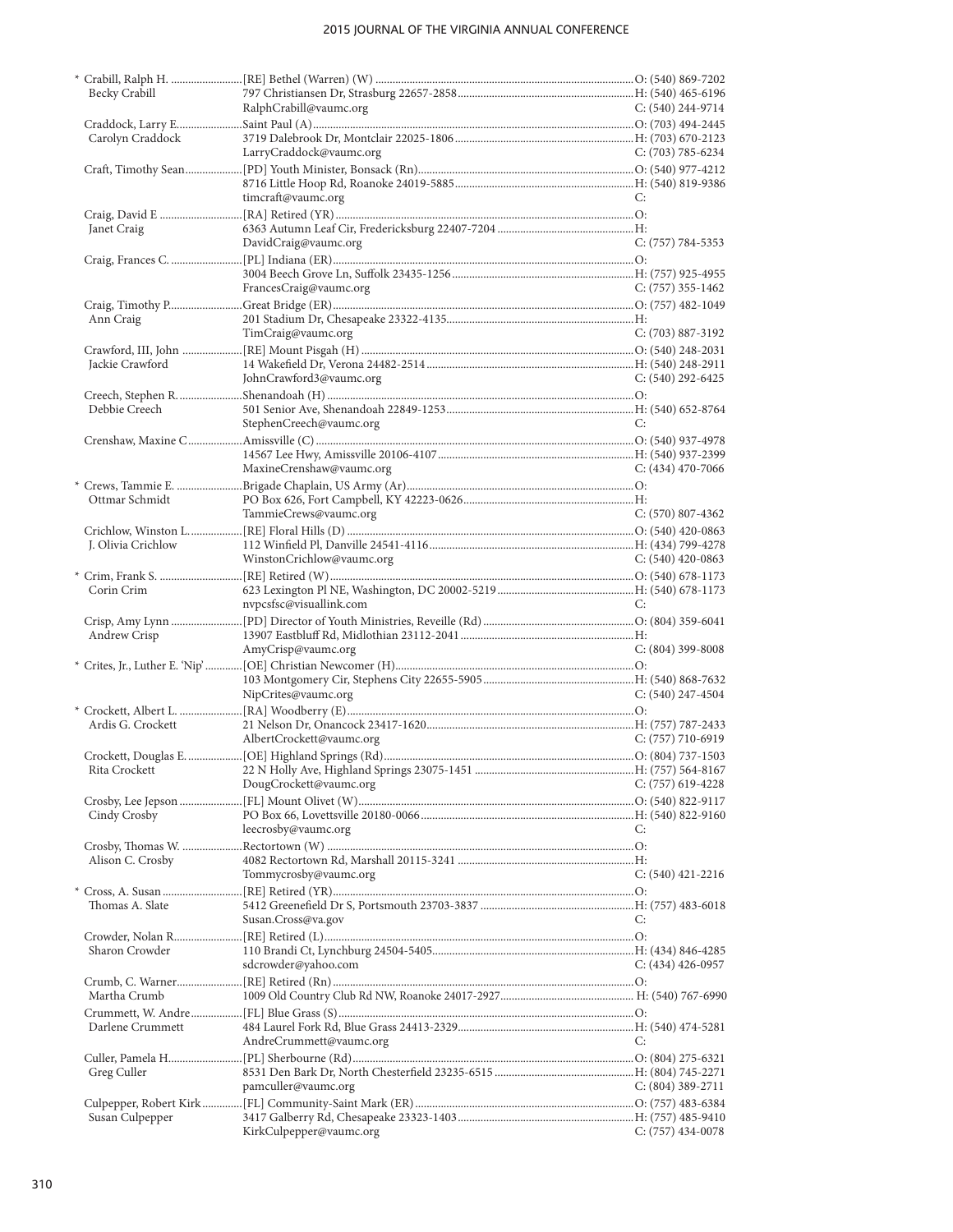| Becky Crabill      |                           |                     |
|--------------------|---------------------------|---------------------|
|                    | RalphCrabill@vaumc.org    | $C: (540)$ 244-9714 |
|                    |                           |                     |
| Carolyn Craddock   |                           |                     |
|                    | LarryCraddock@vaumc.org   | C: $(703)$ 785-6234 |
|                    |                           |                     |
|                    |                           |                     |
|                    |                           |                     |
|                    | timcraft@vaumc.org        | C:                  |
|                    |                           |                     |
| Janet Craig        |                           |                     |
|                    | DavidCraig@vaumc.org      | $C: (757) 784-5353$ |
|                    |                           |                     |
|                    |                           |                     |
|                    | FrancesCraig@vaumc.org    | C: $(757)$ 355-1462 |
|                    |                           |                     |
|                    |                           |                     |
| Ann Craig          |                           |                     |
|                    | TimCraig@vaumc.org        | $C: (703) 887-3192$ |
|                    |                           |                     |
| Jackie Crawford    |                           |                     |
|                    | JohnCrawford3@vaumc.org   | $C: (540)$ 292-6425 |
|                    |                           |                     |
| Debbie Creech      |                           |                     |
|                    | StephenCreech@vaumc.org   | C:                  |
|                    |                           |                     |
|                    |                           |                     |
|                    |                           |                     |
|                    | MaxineCrenshaw@vaumc.org  | C: $(434)$ 470-7066 |
|                    |                           |                     |
| Ottmar Schmidt     |                           |                     |
|                    | TammieCrews@vaumc.org     | $C: (570) 807-4362$ |
|                    |                           |                     |
| J. Olivia Crichlow |                           |                     |
|                    | WinstonCrichlow@vaumc.org | C: $(540)$ 420-0863 |
|                    |                           |                     |
| Corin Crim         |                           |                     |
|                    |                           |                     |
|                    | nvpcsfsc@visuallink.com   | C:                  |
|                    |                           |                     |
| Andrew Crisp       |                           |                     |
|                    | AmyCrisp@vaumc.org        | $C: (804)$ 399-8008 |
|                    |                           |                     |
|                    |                           |                     |
|                    | NipCrites@vaumc.org       | $C: (540)$ 247-4504 |
|                    |                           |                     |
| Ardis G. Crockett  |                           |                     |
|                    |                           |                     |
|                    | AlbertCrockett@vaumc.org  | $C: (757) 710-6919$ |
|                    |                           |                     |
|                    |                           |                     |
|                    | DougCrockett@vaumc.org    | $C: (757)$ 619-4228 |
|                    |                           |                     |
| Cindy Crosby       |                           |                     |
|                    | leecrosby@vaumc.org       | C:                  |
|                    |                           |                     |
| Alison C. Crosby   |                           |                     |
|                    |                           |                     |
|                    |                           |                     |
|                    | Tommycrosby@vaumc.org     | $C: (540)$ 421-2216 |
|                    |                           |                     |
| Thomas A. Slate    |                           |                     |
|                    | Susan.Cross@va.gov        | C:                  |
|                    |                           |                     |
| Sharon Crowder     |                           |                     |
|                    |                           |                     |
|                    | sdcrowder@yahoo.com       | $C: (434)$ 426-0957 |
|                    |                           |                     |
| Martha Crumb       |                           |                     |
|                    |                           |                     |
| Darlene Crummett   |                           |                     |
|                    | AndreCrummett@vaumc.org   | C:                  |
|                    |                           |                     |
|                    |                           |                     |
| Greg Culler        |                           |                     |
|                    | pamculler@vaumc.org       | $C: (804)$ 389-2711 |
|                    |                           |                     |
| Susan Culpepper    | KirkCulpepper@vaumc.org   | $C: (757)$ 434-0078 |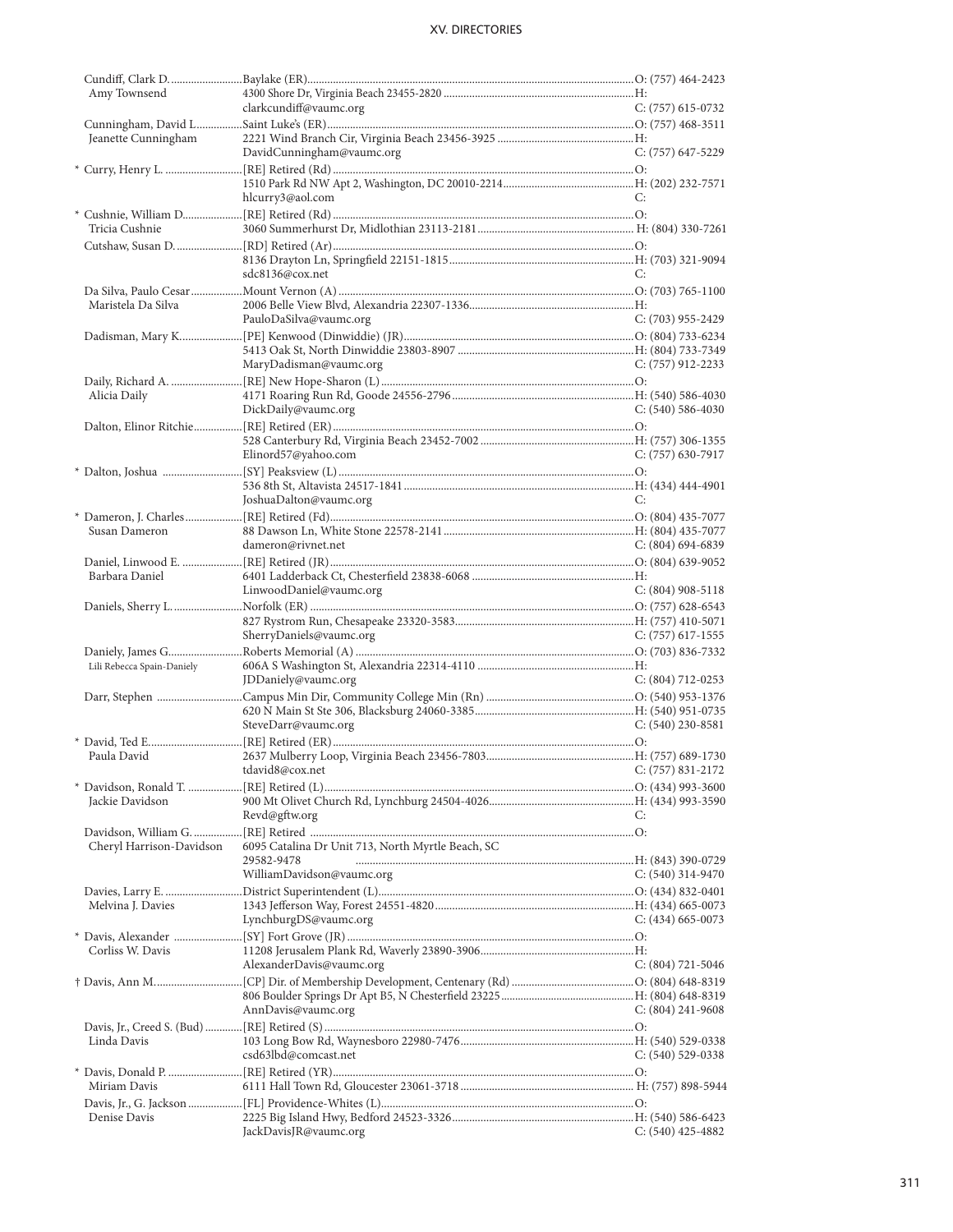| Amy Townsend               |                                                   |                       |
|----------------------------|---------------------------------------------------|-----------------------|
|                            | clarkcundiff@vaumc.org                            | C: (757) 615-0732     |
|                            |                                                   |                       |
| Jeanette Cunningham        |                                                   |                       |
|                            | DavidCunningham@vaumc.org                         | $C: (757)$ 647-5229   |
|                            |                                                   |                       |
|                            |                                                   |                       |
|                            |                                                   | C:                    |
|                            | hlcurry3@aol.com                                  |                       |
|                            |                                                   |                       |
| Tricia Cushnie             |                                                   |                       |
|                            |                                                   |                       |
|                            |                                                   |                       |
|                            | sdc8136@cox.net                                   | C:                    |
|                            |                                                   |                       |
| Maristela Da Silva         |                                                   |                       |
|                            | PauloDaSilva@vaumc.org                            | $C: (703)$ 955-2429   |
|                            |                                                   |                       |
|                            |                                                   |                       |
|                            |                                                   |                       |
|                            | MaryDadisman@vaumc.org                            | $C: (757)$ 912-2233   |
|                            |                                                   |                       |
| Alicia Daily               |                                                   |                       |
|                            | DickDaily@vaumc.org                               | C: $(540)$ 586-4030   |
|                            |                                                   |                       |
|                            |                                                   |                       |
|                            | Elinord57@yahoo.com                               | $C: (757)$ 630-7917   |
|                            |                                                   |                       |
|                            |                                                   |                       |
|                            |                                                   | C:                    |
|                            | JoshuaDalton@vaumc.org                            |                       |
|                            |                                                   |                       |
| Susan Dameron              |                                                   |                       |
|                            | dameron@rivnet.net                                | $C: (804)$ 694-6839   |
|                            |                                                   |                       |
| Barbara Daniel             |                                                   |                       |
|                            | LinwoodDaniel@vaumc.org                           | $C: (804)$ 908-5118   |
|                            |                                                   |                       |
|                            |                                                   |                       |
|                            | SherryDaniels@vaumc.org                           | C: $(757)$ 617-1555   |
|                            |                                                   |                       |
|                            |                                                   |                       |
| Lili Rebecca Spain-Daniely |                                                   |                       |
|                            | JDDaniely@vaumc.org                               | $C: (804) 712 - 0253$ |
|                            |                                                   |                       |
|                            |                                                   |                       |
|                            | SteveDarr@vaumc.org                               | C: $(540)$ 230-8581   |
|                            |                                                   |                       |
| Paula David                |                                                   |                       |
|                            | tdavid8@cox.net<br>$C: (757) 831 - 2172$          |                       |
|                            |                                                   |                       |
|                            |                                                   |                       |
| Jackie Davidson            |                                                   |                       |
|                            | Revd@gftw.org                                     | C:                    |
|                            |                                                   |                       |
| Cheryl Harrison-Davidson   | 6095 Catalina Dr Unit 713, North Myrtle Beach, SC |                       |
|                            | 29582-9478                                        |                       |
|                            | WilliamDavidson@vaumc.org                         | $C: (540)$ 314-9470   |
|                            |                                                   |                       |
| Melvina J. Davies          |                                                   |                       |
|                            | LynchburgDS@vaumc.org                             | C: $(434)$ 665-0073   |
|                            |                                                   |                       |
| Corliss W. Davis           |                                                   |                       |
|                            |                                                   |                       |
|                            | AlexanderDavis@vaumc.org                          | $C: (804) 721 - 5046$ |
|                            |                                                   |                       |
|                            |                                                   |                       |
|                            | AnnDavis@vaumc.org                                | C: $(804)$ 241-9608   |
|                            |                                                   |                       |
| Linda Davis                |                                                   |                       |
|                            | csd63lbd@comcast.net                              | $C: (540) 529-0338$   |
|                            |                                                   |                       |
| Miriam Davis               |                                                   |                       |
|                            |                                                   |                       |
|                            |                                                   |                       |
| Denise Davis               |                                                   |                       |
|                            | JackDavisJR@vaumc.org                             | $C: (540)$ 425-4882   |
|                            |                                                   |                       |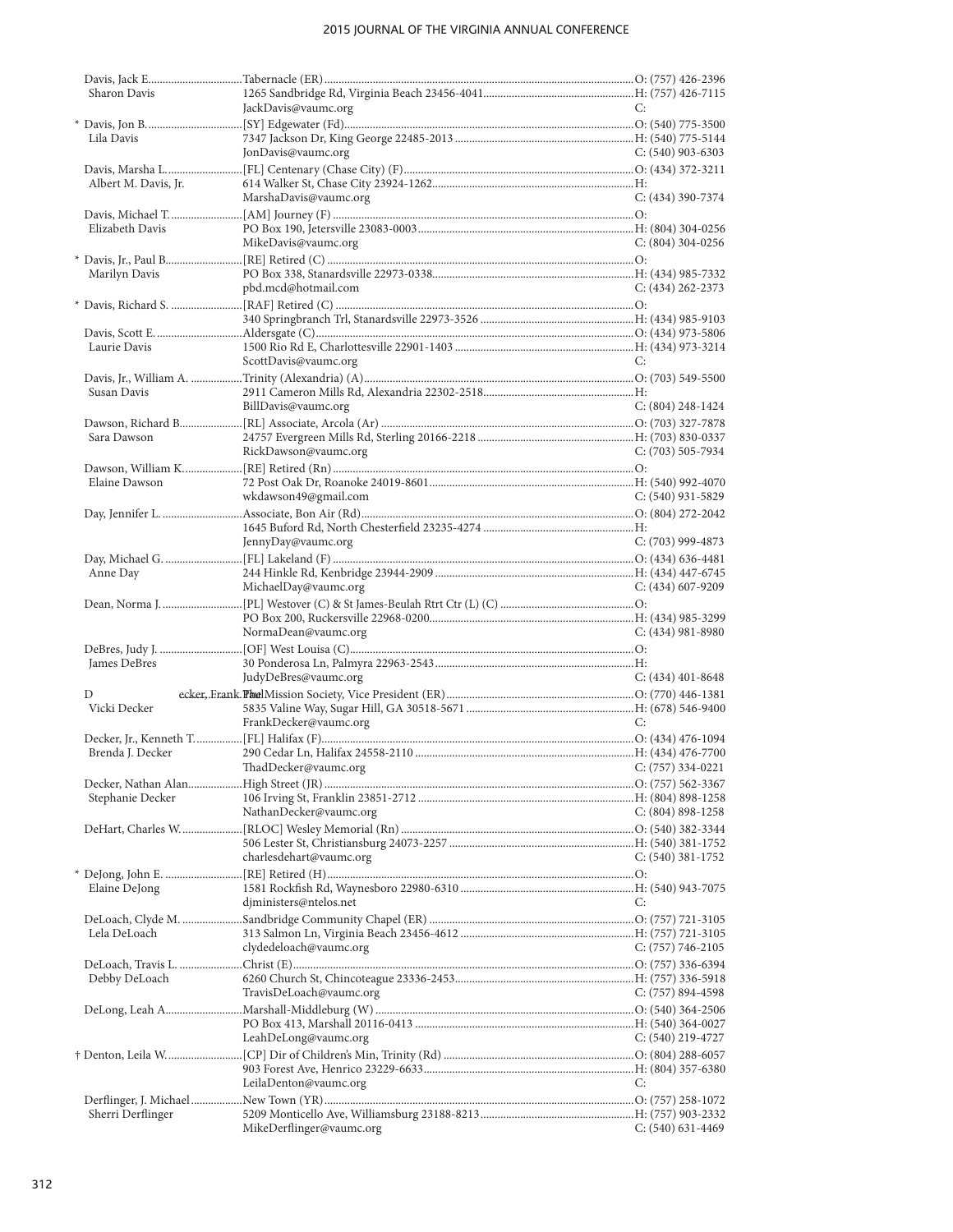| Sharon Davis         |                                                                                                                       |                       |
|----------------------|-----------------------------------------------------------------------------------------------------------------------|-----------------------|
|                      | JackDavis@vaumc.org                                                                                                   | C:                    |
|                      |                                                                                                                       |                       |
| Lila Davis           |                                                                                                                       |                       |
|                      |                                                                                                                       |                       |
|                      | JonDavis@vaumc.org                                                                                                    | C: $(540)$ 903-6303   |
|                      |                                                                                                                       |                       |
| Albert M. Davis, Jr. |                                                                                                                       |                       |
|                      | MarshaDavis@vaumc.org                                                                                                 | $C: (434)$ 390-7374   |
|                      |                                                                                                                       |                       |
|                      |                                                                                                                       |                       |
| Elizabeth Davis      |                                                                                                                       |                       |
|                      | MikeDavis@vaumc.org                                                                                                   | $C: (804)$ 304-0256   |
|                      |                                                                                                                       |                       |
| Marilyn Davis        |                                                                                                                       |                       |
|                      | pbd.mcd@hotmail.com                                                                                                   | $C: (434)$ 262-2373   |
|                      |                                                                                                                       |                       |
|                      |                                                                                                                       |                       |
|                      |                                                                                                                       |                       |
|                      |                                                                                                                       |                       |
| Laurie Davis         |                                                                                                                       |                       |
|                      | ScottDavis@vaumc.org                                                                                                  | C:                    |
|                      |                                                                                                                       |                       |
|                      |                                                                                                                       |                       |
| Susan Davis          |                                                                                                                       |                       |
|                      | BillDavis@vaumc.org                                                                                                   | $C: (804)$ 248-1424   |
|                      |                                                                                                                       |                       |
| Sara Dawson          |                                                                                                                       |                       |
|                      | RickDawson@vaumc.org                                                                                                  | $C: (703)$ 505-7934   |
|                      |                                                                                                                       |                       |
|                      |                                                                                                                       |                       |
| Elaine Dawson        |                                                                                                                       |                       |
|                      | wkdawson49@gmail.com                                                                                                  | $C: (540)$ 931-5829   |
|                      |                                                                                                                       |                       |
|                      |                                                                                                                       |                       |
|                      |                                                                                                                       |                       |
|                      | JennyDay@vaumc.org                                                                                                    | $C: (703)$ 999-4873   |
|                      |                                                                                                                       |                       |
| Anne Day             |                                                                                                                       |                       |
|                      | MichaelDay@vaumc.org                                                                                                  | $C: (434)$ 607-9209   |
|                      |                                                                                                                       |                       |
|                      |                                                                                                                       |                       |
|                      |                                                                                                                       |                       |
|                      |                                                                                                                       |                       |
|                      | NormaDean@vaumc.org                                                                                                   | $C: (434)$ 981-8980   |
|                      |                                                                                                                       |                       |
|                      |                                                                                                                       |                       |
| James DeBres         |                                                                                                                       |                       |
|                      | JudyDeBres@vaumc.org                                                                                                  | $C: (434)$ 401-8648   |
| D                    |                                                                                                                       |                       |
| Vicki Decker         |                                                                                                                       |                       |
|                      |                                                                                                                       |                       |
|                      | FrankDecker@vaumc.org                                                                                                 | C:                    |
|                      |                                                                                                                       |                       |
| Brenda J. Decker     |                                                                                                                       |                       |
|                      | ThadDecker@vaumc.org                                                                                                  | $C: (757)$ 334-0221   |
|                      |                                                                                                                       |                       |
|                      |                                                                                                                       |                       |
| Stephanie Decker     |                                                                                                                       |                       |
|                      | NathanDecker@vaumc.org                                                                                                | $C: (804) 898 - 1258$ |
|                      |                                                                                                                       |                       |
|                      |                                                                                                                       |                       |
|                      | charlesdehart@vaumc.org                                                                                               | $C: (540)$ 381-1752   |
|                      |                                                                                                                       |                       |
|                      |                                                                                                                       |                       |
| Elaine DeJong        |                                                                                                                       |                       |
|                      | diministers@ntelos.net                                                                                                | C:                    |
|                      |                                                                                                                       |                       |
| Lela DeLoach         |                                                                                                                       |                       |
|                      |                                                                                                                       |                       |
|                      | clydedeloach@vaumc.org                                                                                                | C: $(757)$ 746-2105   |
|                      |                                                                                                                       |                       |
| Debby DeLoach        |                                                                                                                       |                       |
|                      | TravisDeLoach@vaumc.org                                                                                               | $C: (757) 894-4598$   |
|                      |                                                                                                                       |                       |
|                      |                                                                                                                       |                       |
|                      |                                                                                                                       |                       |
|                      | LeahDeLong@vaumc.org                                                                                                  | $C: (540)$ 219-4727   |
|                      | + Denton, Leila W………………………[CP] Dir of Children's Min, Trinity (Rd) …………………………………………………………………………………… O: (804) 288-6057 |                       |
|                      |                                                                                                                       |                       |
|                      |                                                                                                                       |                       |
|                      | LeilaDenton@vaumc.org                                                                                                 | C:                    |
|                      |                                                                                                                       |                       |
| Sherri Derflinger    |                                                                                                                       |                       |
|                      | MikeDerflinger@vaumc.org                                                                                              | $C: (540)$ 631-4469   |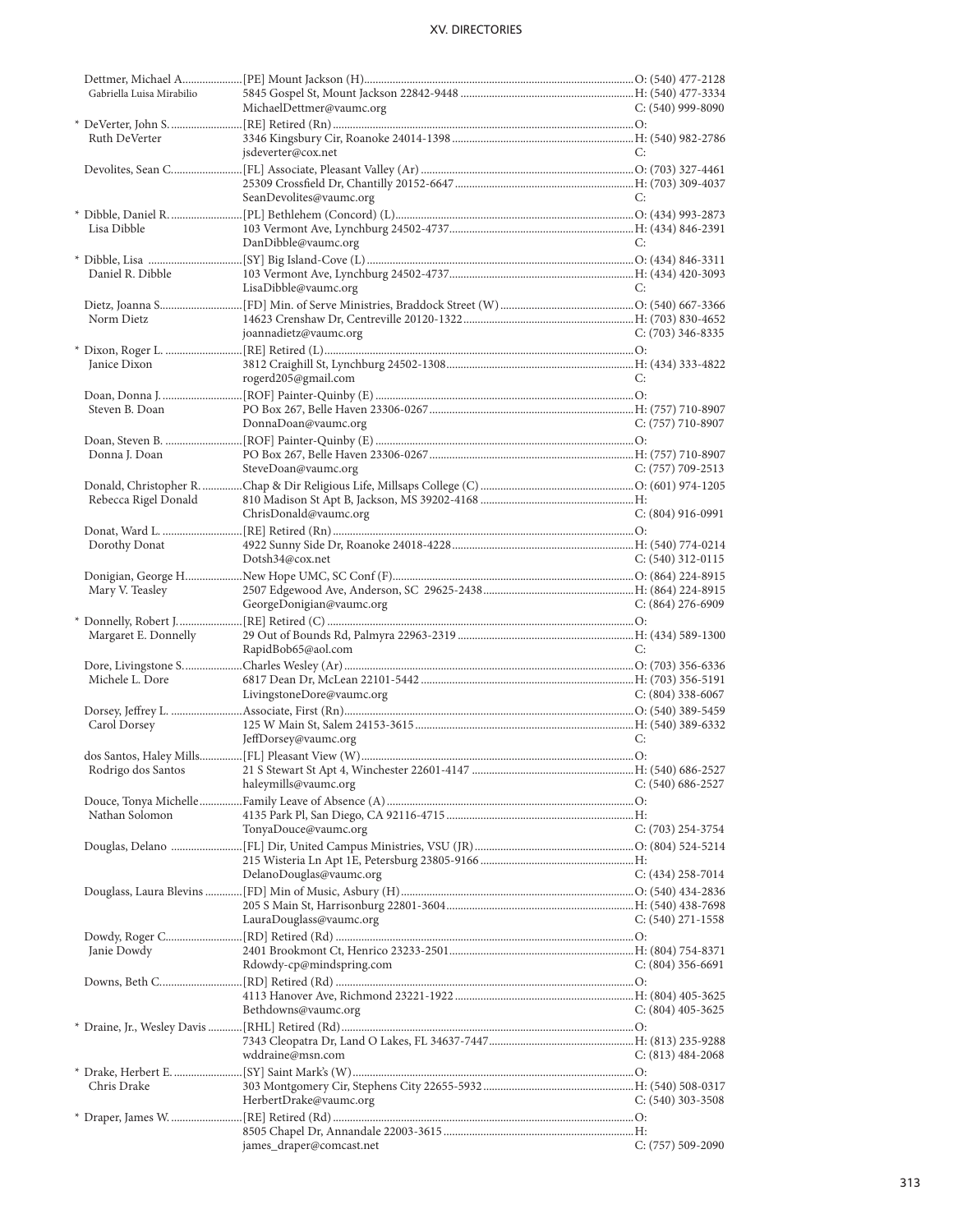| Gabriella Luisa Mirabilio |                           |                       |
|---------------------------|---------------------------|-----------------------|
|                           | MichaelDettmer@vaumc.org  | $C: (540)$ 999-8090   |
|                           |                           |                       |
| Ruth DeVerter             |                           |                       |
|                           | jsdeverter@cox.net        | C:                    |
|                           |                           |                       |
|                           |                           |                       |
|                           | SeanDevolites@vaumc.org   | C:                    |
|                           |                           |                       |
|                           |                           |                       |
| Lisa Dibble               |                           |                       |
|                           | DanDibble@vaumc.org       | C:                    |
|                           |                           |                       |
| Daniel R. Dibble          |                           |                       |
|                           | LisaDibble@vaumc.org      | C:                    |
|                           |                           |                       |
| Norm Dietz                |                           |                       |
|                           | joannadietz@vaumc.org     | $C: (703)$ 346-8335   |
|                           |                           |                       |
|                           |                           |                       |
| Janice Dixon              |                           |                       |
|                           | rogerd205@gmail.com       | C:                    |
|                           |                           |                       |
| Steven B. Doan            |                           |                       |
|                           | DonnaDoan@vaumc.org       | C: (757) 710-8907     |
|                           |                           |                       |
| Donna J. Doan             |                           |                       |
|                           | SteveDoan@vaumc.org       | $C: (757) 709-2513$   |
|                           |                           |                       |
| Rebecca Rigel Donald      |                           |                       |
|                           |                           | $C: (804)$ 916-0991   |
|                           | ChrisDonald@vaumc.org     |                       |
|                           |                           |                       |
| Dorothy Donat             |                           |                       |
|                           | Dotsh34@cox.net           | C: $(540)$ 312-0115   |
|                           |                           |                       |
| Mary V. Teasley           |                           |                       |
|                           | GeorgeDonigian@vaumc.org  | $C: (864)$ 276-6909   |
|                           |                           |                       |
| Margaret E. Donnelly      |                           |                       |
|                           | RapidBob65@aol.com        | C:                    |
|                           |                           |                       |
| Michele L. Dore           |                           |                       |
|                           | LivingstoneDore@vaumc.org | $C: (804)$ 338-6067   |
|                           |                           |                       |
|                           |                           |                       |
| Carol Dorsey              |                           |                       |
|                           | JeffDorsey@vaumc.org      |                       |
|                           |                           | C:                    |
|                           |                           |                       |
|                           |                           |                       |
|                           | haleymills@vaumc.org      | $C: (540) 686 - 2527$ |
|                           |                           |                       |
| Nathan Solomon            |                           |                       |
|                           | TonyaDouce@vaumc.org      | $C: (703)$ 254-3754   |
|                           |                           |                       |
|                           |                           |                       |
|                           |                           |                       |
|                           | DelanoDouglas@vaumc.org   | $C: (434)$ 258-7014   |
|                           |                           |                       |
|                           |                           |                       |
|                           | LauraDouglass@vaumc.org   | $C: (540)$ 271-1558   |
|                           |                           |                       |
| Janie Dowdy               |                           |                       |
|                           | Rdowdy-cp@mindspring.com  | $C: (804)$ 356-6691   |
|                           |                           |                       |
|                           |                           |                       |
|                           |                           |                       |
|                           | Bethdowns@vaumc.org       | $C: (804)$ 405-3625   |
|                           |                           |                       |
|                           |                           |                       |
|                           | wddraine@msn.com          | $C: (813) 484-2068$   |
|                           |                           |                       |
| Chris Drake               |                           |                       |
|                           | HerbertDrake@vaumc.org    | $C: (540)$ 303-3508   |
|                           |                           |                       |
|                           |                           |                       |
|                           | james_draper@comcast.net  | $C: (757) 509-2090$   |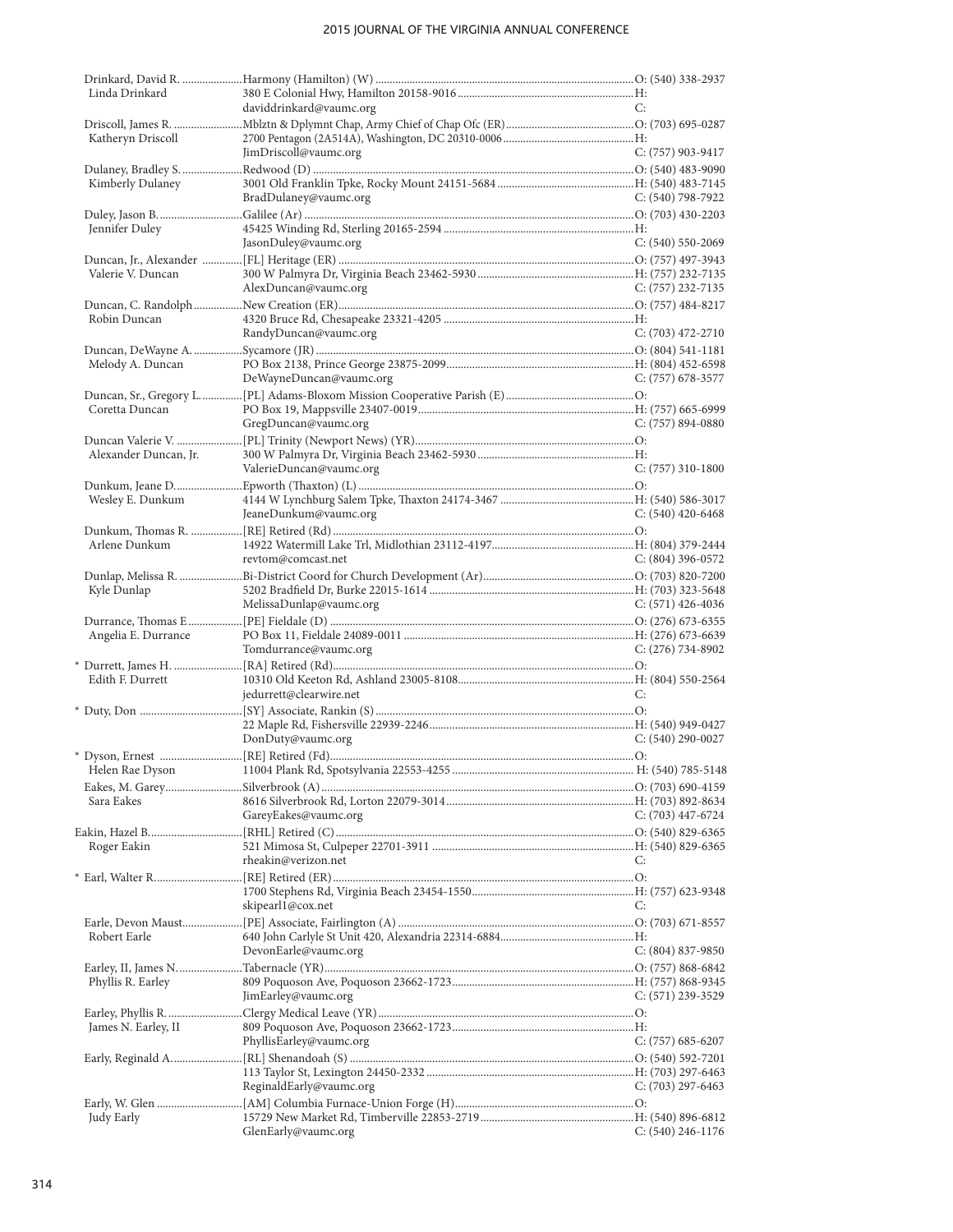| Linda Drinkard        |                         |                       |
|-----------------------|-------------------------|-----------------------|
|                       | daviddrinkard@vaumc.org | C:                    |
|                       |                         |                       |
| Katheryn Driscoll     |                         |                       |
|                       | JimDriscoll@vaumc.org   | $C: (757)$ 903-9417   |
|                       |                         |                       |
|                       |                         |                       |
| Kimberly Dulaney      |                         |                       |
|                       | BradDulaney@vaumc.org   | C: (540) 798-7922     |
|                       |                         |                       |
| Jennifer Duley        |                         |                       |
|                       | JasonDuley@vaumc.org    | $C: (540) 550-2069$   |
|                       |                         |                       |
|                       |                         |                       |
| Valerie V. Duncan     |                         |                       |
|                       | AlexDuncan@vaumc.org    | C: (757) 232-7135     |
|                       |                         |                       |
| Robin Duncan          |                         |                       |
|                       | RandyDuncan@vaumc.org   | C: (703) 472-2710     |
|                       |                         |                       |
|                       |                         |                       |
| Melody A. Duncan      |                         |                       |
|                       | DeWayneDuncan@vaumc.org | $C: (757)$ 678-3577   |
|                       |                         |                       |
| Coretta Duncan        |                         |                       |
|                       | GregDuncan@vaumc.org    | $C: (757) 894-0880$   |
|                       |                         |                       |
|                       |                         |                       |
| Alexander Duncan, Jr. |                         |                       |
|                       | ValerieDuncan@vaumc.org | $C: (757)$ 310-1800   |
|                       |                         |                       |
| Wesley E. Dunkum      |                         |                       |
|                       | JeaneDunkum@vaumc.org   | $C: (540)$ 420-6468   |
|                       |                         |                       |
|                       |                         |                       |
| Arlene Dunkum         |                         |                       |
|                       | revtom@comcast.net      | C: $(804)$ 396-0572   |
|                       |                         |                       |
| Kyle Dunlap           |                         |                       |
|                       | MelissaDunlap@vaumc.org | C: $(571)$ 426-4036   |
|                       |                         |                       |
|                       |                         |                       |
|                       |                         |                       |
| Angelia E. Durrance   |                         |                       |
|                       | Tomdurrance@vaumc.org   | $C: (276) 734-8902$   |
|                       |                         |                       |
| Edith F. Durrett      |                         |                       |
|                       |                         | C:                    |
|                       | jedurrett@clearwire.net |                       |
|                       |                         |                       |
|                       |                         |                       |
|                       | DonDuty@vaumc.org       | $C: (540) 290 - 0027$ |
|                       |                         |                       |
|                       |                         |                       |
|                       |                         |                       |
|                       |                         |                       |
| Sara Eakes            |                         |                       |
|                       | GareyEakes@vaumc.org    | $C: (703)$ 447-6724   |
|                       |                         |                       |
| Roger Eakin           |                         |                       |
|                       | rheakin@verizon.net     | C:                    |
|                       |                         |                       |
|                       |                         |                       |
|                       |                         |                       |
|                       | skipearl1@cox.net       | C:                    |
|                       |                         |                       |
| Robert Earle          |                         |                       |
|                       | DevonEarle@vaumc.org    | C: (804) 837-9850     |
|                       |                         |                       |
|                       |                         |                       |
| Phyllis R. Earley     |                         |                       |
|                       | JimEarley@vaumc.org     | $C: (571)$ 239-3529   |
|                       |                         |                       |
| James N. Earley, II   |                         |                       |
|                       | PhyllisEarley@vaumc.org | $C: (757) 685-6207$   |
|                       |                         |                       |
|                       |                         |                       |
|                       |                         |                       |
|                       | ReginaldEarly@vaumc.org | $C: (703)$ 297-6463   |
|                       |                         |                       |
| Judy Early            | GlenEarly@vaumc.org     | $C: (540)$ 246-1176   |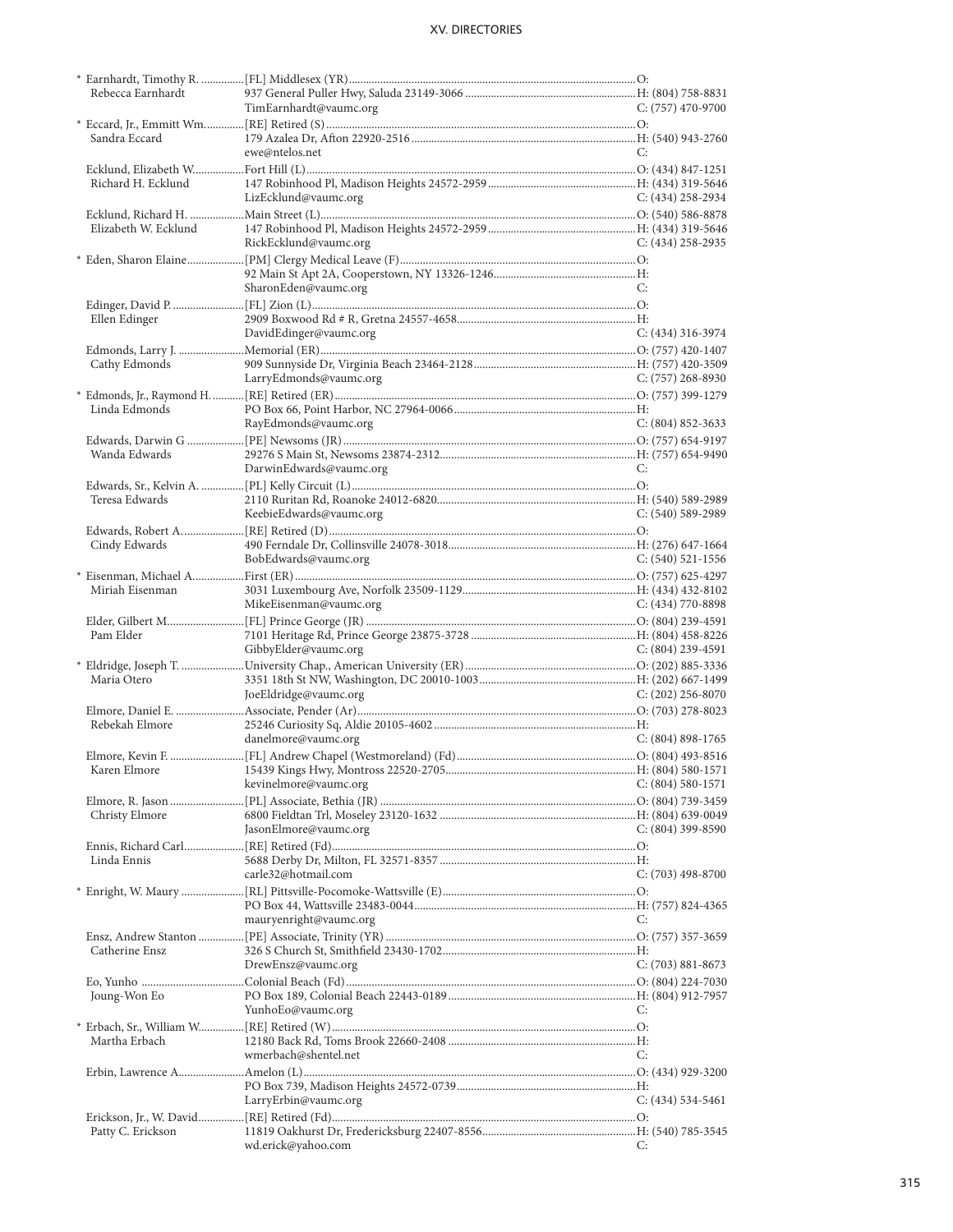|                | Rebecca Earnhardt    |                         |    |                       |
|----------------|----------------------|-------------------------|----|-----------------------|
|                |                      | TimEarnhardt@vaumc.org  |    | $C: (757)$ 470-9700   |
|                |                      |                         |    |                       |
| Sandra Eccard  |                      |                         |    |                       |
|                |                      |                         | C: |                       |
|                |                      | ewe@ntelos.net          |    |                       |
|                |                      |                         |    |                       |
|                | Richard H. Ecklund   |                         |    |                       |
|                |                      | LizEcklund@vaumc.org    |    | $C: (434)$ 258-2934   |
|                |                      |                         |    |                       |
|                |                      |                         |    |                       |
|                | Elizabeth W. Ecklund |                         |    |                       |
|                |                      | RickEcklund@vaumc.org   |    | $C: (434)$ 258-2935   |
|                |                      |                         |    |                       |
|                |                      |                         |    |                       |
|                |                      | SharonEden@vaumc.org    | C: |                       |
|                |                      |                         |    |                       |
|                |                      |                         |    |                       |
| Ellen Edinger  |                      |                         |    |                       |
|                |                      | DavidEdinger@vaumc.org  |    | $C: (434)$ 316-3974   |
|                |                      |                         |    |                       |
|                | Cathy Edmonds        |                         |    |                       |
|                |                      |                         |    |                       |
|                |                      | LarryEdmonds@vaumc.org  |    | C: (757) 268-8930     |
|                |                      |                         |    |                       |
| Linda Edmonds  |                      |                         |    |                       |
|                |                      | RayEdmonds@vaumc.org    |    | $C: (804) 852 - 3633$ |
|                |                      |                         |    |                       |
|                |                      |                         |    |                       |
| Wanda Edwards  |                      |                         |    |                       |
|                |                      | DarwinEdwards@vaumc.org | C: |                       |
|                |                      |                         |    |                       |
| Teresa Edwards |                      |                         |    |                       |
|                |                      |                         |    |                       |
|                |                      | KeebieEdwards@vaumc.org |    | $C: (540)$ 589-2989   |
|                |                      |                         |    |                       |
| Cindy Edwards  |                      |                         |    |                       |
|                |                      | BobEdwards@vaumc.org    |    | C: $(540)$ 521-1556   |
|                |                      |                         |    |                       |
|                |                      |                         |    |                       |
|                | Miriah Eisenman      |                         |    |                       |
|                |                      | MikeEisenman@vaumc.org  |    | C: (434) 770-8898     |
|                |                      |                         |    |                       |
| Pam Elder      |                      |                         |    |                       |
|                |                      |                         |    |                       |
|                |                      | GibbyElder@vaumc.org    |    | C: $(804)$ 239-4591   |
|                |                      |                         |    |                       |
| Maria Otero    |                      |                         |    |                       |
|                |                      | JoeEldridge@vaumc.org   |    | C: $(202)$ 256-8070   |
|                |                      |                         |    |                       |
|                | Rebekah Elmore       |                         |    |                       |
|                |                      |                         |    |                       |
|                |                      | danelmore@vaumc.org     |    | $C: (804) 898-1765$   |
|                |                      |                         |    |                       |
|                |                      |                         |    |                       |
|                |                      | kevinelmore@vaumc.org   |    | $C: (804) 580 - 1571$ |
|                |                      |                         |    |                       |
|                |                      |                         |    |                       |
| Christy Elmore |                      |                         |    |                       |
|                |                      |                         |    |                       |
|                |                      | JasonElmore@vaumc.org   |    | $C: (804)$ 399-8590   |
|                |                      |                         |    |                       |
|                |                      |                         |    |                       |
| Linda Ennis    |                      |                         |    |                       |
|                |                      | carle32@hotmail.com     |    | $C: (703)$ 498-8700   |
|                |                      |                         |    |                       |
|                |                      |                         |    |                       |
|                |                      |                         |    |                       |
|                |                      | mauryenright@vaumc.org  | C: |                       |
|                |                      |                         |    |                       |
| Catherine Ensz |                      |                         |    |                       |
|                |                      | DrewEnsz@vaumc.org      |    | $C: (703) 881 - 8673$ |
|                |                      |                         |    |                       |
|                |                      |                         |    |                       |
| Joung-Won Eo   |                      |                         |    |                       |
|                |                      | YunhoEo@vaumc.org       | C: |                       |
|                |                      |                         |    |                       |
| Martha Erbach  |                      |                         |    |                       |
|                |                      | wmerbach@shentel.net    | C: |                       |
|                |                      |                         |    |                       |
|                |                      |                         |    |                       |
|                |                      |                         |    |                       |
|                |                      | LarryErbin@vaumc.org    |    | $C: (434) 534-5461$   |
|                |                      |                         |    |                       |
|                | Patty C. Erickson    |                         |    |                       |
|                |                      | wd.erick@yahoo.com      | C: |                       |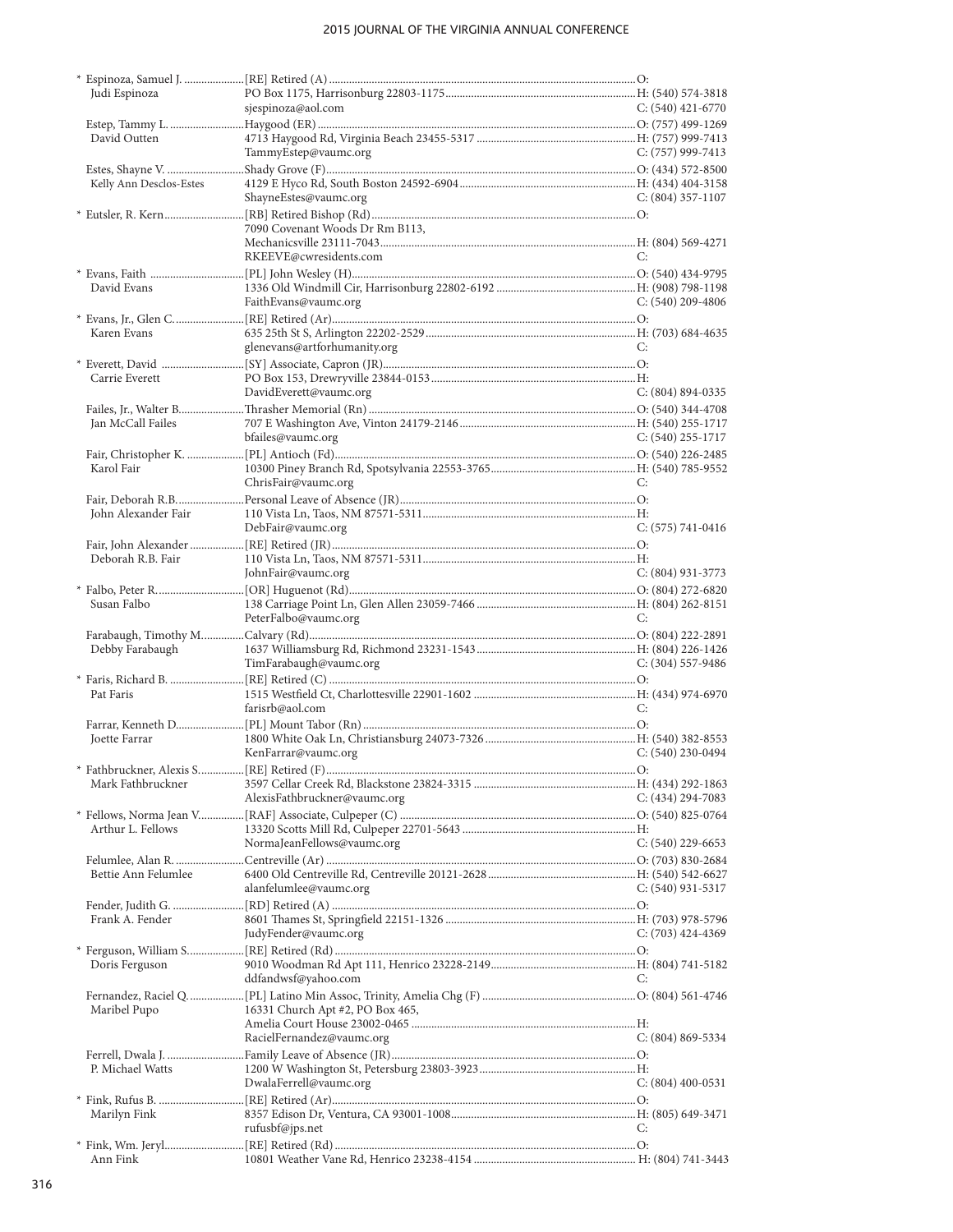| $\ast$                  |                                  |                       |
|-------------------------|----------------------------------|-----------------------|
| Judi Espinoza           |                                  |                       |
|                         | sjespinoza@aol.com               | $C: (540)$ 421-6770   |
|                         |                                  |                       |
| David Outten            |                                  |                       |
|                         | TammyEstep@vaumc.org             | C: (757) 999-7413     |
|                         |                                  |                       |
|                         |                                  |                       |
| Kelly Ann Desclos-Estes |                                  |                       |
|                         | ShayneEstes@vaumc.org            | $C: (804)$ 357-1107   |
|                         |                                  |                       |
|                         | 7090 Covenant Woods Dr Rm B113,  |                       |
|                         |                                  |                       |
|                         | RKEEVE@cwresidents.com           | C:                    |
|                         |                                  |                       |
|                         |                                  |                       |
| David Evans             |                                  |                       |
|                         | FaithEvans@vaumc.org             | $C: (540)$ 209-4806   |
|                         |                                  |                       |
| Karen Evans             |                                  |                       |
|                         | glenevans@artforhumanity.org     | C:                    |
|                         |                                  |                       |
|                         |                                  |                       |
| Carrie Everett          |                                  |                       |
|                         | DavidEverett@vaumc.org           | $C: (804) 894-0335$   |
|                         |                                  |                       |
| Jan McCall Failes       |                                  |                       |
|                         | bfailes@vaumc.org                | C: $(540)$ 255-1717   |
|                         |                                  |                       |
|                         |                                  |                       |
| Karol Fair              |                                  |                       |
|                         | ChrisFair@vaumc.org              | C:                    |
|                         |                                  |                       |
| John Alexander Fair     |                                  |                       |
|                         | DebFair@vaumc.org                | $C: (575) 741-0416$   |
|                         |                                  |                       |
|                         |                                  |                       |
| Deborah R.B. Fair       |                                  |                       |
|                         | JohnFair@vaumc.org               | $C: (804)$ 931-3773   |
|                         |                                  |                       |
| Susan Falbo             |                                  |                       |
|                         | PeterFalbo@vaumc.org             | C:                    |
|                         |                                  |                       |
| Debby Farabaugh         |                                  |                       |
|                         |                                  |                       |
|                         | TimFarabaugh@vaumc.org           | $C: (304)$ 557-9486   |
|                         |                                  |                       |
| Pat Faris               |                                  |                       |
|                         | farisrb@aol.com                  | C:                    |
|                         |                                  |                       |
| Joette Farrar           |                                  |                       |
|                         |                                  |                       |
|                         | KenFarrar@vaumc.org              | $C: (540)$ 230-0494   |
|                         |                                  |                       |
| Mark Fathbruckner       |                                  |                       |
|                         | AlexisFathbruckner@vaumc.org     | $C: (434) 294-7083$   |
|                         |                                  |                       |
| Arthur L. Fellows       |                                  |                       |
|                         | NormaJeanFellows@vaumc.org       |                       |
|                         |                                  | $C: (540)$ 229-6653   |
|                         |                                  |                       |
| Bettie Ann Felumlee     |                                  |                       |
|                         | alanfelumlee@vaumc.org           | $C: (540)$ 931-5317   |
|                         |                                  |                       |
| Frank A. Fender         |                                  |                       |
|                         |                                  |                       |
|                         | JudyFender@vaumc.org             | $C: (703)$ 424-4369   |
|                         |                                  |                       |
| Doris Ferguson          |                                  |                       |
|                         | ddfandwsf@yahoo.com              | C:                    |
|                         |                                  |                       |
| Maribel Pupo            | 16331 Church Apt #2, PO Box 465, |                       |
|                         |                                  |                       |
|                         |                                  |                       |
|                         | RacielFernandez@vaumc.org        | $C: (804) 869 - 5334$ |
|                         |                                  |                       |
| P. Michael Watts        |                                  |                       |
|                         | DwalaFerrell@vaumc.org           | $C: (804)$ 400-0531   |
|                         |                                  |                       |
|                         |                                  |                       |
| Marilyn Fink            |                                  |                       |
|                         | rufusbf@jps.net                  | C:                    |
|                         |                                  |                       |
| Ann Fink                |                                  |                       |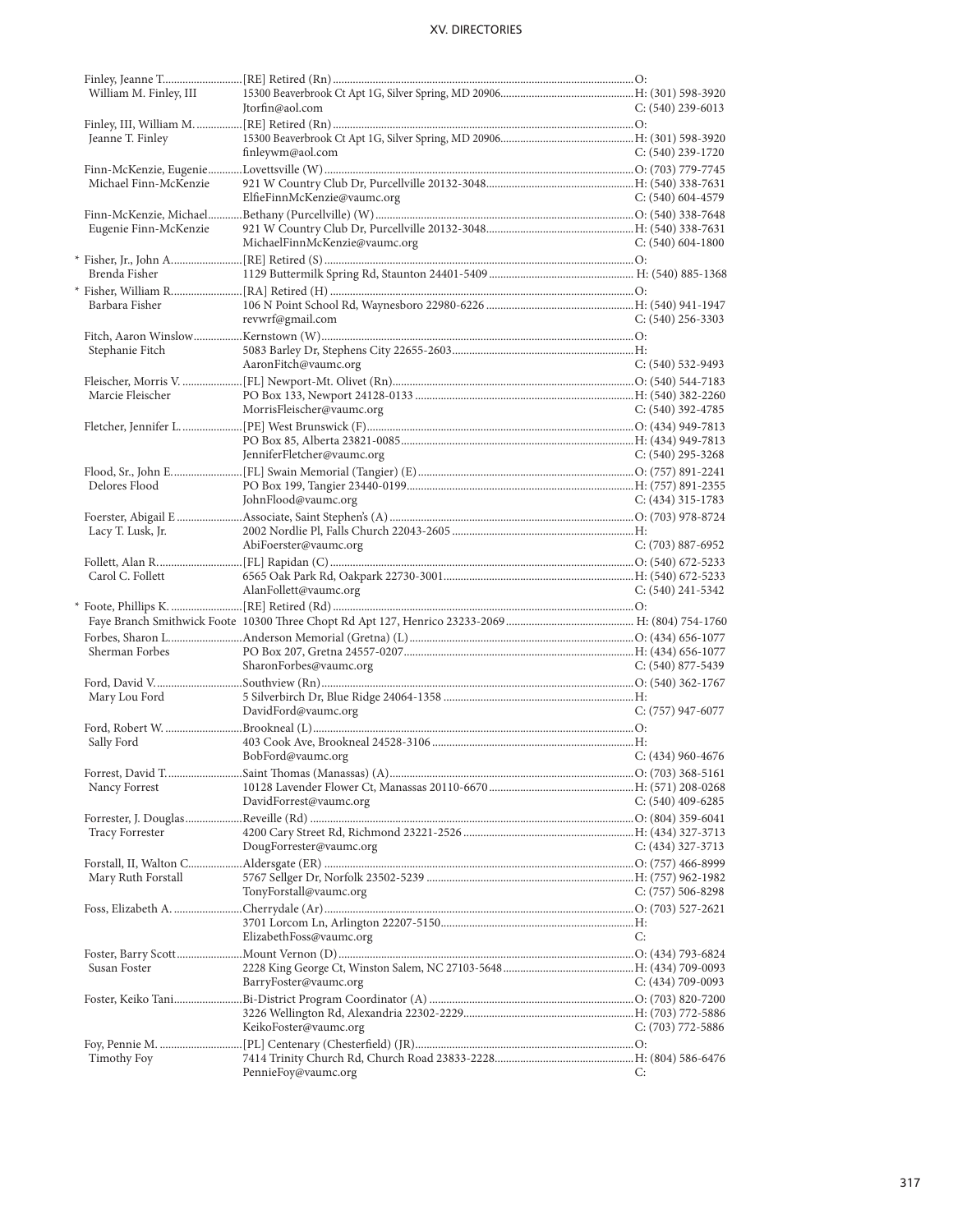| William M. Finley, III |                               |                     |
|------------------------|-------------------------------|---------------------|
|                        | Itorfin@aol.com               | $C: (540)$ 239-6013 |
|                        |                               |                     |
| Jeanne T. Finley       |                               |                     |
|                        | finleywm@aol.com              | $C: (540)$ 239-1720 |
|                        |                               |                     |
| Michael Finn-McKenzie  |                               |                     |
|                        |                               |                     |
|                        | ElfieFinnMcKenzie@vaumc.org   | C: $(540)$ 604-4579 |
|                        |                               |                     |
| Eugenie Finn-McKenzie  |                               |                     |
|                        | MichaelFinnMcKenzie@vaumc.org | $C: (540)$ 604-1800 |
|                        |                               |                     |
| Brenda Fisher          |                               |                     |
|                        |                               |                     |
| Barbara Fisher         |                               |                     |
|                        | revwrf@gmail.com              | $C: (540)$ 256-3303 |
|                        |                               |                     |
|                        |                               |                     |
| Stephanie Fitch        |                               |                     |
|                        | AaronFitch@vaumc.org          | $C: (540)$ 532-9493 |
|                        |                               |                     |
| Marcie Fleischer       |                               |                     |
|                        | MorrisFleischer@vaumc.org     | C: $(540)$ 392-4785 |
|                        |                               |                     |
|                        |                               |                     |
|                        |                               |                     |
|                        | JenniferFletcher@vaumc.org    | C: $(540)$ 295-3268 |
|                        |                               |                     |
| Delores Flood          |                               |                     |
|                        | JohnFlood@vaumc.org           | C: $(434)$ 315-1783 |
|                        |                               |                     |
| Lacy T. Lusk, Jr.      |                               |                     |
|                        | AbiFoerster@vaumc.org         | $C: (703) 887-6952$ |
|                        |                               |                     |
|                        |                               |                     |
| Carol C. Follett       |                               |                     |
|                        | AlanFollett@vaumc.org         | $C: (540)$ 241-5342 |
|                        |                               |                     |
|                        |                               |                     |
|                        |                               |                     |
| Sherman Forbes         |                               |                     |
|                        | SharonForbes@vaumc.org        | $C: (540)$ 877-5439 |
|                        |                               |                     |
|                        |                               |                     |
| Mary Lou Ford          |                               |                     |
|                        |                               |                     |
|                        | DavidFord@vaumc.org           | C: (757) 947-6077   |
|                        |                               |                     |
| Sally Ford             |                               |                     |
|                        | BobFord@vaumc.org             | $C: (434)$ 960-4676 |
|                        |                               |                     |
|                        |                               |                     |
| Nancy Forrest          |                               |                     |
|                        | DavidForrest@vaumc.org        | C: $(540)$ 409-6285 |
|                        |                               |                     |
| Tracy Forrester        |                               |                     |
|                        | DougForrester@vaumc.org       | $C: (434)$ 327-3713 |
|                        |                               |                     |
| Mary Ruth Forstall     |                               |                     |
|                        |                               |                     |
|                        | TonyForstall@vaumc.org        | C: $(757)$ 506-8298 |
|                        |                               |                     |
|                        |                               |                     |
|                        | ElizabethFoss@vaumc.org       | C:                  |
|                        |                               |                     |
| Susan Foster           |                               |                     |
|                        | BarryFoster@vaumc.org         | $C: (434) 709-0093$ |
|                        |                               |                     |
|                        |                               |                     |
|                        |                               |                     |
|                        | KeikoFoster@vaumc.org         | C: $(703)$ 772-5886 |
|                        |                               |                     |
| Timothy Foy            | PennieFoy@vaumc.org           |                     |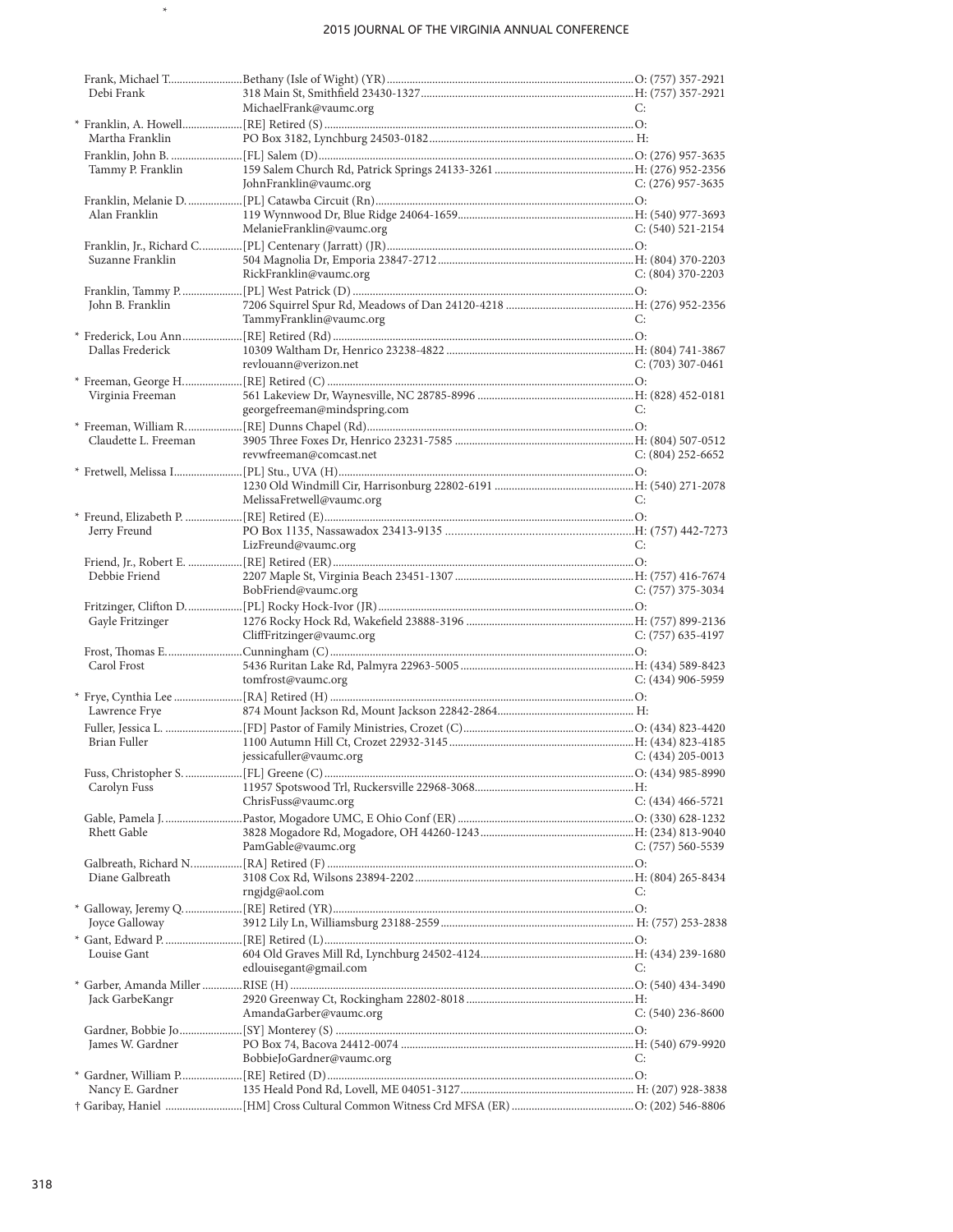\*

| Debi Frank           |                              |                     |
|----------------------|------------------------------|---------------------|
|                      | MichaelFrank@vaumc.org       | C:                  |
|                      |                              |                     |
| Martha Franklin      |                              |                     |
|                      |                              |                     |
|                      |                              |                     |
| Tammy P. Franklin    |                              |                     |
|                      | JohnFranklin@vaumc.org       | $C: (276)$ 957-3635 |
|                      |                              |                     |
| Alan Franklin        |                              |                     |
|                      | MelanieFranklin@vaumc.org    | $C: (540)$ 521-2154 |
|                      |                              |                     |
| Suzanne Franklin     |                              |                     |
|                      |                              |                     |
|                      | RickFranklin@vaumc.org       | C: $(804)$ 370-2203 |
|                      |                              |                     |
| John B. Franklin     |                              |                     |
|                      | TammyFranklin@vaumc.org      | C:                  |
|                      |                              |                     |
| Dallas Frederick     |                              |                     |
|                      | revlouann@verizon.net        | $C: (703)$ 307-0461 |
|                      |                              |                     |
|                      |                              |                     |
| Virginia Freeman     |                              |                     |
|                      | georgefreeman@mindspring.com | C:                  |
|                      |                              |                     |
| Claudette L. Freeman |                              |                     |
|                      | revwfreeman@comcast.net      | $C: (804)$ 252-6652 |
|                      |                              |                     |
|                      |                              |                     |
|                      |                              |                     |
|                      | MelissaFretwell@vaumc.org    | C:                  |
|                      |                              |                     |
| Jerry Freund         |                              |                     |
|                      | LizFreund@vaumc.org          | C:                  |
|                      |                              |                     |
| Debbie Friend        |                              |                     |
|                      | BobFriend@vaumc.org          |                     |
|                      |                              | $C: (757)$ 375-3034 |
|                      |                              |                     |
|                      |                              |                     |
| Gayle Fritzinger     |                              |                     |
|                      | CliffFritzinger@vaumc.org    | $C: (757)$ 635-4197 |
|                      |                              |                     |
|                      |                              |                     |
| Carol Frost          |                              |                     |
|                      | tomfrost@vaumc.org           | $C: (434)$ 906-5959 |
|                      |                              |                     |
| Lawrence Frye        |                              |                     |
|                      |                              |                     |
| Brian Fuller         |                              |                     |
|                      |                              |                     |
|                      | jessicafuller@vaumc.org      | $C: (434)$ 205-0013 |
|                      |                              |                     |
| Carolyn Fuss         |                              |                     |
|                      | ChrisFuss@vaumc.org          | $C: (434)$ 466-5721 |
|                      |                              |                     |
| Rhett Gable          |                              |                     |
|                      | PamGable@vaumc.org           |                     |
|                      |                              | C: (757) 560-5539   |
|                      |                              |                     |
| Diane Galbreath      |                              |                     |
|                      | rngjdg@aol.com               | C:                  |
|                      |                              |                     |
| Joyce Galloway       |                              |                     |
|                      |                              |                     |
| Louise Gant          |                              |                     |
|                      | edlouisegant@gmail.com       | C:                  |
|                      |                              |                     |
|                      |                              |                     |
| Jack GarbeKangr      |                              |                     |
|                      | AmandaGarber@vaumc.org       | $C: (540)$ 236-8600 |
|                      |                              |                     |
| James W. Gardner     |                              |                     |
|                      | BobbieJoGardner@vaumc.org    | C:                  |
|                      |                              |                     |
|                      |                              |                     |
| Nancy E. Gardner     |                              |                     |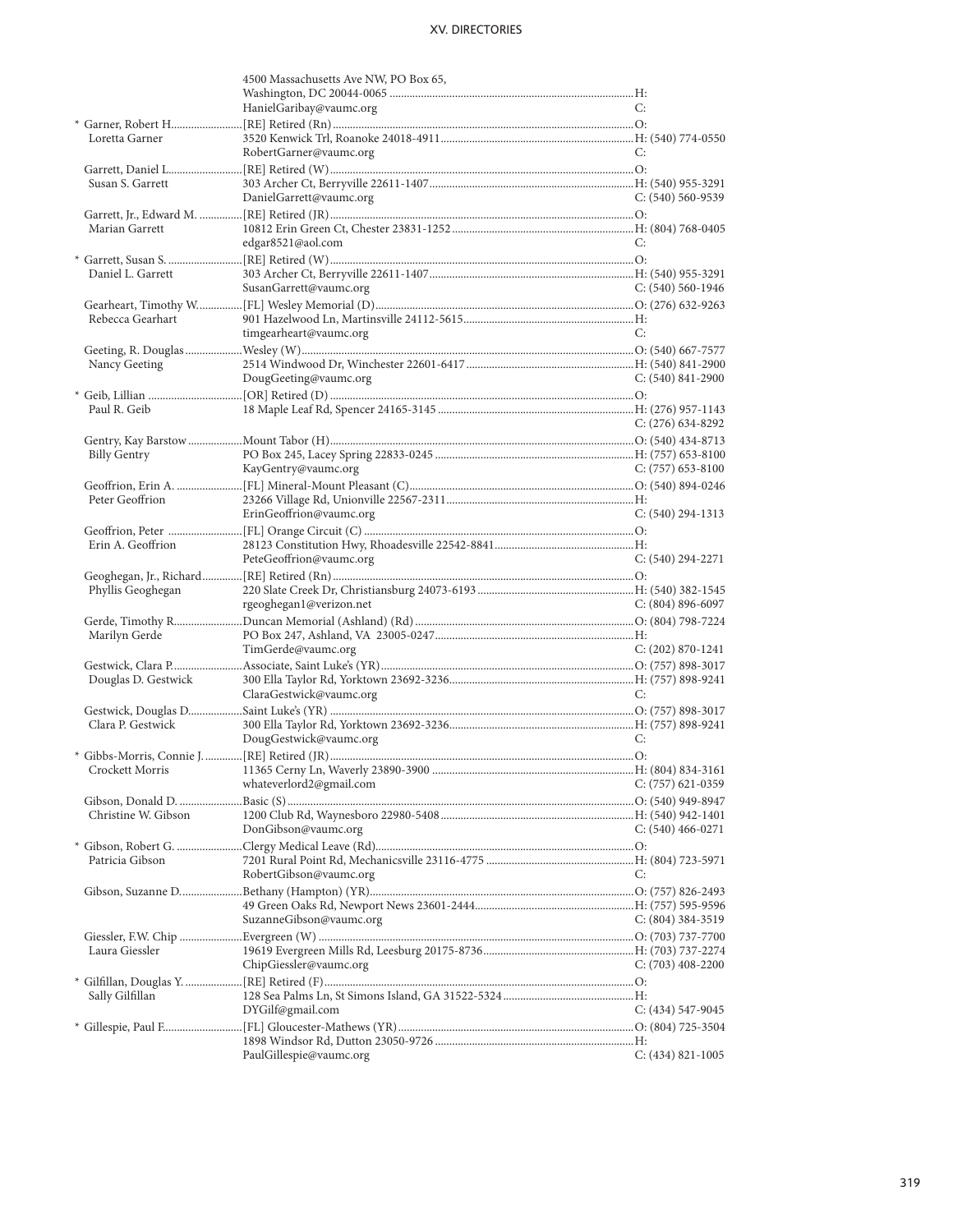|                     | 4500 Massachusetts Ave NW, PO Box 65, |                       |
|---------------------|---------------------------------------|-----------------------|
|                     |                                       |                       |
|                     | HanielGaribay@vaumc.org               | C:                    |
|                     |                                       |                       |
| Loretta Garner      |                                       |                       |
|                     | RobertGarner@vaumc.org                | C:                    |
|                     |                                       |                       |
| Susan S. Garrett    |                                       |                       |
|                     | DanielGarrett@vaumc.org               | $C: (540) 560 - 9539$ |
|                     |                                       |                       |
| Marian Garrett      |                                       |                       |
|                     | edgar8521@aol.com                     | C:                    |
|                     |                                       |                       |
|                     |                                       |                       |
| Daniel L. Garrett   |                                       |                       |
|                     | SusanGarrett@vaumc.org                | C: $(540)$ 560-1946   |
|                     |                                       |                       |
| Rebecca Gearhart    |                                       |                       |
|                     | timgearheart@vaumc.org                | C:                    |
|                     |                                       |                       |
| Nancy Geeting       |                                       |                       |
|                     | DougGeeting@vaumc.org                 | C: $(540)$ 841-2900   |
|                     |                                       |                       |
| Paul R. Geib        |                                       |                       |
|                     |                                       | C: $(276)$ 634-8292   |
|                     |                                       |                       |
| <b>Billy Gentry</b> |                                       |                       |
|                     | KayGentry@vaumc.org                   | C: $(757)$ 653-8100   |
|                     |                                       |                       |
| Peter Geoffrion     |                                       |                       |
|                     |                                       | $C: (540)$ 294-1313   |
|                     | ErinGeoffrion@vaumc.org               |                       |
|                     |                                       |                       |
| Erin A. Geoffrion   |                                       |                       |
|                     | PeteGeoffrion@vaumc.org               | $C: (540)$ 294-2271   |
|                     |                                       |                       |
| Phyllis Geoghegan   |                                       |                       |
|                     | rgeoghegan1@verizon.net               | $C: (804) 896-6097$   |
|                     |                                       |                       |
| Marilyn Gerde       |                                       |                       |
|                     | TimGerde@vaumc.org                    | $C: (202) 870 - 1241$ |
|                     |                                       |                       |
| Douglas D. Gestwick |                                       |                       |
|                     | ClaraGestwick@vaumc.org               | C:                    |
|                     |                                       |                       |
| Clara P. Gestwick   |                                       |                       |
|                     | DougGestwick@vaumc.org                | C:                    |
|                     |                                       |                       |
|                     |                                       |                       |
| Crockett Morris     |                                       |                       |
|                     | whateverlord2@gmail.com               | $C: (757)$ 621-0359   |
|                     |                                       |                       |
| Christine W. Gibson |                                       |                       |
|                     | DonGibson@vaumc.org                   | $C: (540)$ 466-0271   |
|                     |                                       |                       |
| Patricia Gibson     |                                       |                       |
|                     | RobertGibson@vaumc.org                | C:                    |
|                     |                                       |                       |
|                     |                                       |                       |
|                     | SuzanneGibson@vaumc.org               | C: $(804)$ 384-3519   |
|                     |                                       |                       |
| Laura Giessler      |                                       |                       |
|                     | ChipGiessler@vaumc.org                | $C: (703)$ 408-2200   |
|                     |                                       |                       |
| Sally Gilfillan     |                                       |                       |
|                     | DYGilf@gmail.com                      | $C: (434) 547-9045$   |
|                     |                                       |                       |
|                     |                                       |                       |
|                     |                                       |                       |
|                     | PaulGillespie@vaumc.org               | $C: (434) 821 - 1005$ |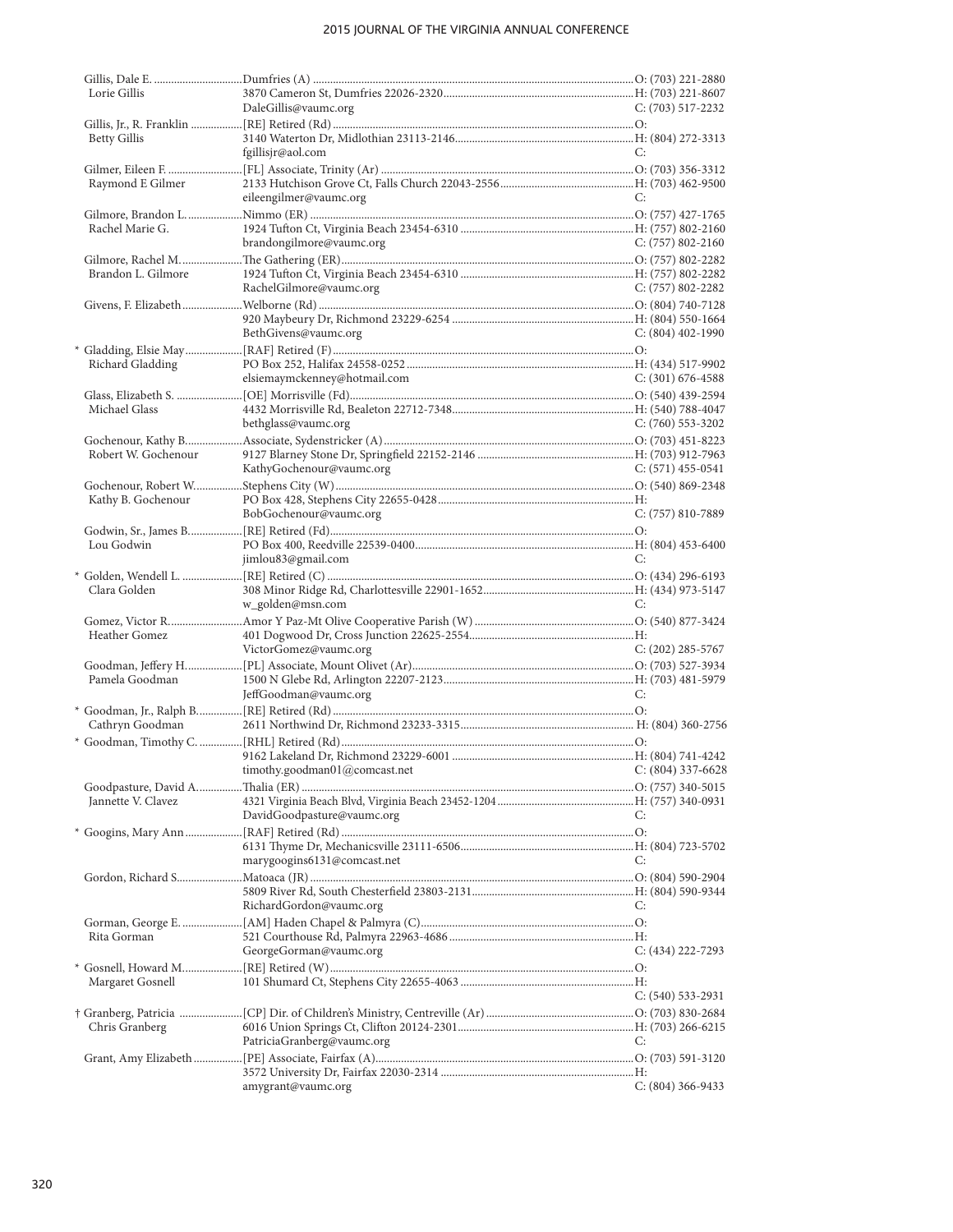| Lorie Gillis        |                                                   |                       |
|---------------------|---------------------------------------------------|-----------------------|
|                     | DaleGillis@vaumc.org                              | $C: (703)$ 517-2232   |
|                     |                                                   |                       |
| <b>Betty Gillis</b> |                                                   |                       |
|                     | fgillisjr@aol.com                                 | C:                    |
|                     |                                                   |                       |
|                     |                                                   |                       |
| Raymond E Gilmer    |                                                   |                       |
|                     | eileengilmer@vaumc.org                            | C:                    |
|                     |                                                   |                       |
| Rachel Marie G.     |                                                   |                       |
|                     | brandongilmore@vaumc.org                          | C: (757) 802-2160     |
|                     |                                                   |                       |
|                     |                                                   |                       |
| Brandon L. Gilmore  |                                                   |                       |
|                     | RachelGilmore@vaumc.org                           | C: (757) 802-2282     |
|                     |                                                   |                       |
|                     |                                                   |                       |
|                     | BethGivens@vaumc.org                              | $C: (804)$ 402-1990   |
|                     |                                                   |                       |
|                     |                                                   |                       |
| Richard Gladding    |                                                   |                       |
|                     | elsiemaymckenney@hotmail.com                      | $C: (301) 676-4588$   |
|                     |                                                   |                       |
| Michael Glass       |                                                   |                       |
|                     | bethglass@vaumc.org                               | $C: (760)$ 553-3202   |
|                     |                                                   |                       |
| Robert W. Gochenour |                                                   |                       |
|                     |                                                   |                       |
|                     | KathyGochenour@vaumc.org                          | C: $(571)$ 455-0541   |
|                     |                                                   |                       |
| Kathy B. Gochenour  |                                                   |                       |
|                     | BobGochenour@vaumc.org                            | $C: (757) 810-7889$   |
|                     |                                                   |                       |
| Lou Godwin          |                                                   |                       |
|                     |                                                   |                       |
|                     | jimlou83@gmail.com                                | C:                    |
|                     |                                                   |                       |
| Clara Golden        |                                                   |                       |
|                     | w_golden@msn.com                                  | C:                    |
|                     |                                                   |                       |
| Heather Gomez       |                                                   |                       |
|                     |                                                   |                       |
|                     | VictorGomez@vaumc.org                             | C: (202) 285-5767     |
|                     |                                                   |                       |
| Pamela Goodman      |                                                   |                       |
|                     | JeffGoodman@vaumc.org                             | C:                    |
|                     |                                                   |                       |
| Cathryn Goodman     |                                                   |                       |
|                     |                                                   |                       |
|                     |                                                   |                       |
|                     |                                                   |                       |
|                     | timothy.goodman01@comcast.net C: $(804)$ 337-6628 |                       |
|                     |                                                   |                       |
| Jannette V. Clavez  |                                                   |                       |
|                     | DavidGoodpasture@vaumc.org                        | C:                    |
|                     |                                                   |                       |
|                     |                                                   |                       |
|                     |                                                   |                       |
|                     | marygoogins6131@comcast.net                       | C:                    |
|                     |                                                   |                       |
|                     |                                                   |                       |
|                     |                                                   | C:                    |
|                     | RichardGordon@vaumc.org                           |                       |
|                     |                                                   |                       |
| Rita Gorman         |                                                   |                       |
|                     | GeorgeGorman@vaumc.org                            | $C: (434) 222 - 7293$ |
|                     |                                                   |                       |
| Margaret Gosnell    |                                                   |                       |
|                     |                                                   |                       |
|                     |                                                   | C: (540) 533-2931     |
|                     |                                                   |                       |
| Chris Granberg      |                                                   |                       |
|                     | PatriciaGranberg@vaumc.org                        | C:                    |
|                     |                                                   |                       |
|                     |                                                   |                       |
|                     |                                                   |                       |
|                     | amygrant@vaumc.org                                | $C: (804)$ 366-9433   |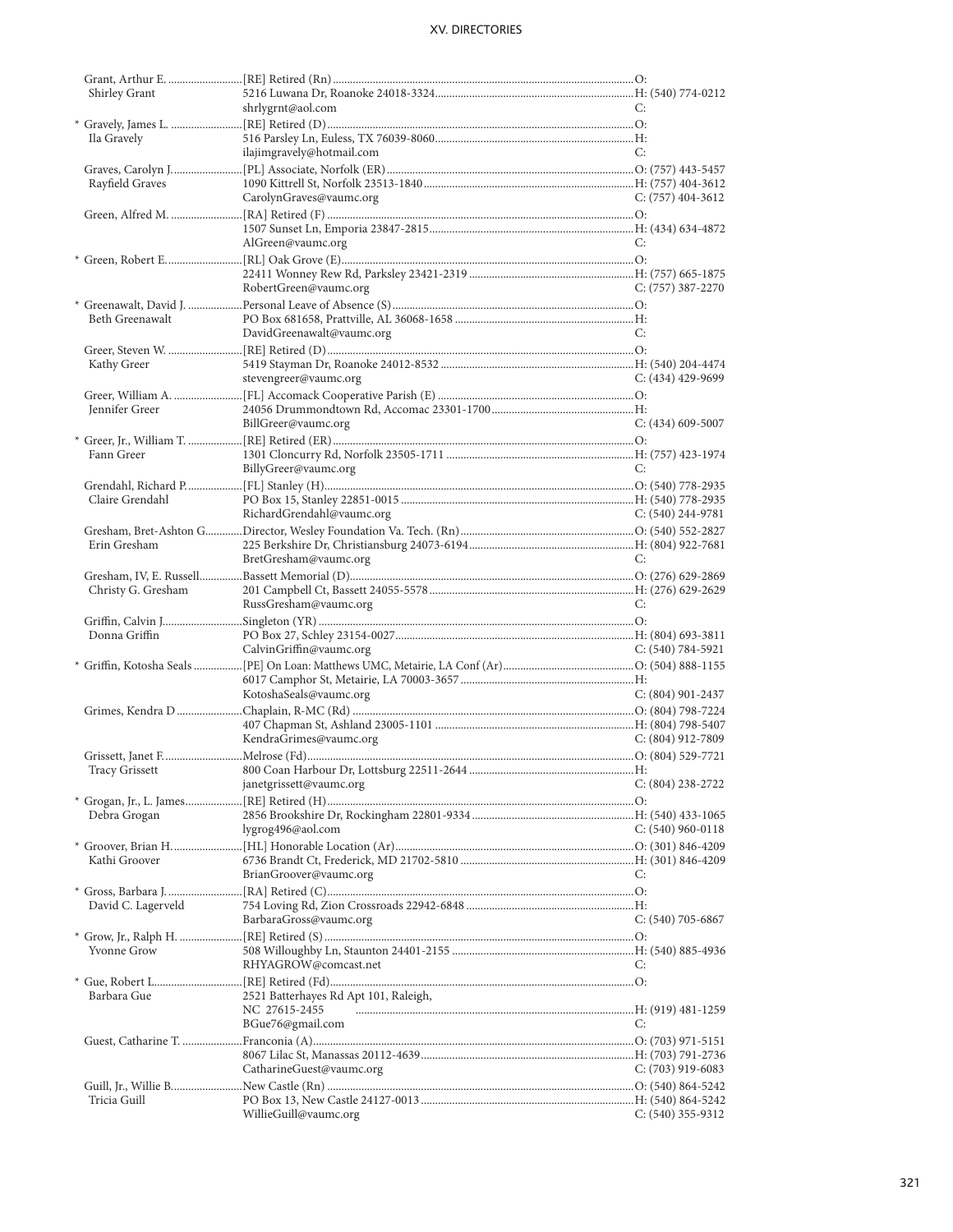| <b>Shirley Grant</b> |                                       |                     |
|----------------------|---------------------------------------|---------------------|
|                      | shrlygrnt@aol.com                     | C:                  |
|                      |                                       |                     |
| Ila Gravely          |                                       |                     |
|                      | ilajimgravely@hotmail.com             | C:                  |
|                      |                                       |                     |
| Rayfield Graves      |                                       |                     |
|                      | CarolynGraves@vaumc.org               | $C: (757)$ 404-3612 |
|                      |                                       |                     |
|                      |                                       |                     |
|                      | AlGreen@vaumc.org                     | C:                  |
|                      |                                       |                     |
|                      |                                       |                     |
|                      | RobertGreen@vaumc.org                 | $C: (757)$ 387-2270 |
|                      |                                       |                     |
| Beth Greenawalt      |                                       |                     |
|                      | DavidGreenawalt@vaumc.org             | C:                  |
|                      |                                       |                     |
| Kathy Greer          |                                       |                     |
|                      | stevengreer@vaumc.org                 | $C: (434)$ 429-9699 |
|                      |                                       |                     |
|                      |                                       |                     |
| Jennifer Greer       |                                       |                     |
|                      | BillGreer@vaumc.org                   | C: (434) 609-5007   |
|                      |                                       |                     |
| Fann Greer           |                                       |                     |
|                      | BillyGreer@vaumc.org                  | C:                  |
|                      |                                       |                     |
| Claire Grendahl      |                                       |                     |
|                      | RichardGrendahl@vaumc.org             | C: (540) 244-9781   |
|                      |                                       |                     |
| Erin Gresham         |                                       |                     |
|                      | BretGresham@vaumc.org                 | C:                  |
|                      |                                       |                     |
| Christy G. Gresham   |                                       |                     |
|                      | RussGresham@vaumc.org                 | €.                  |
|                      |                                       |                     |
|                      |                                       |                     |
|                      |                                       |                     |
| Donna Griffin        |                                       |                     |
|                      | CalvinGriffin@vaumc.org               | $C: (540) 784-5921$ |
|                      |                                       |                     |
|                      |                                       |                     |
|                      | KotoshaSeals@vaumc.org                | $C: (804)$ 901-2437 |
|                      |                                       |                     |
|                      |                                       |                     |
|                      | KendraGrimes@vaumc.org                | C: (804) 912-7809   |
|                      |                                       |                     |
|                      |                                       |                     |
|                      | janetgrissett@vaumc.org               | $C: (804)$ 238-2722 |
|                      |                                       |                     |
| Debra Grogan         |                                       |                     |
|                      | lygrog496@aol.com                     | $C: (540)$ 960-0118 |
|                      |                                       |                     |
| Kathi Groover        |                                       |                     |
|                      | BrianGroover@vaumc.org                | C:                  |
|                      |                                       |                     |
| David C. Lagerveld   |                                       |                     |
|                      | BarbaraGross@vaumc.org                | $C: (540)$ 705-6867 |
|                      |                                       |                     |
| Yvonne Grow          |                                       |                     |
|                      | RHYAGROW@comcast.net                  | C:                  |
|                      |                                       |                     |
| Barbara Gue          |                                       |                     |
|                      | 2521 Batterhayes Rd Apt 101, Raleigh, |                     |
|                      | NC 27615-2455                         | C:                  |
|                      | BGue76@gmail.com                      |                     |
|                      |                                       |                     |
|                      |                                       |                     |
|                      | CatharineGuest@vaumc.org              | $C: (703)$ 919-6083 |
|                      |                                       |                     |
| Tricia Guill         | WillieGuill@vaumc.org                 | $C: (540)$ 355-9312 |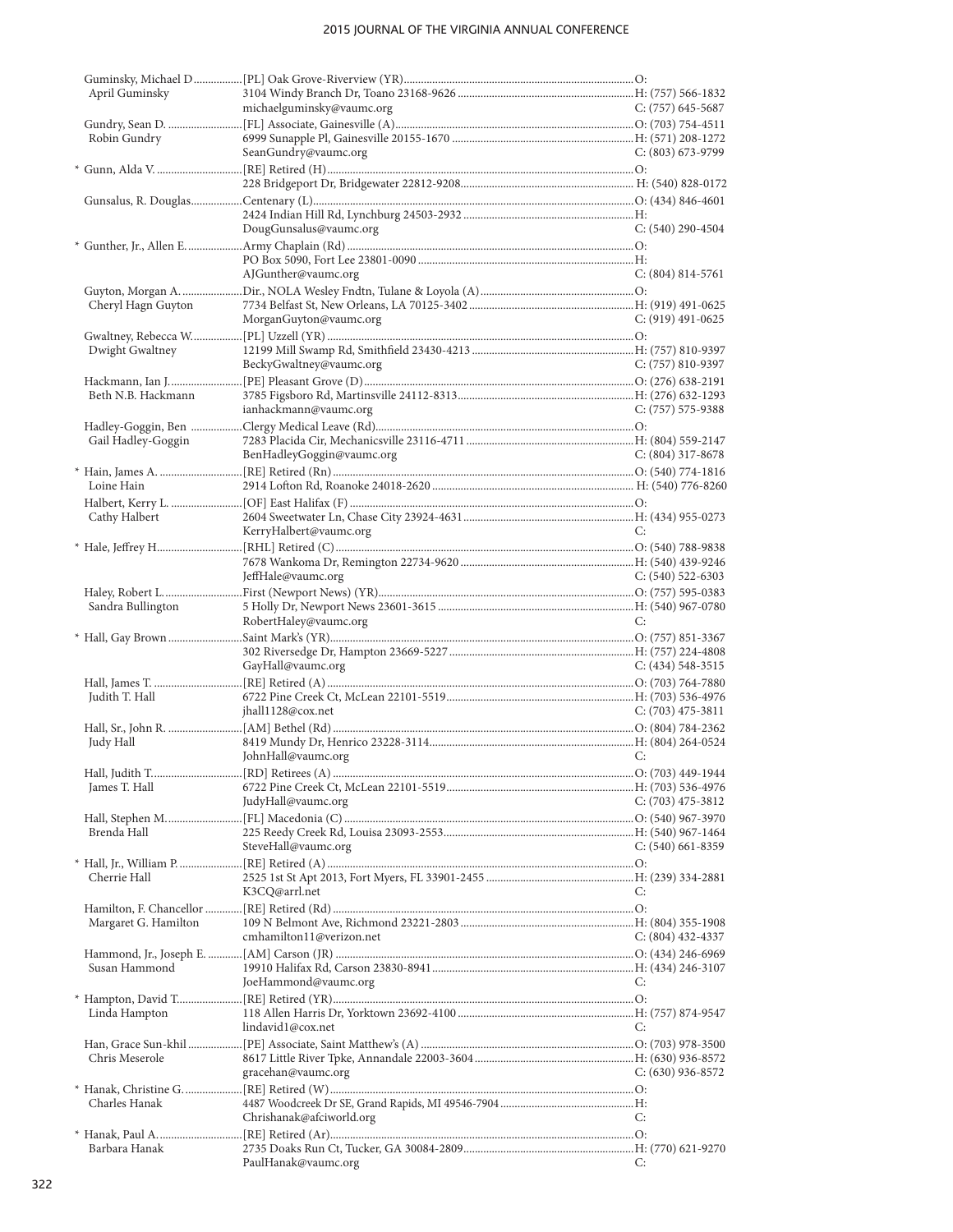| April Guminsky       |                           |                     |
|----------------------|---------------------------|---------------------|
|                      | michaelguminsky@vaumc.org | $C: (757)$ 645-5687 |
| Robin Gundry         |                           |                     |
|                      | SeanGundry@vaumc.org      | $C: (803)$ 673-9799 |
|                      |                           |                     |
|                      |                           |                     |
|                      |                           |                     |
|                      | DougGunsalus@vaumc.org    | C: (540) 290-4504   |
|                      | AJGunther@vaumc.org       | $C: (804) 814-5761$ |
|                      |                           |                     |
| Cheryl Hagn Guyton   | MorganGuyton@vaumc.org    | $C: (919)$ 491-0625 |
| Dwight Gwaltney      |                           |                     |
|                      | BeckyGwaltney@vaumc.org   | C: (757) 810-9397   |
| Beth N.B. Hackmann   |                           |                     |
|                      | ianhackmann@vaumc.org     | C: (757) 575-9388   |
|                      |                           |                     |
| Gail Hadley-Goggin   | BenHadleyGoggin@vaumc.org | $C: (804)$ 317-8678 |
|                      |                           |                     |
| Loine Hain           |                           |                     |
| Cathy Halbert        |                           |                     |
|                      | KerryHalbert@vaumc.org    | C:                  |
|                      |                           |                     |
|                      | JeffHale@vaumc.org        | C: $(540)$ 522-6303 |
|                      |                           |                     |
| Sandra Bullington    | RobertHaley@vaumc.org     | C:                  |
|                      |                           |                     |
|                      | GayHall@vaumc.org         | C: (434) 548-3515   |
| Judith T. Hall       |                           |                     |
|                      | jhall1128@cox.net         | $C: (703)$ 475-3811 |
| Judy Hall            |                           |                     |
|                      | JohnHall@vaumc.org        | C:                  |
| James T. Hall        |                           |                     |
|                      | JudyHall@vaumc.org        | $C: (703)$ 475-3812 |
| Brenda Hall          |                           |                     |
|                      | SteveHall@vaumc.org       | $C: (540)$ 661-8359 |
|                      |                           |                     |
| Cherrie Hall         | K3CQ@arrl.net             | C:                  |
| Margaret G. Hamilton |                           |                     |
|                      | cmhamilton11@verizon.net  | $C: (804)$ 432-4337 |
| Susan Hammond        |                           |                     |
|                      | JoeHammond@vaumc.org      | C:                  |
|                      |                           |                     |
| Linda Hampton        | lindavid1@cox.net         | C:                  |
|                      |                           |                     |
| Chris Meserole       | gracehan@vaumc.org        | C: $(630)$ 936-8572 |
|                      |                           |                     |
| Charles Hanak        | Chrishanak@afciworld.org  | C:                  |
|                      |                           |                     |
| Barbara Hanak        |                           |                     |
|                      | PaulHanak@vaumc.org       | C:                  |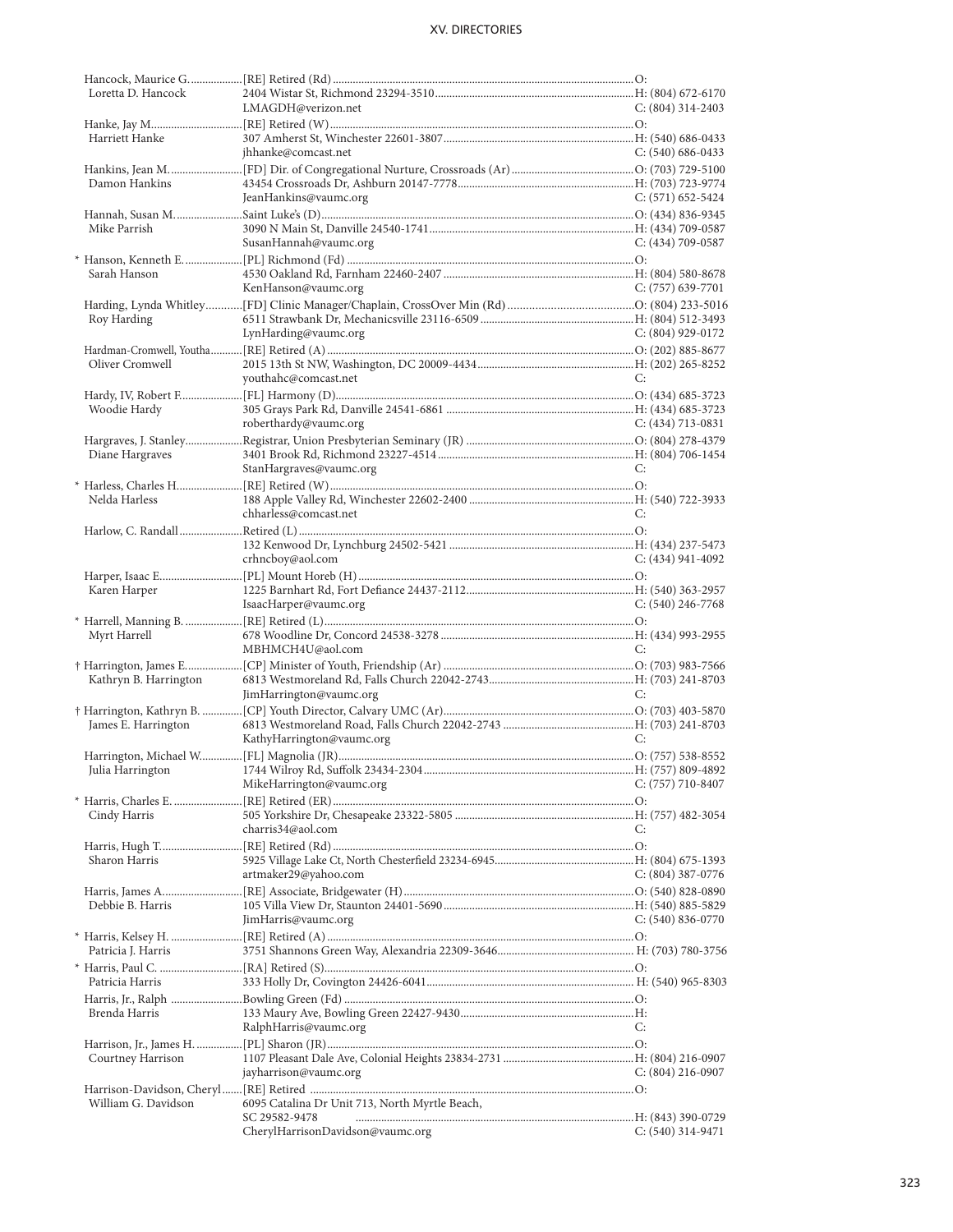| Loretta D. Hancock           |                                                |                     |
|------------------------------|------------------------------------------------|---------------------|
|                              | LMAGDH@verizon.net                             | $C: (804)$ 314-2403 |
|                              |                                                |                     |
|                              |                                                |                     |
| Harriett Hanke               |                                                |                     |
|                              | jhhanke@comcast.net                            | C: $(540)$ 686-0433 |
|                              |                                                |                     |
| Damon Hankins                |                                                |                     |
|                              | JeanHankins@vaumc.org                          | C: $(571)$ 652-5424 |
|                              |                                                |                     |
|                              |                                                |                     |
| Mike Parrish                 |                                                |                     |
|                              | SusanHannah@vaumc.org                          | C: $(434)$ 709-0587 |
|                              |                                                |                     |
| Sarah Hanson                 |                                                |                     |
|                              |                                                |                     |
|                              | KenHanson@vaumc.org                            | C: (757) 639-7701   |
|                              |                                                |                     |
| Roy Harding                  |                                                |                     |
|                              | LynHarding@vaumc.org                           | C: $(804)$ 929-0172 |
|                              |                                                |                     |
|                              |                                                |                     |
| Oliver Cromwell              |                                                |                     |
|                              | youthahc@comcast.net                           | C:                  |
|                              |                                                |                     |
| Woodie Hardy                 |                                                |                     |
|                              |                                                |                     |
|                              | roberthardy@vaumc.org                          | C: $(434)$ 713-0831 |
|                              |                                                |                     |
| Diane Hargraves              |                                                |                     |
|                              | StanHargraves@vaumc.org                        | C:                  |
|                              |                                                |                     |
|                              |                                                |                     |
| Nelda Harless                |                                                |                     |
|                              | chharless@comcast.net                          | C:                  |
|                              |                                                |                     |
|                              |                                                |                     |
|                              |                                                |                     |
|                              | crhncboy@aol.com                               | C: (434) 941-4092   |
|                              |                                                |                     |
| Karen Harper                 |                                                |                     |
|                              | IsaacHarper@vaumc.org                          | C: $(540)$ 246-7768 |
|                              |                                                |                     |
|                              |                                                |                     |
| Myrt Harrell North Americans |                                                |                     |
|                              | MBHMCH4U@aol.com                               | C:                  |
|                              |                                                |                     |
| Kathryn B. Harrington        |                                                |                     |
|                              |                                                |                     |
|                              | JimHarrington@vaumc.org                        | C:                  |
|                              |                                                |                     |
| James E. Harrington          |                                                |                     |
|                              | KathyHarrington@vaumc.org                      | C:                  |
|                              |                                                |                     |
|                              |                                                |                     |
|                              |                                                |                     |
|                              | MikeHarrington@vaumc.org                       | $C: (757)$ 710-8407 |
|                              |                                                |                     |
| Cindy Harris                 |                                                |                     |
|                              | charris34@aol.com                              | C:                  |
|                              |                                                |                     |
|                              |                                                |                     |
| Sharon Harris                |                                                |                     |
|                              | artmaker29@yahoo.com                           | C: (804) 387-0776   |
|                              |                                                |                     |
|                              |                                                |                     |
| Debbie B. Harris             |                                                |                     |
|                              | JimHarris@vaumc.org                            | $C: (540) 836-0770$ |
|                              |                                                |                     |
| Patricia J. Harris           |                                                |                     |
|                              |                                                |                     |
|                              |                                                |                     |
| Patricia Harris              |                                                |                     |
|                              |                                                |                     |
| Brenda Harris                |                                                |                     |
|                              |                                                | C:                  |
|                              | RalphHarris@vaumc.org                          |                     |
|                              |                                                |                     |
| Courtney Harrison            |                                                |                     |
|                              | jayharrison@vaumc.org                          | $C: (804)$ 216-0907 |
|                              |                                                |                     |
|                              |                                                |                     |
| William G. Davidson          | 6095 Catalina Dr Unit 713, North Myrtle Beach, |                     |
|                              | SC 29582-9478                                  |                     |
|                              | CherylHarrisonDavidson@vaumc.org               | $C: (540)$ 314-9471 |
|                              |                                                |                     |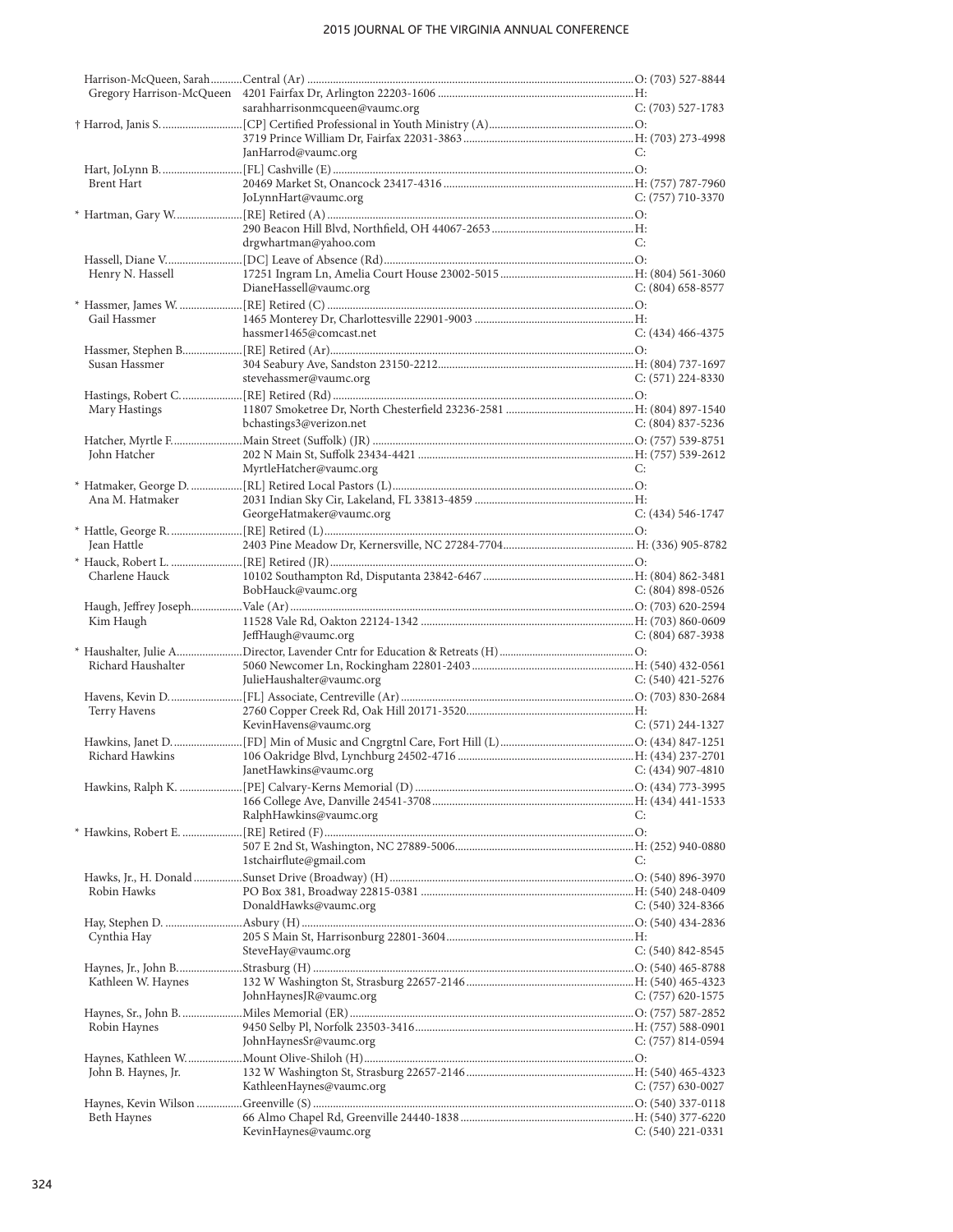|                     | sarahharrisonmcqueen@vaumc.org | $C: (703)$ 527-1783   |
|---------------------|--------------------------------|-----------------------|
|                     |                                |                       |
|                     | JanHarrod@vaumc.org            | C:                    |
|                     |                                |                       |
| <b>Brent Hart</b>   |                                |                       |
|                     | JoLynnHart@vaumc.org           | C: (757) 710-3370     |
|                     |                                |                       |
|                     | drgwhartman@yahoo.com          | C:                    |
| Henry N. Hassell    |                                |                       |
|                     | DianeHassell@vaumc.org         | $C: (804)$ 658-8577   |
|                     |                                |                       |
| Gail Hassmer        | hassmer1465@comcast.net        | $C: (434)$ 466-4375   |
|                     |                                |                       |
| Susan Hassmer       |                                |                       |
|                     | stevehassmer@vaumc.org         | $C: (571)$ 224-8330   |
| Mary Hastings       |                                |                       |
|                     | bchastings3@verizon.net        | C: $(804)$ 837-5236   |
| John Hatcher        |                                |                       |
|                     | MyrtleHatcher@vaumc.org        | C:                    |
| Ana M. Hatmaker     |                                |                       |
|                     | GeorgeHatmaker@vaumc.org       | $C: (434) 546-1747$   |
|                     |                                |                       |
| Jean Hattle         |                                |                       |
| Charlene Hauck      |                                |                       |
|                     | BobHauck@vaumc.org             | C: $(804)$ 898-0526   |
| Kim Haugh           |                                |                       |
|                     | JeffHaugh@vaumc.org            | $C: (804)$ 687-3938   |
|                     |                                |                       |
| Richard Haushalter  | JulieHaushalter@vaumc.org      | C: $(540)$ 421-5276   |
|                     |                                |                       |
| Terry Havens        | KevinHavens@vaumc.org          |                       |
|                     |                                | $C: (571)$ 244-1327   |
| Richard Hawkins     |                                |                       |
|                     | JanetHawkins@vaumc.org         | C: (434) 907-4810     |
|                     |                                |                       |
|                     | RalphHawkins@vaumc.org         | C:                    |
|                     |                                |                       |
|                     | 1stchairflute@gmail.com        | C:                    |
|                     |                                |                       |
| Robin Hawks         | DonaldHawks@vaumc.org          | $C: (540)$ 324-8366   |
|                     |                                |                       |
| Cynthia Hay         |                                |                       |
|                     | SteveHay@vaumc.org             | $C: (540) 842 - 8545$ |
| Kathleen W. Haynes  |                                |                       |
|                     | JohnHaynesJR@vaumc.org         | $C: (757)$ 620-1575   |
| Robin Haynes        |                                |                       |
|                     | JohnHaynesSr@vaumc.org         | $C: (757) 814-0594$   |
|                     |                                |                       |
| John B. Haynes, Jr. | KathleenHaynes@vaumc.org       | $C: (757)$ 630-0027   |
|                     |                                |                       |
| <b>Beth Haynes</b>  | KevinHaynes@vaumc.org          | $C: (540)$ 221-0331   |
|                     |                                |                       |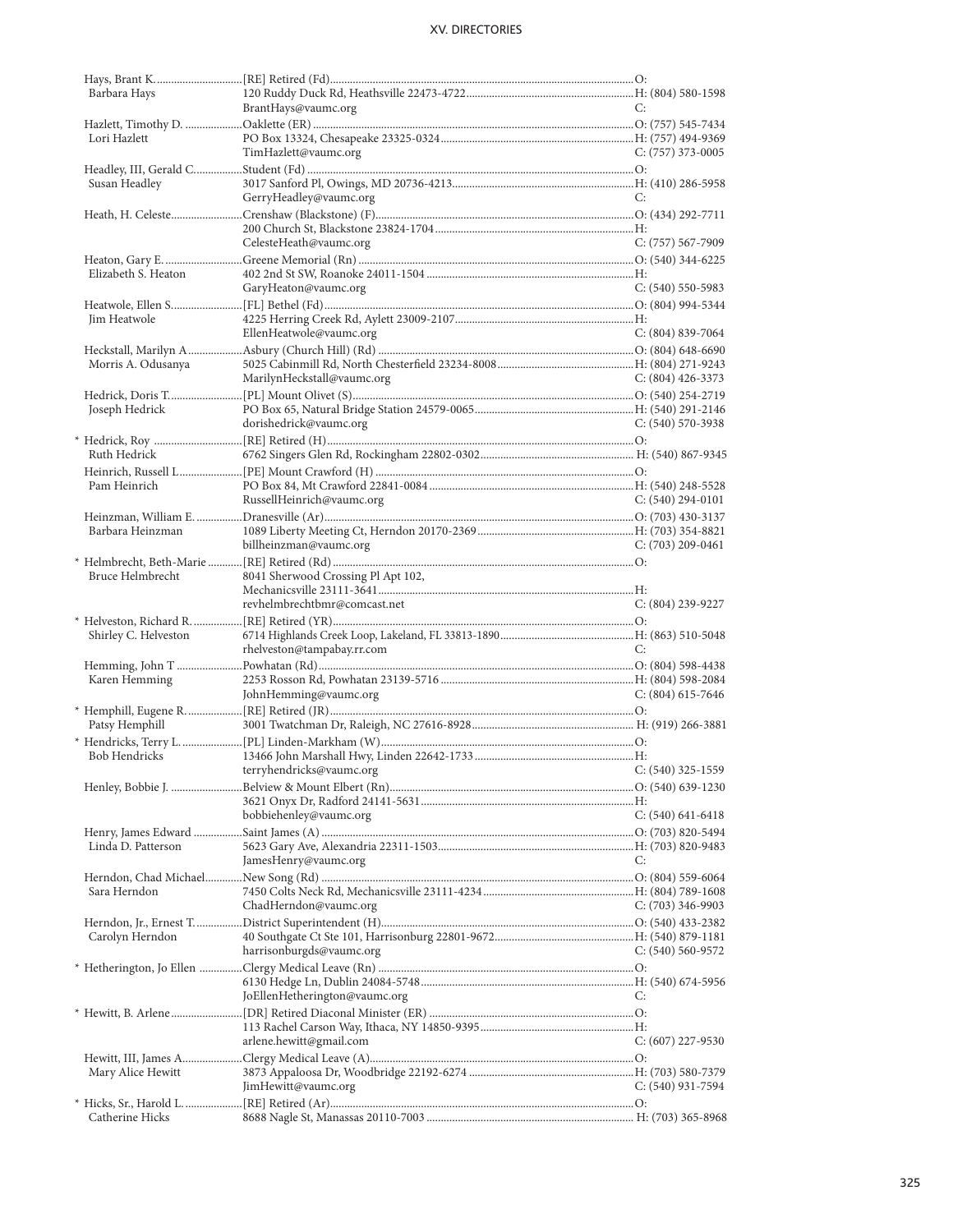| Barbara Hays         |                                    |                       |
|----------------------|------------------------------------|-----------------------|
|                      | BrantHays@vaumc.org                | C:                    |
|                      |                                    |                       |
|                      |                                    |                       |
| Lori Hazlett         |                                    |                       |
|                      | TimHazlett@vaumc.org               | $C: (757)$ 373-0005   |
|                      |                                    |                       |
| Susan Headley        |                                    |                       |
|                      | GerryHeadley@vaumc.org             | C:                    |
|                      |                                    |                       |
|                      |                                    |                       |
|                      |                                    |                       |
|                      | CelesteHeath@vaumc.org             | $C: (757) 567-7909$   |
|                      |                                    |                       |
|                      |                                    |                       |
| Elizabeth S. Heaton  |                                    |                       |
|                      | GaryHeaton@vaumc.org               | $C: (540)$ 550-5983   |
|                      |                                    |                       |
| Jim Heatwole         |                                    |                       |
|                      | EllenHeatwole@vaumc.org            | $C: (804) 839-7064$   |
|                      |                                    |                       |
|                      |                                    |                       |
| Morris A. Odusanya   |                                    |                       |
|                      | MarilynHeckstall@vaumc.org         | C: $(804)$ 426-3373   |
|                      |                                    |                       |
|                      |                                    |                       |
| Joseph Hedrick       |                                    |                       |
|                      | dorishedrick@vaumc.org             | $C: (540)$ 570-3938   |
|                      |                                    |                       |
| Ruth Hedrick         |                                    |                       |
|                      |                                    |                       |
|                      |                                    |                       |
| Pam Heinrich         |                                    |                       |
|                      | RussellHeinrich@vaumc.org          | $C: (540)$ 294-0101   |
|                      |                                    |                       |
| Barbara Heinzman     |                                    |                       |
|                      |                                    |                       |
|                      | billheinzman@vaumc.org             | $C: (703)$ 209-0461   |
|                      |                                    |                       |
| Bruce Helmbrecht     | 8041 Sherwood Crossing Pl Apt 102, |                       |
|                      |                                    |                       |
|                      | revhelmbrechtbmr@comcast.net       | C: (804) 239-9227     |
|                      |                                    |                       |
|                      |                                    |                       |
| Shirley C. Helveston |                                    |                       |
|                      | rhelveston@tampabay.rr.com         | C:                    |
|                      |                                    |                       |
|                      |                                    |                       |
| Karen Hemming        |                                    |                       |
|                      | JohnHemming@vaumc.org              | $C: (804) 615-7646$   |
|                      |                                    |                       |
| Patsy Hemphill       |                                    |                       |
|                      |                                    |                       |
|                      |                                    |                       |
| <b>Bob Hendricks</b> |                                    |                       |
|                      | terryhendricks@vaumc.org           | $C: (540)$ 325-1559   |
|                      |                                    |                       |
|                      |                                    |                       |
|                      |                                    |                       |
|                      | bobbiehenley@vaumc.org             | $C: (540) 641-6418$   |
|                      |                                    |                       |
| Linda D. Patterson   |                                    |                       |
|                      | JamesHenry@vaumc.org               | C:                    |
|                      |                                    |                       |
|                      |                                    |                       |
| Sara Herndon         |                                    |                       |
|                      | ChadHerndon@vaumc.org              | C: $(703)$ 346-9903   |
|                      |                                    |                       |
|                      |                                    |                       |
| Carolyn Herndon      |                                    |                       |
|                      | harrisonburgds@vaumc.org           | $C: (540) 560 - 9572$ |
|                      |                                    |                       |
|                      |                                    |                       |
|                      | JoEllenHetherington@vaumc.org      | C:                    |
|                      |                                    |                       |
|                      |                                    |                       |
|                      |                                    |                       |
|                      | arlene.hewitt@gmail.com            | C: (607) 227-9530     |
|                      |                                    |                       |
|                      |                                    |                       |
| Mary Alice Hewitt    |                                    |                       |
|                      | JimHewitt@vaumc.org                | $C: (540)$ 931-7594   |
|                      |                                    |                       |
| Catherine Hicks      |                                    |                       |
|                      |                                    |                       |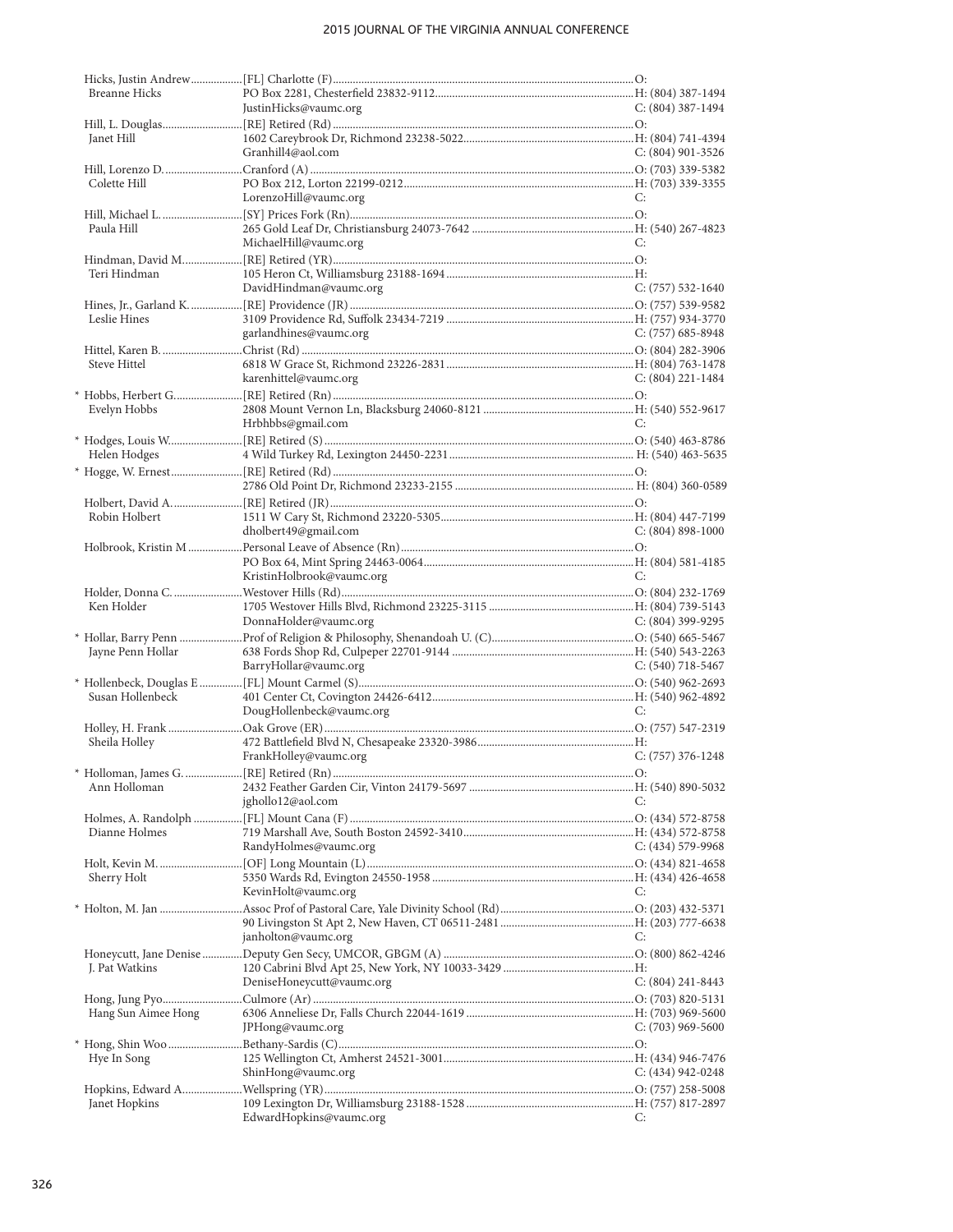| Breanne Hicks       |                                                                                   |                       |
|---------------------|-----------------------------------------------------------------------------------|-----------------------|
|                     | JustinHicks@vaumc.org                                                             | $C: (804)$ 387-1494   |
|                     |                                                                                   |                       |
| Janet Hill          |                                                                                   |                       |
|                     | Granhill4@aol.com                                                                 | $C: (804)$ 901-3526   |
|                     |                                                                                   |                       |
| Colette Hill        |                                                                                   |                       |
|                     | LorenzoHill@vaumc.org                                                             | C:                    |
|                     |                                                                                   |                       |
| Paula Hill          |                                                                                   |                       |
|                     | MichaelHill@vaumc.org                                                             | C:                    |
|                     |                                                                                   |                       |
| Teri Hindman        |                                                                                   |                       |
|                     | DavidHindman@vaumc.org                                                            | $C: (757) 532-1640$   |
|                     |                                                                                   |                       |
|                     |                                                                                   |                       |
| Leslie Hines        |                                                                                   |                       |
|                     | garlandhines@vaumc.org                                                            | $C: (757) 685 - 8948$ |
|                     |                                                                                   |                       |
| Steve Hittel        |                                                                                   |                       |
|                     | karenhittel@vaumc.org                                                             | $C: (804)$ 221-1484   |
|                     | * Hobbs, Herbert G……………………[RE] Retired (Rn)…………………………………………………………………………………………….O: |                       |
| Evelyn Hobbs        |                                                                                   |                       |
|                     | Hrbhbbs@gmail.com                                                                 | C:                    |
|                     |                                                                                   |                       |
| Helen Hodges        |                                                                                   |                       |
|                     |                                                                                   |                       |
|                     |                                                                                   |                       |
|                     |                                                                                   |                       |
|                     |                                                                                   |                       |
| Robin Holbert       |                                                                                   |                       |
|                     | dholbert49@gmail.com                                                              | $C: (804) 898-1000$   |
|                     |                                                                                   |                       |
|                     |                                                                                   |                       |
|                     | KristinHolbrook@vaumc.org                                                         | C:                    |
|                     |                                                                                   |                       |
| Ken Holder          |                                                                                   |                       |
|                     | DonnaHolder@vaumc.org                                                             | $C: (804)$ 399-9295   |
|                     |                                                                                   |                       |
| Jayne Penn Hollar   |                                                                                   |                       |
|                     | BarryHollar@vaumc.org                                                             | C: $(540)$ 718-5467   |
|                     |                                                                                   |                       |
|                     |                                                                                   |                       |
| Susan Hollenbeck    |                                                                                   |                       |
|                     | DougHollenbeck@vaumc.org                                                          | C:                    |
|                     |                                                                                   |                       |
| Sheila Holley       |                                                                                   |                       |
|                     | FrankHolley@vaumc.org                                                             | $C: (757)$ 376-1248   |
|                     |                                                                                   |                       |
| Ann Holloman        |                                                                                   |                       |
|                     | jghollo12@aol.com                                                                 | C:                    |
|                     |                                                                                   |                       |
| Dianne Holmes       |                                                                                   |                       |
|                     | RandyHolmes@vaumc.org                                                             | $C: (434) 579-9968$   |
|                     |                                                                                   |                       |
| Sherry Holt         |                                                                                   |                       |
|                     | KevinHolt@vaumc.org                                                               | C:                    |
|                     |                                                                                   |                       |
|                     |                                                                                   |                       |
|                     | janholton@vaumc.org                                                               | C:                    |
|                     |                                                                                   |                       |
|                     |                                                                                   |                       |
| J. Pat Watkins      |                                                                                   |                       |
|                     | DeniseHoneycutt@vaumc.org                                                         | $C: (804)$ 241-8443   |
|                     |                                                                                   |                       |
| Hang Sun Aimee Hong |                                                                                   |                       |
|                     | JPHong@vaumc.org                                                                  | $C: (703)$ 969-5600   |
|                     |                                                                                   |                       |
| Hye In Song         |                                                                                   |                       |
|                     | ShinHong@vaumc.org                                                                | C: $(434)$ 942-0248   |
|                     |                                                                                   |                       |
| Janet Hopkins       |                                                                                   |                       |
|                     | EdwardHopkins@vaumc.org                                                           | C:                    |
|                     |                                                                                   |                       |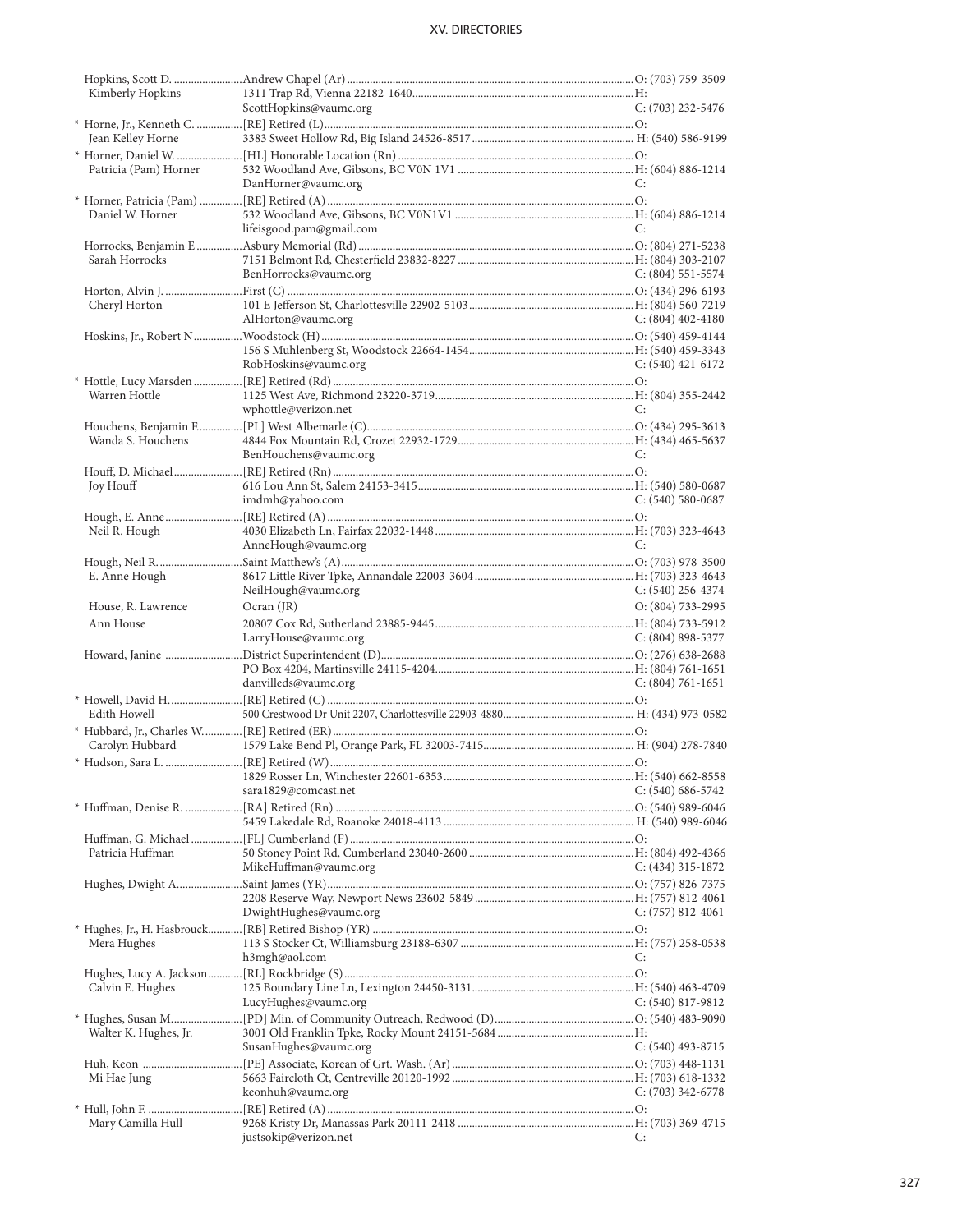| Kimberly Hopkins      |                          |                       |
|-----------------------|--------------------------|-----------------------|
|                       | ScottHopkins@vaumc.org   | $C: (703)$ 232-5476   |
|                       |                          |                       |
| Jean Kelley Horne     |                          |                       |
|                       |                          |                       |
| Patricia (Pam) Horner |                          |                       |
|                       | DanHorner@vaumc.org      | C:                    |
|                       |                          |                       |
| Daniel W. Horner      |                          |                       |
|                       | lifeisgood.pam@gmail.com | C:                    |
|                       |                          |                       |
|                       |                          |                       |
| Sarah Horrocks        |                          |                       |
|                       | BenHorrocks@vaumc.org    | C: $(804)$ 551-5574   |
|                       |                          |                       |
| Cheryl Horton         |                          |                       |
|                       | AlHorton@vaumc.org       | C: $(804)$ 402-4180   |
|                       |                          |                       |
|                       |                          |                       |
|                       | RobHoskins@vaumc.org     | C: $(540)$ 421-6172   |
|                       |                          |                       |
| Warren Hottle         |                          |                       |
|                       | wphottle@verizon.net     | C:                    |
|                       |                          |                       |
| Wanda S. Houchens     |                          |                       |
|                       | BenHouchens@vaumc.org    | C:                    |
|                       |                          |                       |
|                       |                          |                       |
| Joy Houff             |                          |                       |
|                       | imdmh@yahoo.com          | $C: (540) 580-0687$   |
|                       |                          |                       |
| Neil R. Hough         |                          |                       |
|                       | AnneHough@vaumc.org      | C:                    |
|                       |                          |                       |
| E. Anne Hough         |                          |                       |
|                       | NeilHough@vaumc.org      | $C: (540)$ 256-4374   |
| House, R. Lawrence    | Ocran $(IR)$             | $O: (804) 733 - 2995$ |
| Ann House             |                          |                       |
|                       | LarryHouse@vaumc.org     | $C: (804) 898 - 5377$ |
|                       |                          |                       |
|                       |                          |                       |
|                       | danvilleds@vaumc.org     | $C: (804) 761-1651$   |
|                       |                          |                       |
|                       |                          |                       |
|                       |                          |                       |
| Edith Howell          |                          |                       |
|                       |                          |                       |
| Carolyn Hubbard       |                          |                       |
|                       |                          |                       |
|                       |                          |                       |
|                       | sara1829@comcast.net     | $C: (540) 686 - 5742$ |
|                       |                          |                       |
|                       |                          |                       |
|                       |                          |                       |
|                       |                          |                       |
| Patricia Huffman      |                          |                       |
|                       | MikeHuffman@vaumc.org    | C: $(434)$ 315-1872   |
|                       |                          |                       |
|                       |                          |                       |
|                       | DwightHughes@vaumc.org   | C: $(757)$ 812-4061   |
|                       |                          |                       |
| Mera Hughes           |                          |                       |
|                       | h3mgh@aol.com            | C:                    |
|                       |                          |                       |
| Calvin E. Hughes      |                          |                       |
|                       | LucyHughes@vaumc.org     | C: (540) 817-9812     |
|                       |                          |                       |
| Walter K. Hughes, Jr. |                          |                       |
|                       | SusanHughes@vaumc.org    | $C: (540)$ 493-8715   |
|                       |                          |                       |
|                       |                          |                       |
| Mi Hae Jung           |                          |                       |
|                       | keonhuh@vaumc.org        | $C: (703)$ 342-6778   |
|                       |                          |                       |
| Mary Camilla Hull     | justsokip@verizon.net    | C:                    |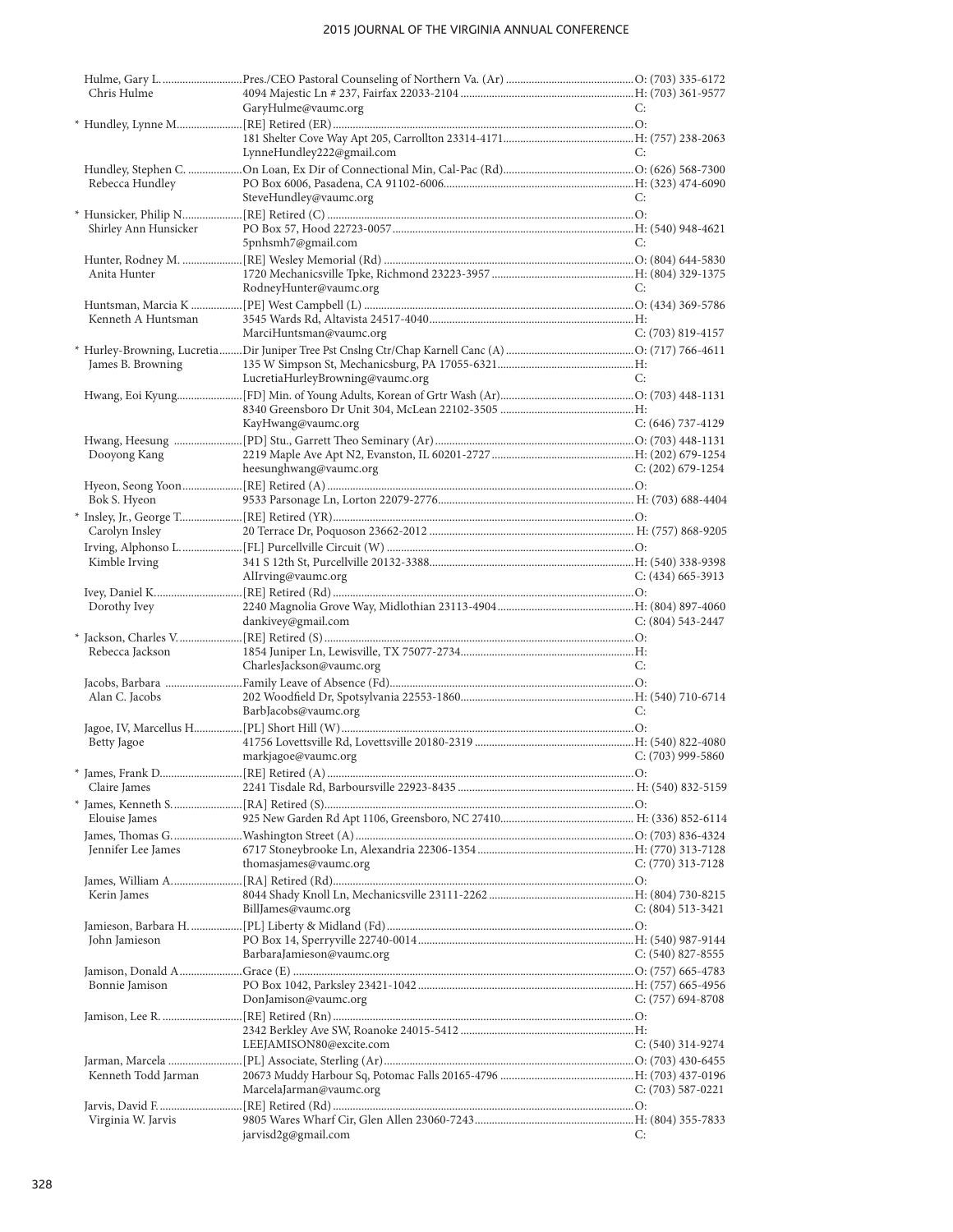| Chris Hulme           |                                  |                       |
|-----------------------|----------------------------------|-----------------------|
|                       | GaryHulme@vaumc.org              | C:                    |
|                       |                                  |                       |
|                       |                                  |                       |
|                       |                                  |                       |
|                       | LynneHundley222@gmail.com        | C:                    |
|                       |                                  |                       |
| Rebecca Hundley       |                                  |                       |
|                       | SteveHundley@vaumc.org           | C:                    |
|                       |                                  |                       |
|                       |                                  |                       |
| Shirley Ann Hunsicker |                                  |                       |
|                       | 5pnhsmh7@gmail.com               | C:                    |
|                       |                                  |                       |
| Anita Hunter          |                                  |                       |
|                       | RodneyHunter@vaumc.org           | C:                    |
|                       |                                  |                       |
|                       |                                  |                       |
| Kenneth A Huntsman    |                                  |                       |
|                       | MarciHuntsman@vaumc.org          | $C: (703) 819-4157$   |
|                       |                                  |                       |
|                       |                                  |                       |
| James B. Browning     |                                  |                       |
|                       | LucretiaHurleyBrowning@vaumc.org | C:                    |
|                       |                                  |                       |
|                       |                                  |                       |
|                       | KayHwang@vaumc.org               | $C: (646) 737-4129$   |
|                       |                                  |                       |
|                       |                                  |                       |
| Dooyong Kang          |                                  |                       |
|                       | heesunghwang@vaumc.org           | $C: (202)$ 679-1254   |
|                       |                                  |                       |
| Bok S. Hyeon          |                                  |                       |
|                       |                                  |                       |
|                       |                                  |                       |
| Carolyn Insley        |                                  |                       |
|                       |                                  |                       |
| Kimble Irving         |                                  |                       |
|                       | AlIrving@vaumc.org               | $C: (434)$ 665-3913   |
|                       |                                  |                       |
|                       |                                  |                       |
| Dorothy Ivey          |                                  |                       |
|                       | dankivey@gmail.com               | $C: (804) 543-2447$   |
|                       |                                  |                       |
| Rebecca Jackson       |                                  |                       |
|                       |                                  | C:                    |
|                       | CharlesJackson@vaumc.org         |                       |
|                       |                                  |                       |
| Alan C. Jacobs        |                                  |                       |
|                       | BarbJacobs@vaumc.org             | C:                    |
|                       |                                  |                       |
|                       |                                  |                       |
| <b>Betty Jagoe</b>    |                                  |                       |
|                       | markjagoe@vaumc.org              | $C: (703)$ 999-5860   |
|                       |                                  |                       |
| Claire James          |                                  |                       |
|                       |                                  |                       |
|                       |                                  |                       |
| Elouise James         |                                  |                       |
|                       |                                  |                       |
| Jennifer Lee James    |                                  |                       |
|                       | thomasjames@vaumc.org            | $C: (770)$ 313-7128   |
|                       |                                  |                       |
|                       |                                  |                       |
| Kerin James           |                                  |                       |
|                       | BillJames@vaumc.org              | $C: (804) 513 - 3421$ |
|                       |                                  |                       |
| John Jamieson         |                                  |                       |
|                       | BarbaraJamieson@vaumc.org        | $C: (540)$ 827-8555   |
|                       |                                  |                       |
|                       |                                  |                       |
| Bonnie Jamison        |                                  |                       |
|                       | DonJamison@vaumc.org             | $C: (757) 694-8708$   |
|                       |                                  |                       |
|                       |                                  |                       |
|                       |                                  |                       |
|                       | LEEJAMISON80@excite.com          | $C: (540)$ 314-9274   |
|                       |                                  |                       |
| Kenneth Todd Jarman   |                                  |                       |
|                       | MarcelaJarman@vaumc.org          | $C: (703) 587-0221$   |
|                       |                                  |                       |
|                       |                                  |                       |
| Virginia W. Jarvis    |                                  |                       |
|                       | jarvisd2g@gmail.com              | C:                    |
|                       |                                  |                       |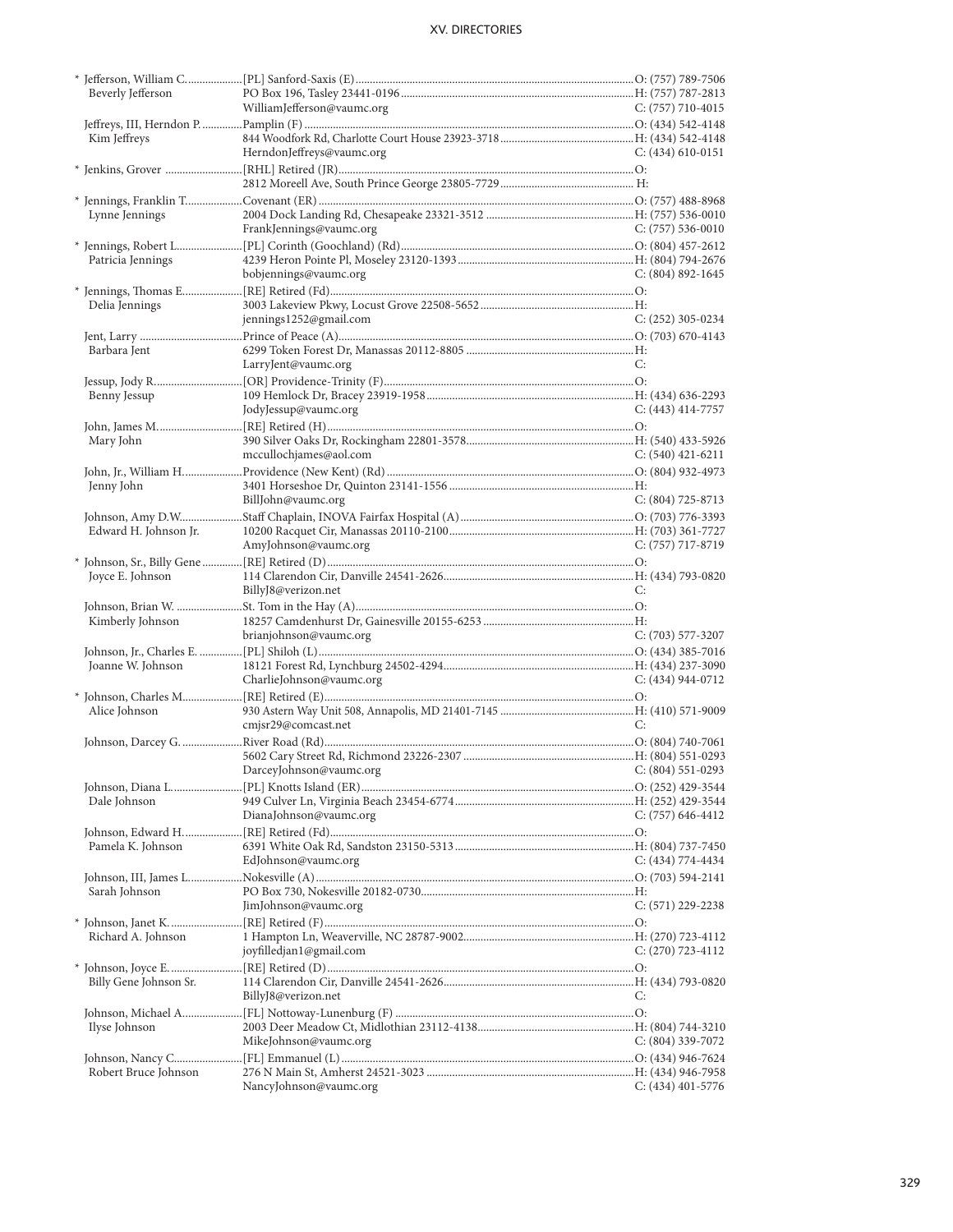| Beverly Jefferson      |                                           |                       |
|------------------------|-------------------------------------------|-----------------------|
|                        | WilliamJefferson@vaumc.org                | $C: (757)$ 710-4015   |
|                        |                                           |                       |
| Kim Jeffreys           |                                           |                       |
|                        | HerndonJeffreys@vaumc.org                 | $C: (434) 610-0151$   |
|                        |                                           |                       |
|                        |                                           |                       |
|                        |                                           |                       |
| Lynne Jennings         |                                           |                       |
|                        | FrankJennings@vaumc.org                   |                       |
|                        |                                           | C: $(757)$ 536-0010   |
|                        |                                           |                       |
| Patricia Jennings      |                                           |                       |
|                        | bobjennings@vaumc.org                     | C: (804) 892-1645     |
|                        |                                           |                       |
| Delia Jennings         |                                           |                       |
|                        | jennings1252@gmail.com                    | $C: (252)$ 305-0234   |
|                        |                                           |                       |
| Barbara Jent           |                                           |                       |
|                        | LarryJent@vaumc.org                       | C:                    |
|                        |                                           |                       |
| Benny Jessup           |                                           |                       |
|                        | JodyJessup@vaumc.org                      | $C: (443)$ 414-7757   |
|                        |                                           |                       |
|                        |                                           |                       |
| Mary John              |                                           |                       |
|                        | mccullochjames@aol.com                    | $C: (540)$ 421-6211   |
|                        |                                           |                       |
| Jenny John             |                                           |                       |
|                        | BillJohn@vaumc.org                        | C: (804) 725-8713     |
|                        |                                           |                       |
| Edward H. Johnson Jr.  |                                           |                       |
|                        | AmyJohnson@vaumc.org                      | $C: (757)$ 717-8719   |
|                        |                                           |                       |
| Joyce E. Johnson       |                                           |                       |
|                        | BillyJ8@verizon.net                       | C:                    |
|                        |                                           |                       |
| Kimberly Johnson       |                                           |                       |
|                        |                                           |                       |
|                        | brianjohnson@vaumc.org                    | $C: (703)$ 577-3207   |
|                        |                                           |                       |
| Joanne W. Johnson      |                                           |                       |
|                        | CharlieJohnson@vaumc.org                  | $C: (434) 944-0712$   |
|                        |                                           |                       |
| Alice Johnson          |                                           |                       |
|                        | cmjsr29@comcast.net                       | C:                    |
|                        |                                           |                       |
|                        |                                           |                       |
|                        | DarceyJohnson@vaumc.org C: (804) 551-0293 |                       |
|                        |                                           |                       |
| Dale Johnson           |                                           |                       |
|                        | DianaJohnson@vaumc.org                    | $C: (757) 646-4412$   |
|                        |                                           |                       |
|                        |                                           |                       |
| Pamela K. Johnson      |                                           |                       |
|                        | EdJohnson@vaumc.org                       | $C: (434) 774-4434$   |
|                        |                                           |                       |
| Sarah Johnson          |                                           |                       |
|                        | JimJohnson@vaumc.org                      | $C: (571)$ 229-2238   |
|                        |                                           |                       |
| Richard A. Johnson     |                                           |                       |
|                        | joyfilledjan1@gmail.com                   | $C: (270) 723 - 4112$ |
|                        |                                           |                       |
|                        |                                           |                       |
| Billy Gene Johnson Sr. |                                           |                       |
|                        | BillyJ8@verizon.net                       | C:                    |
|                        |                                           |                       |
|                        |                                           |                       |
| Ilyse Johnson          |                                           |                       |
|                        | MikeJohnson@vaumc.org                     | C: (804) 339-7072     |
|                        |                                           |                       |
| Robert Bruce Johnson   |                                           |                       |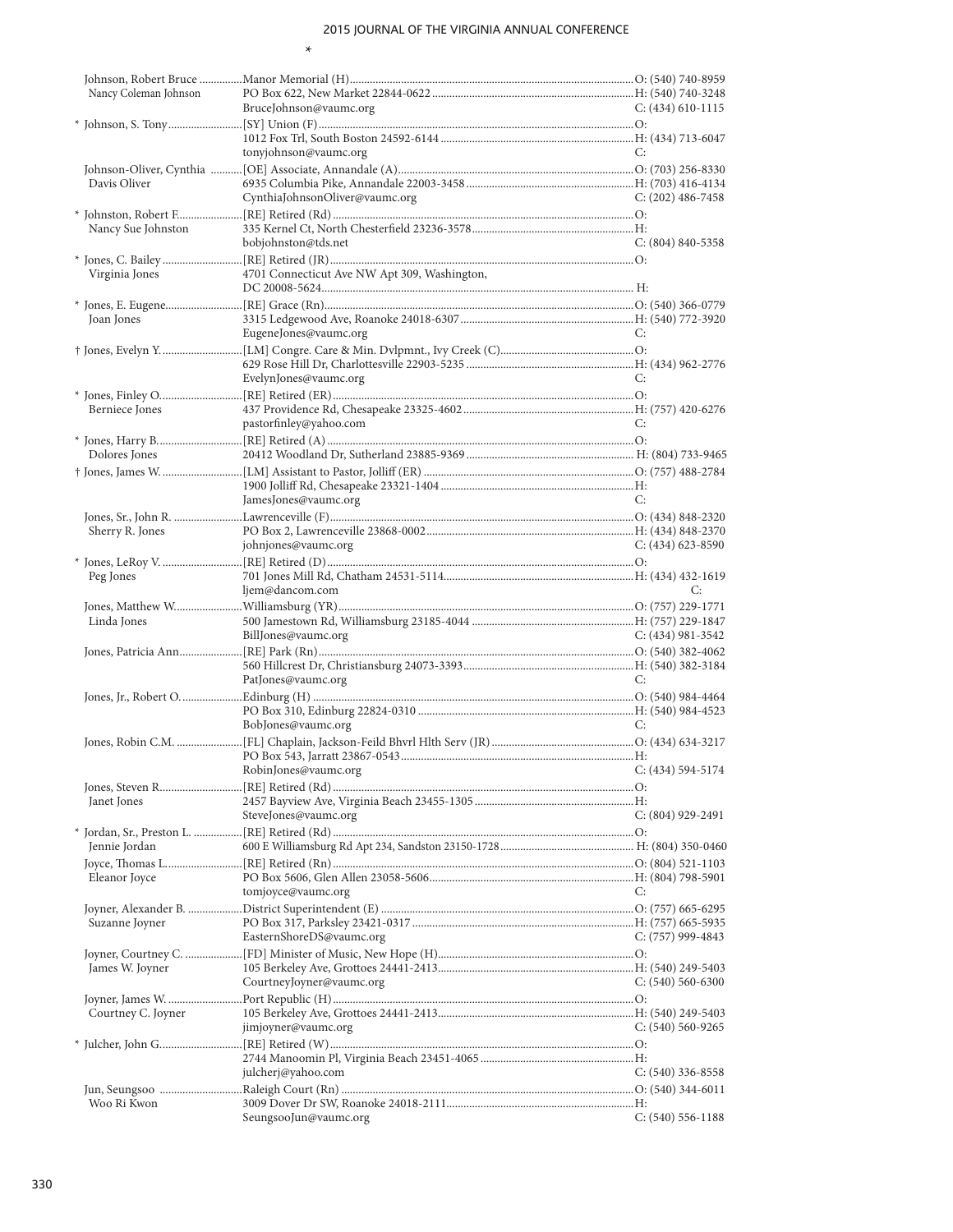### 2015 JOURNAL OF THE VIRGINIA ANNUAL CONFERENCE

\*

| Nancy Coleman Johnson |                                              |                       |
|-----------------------|----------------------------------------------|-----------------------|
|                       | BruceJohnson@vaumc.org                       | $C: (434) 610-1115$   |
|                       |                                              |                       |
|                       |                                              |                       |
|                       | tonyjohnson@vaumc.org                        | C:                    |
|                       |                                              |                       |
| Davis Oliver          |                                              |                       |
|                       | CynthiaJohnsonOliver@vaumc.org               | C: $(202)$ 486-7458   |
|                       |                                              |                       |
| Nancy Sue Johnston    |                                              |                       |
|                       | bobjohnston@tds.net                          | $C: (804) 840 - 5358$ |
|                       |                                              |                       |
|                       |                                              |                       |
| Virginia Jones        | 4701 Connecticut Ave NW Apt 309, Washington, |                       |
|                       |                                              |                       |
|                       |                                              |                       |
| Joan Jones            |                                              |                       |
|                       | EugeneJones@vaumc.org                        | C:                    |
|                       |                                              |                       |
|                       |                                              |                       |
|                       | EvelynJones@vaumc.org                        | C:                    |
|                       |                                              |                       |
| Berniece Jones        |                                              |                       |
|                       |                                              | C:                    |
|                       | pastorfinley@yahoo.com                       |                       |
|                       |                                              |                       |
| Dolores Jones         |                                              |                       |
|                       |                                              |                       |
|                       |                                              |                       |
|                       | JamesJones@vaumc.org                         | C:                    |
|                       |                                              |                       |
| Sherry R. Jones       |                                              |                       |
|                       | johnjones@vaumc.org                          | $C: (434)$ 623-8590   |
|                       |                                              |                       |
|                       |                                              |                       |
| Peg Jones             |                                              |                       |
|                       | ljem@dancom.com                              | C:                    |
|                       |                                              |                       |
| Linda Jones           |                                              |                       |
|                       | BillJones@vaumc.org                          | C: $(434)$ 981-3542   |
|                       |                                              |                       |
|                       |                                              |                       |
|                       | PatJones@vaumc.org                           | C:                    |
|                       |                                              |                       |
|                       |                                              |                       |
|                       | BobJones@vaumc.org                           | C:                    |
|                       |                                              |                       |
|                       |                                              |                       |
|                       |                                              |                       |
|                       | RobinJones@vaumc.org C: (434) 594-5174       |                       |
|                       |                                              |                       |
| Janet Jones           |                                              |                       |
|                       | SteveJones@vaumc.org                         | C: (804) 929-2491     |
|                       |                                              |                       |
| Jennie Jordan         |                                              |                       |
|                       |                                              |                       |
| Eleanor Joyce         |                                              |                       |
|                       | tomjoyce@vaumc.org                           | C:                    |
|                       |                                              |                       |
|                       |                                              |                       |
| Suzanne Joyner        |                                              |                       |
|                       | EasternShoreDS@vaumc.org                     | $C: (757)$ 999-4843   |
|                       |                                              |                       |
| James W. Joyner       |                                              |                       |
|                       | CourtneyJoyner@vaumc.org                     | $C: (540) 560-6300$   |
|                       |                                              |                       |
| Courtney C. Joyner    |                                              |                       |
|                       | jimjoyner@vaumc.org                          | $C: (540) 560 - 9265$ |
|                       |                                              |                       |
|                       |                                              |                       |
|                       | julcherj@yahoo.com                           | $C: (540)$ 336-8558   |
|                       |                                              |                       |
|                       |                                              |                       |
| Woo Ri Kwon           |                                              |                       |
|                       | SeungsooJun@vaumc.org                        | $C: (540) 556-1188$   |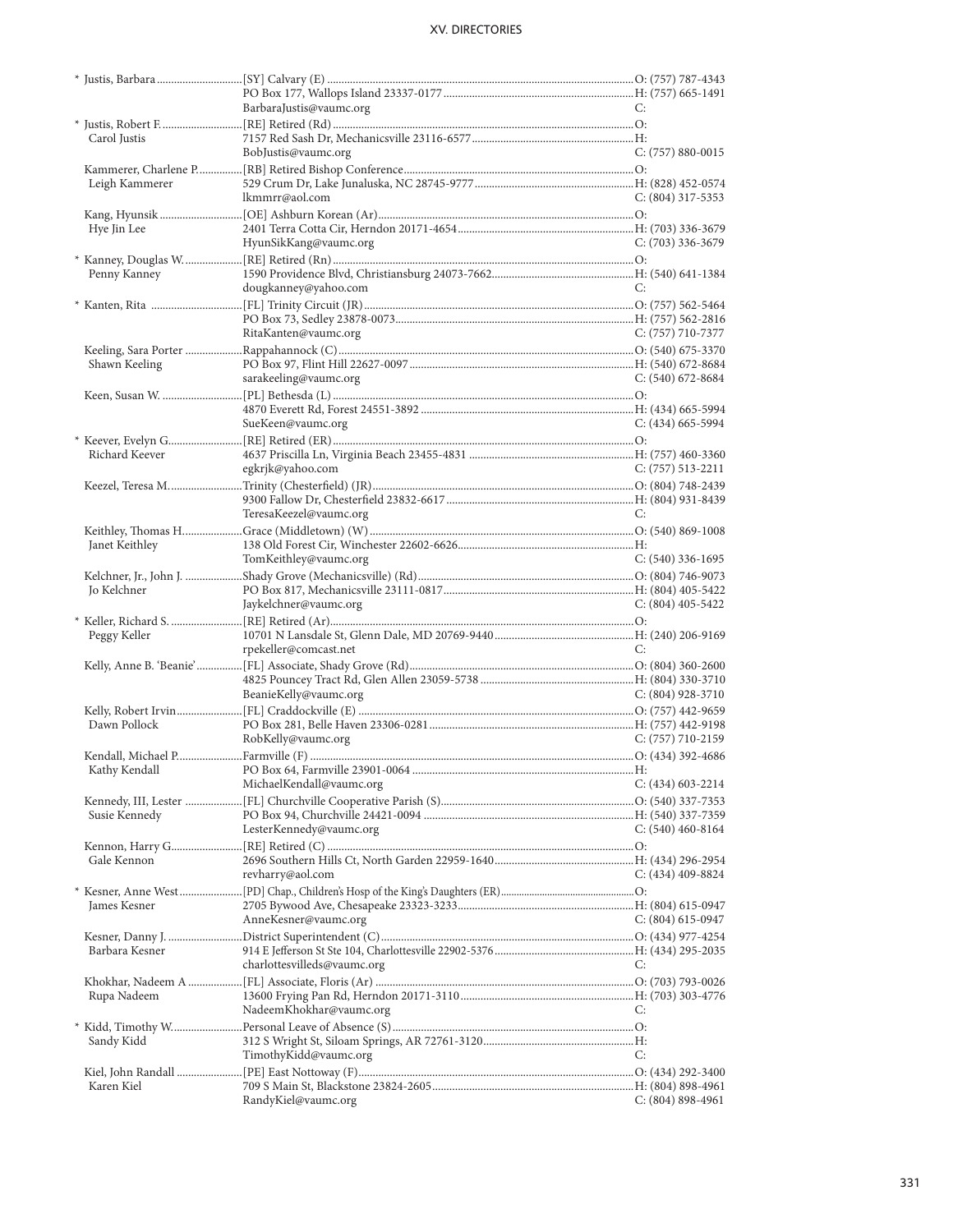|                | BarbaraJustis@vaumc.org     | C:                    |
|----------------|-----------------------------|-----------------------|
|                |                             |                       |
| Carol Justis   |                             |                       |
|                | BobJustis@vaumc.org         | $C: (757) 880 - 0015$ |
|                |                             |                       |
| Leigh Kammerer |                             |                       |
|                | lkmmrr@aol.com              | $C: (804)$ 317-5353   |
|                |                             |                       |
|                |                             |                       |
| Hye Jin Lee    |                             |                       |
|                | HyunSikKang@vaumc.org       | C: (703) 336-3679     |
|                |                             |                       |
| Penny Kanney   |                             |                       |
|                | dougkanney@yahoo.com        | C:                    |
|                |                             |                       |
|                |                             |                       |
|                | RitaKanten@vaumc.org        | C: (757) 710-7377     |
|                |                             |                       |
|                |                             |                       |
| Shawn Keeling  |                             |                       |
|                | sarakeeling@vaumc.org       | $C: (540) 672-8684$   |
|                |                             |                       |
|                |                             |                       |
|                | SueKeen@vaumc.org           | $C: (434)$ 665-5994   |
|                |                             |                       |
| Richard Keever |                             |                       |
|                | egkrjk@yahoo.com            | $C: (757) 513 - 2211$ |
|                |                             |                       |
|                |                             |                       |
|                | TeresaKeezel@vaumc.org      | C:                    |
|                |                             |                       |
|                |                             |                       |
| Janet Keithley |                             |                       |
|                | TomKeithley@vaumc.org       | $C: (540)$ 336-1695   |
|                |                             |                       |
| Jo Kelchner    |                             |                       |
|                | Jaykelchner@vaumc.org       | C: $(804)$ 405-5422   |
|                |                             |                       |
| Peggy Keller   |                             |                       |
|                | rpekeller@comcast.net       | C:                    |
|                |                             |                       |
|                |                             |                       |
|                |                             |                       |
|                | BeanieKelly@vaumc.org       | $C: (804)$ 928-3710   |
|                |                             |                       |
| Dawn Pollock   |                             |                       |
|                | RobKelly@vaumc.org          | $C: (757)$ 710-2159   |
|                |                             |                       |
|                |                             |                       |
|                | MichaelKendall@vaumc.org    | $C: (434)$ 603-2214   |
|                |                             |                       |
| Susie Kennedy  |                             |                       |
|                | LesterKennedy@vaumc.org     |                       |
|                |                             | $C: (540)$ 460-8164   |
|                |                             |                       |
| Gale Kennon    |                             |                       |
|                | revharry@aol.com            | C: $(434)$ 409-8824   |
|                |                             |                       |
| James Kesner   |                             |                       |
|                | AnneKesner@vaumc.org        | $C: (804) 615-0947$   |
|                |                             |                       |
| Barbara Kesner |                             |                       |
|                | charlottesvilleds@vaumc.org | C:                    |
|                |                             |                       |
|                |                             |                       |
| Rupa Nadeem    |                             |                       |
|                | NadeemKhokhar@vaumc.org     | C:                    |
|                |                             |                       |
| Sandy Kidd     |                             |                       |
|                | TimothyKidd@vaumc.org       | C:                    |
|                |                             |                       |
| Karen Kiel     |                             |                       |
|                | RandyKiel@vaumc.org         | $C: (804) 898-4961$   |
|                |                             |                       |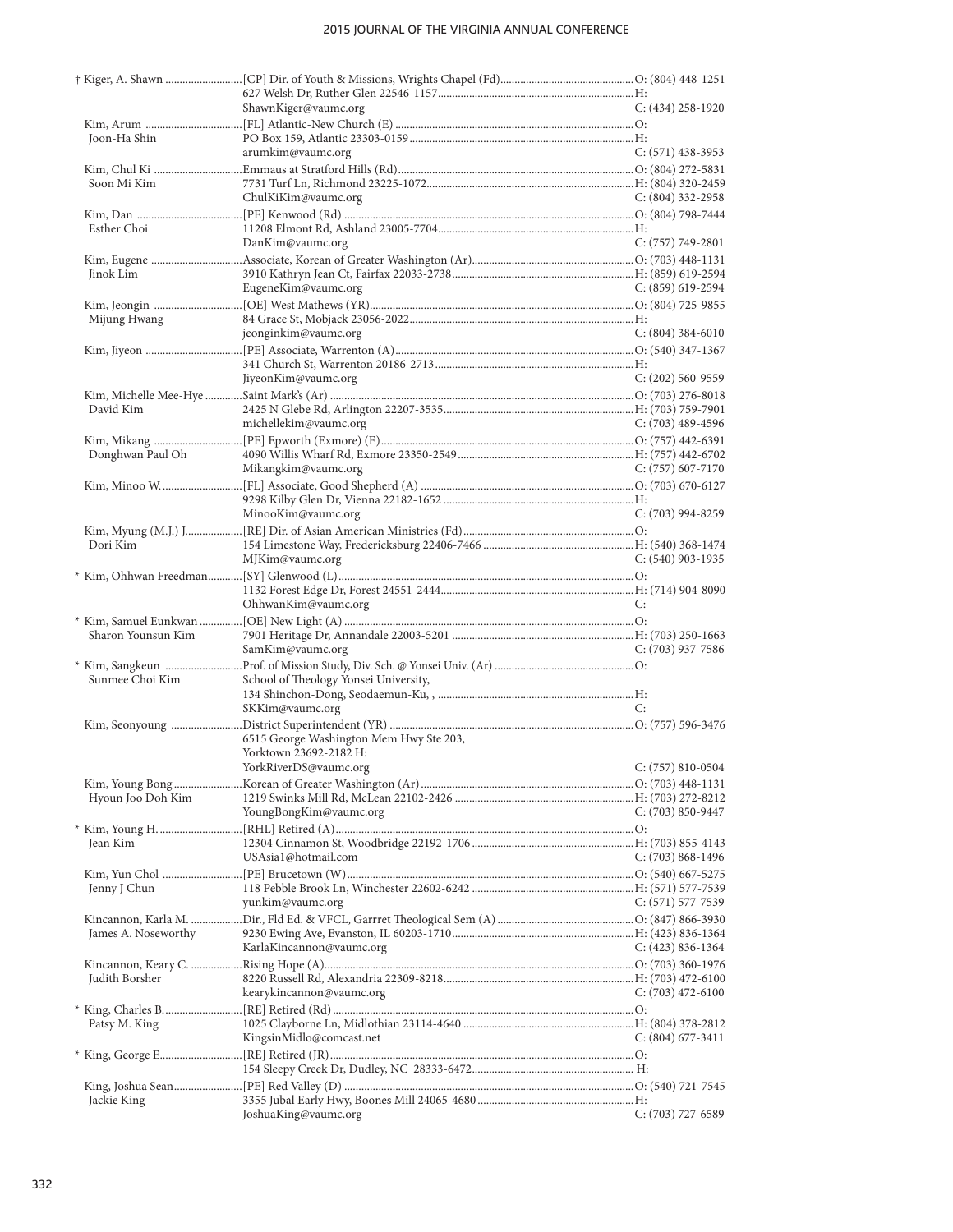|                     | ShawnKiger@vaumc.org                    | $C: (434)$ 258-1920   |
|---------------------|-----------------------------------------|-----------------------|
|                     |                                         |                       |
| Joon-Ha Shin        |                                         |                       |
|                     | arumkim@vaumc.org                       | $C: (571)$ 438-3953   |
|                     |                                         |                       |
| Soon Mi Kim         |                                         |                       |
|                     | ChulKiKim@vaumc.org                     | $C: (804)$ 332-2958   |
|                     |                                         |                       |
| Esther Choi         |                                         |                       |
|                     | DanKim@vaumc.org                        | $C: (757) 749-2801$   |
|                     |                                         |                       |
| Jinok Lim           |                                         |                       |
|                     | EugeneKim@vaumc.org                     | $C: (859)$ 619-2594   |
|                     |                                         |                       |
| Mijung Hwang        |                                         |                       |
|                     | jeonginkim@vaumc.org                    | $C: (804)$ 384-6010   |
|                     |                                         |                       |
|                     |                                         |                       |
|                     | JiyeonKim@vaumc.org                     | $C: (202)$ 560-9559   |
|                     |                                         |                       |
| David Kim           |                                         |                       |
|                     | michellekim@vaumc.org                   | C: $(703)$ 489-4596   |
|                     |                                         |                       |
| Donghwan Paul Oh    |                                         |                       |
|                     | Mikangkim@vaumc.org                     | $C: (757)$ 607-7170   |
|                     |                                         |                       |
|                     |                                         |                       |
|                     | MinooKim@vaumc.org                      | $C: (703)$ 994-8259   |
|                     |                                         |                       |
| Dori Kim            |                                         |                       |
|                     | MJKim@vaumc.org                         | $C: (540)$ 903-1935   |
|                     |                                         |                       |
|                     |                                         |                       |
|                     | OhhwanKim@vaumc.org                     | C:                    |
|                     |                                         |                       |
|                     |                                         |                       |
| Sharon Younsun Kim  |                                         |                       |
|                     | SamKim@vaumc.org                        | $C: (703)$ 937-7586   |
|                     |                                         |                       |
| Sunmee Choi Kim     | School of Theology Yonsei University,   |                       |
|                     |                                         |                       |
|                     | SKKim@vaumc.org                         | C:                    |
|                     |                                         |                       |
|                     | 6515 George Washington Mem Hwy Ste 203, |                       |
|                     | Yorktown 23692-2182 H:                  |                       |
|                     | YorkRiverDS@vaumc.org                   | C: (757) 810-0504     |
|                     |                                         |                       |
| Hyoun Joo Doh Kim   |                                         |                       |
|                     | YoungBongKim@vaumc.org                  | $C: (703) 850 - 9447$ |
|                     |                                         |                       |
| Jean Kim            |                                         |                       |
|                     | USAsia1@hotmail.com                     | C: (703) 868-1496     |
|                     |                                         |                       |
| Jenny J Chun        |                                         |                       |
|                     | yunkim@vaumc.org                        | $C: (571) 577-7539$   |
|                     |                                         |                       |
| James A. Noseworthy |                                         |                       |
|                     | KarlaKincannon@vaumc.org                | $C: (423) 836 - 1364$ |
|                     |                                         |                       |
| Judith Borsher      |                                         |                       |
|                     | kearykincannon@vaumc.org                | $C: (703)$ 472-6100   |
|                     |                                         |                       |
| Patsy M. King       |                                         |                       |
|                     | KingsinMidlo@comcast.net                | $C: (804)$ 677-3411   |
|                     |                                         |                       |
|                     |                                         |                       |
|                     |                                         |                       |
| Jackie King         |                                         |                       |
|                     |                                         |                       |
|                     | JoshuaKing@vaumc.org                    | C: (703) 727-6589     |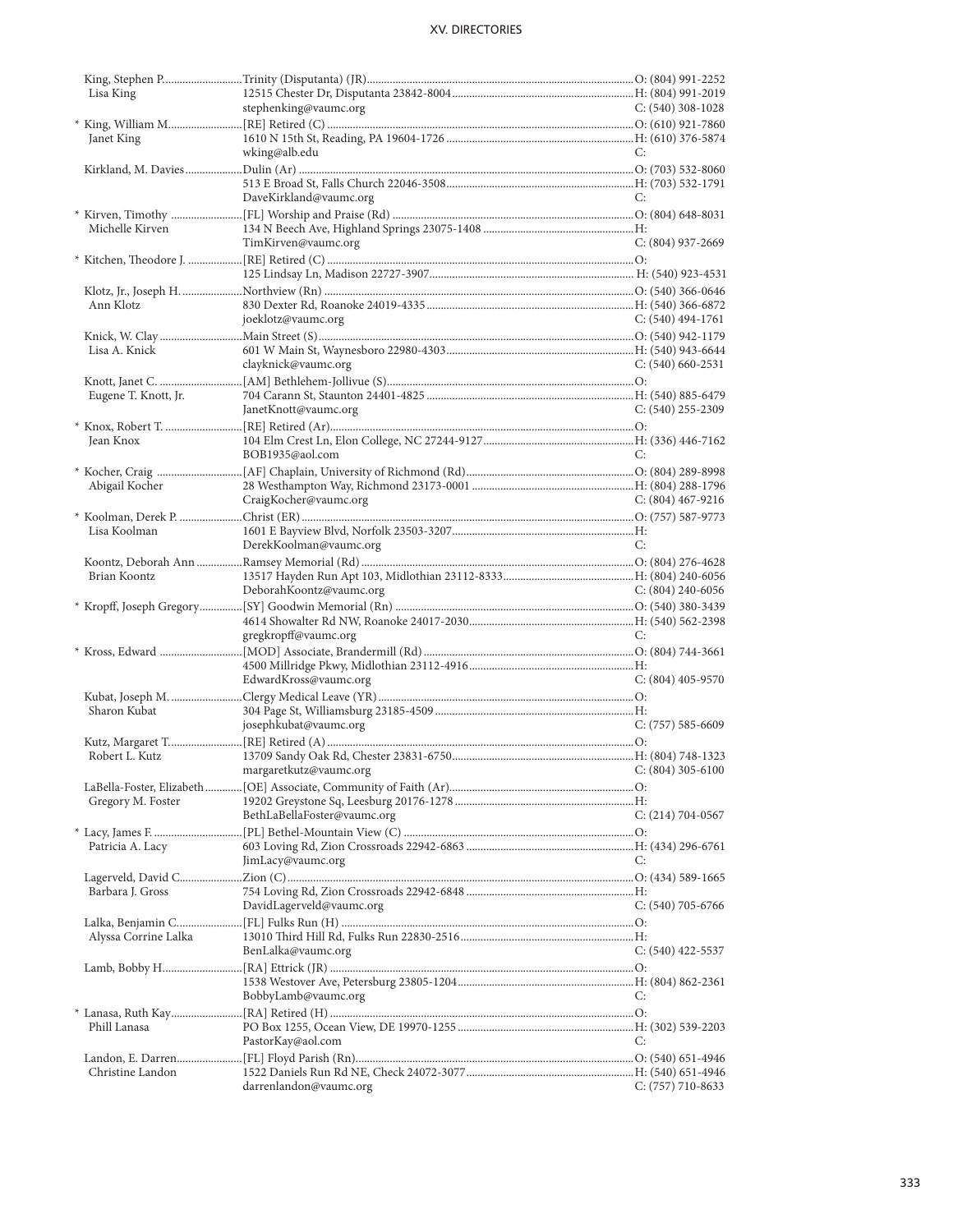| Lisa King            |                             |                     |
|----------------------|-----------------------------|---------------------|
|                      | stephenking@vaumc.org       | $C: (540)$ 308-1028 |
|                      |                             |                     |
|                      |                             |                     |
| Janet King           |                             |                     |
|                      | wking@alb.edu               | C:                  |
|                      |                             |                     |
|                      |                             |                     |
|                      | DaveKirkland@vaumc.org      | C:                  |
|                      |                             |                     |
| Michelle Kirven      |                             |                     |
|                      |                             | C: (804) 937-2669   |
|                      | TimKirven@vaumc.org         |                     |
|                      |                             |                     |
|                      |                             |                     |
|                      |                             |                     |
| Ann Klotz            |                             |                     |
|                      | joeklotz@vaumc.org          | C: $(540)$ 494-1761 |
|                      |                             |                     |
|                      |                             |                     |
| Lisa A. Knick        |                             |                     |
|                      | clayknick@vaumc.org         | $C: (540)$ 660-2531 |
|                      |                             |                     |
| Eugene T. Knott, Jr. |                             |                     |
|                      | JanetKnott@vaumc.org        | $C: (540)$ 255-2309 |
|                      |                             |                     |
|                      |                             |                     |
| Jean Knox            |                             |                     |
|                      | BOB1935@aol.com             | C:                  |
|                      |                             |                     |
| Abigail Kocher       |                             |                     |
|                      | CraigKocher@vaumc.org       | C: $(804)$ 467-9216 |
|                      |                             |                     |
|                      |                             |                     |
| Lisa Koolman         |                             |                     |
|                      | DerekKoolman@vaumc.org      | C:                  |
|                      |                             |                     |
| Brian Koontz         |                             |                     |
|                      | DeborahKoontz@vaumc.org     | C: $(804)$ 240-6056 |
|                      |                             |                     |
|                      |                             |                     |
|                      |                             |                     |
|                      | gregkropff@vaumc.org        | C:                  |
|                      |                             |                     |
|                      |                             |                     |
|                      | EdwardKross@vaumc.org       | $C: (804)$ 405-9570 |
|                      |                             |                     |
|                      |                             |                     |
| Sharon Kubat         |                             |                     |
|                      | josephkubat@vaumc.org       | C: (757) 585-6609   |
|                      |                             |                     |
| Robert L. Kutz       |                             |                     |
|                      | margaretkutz@vaumc.org      | $C: (804) 305-6100$ |
|                      |                             |                     |
|                      |                             |                     |
| Gregory M. Foster    |                             |                     |
|                      | BethLaBellaFoster@vaumc.org | $C: (214) 704-0567$ |
|                      |                             |                     |
| Patricia A. Lacy     |                             |                     |
|                      | JimLacy@vaumc.org           | C:                  |
|                      |                             |                     |
|                      |                             |                     |
| Barbara J. Gross     |                             |                     |
|                      | DavidLagerveld@vaumc.org    | $C: (540)$ 705-6766 |
|                      |                             |                     |
| Alyssa Corrine Lalka |                             |                     |
|                      | BenLalka@vaumc.org          |                     |
|                      |                             | $C: (540)$ 422-5537 |
|                      |                             |                     |
|                      |                             |                     |
|                      | BobbyLamb@vaumc.org         | C:                  |
|                      |                             |                     |
| Phill Lanasa         |                             |                     |
|                      |                             |                     |
|                      | PastorKay@aol.com           | C:                  |
|                      |                             |                     |
| Christine Landon     |                             |                     |
|                      | darrenlandon@vaumc.org      | $C: (757)$ 710-8633 |
|                      |                             |                     |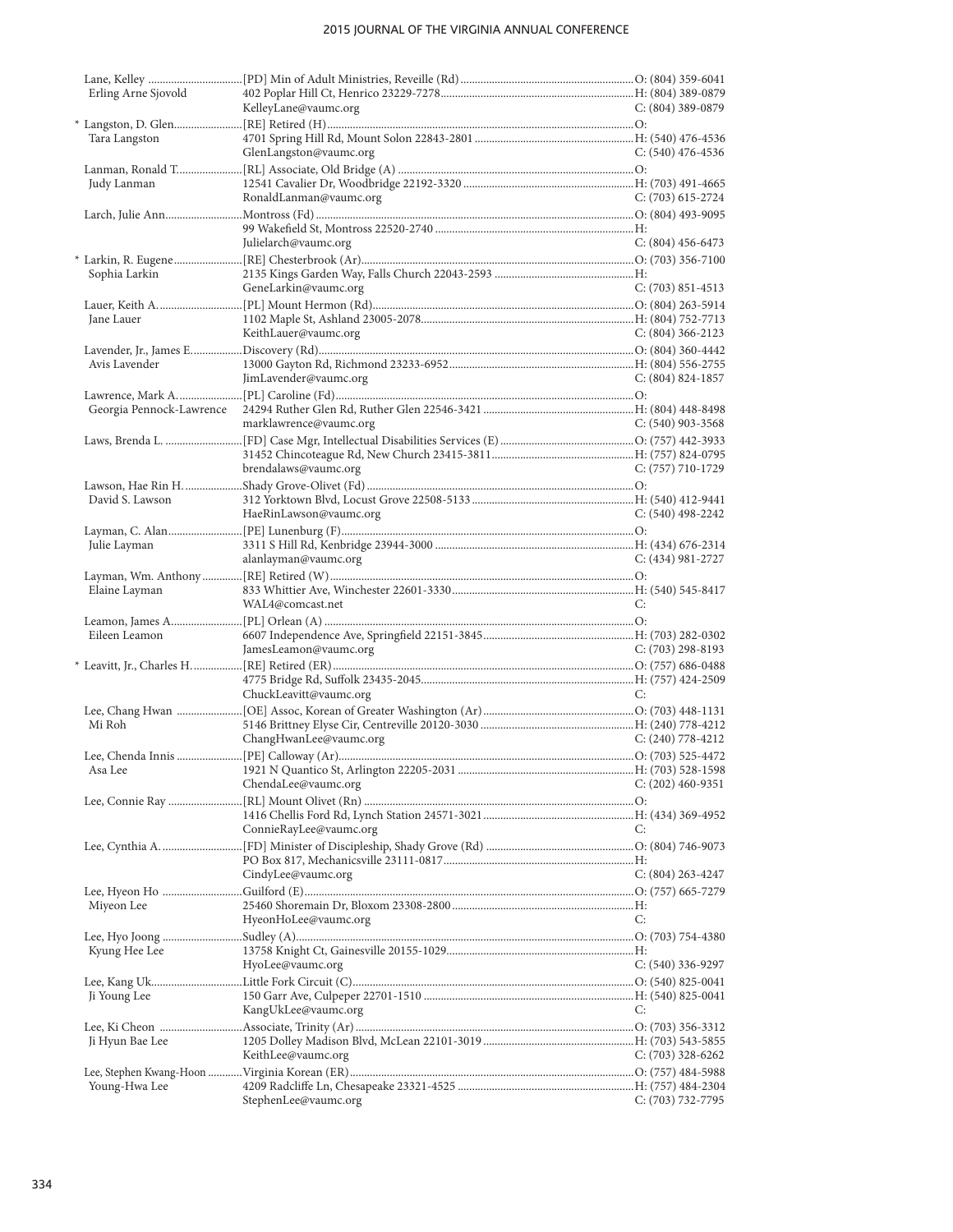| Erling Arne Sjovold      |                        |                     |
|--------------------------|------------------------|---------------------|
|                          | KelleyLane@vaumc.org   | $C: (804)$ 389-0879 |
|                          |                        |                     |
| Tara Langston            |                        |                     |
|                          | GlenLangston@vaumc.org | C: $(540)$ 476-4536 |
|                          |                        |                     |
| Judy Lanman              |                        |                     |
|                          | RonaldLanman@vaumc.org | C: $(703)$ 615-2724 |
|                          |                        |                     |
|                          |                        |                     |
|                          |                        |                     |
|                          | Julielarch@vaumc.org   | C: $(804)$ 456-6473 |
|                          |                        |                     |
| Sophia Larkin            |                        |                     |
|                          | GeneLarkin@vaumc.org   | C: $(703)$ 851-4513 |
|                          |                        |                     |
| Jane Lauer               |                        |                     |
|                          | KeithLauer@vaumc.org   | C: $(804)$ 366-2123 |
|                          |                        |                     |
| Avis Lavender            |                        |                     |
|                          | JimLavender@vaumc.org  | $C: (804) 824-1857$ |
|                          |                        |                     |
| Georgia Pennock-Lawrence |                        |                     |
|                          | marklawrence@vaumc.org | C: $(540)$ 903-3568 |
|                          |                        |                     |
|                          |                        |                     |
|                          | brendalaws@vaumc.org   | C: (757) 710-1729   |
|                          |                        |                     |
|                          |                        |                     |
| David S. Lawson          |                        |                     |
|                          | HaeRinLawson@vaumc.org | C: $(540)$ 498-2242 |
|                          |                        |                     |
| Julie Layman             |                        |                     |
|                          | alanlayman@vaumc.org   | C: $(434)$ 981-2727 |
|                          |                        |                     |
| Elaine Layman            |                        |                     |
|                          | WAL4@comcast.net       | C:                  |
|                          |                        |                     |
| Eileen Leamon            |                        |                     |
|                          | JamesLeamon@vaumc.org  | C: $(703)$ 298-8193 |
|                          |                        |                     |
|                          |                        |                     |
|                          | ChuckLeavitt@vaumc.org | C:                  |
|                          |                        |                     |
| Mi Roh                   |                        |                     |
|                          | ChangHwanLee@vaumc.org | C: $(240)$ 778-4212 |
|                          |                        |                     |
| Asa Lee                  |                        |                     |
|                          |                        |                     |
|                          | ChendaLee@vaumc.org    | C: $(202)$ 460-9351 |
|                          |                        |                     |
|                          |                        |                     |
|                          |                        | C:                  |
|                          | ConnieRayLee@vaumc.org |                     |
|                          |                        |                     |
|                          |                        |                     |
|                          | CindyLee@vaumc.org     | $C: (804)$ 263-4247 |
|                          |                        |                     |
| Miyeon Lee               |                        |                     |
|                          | HyeonHoLee@vaumc.org   | C:                  |
|                          |                        |                     |
| Kyung Hee Lee            |                        |                     |
|                          | HyoLee@vaumc.org       | $C: (540)$ 336-9297 |
|                          |                        |                     |
| Ji Young Lee             |                        |                     |
|                          | KangUkLee@vaumc.org    | C:                  |
|                          |                        |                     |
| Ji Hyun Bae Lee          |                        |                     |
|                          | KeithLee@vaumc.org     | C: $(703)$ 328-6262 |
|                          |                        |                     |
| Young-Hwa Lee            | StephenLee@vaumc.org   | $C: (703) 732-7795$ |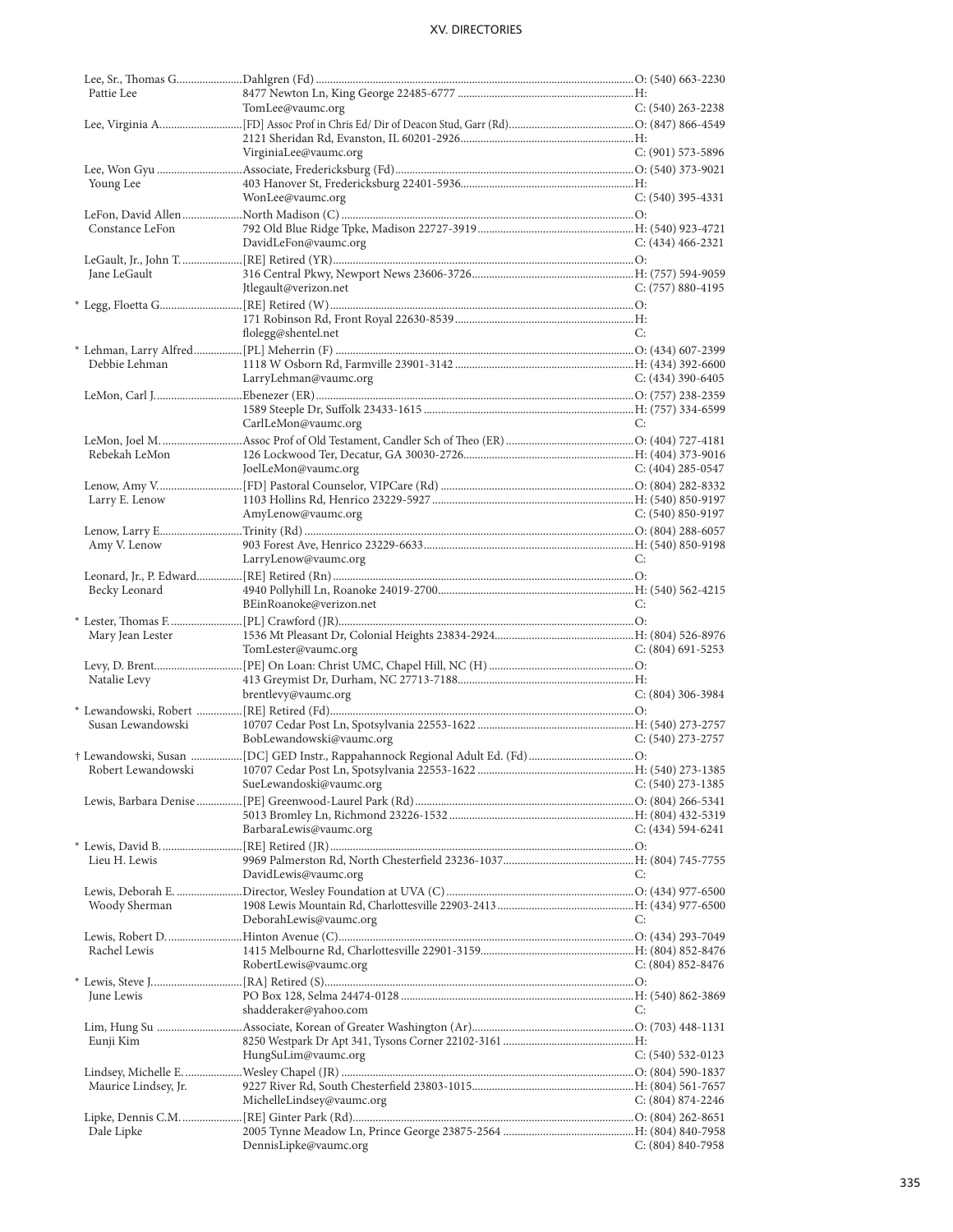| Pattie Lee           |                           |                       |
|----------------------|---------------------------|-----------------------|
|                      | TomLee@vaumc.org          | $C: (540)$ 263-2238   |
|                      |                           |                       |
|                      |                           |                       |
|                      | VirginiaLee@vaumc.org     | $C: (901) 573-5896$   |
|                      |                           |                       |
|                      |                           |                       |
| Young Lee            |                           |                       |
|                      | WonLee@vaumc.org          | $C: (540)$ 395-4331   |
|                      |                           |                       |
| Constance LeFon      |                           |                       |
|                      | DavidLeFon@vaumc.org      | $C: (434)$ 466-2321   |
|                      |                           |                       |
| Jane LeGault         |                           |                       |
|                      | Jtlegault@verizon.net     | $C: (757) 880 - 4195$ |
|                      |                           |                       |
|                      |                           |                       |
|                      | flolegg@shentel.net       | C:                    |
|                      |                           |                       |
|                      |                           |                       |
| Debbie Lehman        |                           |                       |
|                      | LarryLehman@vaumc.org     | $C: (434)$ 390-6405   |
|                      |                           |                       |
|                      |                           |                       |
|                      | CarlLeMon@vaumc.org       | C:                    |
|                      |                           |                       |
| Rebekah LeMon        |                           |                       |
|                      | JoelLeMon@vaumc.org       | C: $(404)$ 285-0547   |
|                      |                           |                       |
|                      |                           |                       |
| Larry E. Lenow       |                           |                       |
|                      | AmyLenow@vaumc.org        | $C: (540) 850 - 9197$ |
|                      |                           |                       |
| Amy V. Lenow         |                           |                       |
|                      | LarryLenow@vaumc.org      | C:                    |
|                      |                           |                       |
| Becky Leonard        |                           |                       |
|                      | BEinRoanoke@verizon.net   | C:                    |
|                      |                           |                       |
| Mary Jean Lester     |                           |                       |
|                      | TomLester@vaumc.org       | $C: (804)$ 691-5253   |
|                      |                           |                       |
| Natalie Levy         |                           |                       |
|                      | brentlevy@vaumc.org       | $C: (804)$ 306-3984   |
|                      |                           |                       |
| Susan Lewandowski    |                           |                       |
|                      | BobLewandowski@vaumc.org  | $C: (540)$ 273-2757   |
|                      |                           |                       |
|                      |                           |                       |
|                      |                           |                       |
|                      | SueLewandoski@vaumc.org   | $C: (540)$ 273-1385   |
|                      |                           |                       |
|                      |                           |                       |
|                      | BarbaraLewis@vaumc.org    | $C: (434) 594-6241$   |
|                      |                           |                       |
| Lieu H. Lewis        |                           |                       |
|                      | DavidLewis@vaumc.org      | C:                    |
|                      |                           |                       |
| Woody Sherman        |                           |                       |
|                      | DeborahLewis@vaumc.org    | C:                    |
|                      |                           |                       |
|                      |                           |                       |
| Rachel Lewis         |                           |                       |
|                      | RobertLewis@vaumc.org     | $C: (804) 852 - 8476$ |
|                      |                           |                       |
| June Lewis           |                           |                       |
|                      | shadderaker@yahoo.com     | C:                    |
|                      |                           |                       |
| Eunji Kim            |                           |                       |
|                      | HungSuLim@vaumc.org       | $C: (540) 532-0123$   |
|                      |                           |                       |
| Maurice Lindsey, Jr. |                           |                       |
|                      | MichelleLindsey@vaumc.org | $C: (804) 874-2246$   |
|                      |                           |                       |
| Dale Lipke           |                           |                       |
|                      | DennisLipke@vaumc.org     | C: (804) 840-7958     |
|                      |                           |                       |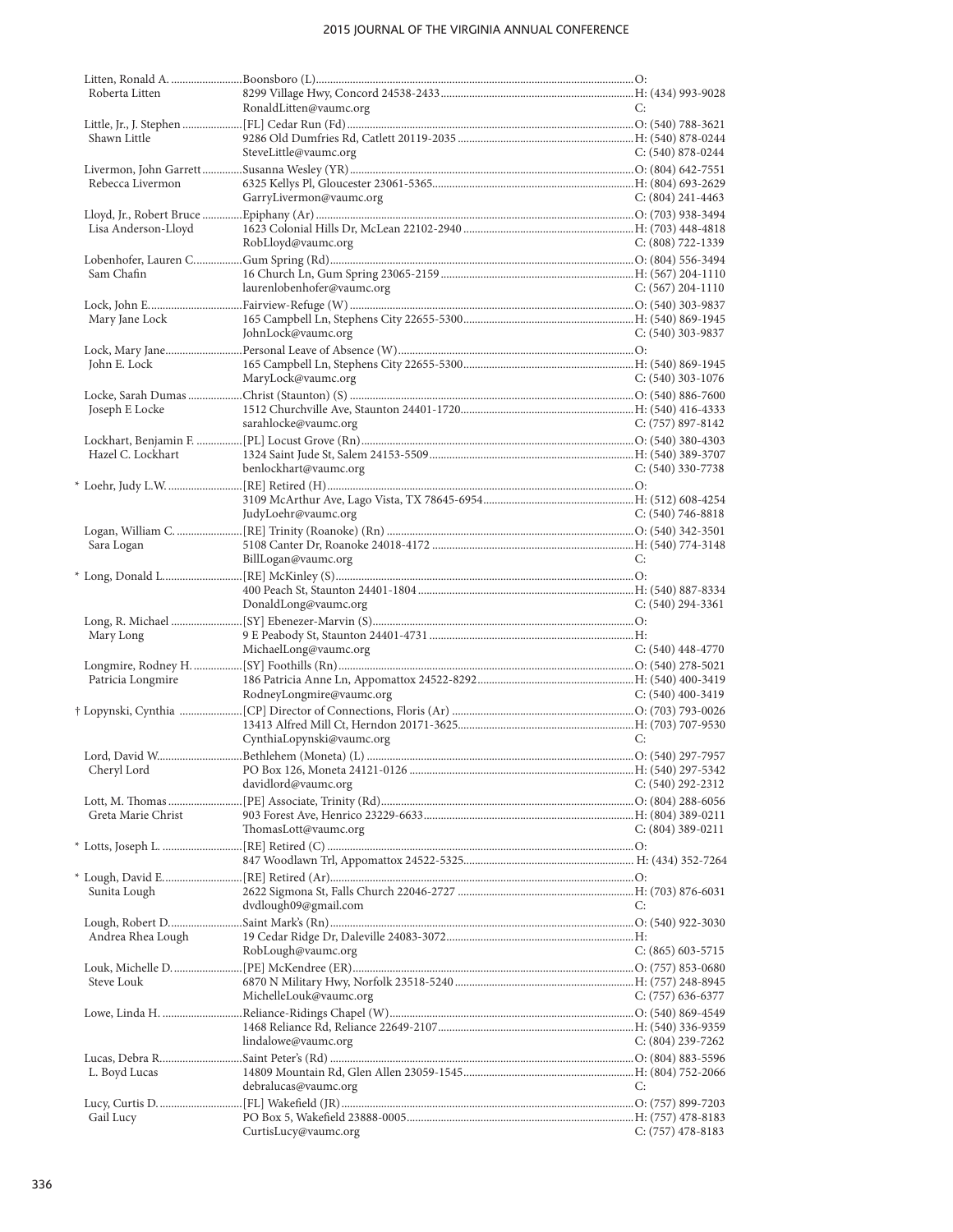| Roberta Litten      |                            | C:                  |
|---------------------|----------------------------|---------------------|
|                     | RonaldLitten@vaumc.org     |                     |
|                     |                            |                     |
| Shawn Little        |                            |                     |
|                     | SteveLittle@vaumc.org      | C: $(540)$ 878-0244 |
|                     |                            |                     |
| Rebecca Livermon    |                            |                     |
|                     | GarryLivermon@vaumc.org    | C: $(804)$ 241-4463 |
|                     |                            |                     |
| Lisa Anderson-Lloyd |                            |                     |
|                     | RobLloyd@vaumc.org         | C: $(808)$ 722-1339 |
|                     |                            |                     |
| Sam Chafin          |                            |                     |
|                     | laurenlobenhofer@vaumc.org | C: $(567)$ 204-1110 |
|                     |                            |                     |
| Mary Jane Lock      |                            |                     |
|                     | JohnLock@vaumc.org         | $C: (540)$ 303-9837 |
|                     |                            |                     |
| John E. Lock        |                            |                     |
|                     | MaryLock@vaumc.org         | C: $(540)$ 303-1076 |
|                     |                            |                     |
| Joseph E Locke      |                            |                     |
|                     | sarahlocke@vaumc.org       | C: (757) 897-8142   |
|                     |                            |                     |
| Hazel C. Lockhart   |                            |                     |
|                     | benlockhart@vaumc.org      | C: $(540)$ 330-7738 |
|                     |                            |                     |
|                     |                            |                     |
|                     |                            |                     |
|                     | JudyLoehr@vaumc.org        | C: $(540)$ 746-8818 |
|                     |                            |                     |
| Sara Logan          |                            |                     |
|                     | BillLogan@vaumc.org        | C:                  |
|                     |                            |                     |
|                     |                            |                     |
|                     | DonaldLong@vaumc.org       | $C: (540)$ 294-3361 |
|                     |                            |                     |
| Mary Long           |                            |                     |
|                     | MichaelLong@vaumc.org      | $C: (540)$ 448-4770 |
|                     |                            |                     |
| Patricia Longmire   |                            |                     |
|                     | RodneyLongmire@vaumc.org   | C: $(540)$ 400-3419 |
|                     |                            |                     |
|                     |                            |                     |
|                     | CynthiaLopynski@vaumc.org  | C:                  |
|                     |                            |                     |
|                     |                            |                     |
|                     | davidlord@vaumc.org        | $C: (540)$ 292-2312 |
|                     |                            |                     |
| Greta Marie Christ  |                            |                     |
|                     | ThomasLott@vaumc.org       | $C: (804)$ 389-0211 |
|                     |                            |                     |
|                     |                            |                     |
|                     |                            |                     |
|                     |                            |                     |
| Sunita Lough        |                            |                     |
|                     | dvdlough09@gmail.com       | C:                  |
|                     |                            |                     |
| Andrea Rhea Lough   |                            |                     |
|                     | RobLough@vaumc.org         | $C: (865)$ 603-5715 |
|                     |                            |                     |
| Steve Louk          |                            |                     |
|                     | MichelleLouk@vaumc.org     | $C: (757)$ 636-6377 |
|                     |                            |                     |
|                     |                            |                     |
|                     | lindalowe@vaumc.org        | $C: (804)$ 239-7262 |
|                     |                            |                     |
| L. Boyd Lucas       |                            |                     |
|                     | debralucas@vaumc.org       | C:                  |
|                     |                            |                     |
| Gail Lucy           |                            |                     |
|                     | CurtisLucy@vaumc.org       | $C: (757)$ 478-8183 |
|                     |                            |                     |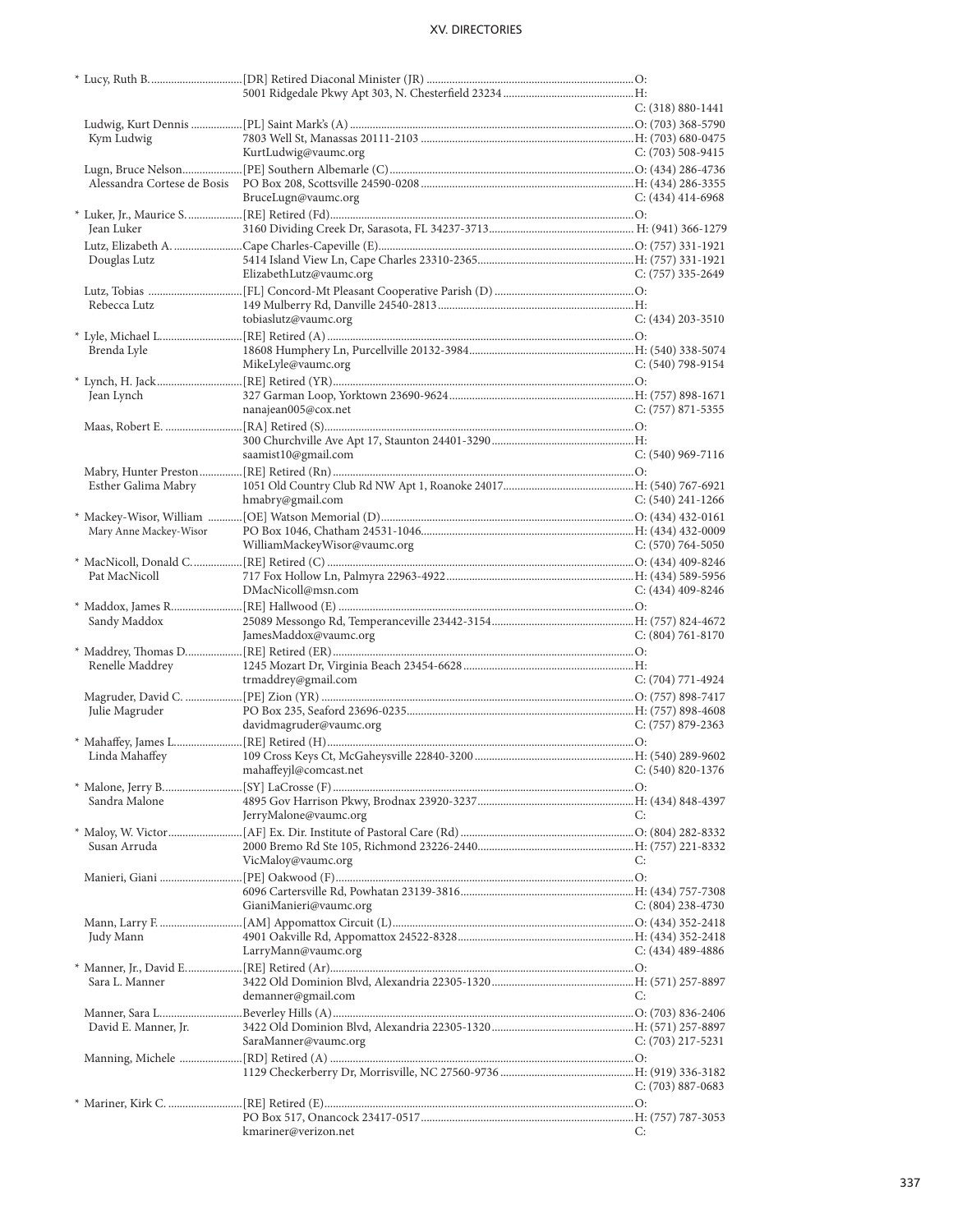## XV. DIRECTORIES

|                        |                              | $C: (318) 880 - 1441$ |
|------------------------|------------------------------|-----------------------|
|                        |                              |                       |
| Kym Ludwig             |                              |                       |
|                        | KurtLudwig@vaumc.org         | $C: (703)$ 508-9415   |
|                        |                              |                       |
|                        |                              |                       |
|                        | BruceLugn@vaumc.org          | $C: (434)$ 414-6968   |
|                        |                              |                       |
| Jean Luker             |                              |                       |
|                        |                              |                       |
| Douglas Lutz           |                              |                       |
|                        | ElizabethLutz@vaumc.org      | C: $(757)$ 335-2649   |
|                        |                              |                       |
| Rebecca Lutz           |                              |                       |
|                        | tobiaslutz@vaumc.org         | $C: (434)$ 203-3510   |
|                        |                              |                       |
| Brenda Lyle            |                              |                       |
|                        | MikeLyle@vaumc.org           | $C: (540) 798-9154$   |
|                        |                              |                       |
|                        |                              |                       |
| Jean Lynch             |                              |                       |
|                        | nanajean005@cox.net          | $C: (757) 871 - 5355$ |
|                        |                              |                       |
|                        |                              |                       |
|                        | saamist10@gmail.com          | $C: (540)$ 969-7116   |
|                        |                              |                       |
| Esther Galima Mabry    |                              |                       |
|                        | hmabry@gmail.com             | $C: (540)$ 241-1266   |
|                        |                              |                       |
| Mary Anne Mackey-Wisor |                              |                       |
|                        | WilliamMackeyWisor@vaumc.org | C: $(570)$ 764-5050   |
|                        |                              |                       |
| Pat MacNicoll          |                              |                       |
|                        | DMacNicoll@msn.com           | $C: (434)$ 409-8246   |
|                        |                              |                       |
|                        |                              |                       |
| Sandy Maddox           |                              |                       |
|                        | JamesMaddox@vaumc.org        | $C: (804) 761-8170$   |
|                        |                              |                       |
| Renelle Maddrey        |                              |                       |
|                        | trmaddrey@gmail.com          | $C: (704) 771-4924$   |
|                        |                              |                       |
|                        |                              |                       |
| Julie Magruder         | davidmagruder@vaumc.org      | $C: (757) 879 - 2363$ |
|                        |                              |                       |
|                        |                              |                       |
| Linda Mahaffey         |                              |                       |
|                        | mahaffevil@comcast.net       | $C: (540) 820-1376$   |
|                        |                              |                       |
| Sandra Malone          |                              |                       |
|                        | JerryMalone@vaumc.org        | C:                    |
|                        |                              |                       |
| Susan Arruda           |                              |                       |
|                        | VicMaloy@vaumc.org           | C:                    |
|                        |                              |                       |
|                        |                              |                       |
|                        | GianiManieri@vaumc.org       | C: (804) 238-4730     |
|                        |                              |                       |
| Judy Mann              |                              |                       |
|                        | LarryMann@vaumc.org          | C: $(434)$ 489-4886   |
|                        |                              |                       |
| Sara L. Manner         |                              |                       |
|                        | demanner@gmail.com           | C:                    |
|                        |                              |                       |
| David E. Manner, Jr.   |                              |                       |
|                        | SaraManner@vaumc.org         | $C: (703)$ 217-5231   |
|                        |                              |                       |
|                        |                              |                       |
|                        |                              | $C: (703) 887-0683$   |
|                        |                              |                       |
|                        |                              |                       |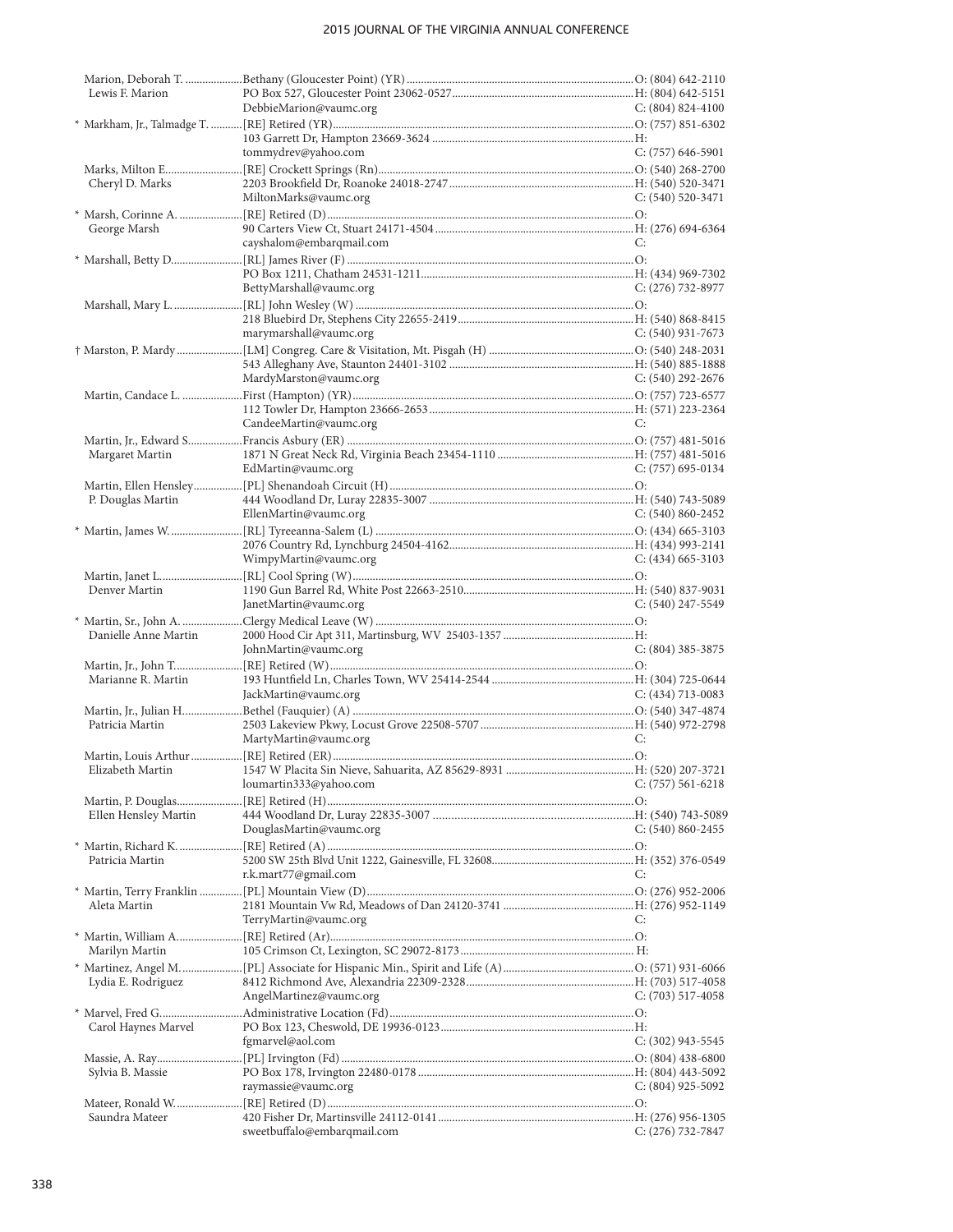| Lewis F. Marion      |                             |                       |
|----------------------|-----------------------------|-----------------------|
|                      | DebbieMarion@vaumc.org      | $C: (804) 824-4100$   |
|                      | tommydrev@yahoo.com         | $C: (757)$ 646-5901   |
|                      |                             |                       |
| Cheryl D. Marks      | MiltonMarks@vaumc.org       | $C: (540) 520 - 3471$ |
|                      |                             |                       |
| George Marsh         | cayshalom@embarqmail.com    | C:                    |
|                      |                             |                       |
|                      | BettyMarshall@vaumc.org     | $C: (276)$ 732-8977   |
|                      |                             |                       |
|                      |                             |                       |
|                      | marymarshall@vaumc.org      | $C: (540)$ 931-7673   |
|                      |                             |                       |
|                      |                             |                       |
|                      | MardyMarston@vaumc.org      | $C: (540)$ 292-2676   |
|                      |                             |                       |
|                      |                             |                       |
|                      | CandeeMartin@vaumc.org      | C:                    |
|                      |                             |                       |
| Margaret Martin      |                             |                       |
|                      | EdMartin@vaumc.org          | $C: (757)$ 695-0134   |
|                      |                             |                       |
| P. Douglas Martin    |                             |                       |
|                      | EllenMartin@vaumc.org       | $C: (540) 860 - 2452$ |
|                      |                             |                       |
|                      | WimpyMartin@vaumc.org       | $C: (434)$ 665-3103   |
|                      |                             |                       |
| Denver Martin        |                             |                       |
|                      | JanetMartin@vaumc.org       | $C: (540)$ 247-5549   |
|                      |                             |                       |
| Danielle Anne Martin |                             |                       |
|                      | JohnMartin@vaumc.org        | $C: (804)$ 385-3875   |
|                      |                             |                       |
| Marianne R. Martin   |                             |                       |
|                      | JackMartin@vaumc.org        | $C: (434)$ 713-0083   |
|                      |                             |                       |
| Patricia Martin      |                             |                       |
|                      | MartyMartin@vaumc.org       | C:                    |
| Elizabeth Martin     |                             |                       |
|                      | loumartin333@yahoo.com      | $C: (757) 561-6218$   |
|                      |                             |                       |
| Ellen Hensley Martin |                             |                       |
|                      | DouglasMartin@vaumc.org     | $C: (540) 860 - 2455$ |
|                      |                             |                       |
| Patricia Martin      |                             |                       |
|                      | r.k.mart77@gmail.com        | C:                    |
|                      |                             |                       |
| Aleta Martin         |                             |                       |
|                      | TerryMartin@vaumc.org       | C:                    |
|                      |                             |                       |
| Marilyn Martin       |                             |                       |
|                      |                             |                       |
| Lydia E. Rodriguez   |                             |                       |
|                      | AngelMartinez@vaumc.org     | $C: (703)$ 517-4058   |
|                      |                             |                       |
| Carol Haynes Marvel  | fgmarvel@aol.com            | $C: (302)$ 943-5545   |
|                      |                             |                       |
| Sylvia B. Massie     |                             |                       |
|                      | raymassie@vaumc.org         | $C: (804)$ 925-5092   |
|                      |                             |                       |
| Saundra Mateer       |                             |                       |
|                      | sweetbuffalo@embarqmail.com | $C: (276) 732-7847$   |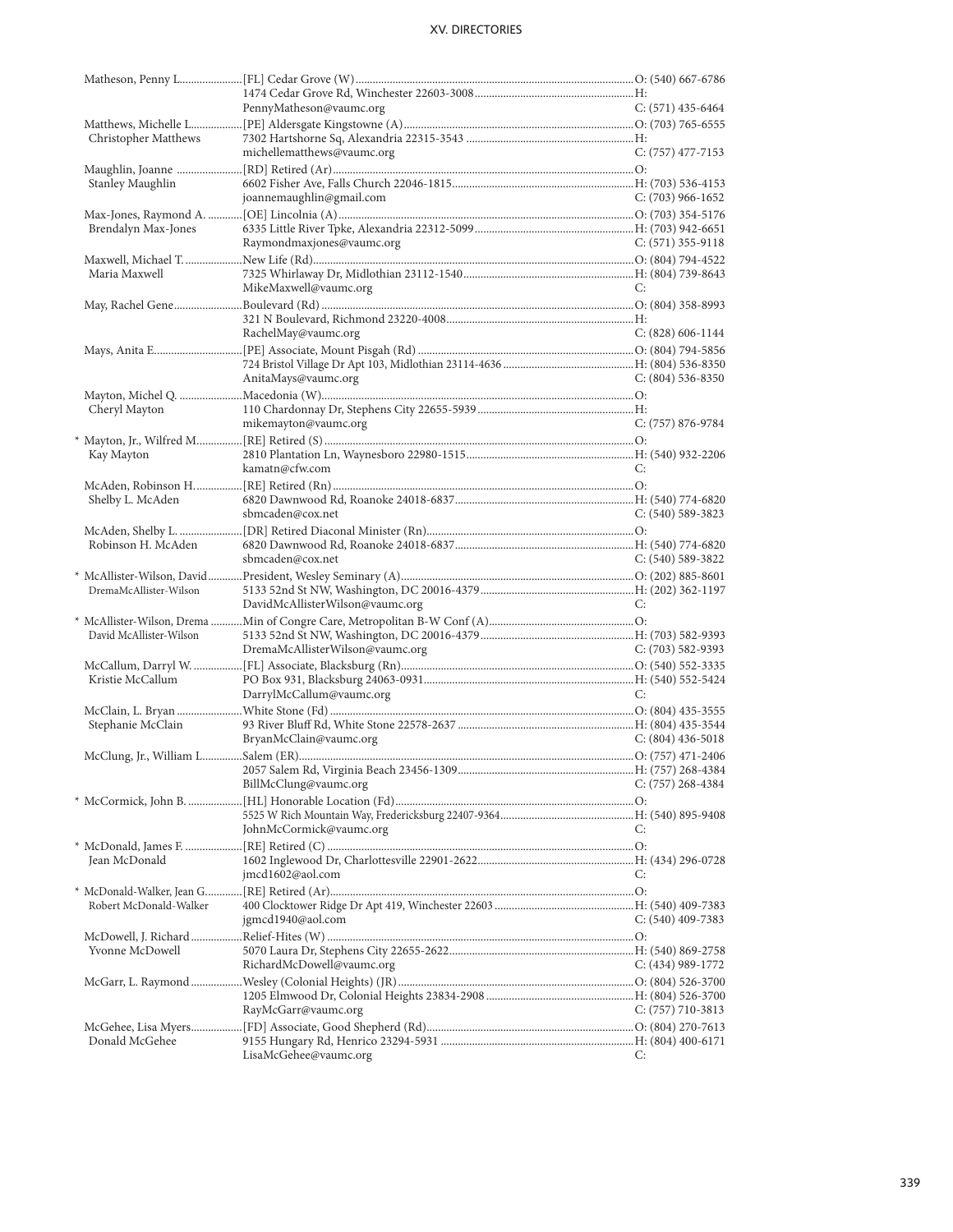|                         | PennyMatheson@vaumc.org         | $C: (571)$ 435-6464 |
|-------------------------|---------------------------------|---------------------|
|                         |                                 |                     |
| Christopher Matthews    |                                 |                     |
|                         | michellematthews@vaumc.org      | $C: (757)$ 477-7153 |
|                         |                                 |                     |
| Stanley Maughlin        |                                 |                     |
|                         | joannemaughlin@gmail.com        | C: $(703)$ 966-1652 |
|                         |                                 |                     |
| Brendalyn Max-Jones     |                                 |                     |
|                         | Raymondmaxjones@vaumc.org       | C: $(571)$ 355-9118 |
|                         |                                 |                     |
| Maria Maxwell           |                                 |                     |
|                         | MikeMaxwell@vaumc.org           | C:                  |
|                         |                                 |                     |
|                         |                                 |                     |
|                         |                                 |                     |
|                         | RachelMay@vaumc.org             | $C: (828) 606-1144$ |
|                         |                                 |                     |
|                         |                                 |                     |
|                         | AnitaMays@vaumc.org             | $C: (804) 536-8350$ |
|                         |                                 |                     |
| Cheryl Mayton           |                                 |                     |
|                         | mikemayton@vaumc.org            | C: (757) 876-9784   |
|                         |                                 |                     |
| Kay Mayton              |                                 |                     |
|                         | kamatn@cfw.com                  | C:                  |
|                         |                                 |                     |
| Shelby L. McAden        |                                 |                     |
|                         | sbmcaden@cox.net                | $C: (540)$ 589-3823 |
|                         |                                 |                     |
| Robinson H. McAden      |                                 |                     |
|                         | sbmcaden@cox.net                |                     |
|                         |                                 | $C: (540) 589-3822$ |
|                         |                                 |                     |
| DremaMcAllister-Wilson  |                                 |                     |
|                         | DavidMcAllisterWilson@vaumc.org | C:                  |
|                         |                                 |                     |
| David McAllister-Wilson |                                 |                     |
|                         | DremaMcAllisterWilson@vaumc.org | $C: (703) 582-9393$ |
|                         |                                 |                     |
| Kristie McCallum        |                                 |                     |
|                         | DarrylMcCallum@vaumc.org        | C:                  |
|                         |                                 |                     |
| Stephanie McClain       |                                 |                     |
|                         | BryanMcClain@vaumc.org          | $C: (804)$ 436-5018 |
|                         |                                 |                     |
|                         |                                 |                     |
|                         | BillMcClung@vaumc.org           | C: (757) 268-4384   |
|                         |                                 |                     |
|                         |                                 |                     |
|                         | JohnMcCormick@vaumc.org         | C:                  |
|                         |                                 |                     |
| Jean McDonald           |                                 |                     |
|                         | jmcd1602@aol.com                | C:                  |
|                         |                                 |                     |
|                         |                                 |                     |
| Robert McDonald-Walker  |                                 |                     |
|                         | jgmcd1940@aol.com               | $C: (540)$ 409-7383 |
|                         |                                 |                     |
| Yvonne McDowell         |                                 |                     |
|                         | RichardMcDowell@vaumc.org       | $C: (434)$ 989-1772 |
|                         |                                 |                     |
|                         |                                 |                     |
|                         | RayMcGarr@vaumc.org             | C: $(757)$ 710-3813 |
|                         |                                 |                     |
| Donald McGehee          |                                 |                     |
|                         | LisaMcGehee@vaumc.org           | C:                  |
|                         |                                 |                     |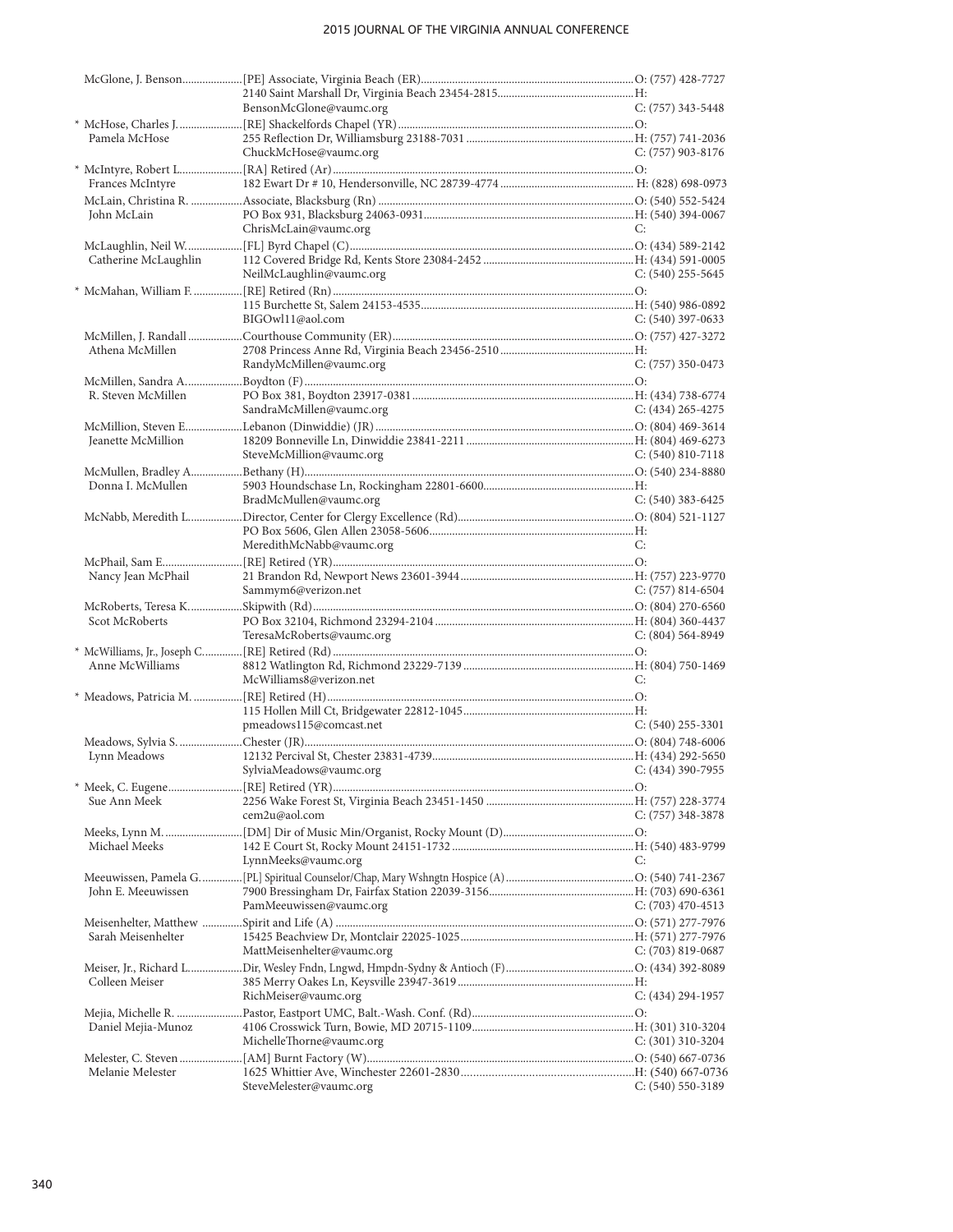|                           |                                                                                                                                                                                                         | $C: (757)$ 343-5448                                                                                                                                                                                                                                                                                                                                      |
|---------------------------|---------------------------------------------------------------------------------------------------------------------------------------------------------------------------------------------------------|----------------------------------------------------------------------------------------------------------------------------------------------------------------------------------------------------------------------------------------------------------------------------------------------------------------------------------------------------------|
|                           |                                                                                                                                                                                                         |                                                                                                                                                                                                                                                                                                                                                          |
|                           |                                                                                                                                                                                                         |                                                                                                                                                                                                                                                                                                                                                          |
|                           |                                                                                                                                                                                                         | $C: (757)$ 903-8176                                                                                                                                                                                                                                                                                                                                      |
|                           |                                                                                                                                                                                                         |                                                                                                                                                                                                                                                                                                                                                          |
|                           |                                                                                                                                                                                                         |                                                                                                                                                                                                                                                                                                                                                          |
|                           |                                                                                                                                                                                                         |                                                                                                                                                                                                                                                                                                                                                          |
|                           |                                                                                                                                                                                                         |                                                                                                                                                                                                                                                                                                                                                          |
|                           |                                                                                                                                                                                                         | C:                                                                                                                                                                                                                                                                                                                                                       |
|                           |                                                                                                                                                                                                         |                                                                                                                                                                                                                                                                                                                                                          |
|                           |                                                                                                                                                                                                         |                                                                                                                                                                                                                                                                                                                                                          |
|                           |                                                                                                                                                                                                         | C: $(540)$ 255-5645                                                                                                                                                                                                                                                                                                                                      |
|                           |                                                                                                                                                                                                         |                                                                                                                                                                                                                                                                                                                                                          |
|                           |                                                                                                                                                                                                         |                                                                                                                                                                                                                                                                                                                                                          |
|                           |                                                                                                                                                                                                         | $C: (540)$ 397-0633                                                                                                                                                                                                                                                                                                                                      |
|                           |                                                                                                                                                                                                         |                                                                                                                                                                                                                                                                                                                                                          |
|                           |                                                                                                                                                                                                         |                                                                                                                                                                                                                                                                                                                                                          |
|                           |                                                                                                                                                                                                         | $C: (757)$ 350-0473                                                                                                                                                                                                                                                                                                                                      |
|                           |                                                                                                                                                                                                         |                                                                                                                                                                                                                                                                                                                                                          |
| R. Steven McMillen        |                                                                                                                                                                                                         |                                                                                                                                                                                                                                                                                                                                                          |
|                           |                                                                                                                                                                                                         | C: $(434)$ 265-4275                                                                                                                                                                                                                                                                                                                                      |
|                           |                                                                                                                                                                                                         |                                                                                                                                                                                                                                                                                                                                                          |
| <b>Jeanette McMillion</b> |                                                                                                                                                                                                         |                                                                                                                                                                                                                                                                                                                                                          |
|                           | SteveMcMillion@vaumc.org                                                                                                                                                                                | $C: (540) 810 - 7118$                                                                                                                                                                                                                                                                                                                                    |
|                           |                                                                                                                                                                                                         |                                                                                                                                                                                                                                                                                                                                                          |
| Donna I. McMullen         |                                                                                                                                                                                                         |                                                                                                                                                                                                                                                                                                                                                          |
|                           | BradMcMullen@vaumc.org                                                                                                                                                                                  | $C: (540)$ 383-6425                                                                                                                                                                                                                                                                                                                                      |
|                           |                                                                                                                                                                                                         |                                                                                                                                                                                                                                                                                                                                                          |
|                           |                                                                                                                                                                                                         |                                                                                                                                                                                                                                                                                                                                                          |
|                           | MeredithMcNabb@vaumc.org                                                                                                                                                                                | C:                                                                                                                                                                                                                                                                                                                                                       |
|                           |                                                                                                                                                                                                         |                                                                                                                                                                                                                                                                                                                                                          |
|                           |                                                                                                                                                                                                         |                                                                                                                                                                                                                                                                                                                                                          |
|                           |                                                                                                                                                                                                         | $C: (757) 814-6504$                                                                                                                                                                                                                                                                                                                                      |
|                           |                                                                                                                                                                                                         |                                                                                                                                                                                                                                                                                                                                                          |
|                           |                                                                                                                                                                                                         |                                                                                                                                                                                                                                                                                                                                                          |
|                           |                                                                                                                                                                                                         | $C: (804) 564-8949$                                                                                                                                                                                                                                                                                                                                      |
|                           |                                                                                                                                                                                                         |                                                                                                                                                                                                                                                                                                                                                          |
|                           |                                                                                                                                                                                                         |                                                                                                                                                                                                                                                                                                                                                          |
|                           |                                                                                                                                                                                                         | C:                                                                                                                                                                                                                                                                                                                                                       |
|                           |                                                                                                                                                                                                         |                                                                                                                                                                                                                                                                                                                                                          |
|                           |                                                                                                                                                                                                         |                                                                                                                                                                                                                                                                                                                                                          |
|                           |                                                                                                                                                                                                         | $C: (540)$ 255-3301                                                                                                                                                                                                                                                                                                                                      |
|                           |                                                                                                                                                                                                         |                                                                                                                                                                                                                                                                                                                                                          |
|                           |                                                                                                                                                                                                         |                                                                                                                                                                                                                                                                                                                                                          |
|                           |                                                                                                                                                                                                         |                                                                                                                                                                                                                                                                                                                                                          |
|                           |                                                                                                                                                                                                         |                                                                                                                                                                                                                                                                                                                                                          |
|                           |                                                                                                                                                                                                         |                                                                                                                                                                                                                                                                                                                                                          |
|                           |                                                                                                                                                                                                         |                                                                                                                                                                                                                                                                                                                                                          |
|                           |                                                                                                                                                                                                         | $C: (757)$ 348-3878                                                                                                                                                                                                                                                                                                                                      |
|                           |                                                                                                                                                                                                         |                                                                                                                                                                                                                                                                                                                                                          |
|                           |                                                                                                                                                                                                         |                                                                                                                                                                                                                                                                                                                                                          |
|                           |                                                                                                                                                                                                         |                                                                                                                                                                                                                                                                                                                                                          |
|                           | LynnMeeks@vaumc.org                                                                                                                                                                                     | C:                                                                                                                                                                                                                                                                                                                                                       |
|                           |                                                                                                                                                                                                         |                                                                                                                                                                                                                                                                                                                                                          |
| John E. Meeuwissen        |                                                                                                                                                                                                         |                                                                                                                                                                                                                                                                                                                                                          |
|                           | PamMeeuwissen@vaumc.org                                                                                                                                                                                 | $C: (703)$ 470-4513                                                                                                                                                                                                                                                                                                                                      |
|                           |                                                                                                                                                                                                         |                                                                                                                                                                                                                                                                                                                                                          |
| Sarah Meisenhelter        |                                                                                                                                                                                                         |                                                                                                                                                                                                                                                                                                                                                          |
|                           | MattMeisenhelter@vaumc.org                                                                                                                                                                              | $C: (703)$ 819-0687                                                                                                                                                                                                                                                                                                                                      |
|                           |                                                                                                                                                                                                         |                                                                                                                                                                                                                                                                                                                                                          |
| Colleen Meiser            |                                                                                                                                                                                                         |                                                                                                                                                                                                                                                                                                                                                          |
|                           | RichMeiser@vaumc.org                                                                                                                                                                                    | $C: (434) 294-1957$                                                                                                                                                                                                                                                                                                                                      |
|                           |                                                                                                                                                                                                         |                                                                                                                                                                                                                                                                                                                                                          |
| Daniel Mejia-Munoz        |                                                                                                                                                                                                         |                                                                                                                                                                                                                                                                                                                                                          |
|                           | MichelleThorne@vaumc.org                                                                                                                                                                                | $C: (301)$ 310-3204                                                                                                                                                                                                                                                                                                                                      |
|                           |                                                                                                                                                                                                         |                                                                                                                                                                                                                                                                                                                                                          |
| Melanie Melester          | SteveMelester@vaumc.org                                                                                                                                                                                 | $C: (540) 550-3189$                                                                                                                                                                                                                                                                                                                                      |
|                           | Pamela McHose<br>Frances McIntyre<br>John McLain<br>Catherine McLaughlin<br>Athena McMillen<br>Nancy Jean McPhail<br>Scot McRoberts<br>Anne McWilliams<br>Lynn Meadows<br>Sue Ann Meek<br>Michael Meeks | BensonMcGlone@vaumc.org<br>ChuckMcHose@vaumc.org<br>ChrisMcLain@vaumc.org<br>NeilMcLaughlin@vaumc.org<br>BIGOwl11@aol.com<br>RandyMcMillen@vaumc.org<br>SandraMcMillen@vaumc.org<br>Sammym6@verizon.net<br>TeresaMcRoberts@vaumc.org<br>McWilliams8@verizon.net<br>pmeadows115@comcast.net<br>SylviaMeadows@vaumc.org C: (434) 390-7955<br>cem2u@aol.com |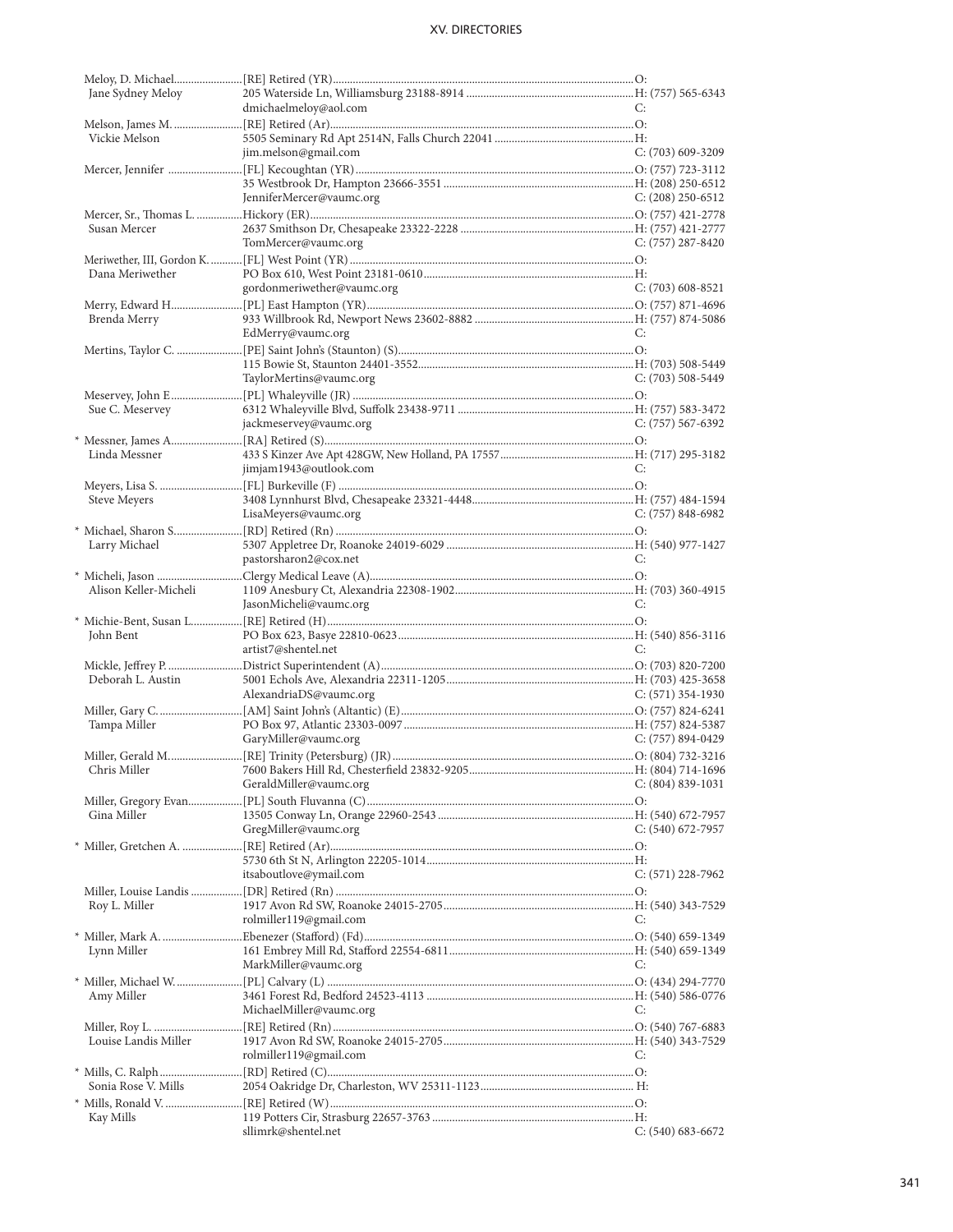| Jane Sydney Meloy     |                            |                     |
|-----------------------|----------------------------|---------------------|
|                       | dmichaelmeloy@aol.com      | C:                  |
|                       |                            |                     |
| Vickie Melson         |                            |                     |
|                       | jim.melson@gmail.com       | $C: (703)$ 609-3209 |
|                       |                            |                     |
|                       |                            |                     |
|                       |                            |                     |
|                       | JenniferMercer@vaumc.org   | C: $(208)$ 250-6512 |
|                       |                            |                     |
| Susan Mercer          |                            |                     |
|                       | TomMercer@vaumc.org        | C: (757) 287-8420   |
|                       |                            |                     |
| Dana Meriwether       |                            |                     |
|                       | gordonmeriwether@vaumc.org | C: $(703)$ 608-8521 |
|                       |                            |                     |
|                       |                            |                     |
| Brenda Merry          |                            |                     |
|                       | EdMerry@vaumc.org          | C:                  |
|                       |                            |                     |
|                       |                            |                     |
|                       | TaylorMertins@vaumc.org    | $C: (703)$ 508-5449 |
|                       |                            |                     |
| Sue C. Meservey       |                            |                     |
|                       | jackmeservey@vaumc.org     | C: (757) 567-6392   |
|                       |                            |                     |
|                       |                            |                     |
| Linda Messner         |                            |                     |
|                       | jimjam1943@outlook.com     | C:                  |
|                       |                            |                     |
| Steve Meyers          |                            |                     |
|                       | LisaMeyers@vaumc.org       | C: $(757)$ 848-6982 |
|                       |                            |                     |
| Larry Michael         |                            |                     |
|                       | pastorsharon2@cox.net      | C:                  |
|                       |                            |                     |
|                       |                            |                     |
| Alison Keller-Micheli |                            |                     |
|                       | JasonMicheli@vaumc.org     | C:                  |
|                       |                            |                     |
| John Bent             |                            |                     |
|                       | artist7@shentel.net        | C:                  |
|                       |                            |                     |
| Deborah L. Austin     |                            |                     |
|                       | AlexandriaDS@vaumc.org     | C: (571) 354-1930   |
|                       |                            |                     |
|                       |                            |                     |
| Tampa Miller          |                            |                     |
|                       | GaryMiller@vaumc.org       | C: (757) 894-0429   |
|                       |                            |                     |
|                       |                            |                     |
|                       | GeraldMiller@vaumc.org     | $C: (804) 839-1031$ |
|                       |                            |                     |
| Gina Miller           |                            |                     |
|                       |                            |                     |
|                       | GregMiller@vaumc.org       | $C: (540)$ 672-7957 |
|                       |                            |                     |
|                       |                            |                     |
|                       | itsaboutlove@ymail.com     | $C: (571)$ 228-7962 |
|                       |                            |                     |
| Roy L. Miller         |                            |                     |
|                       | rolmiller119@gmail.com     | C:                  |
|                       |                            |                     |
| Lynn Miller           |                            |                     |
|                       |                            |                     |
|                       | MarkMiller@vaumc.org       | C:                  |
|                       |                            |                     |
| Amy Miller            |                            |                     |
|                       | MichaelMiller@vaumc.org    | C:                  |
|                       |                            |                     |
| Louise Landis Miller  |                            |                     |
|                       | rolmiller119@gmail.com     | C:                  |
|                       |                            |                     |
|                       |                            |                     |
| Sonia Rose V. Mills   |                            |                     |
|                       |                            |                     |
| Kay Mills             |                            |                     |
|                       | sllimrk@shentel.net        | $C: (540) 683-6672$ |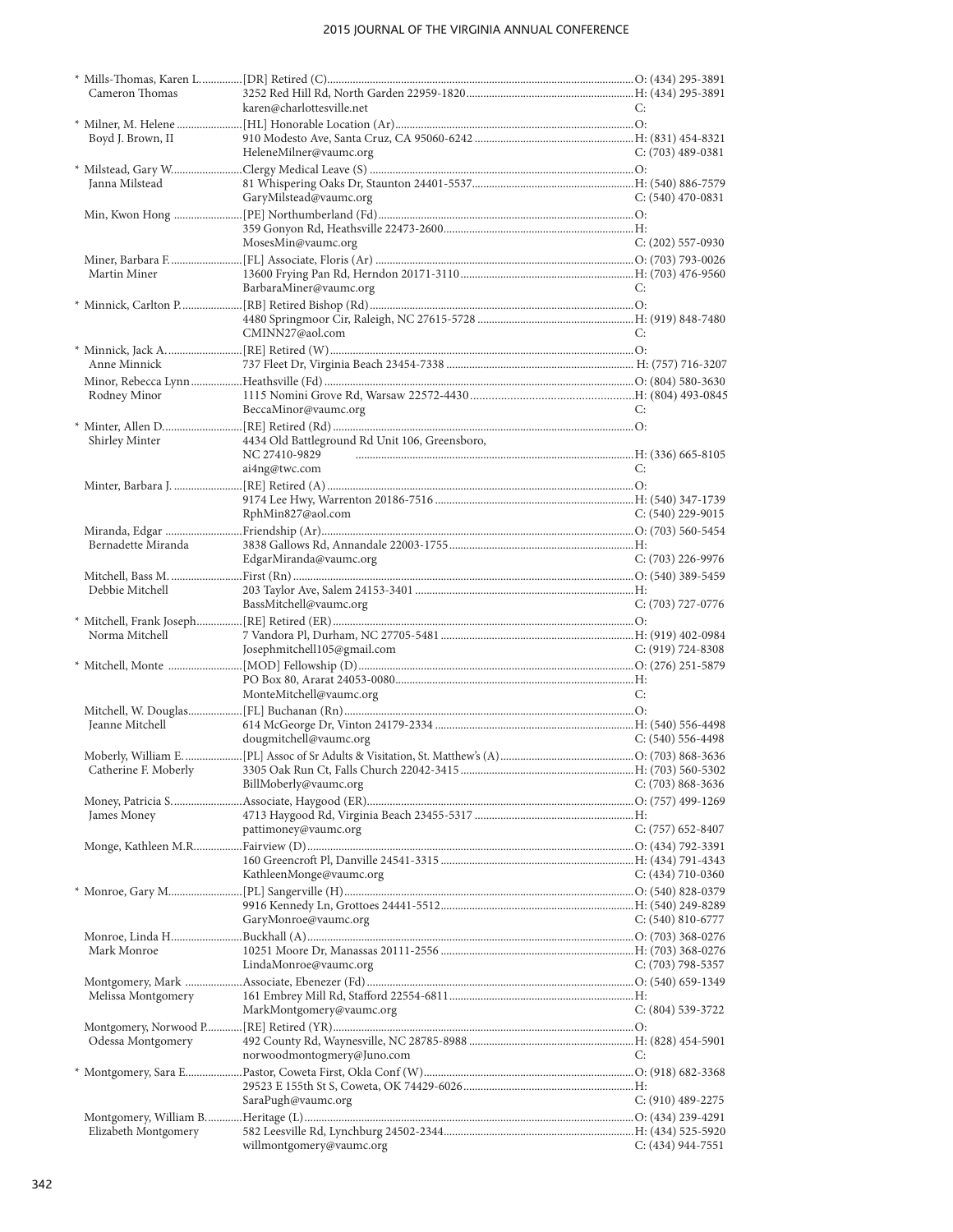| Cameron Thomas         |                      |                                                |    |                       |
|------------------------|----------------------|------------------------------------------------|----|-----------------------|
|                        |                      | karen@charlottesville.net                      | C: |                       |
|                        |                      |                                                |    |                       |
|                        |                      |                                                |    |                       |
|                        | Boyd J. Brown, II    |                                                |    |                       |
|                        |                      | HeleneMilner@vaumc.org                         |    | $C: (703)$ 489-0381   |
|                        |                      |                                                |    |                       |
| Janna Milstead         |                      |                                                |    |                       |
|                        |                      | GaryMilstead@vaumc.org                         |    | C: (540) 470-0831     |
|                        |                      |                                                |    |                       |
|                        |                      |                                                |    |                       |
|                        |                      |                                                |    |                       |
|                        |                      | MosesMin@vaumc.org                             |    | $C: (202)$ 557-0930   |
|                        |                      |                                                |    |                       |
| Martin Miner           |                      |                                                |    |                       |
|                        |                      |                                                |    |                       |
|                        |                      | BarbaraMiner@vaumc.org                         | C: |                       |
|                        |                      |                                                |    |                       |
|                        |                      |                                                |    |                       |
|                        |                      | CMINN27@aol.com                                | C: |                       |
|                        |                      |                                                |    |                       |
|                        |                      |                                                |    |                       |
| Anne Minnick           |                      |                                                |    |                       |
|                        |                      |                                                |    |                       |
| Rodney Minor           |                      |                                                |    |                       |
|                        |                      | BeccaMinor@vaumc.org                           | C: |                       |
|                        |                      |                                                |    |                       |
|                        |                      |                                                |    |                       |
| Shirley Minter         |                      | 4434 Old Battleground Rd Unit 106, Greensboro, |    |                       |
|                        |                      | NC 27410-9829                                  |    |                       |
|                        |                      | ai4ng@twc.com                                  | C: |                       |
|                        |                      |                                                |    |                       |
|                        |                      |                                                |    |                       |
|                        |                      |                                                |    |                       |
|                        |                      | RphMin827@aol.com                              |    | $C: (540)$ 229-9015   |
|                        |                      |                                                |    |                       |
| Bernadette Miranda     |                      |                                                |    |                       |
|                        |                      |                                                |    |                       |
|                        |                      | EdgarMiranda@vaumc.org                         |    | C: $(703)$ 226-9976   |
|                        |                      |                                                |    |                       |
| Debbie Mitchell        |                      |                                                |    |                       |
|                        |                      | BassMitchell@vaumc.org                         |    | $C: (703)$ 727-0776   |
|                        |                      |                                                |    |                       |
|                        |                      |                                                |    |                       |
|                        | Norma Mitchell       |                                                |    |                       |
|                        |                      | Josephmitchell105@gmail.com                    |    | $C: (919) 724-8308$   |
|                        |                      |                                                |    |                       |
|                        |                      |                                                |    |                       |
|                        |                      |                                                |    |                       |
|                        |                      | MonteMitchell@vaumc.org                        | C: |                       |
|                        |                      |                                                |    |                       |
| <b>Jeanne Mitchell</b> |                      |                                                |    |                       |
|                        |                      | dougmitchell@vaumc.org                         |    | $C: (540) 556-4498$   |
|                        |                      |                                                |    |                       |
|                        |                      |                                                |    |                       |
|                        |                      |                                                |    |                       |
|                        |                      | BillMoberly@vaumc.org                          |    | $C: (703) 868 - 3636$ |
|                        |                      |                                                |    |                       |
| James Money            |                      |                                                |    |                       |
|                        |                      | pattimoney@vaumc.org                           |    |                       |
|                        |                      |                                                |    | $C: (757) 652-8407$   |
|                        |                      |                                                |    |                       |
|                        |                      |                                                |    |                       |
|                        |                      | KathleenMonge@vaumc.org                        |    | $C: (434)$ 710-0360   |
|                        |                      |                                                |    |                       |
|                        |                      |                                                |    |                       |
|                        |                      |                                                |    |                       |
|                        |                      | GaryMonroe@vaumc.org                           |    | $C: (540) 810-6777$   |
|                        |                      |                                                |    |                       |
| Mark Monroe            |                      |                                                |    |                       |
|                        |                      | LindaMonroe@vaumc.org                          |    | $C: (703) 798-5357$   |
|                        |                      |                                                |    |                       |
|                        |                      |                                                |    |                       |
| Melissa Montgomery     |                      |                                                |    |                       |
|                        |                      | MarkMontgomery@vaumc.org                       |    | $C: (804) 539-3722$   |
|                        |                      |                                                |    |                       |
|                        |                      |                                                |    |                       |
| Odessa Montgomery      |                      |                                                |    |                       |
|                        |                      | norwoodmontogmery@Juno.com                     | C: |                       |
|                        | * Montgomery, Sara E |                                                |    |                       |
|                        |                      |                                                |    |                       |
|                        |                      | SaraPugh@vaumc.org                             |    | $C: (910)$ 489-2275   |
|                        |                      |                                                |    |                       |
|                        |                      |                                                |    |                       |
| Elizabeth Montgomery   |                      |                                                |    |                       |
|                        |                      | willmontgomery@vaumc.org                       |    | $C: (434) 944-7551$   |
|                        |                      |                                                |    |                       |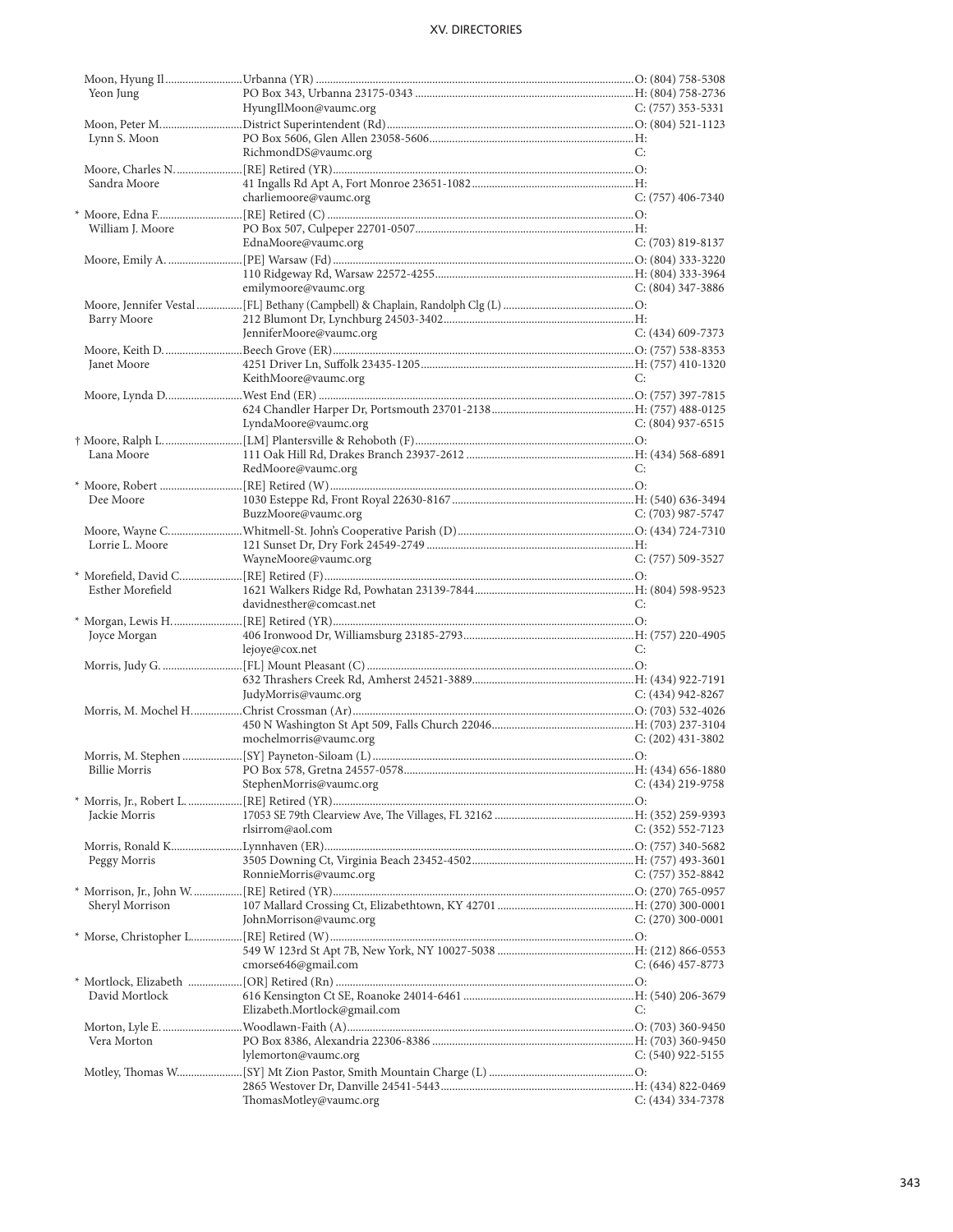| Yeon Jung          |                              |                       |
|--------------------|------------------------------|-----------------------|
|                    | HyungIlMoon@vaumc.org        | $C: (757)$ 353-5331   |
|                    |                              |                       |
|                    |                              |                       |
| Lynn S. Moon       |                              |                       |
|                    | RichmondDS@vaumc.org         | C:                    |
|                    |                              |                       |
| Sandra Moore       |                              |                       |
|                    | charliemoore@vaumc.org       | C: (757) 406-7340     |
|                    |                              |                       |
|                    |                              |                       |
| William J. Moore   |                              |                       |
|                    | EdnaMoore@vaumc.org          | $C: (703) 819 - 8137$ |
|                    |                              |                       |
|                    |                              |                       |
|                    | emilymoore@vaumc.org         | $C: (804)$ 347-3886   |
|                    |                              |                       |
|                    |                              |                       |
| <b>Barry Moore</b> |                              |                       |
|                    | JenniferMoore@vaumc.org      | $C: (434)$ 609-7373   |
|                    |                              |                       |
| Janet Moore        |                              |                       |
|                    | KeithMoore@vaumc.org         | C:                    |
|                    |                              |                       |
|                    |                              |                       |
|                    |                              |                       |
|                    | LyndaMoore@vaumc.org         | $C: (804)$ 937-6515   |
|                    |                              |                       |
| Lana Moore         |                              |                       |
|                    | RedMoore@vaumc.org           | C:                    |
|                    |                              |                       |
|                    |                              |                       |
| Dee Moore          |                              |                       |
|                    | BuzzMoore@vaumc.org          | $C: (703)$ 987-5747   |
|                    |                              |                       |
| Lorrie L. Moore    |                              |                       |
|                    | WayneMoore@vaumc.org         | $C: (757) 509-3527$   |
|                    |                              |                       |
|                    |                              |                       |
| Esther Morefield   |                              |                       |
|                    | davidnesther@comcast.net     | C:                    |
|                    |                              |                       |
| Joyce Morgan       |                              |                       |
|                    | lejoye@cox.net               | C:                    |
|                    |                              |                       |
|                    |                              |                       |
|                    |                              |                       |
|                    | JudyMorris@vaumc.org         | C: $(434)$ 942-8267   |
|                    |                              |                       |
|                    |                              |                       |
|                    | mochelmorris@vaumc.org       | $C: (202)$ 431-3802   |
|                    |                              |                       |
|                    |                              |                       |
|                    |                              |                       |
|                    | StephenMorris@vaumc.org      | $C: (434)$ 219-9758   |
|                    |                              |                       |
| Jackie Morris      |                              |                       |
|                    | rlsirrom@aol.com             | $C: (352) 552-7123$   |
|                    |                              |                       |
|                    |                              |                       |
| Peggy Morris       |                              |                       |
|                    | RonnieMorris@vaumc.org       | $C: (757)$ 352-8842   |
|                    |                              |                       |
| Sheryl Morrison    |                              |                       |
|                    | JohnMorrison@vaumc.org       | $C: (270)$ 300-0001   |
|                    |                              |                       |
|                    |                              |                       |
|                    |                              |                       |
|                    | cmorse646@gmail.com          | $C: (646)$ 457-8773   |
|                    |                              |                       |
| David Mortlock     |                              |                       |
|                    | Elizabeth.Mortlock@gmail.com | C:                    |
|                    |                              |                       |
|                    |                              |                       |
| Vera Morton        |                              |                       |
|                    | lylemorton@vaumc.org         | $C: (540)$ 922-5155   |
|                    |                              |                       |
|                    |                              |                       |
|                    | ThomasMotley@vaumc.org       | $C: (434)$ 334-7378   |
|                    |                              |                       |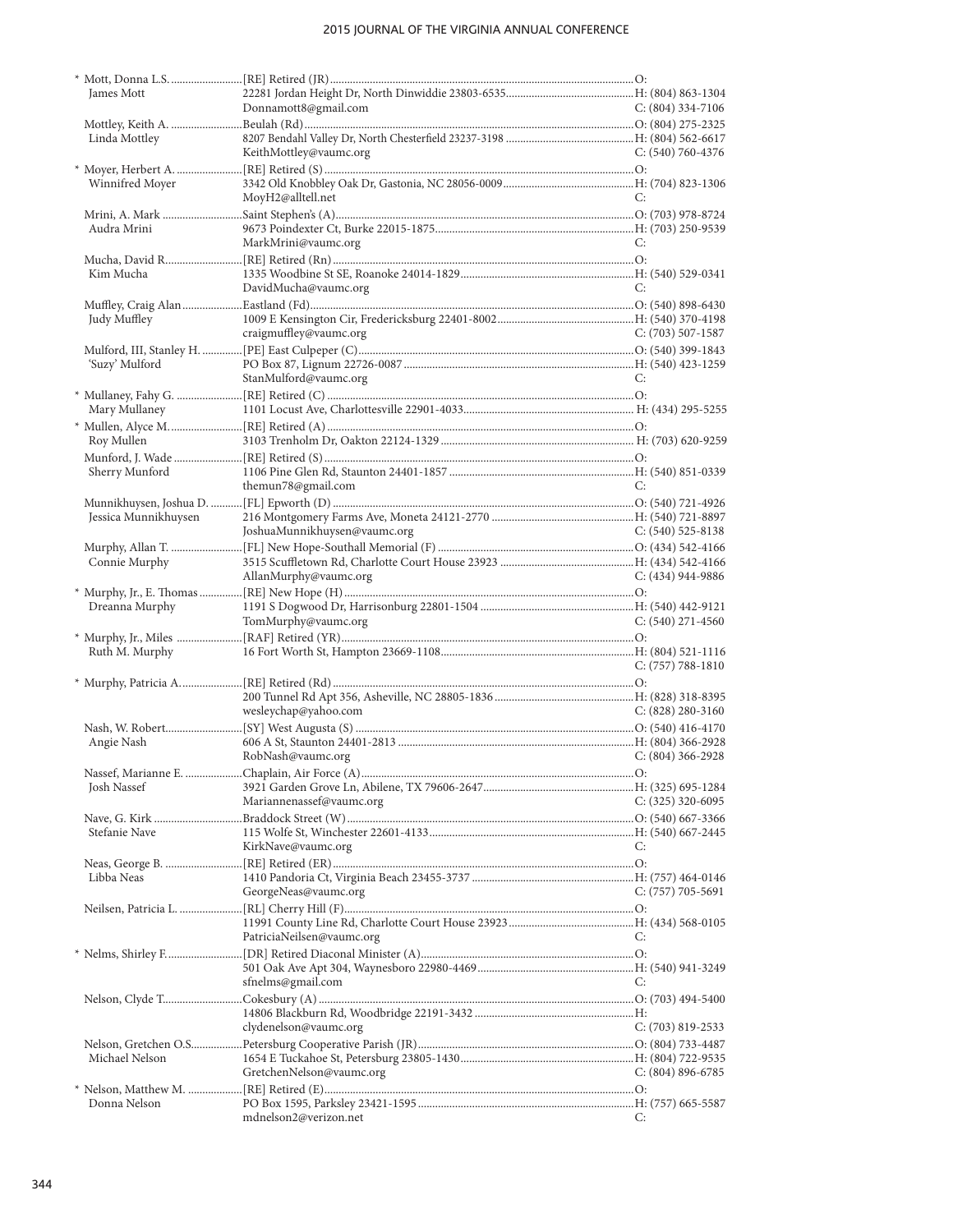| James Mott           |                              |                       |
|----------------------|------------------------------|-----------------------|
|                      | Donnamott8@gmail.com         | $C: (804)$ 334-7106   |
|                      |                              |                       |
|                      |                              |                       |
| Linda Mottley        |                              |                       |
|                      | KeithMottley@vaumc.org       | $C: (540) 760 - 4376$ |
|                      |                              |                       |
| Winnifred Moyer      |                              |                       |
|                      | MoyH2@alltell.net            | C:                    |
|                      |                              |                       |
|                      |                              |                       |
| Audra Mrini          |                              |                       |
|                      | MarkMrini@vaumc.org          | C:                    |
|                      |                              |                       |
|                      |                              |                       |
| Kim Mucha            |                              |                       |
|                      | DavidMucha@vaumc.org         | C:                    |
|                      |                              |                       |
| Judy Muffley         |                              |                       |
|                      | craigmuffley@vaumc.org       | C: $(703)$ 507-1587   |
|                      |                              |                       |
|                      |                              |                       |
| 'Suzy' Mulford       |                              |                       |
|                      | StanMulford@vaumc.org        | C:                    |
|                      |                              |                       |
|                      |                              |                       |
| Mary Mullaney        |                              |                       |
|                      |                              |                       |
| Roy Mullen           |                              |                       |
|                      |                              |                       |
|                      |                              |                       |
| Sherry Munford       |                              |                       |
|                      | themun78@gmail.com           | C:                    |
|                      |                              |                       |
| Jessica Munnikhuysen |                              |                       |
|                      | JoshuaMunnikhuysen@vaumc.org | C: $(540)$ 525-8138   |
|                      |                              |                       |
|                      |                              |                       |
| Connie Murphy        |                              |                       |
|                      | AllanMurphy@vaumc.org        | $C: (434) 944-9886$   |
|                      |                              |                       |
|                      |                              |                       |
|                      |                              |                       |
| Dreanna Murphy       |                              |                       |
|                      | TomMurphy@vaumc.org          | $C: (540)$ 271-4560   |
|                      |                              |                       |
|                      |                              |                       |
| Ruth M. Murphy       |                              |                       |
|                      |                              | $C: (757) 788-1810$   |
|                      |                              |                       |
|                      |                              |                       |
|                      | wesleychap@yahoo.com         | $C: (828) 280 - 3160$ |
|                      |                              |                       |
|                      |                              |                       |
| Angie Nash           |                              |                       |
|                      | RobNash@vaumc.org            | $C: (804)$ 366-2928   |
|                      |                              |                       |
|                      |                              |                       |
| Josh Nassef          |                              |                       |
|                      | Mariannenassef@vaumc.org     | C: (325) 320-6095     |
|                      |                              |                       |
| Stefanie Nave        |                              |                       |
|                      |                              | C:                    |
|                      | KirkNave@vaumc.org           |                       |
|                      |                              |                       |
| Libba Neas           |                              |                       |
|                      | GeorgeNeas@vaumc.org         | $C: (757) 705-5691$   |
|                      |                              |                       |
|                      |                              |                       |
|                      |                              |                       |
|                      | PatriciaNeilsen@vaumc.org    | C:                    |
|                      |                              |                       |
|                      |                              |                       |
|                      | sfnelms@gmail.com            | C:                    |
|                      |                              |                       |
|                      |                              |                       |
|                      |                              |                       |
|                      | clydenelson@vaumc.org        | $C: (703) 819 - 2533$ |
|                      |                              |                       |
|                      |                              |                       |
| Michael Nelson       |                              |                       |
|                      | GretchenNelson@vaumc.org     | C: $(804) 896 - 6785$ |
|                      |                              |                       |
| Donna Nelson         |                              |                       |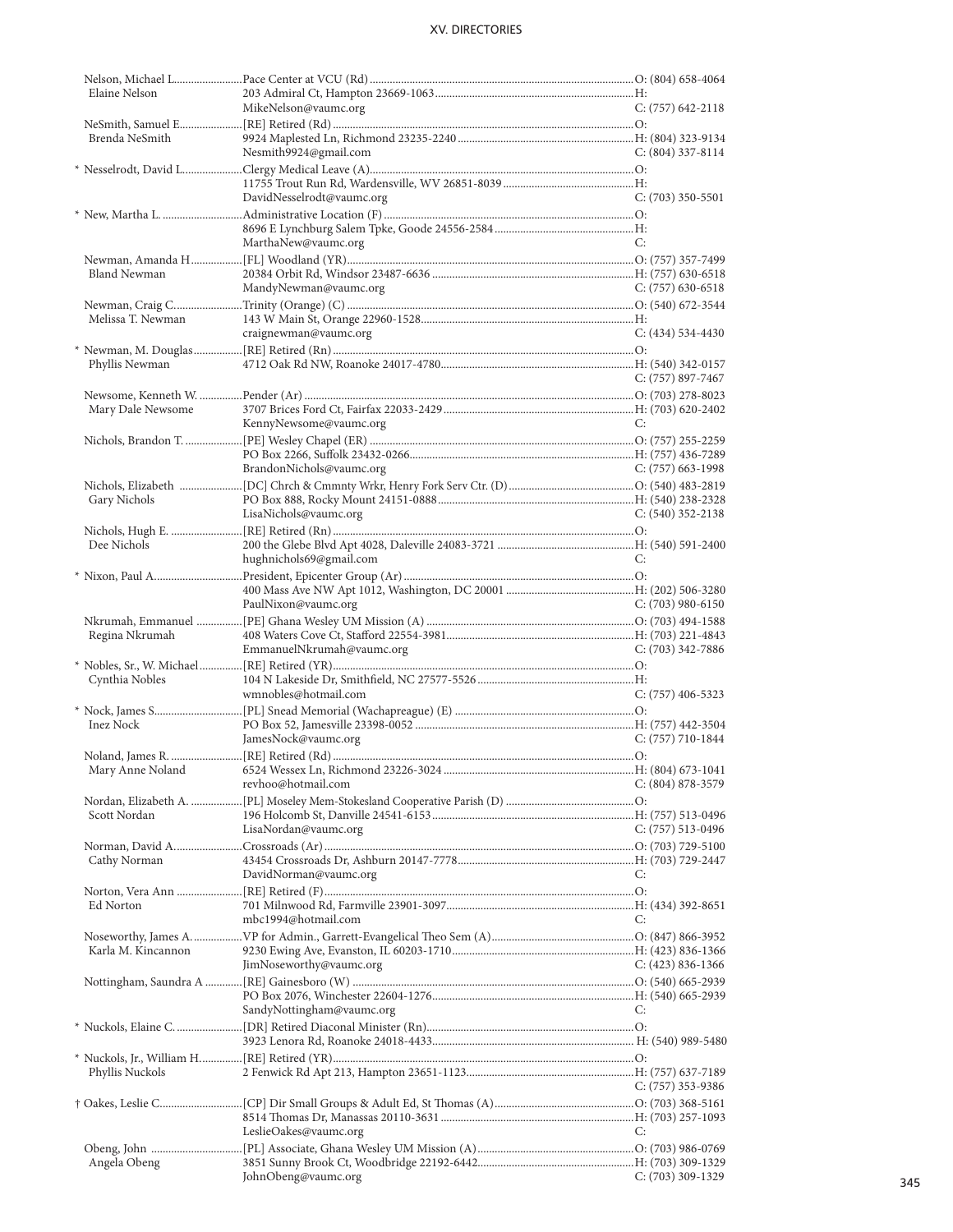| Elaine Nelson      |                           |                       |
|--------------------|---------------------------|-----------------------|
|                    | MikeNelson@vaumc.org      | $C: (757)$ 642-2118   |
|                    |                           |                       |
| Brenda NeSmith     |                           | $C: (804)$ 337-8114   |
|                    | Nesmith9924@gmail.com     |                       |
|                    |                           |                       |
|                    | DavidNesselrodt@vaumc.org | $C: (703)$ 350-5501   |
|                    |                           |                       |
|                    |                           |                       |
|                    | MarthaNew@vaumc.org       | C:                    |
|                    |                           |                       |
| Bland Newman       |                           |                       |
|                    | MandyNewman@vaumc.org     | $C: (757)$ 630-6518   |
|                    |                           |                       |
| Melissa T. Newman  |                           |                       |
|                    | craignewman@vaumc.org     | $C: (434) 534-4430$   |
|                    |                           |                       |
| Phyllis Newman     |                           |                       |
|                    |                           | $C: (757) 897 - 7467$ |
|                    |                           |                       |
| Mary Dale Newsome  |                           |                       |
|                    | KennyNewsome@vaumc.org    | C:                    |
|                    |                           |                       |
|                    |                           |                       |
|                    | BrandonNichols@vaumc.org  | C: $(757)$ 663-1998   |
|                    |                           |                       |
| Gary Nichols       | LisaNichols@vaumc.org     |                       |
|                    |                           | C: $(540)$ 352-2138   |
| Dee Nichols        |                           |                       |
|                    | hughnichols69@gmail.com   | C:                    |
|                    |                           |                       |
|                    |                           |                       |
|                    | PaulNixon@vaumc.org       | C: $(703)$ 980-6150   |
|                    |                           |                       |
| Regina Nkrumah     |                           |                       |
|                    | EmmanuelNkrumah@vaumc.org | $C: (703)$ 342-7886   |
|                    |                           |                       |
| Cynthia Nobles     |                           |                       |
|                    | wmnobles@hotmail.com      | C: (757) 406-5323     |
|                    |                           |                       |
| Inez Nock          |                           |                       |
|                    | JamesNock@vaumc.org       | $C: (757)$ 710-1844   |
|                    |                           |                       |
| Mary Anne Noland   |                           |                       |
|                    | revhoo@hotmail.com        | $C: (804) 878 - 3579$ |
|                    |                           |                       |
| Scott Nordan       |                           | $C: (757) 513-0496$   |
|                    | LisaNordan@vaumc.org      |                       |
| Cathy Norman       |                           |                       |
|                    | DavidNorman@vaumc.org     | C:                    |
|                    |                           |                       |
| Ed Norton          |                           |                       |
|                    | mbc1994@hotmail.com       | C:                    |
|                    |                           |                       |
| Karla M. Kincannon |                           |                       |
|                    | JimNoseworthy@vaumc.org   | C: $(423)$ 836-1366   |
|                    |                           |                       |
|                    |                           |                       |
|                    | SandyNottingham@vaumc.org | C:                    |
|                    |                           |                       |
|                    |                           |                       |
|                    |                           |                       |
| Phyllis Nuckols    |                           |                       |
|                    |                           | $C: (757)$ 353-9386   |
|                    |                           |                       |
|                    |                           |                       |
|                    | LeslieOakes@vaumc.org     | C:                    |
|                    |                           |                       |
| Angela Obeng       |                           |                       |
|                    | JohnObeng@vaumc.org       | $C: (703)$ 309-1329   |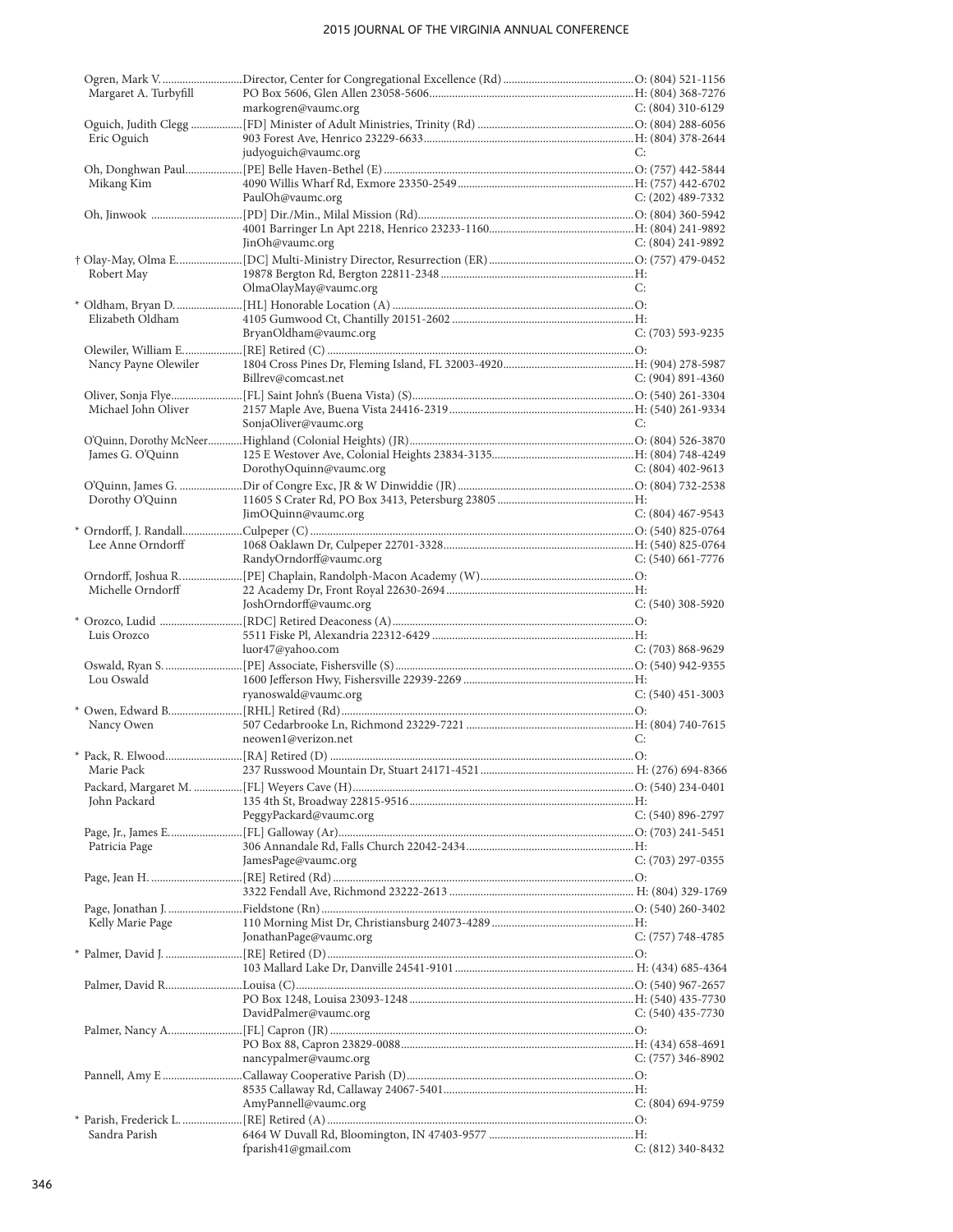| Margaret A. Turbyfill |                         |                       |
|-----------------------|-------------------------|-----------------------|
|                       | markogren@vaumc.org     | $C: (804)$ 310-6129   |
|                       |                         |                       |
|                       |                         |                       |
| Eric Oguich           |                         |                       |
|                       | judyoguich@vaumc.org    | C:                    |
|                       |                         |                       |
| Mikang Kim            |                         |                       |
|                       | PaulOh@vaumc.org        | C: $(202)$ 489-7332   |
|                       |                         |                       |
|                       |                         |                       |
|                       |                         |                       |
|                       | JinOh@vaumc.org         | C: (804) 241-9892     |
|                       |                         |                       |
| Robert May            |                         |                       |
|                       | OlmaOlayMay@vaumc.org   | C:                    |
|                       |                         |                       |
|                       |                         |                       |
| Elizabeth Oldham      |                         |                       |
|                       | BryanOldham@vaumc.org   | C: (703) 593-9235     |
|                       |                         |                       |
| Nancy Payne Olewiler  |                         |                       |
|                       | Billrev@comcast.net     | $C: (904) 891 - 4360$ |
|                       |                         |                       |
|                       |                         |                       |
| Michael John Oliver   |                         |                       |
|                       | SonjaOliver@vaumc.org   | C:                    |
|                       |                         |                       |
| James G. O'Quinn      |                         |                       |
|                       | DorothyOquinn@vaumc.org | C: $(804)$ 402-9613   |
|                       |                         |                       |
|                       |                         |                       |
| Dorothy O'Quinn       |                         |                       |
|                       | JimOQuinn@vaumc.org     | $C: (804)$ 467-9543   |
|                       |                         |                       |
| Lee Anne Orndorff     |                         |                       |
|                       | RandyOrndorff@vaumc.org | C: $(540)$ 661-7776   |
|                       |                         |                       |
|                       |                         |                       |
| Michelle Orndorff     |                         |                       |
|                       | JoshOrndorff@vaumc.org  | $C: (540)$ 308-5920   |
|                       |                         |                       |
|                       |                         |                       |
|                       |                         |                       |
| Luis Orozco           |                         |                       |
|                       | luor47@yahoo.com        | $C: (703) 868-9629$   |
|                       |                         |                       |
| Lou Oswald            |                         |                       |
|                       |                         |                       |
|                       | ryanoswald@vaumc.org    | $C: (540)$ 451-3003   |
|                       |                         |                       |
| Nancy Owen            |                         |                       |
|                       | neowen1@verizon.net     | C:                    |
|                       |                         |                       |
|                       |                         |                       |
|                       |                         |                       |
|                       |                         |                       |
| John Packard          |                         |                       |
|                       | PeggyPackard@vaumc.org  | $C: (540) 896 - 2797$ |
|                       |                         |                       |
| Patricia Page         |                         |                       |
|                       |                         |                       |
|                       | JamesPage@vaumc.org     | $C: (703)$ 297-0355   |
|                       |                         |                       |
|                       |                         |                       |
|                       |                         |                       |
|                       |                         |                       |
| Kelly Marie Page      |                         |                       |
|                       | JonathanPage@vaumc.org  | C: (757) 748-4785     |
|                       |                         |                       |
|                       |                         |                       |
|                       |                         |                       |
|                       |                         |                       |
|                       |                         |                       |
|                       | DavidPalmer@vaumc.org   | $C: (540)$ 435-7730   |
|                       |                         |                       |
|                       |                         |                       |
|                       | nancypalmer@vaumc.org   | C: $(757)$ 346-8902   |
|                       |                         |                       |
|                       |                         |                       |
|                       |                         |                       |
|                       | AmyPannell@vaumc.org    | C: (804) 694-9759     |
|                       |                         |                       |
| Sandra Parish         | fparish41@gmail.com     | $C: (812)$ 340-8432   |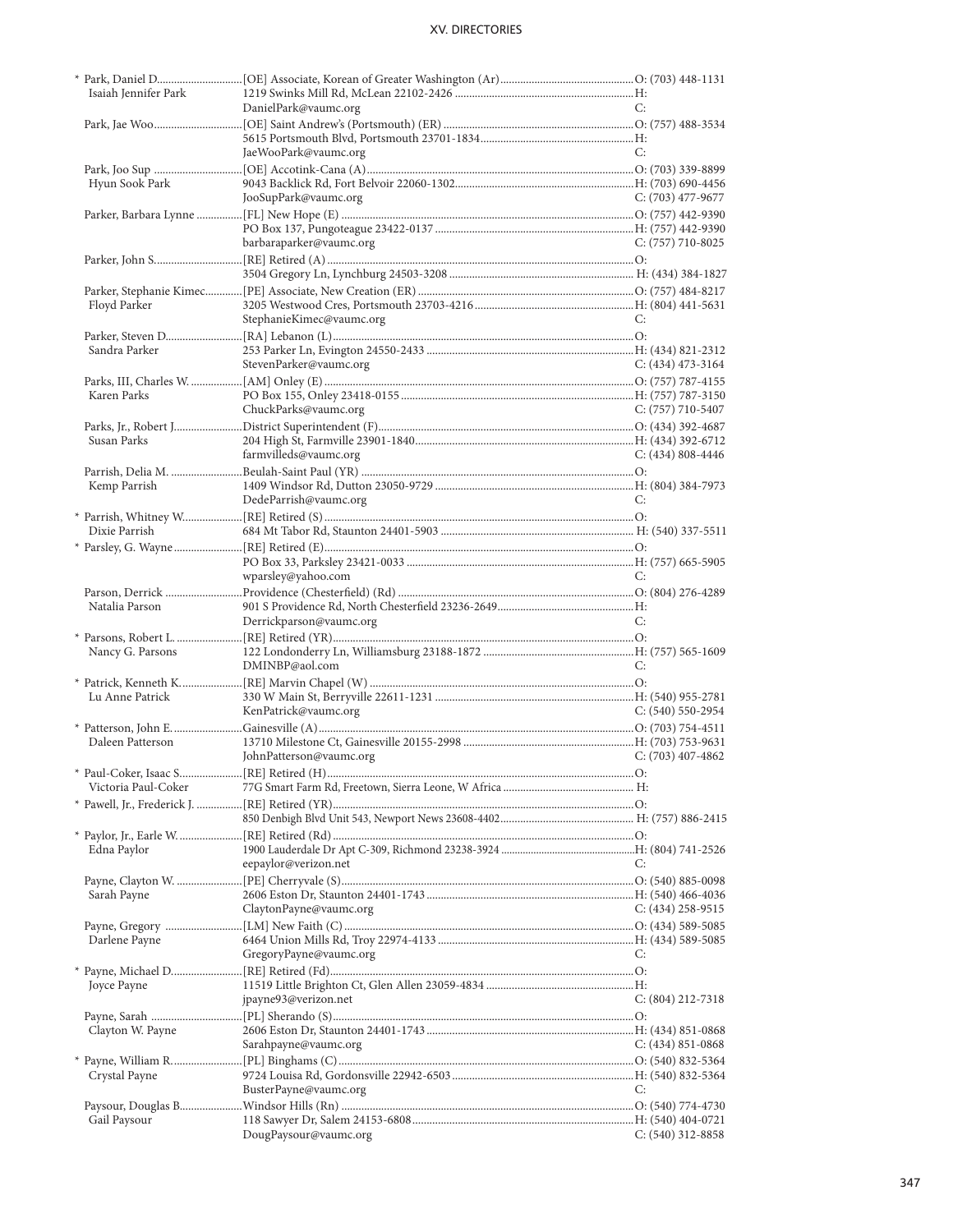|                      | Fark, Daniel D……………………………[OE] Associate, Korean of Greater Washington (Ar)………………………………………………………………… O: (703) 448-1131 |                       |
|----------------------|-----------------------------------------------------------------------------------------------------------------------|-----------------------|
| Isaiah Jennifer Park |                                                                                                                       |                       |
|                      | DanielPark@vaumc.org                                                                                                  | C:                    |
|                      |                                                                                                                       |                       |
|                      |                                                                                                                       |                       |
|                      |                                                                                                                       | C:                    |
|                      | JaeWooPark@vaumc.org                                                                                                  |                       |
|                      |                                                                                                                       |                       |
| Hyun Sook Park       |                                                                                                                       |                       |
|                      | JooSupPark@vaumc.org                                                                                                  | $C: (703)$ 477-9677   |
|                      |                                                                                                                       |                       |
|                      |                                                                                                                       |                       |
|                      | barbaraparker@vaumc.org                                                                                               | C: $(757)$ 710-8025   |
|                      |                                                                                                                       |                       |
|                      |                                                                                                                       |                       |
|                      |                                                                                                                       |                       |
|                      |                                                                                                                       |                       |
| Floyd Parker         |                                                                                                                       |                       |
|                      | StephanieKimec@vaumc.org                                                                                              | C:                    |
|                      |                                                                                                                       |                       |
| Sandra Parker        |                                                                                                                       |                       |
|                      | StevenParker@vaumc.org                                                                                                | C: $(434)$ 473-3164   |
|                      |                                                                                                                       |                       |
| Karen Parks          |                                                                                                                       |                       |
|                      | ChuckParks@vaumc.org                                                                                                  | C: $(757)$ 710-5407   |
|                      |                                                                                                                       |                       |
|                      |                                                                                                                       |                       |
| Susan Parks          |                                                                                                                       |                       |
|                      | farmvilleds@vaumc.org                                                                                                 | $C: (434) 808 - 4446$ |
|                      |                                                                                                                       |                       |
| Kemp Parrish         |                                                                                                                       |                       |
|                      | DedeParrish@vaumc.org                                                                                                 | C:                    |
|                      |                                                                                                                       |                       |
| Dixie Parrish        |                                                                                                                       |                       |
|                      |                                                                                                                       |                       |
|                      |                                                                                                                       |                       |
|                      |                                                                                                                       |                       |
|                      | wparsley@yahoo.com                                                                                                    | C:                    |
|                      |                                                                                                                       |                       |
| Natalia Parson       |                                                                                                                       |                       |
|                      | Derrickparson@vaumc.org                                                                                               | C:                    |
|                      |                                                                                                                       |                       |
| Nancy G. Parsons     |                                                                                                                       |                       |
|                      | DMINBP@aol.com                                                                                                        | C:                    |
|                      |                                                                                                                       |                       |
| Lu Anne Patrick      |                                                                                                                       |                       |
|                      |                                                                                                                       |                       |
|                      | KenPatrick@vaumc.org                                                                                                  | $C: (540) 550-2954$   |
|                      |                                                                                                                       |                       |
| Daleen Patterson     |                                                                                                                       |                       |
|                      | JohnPatterson@vaumc.org                                                                                               | $C: (703)$ 407-4862   |
|                      |                                                                                                                       |                       |
| Victoria Paul-Coker  |                                                                                                                       |                       |
|                      |                                                                                                                       |                       |
|                      |                                                                                                                       |                       |
|                      |                                                                                                                       |                       |
|                      |                                                                                                                       |                       |
| Edna Paylor          |                                                                                                                       |                       |
|                      | eepaylor@verizon.net                                                                                                  | C:                    |
|                      |                                                                                                                       |                       |
| Sarah Payne          |                                                                                                                       |                       |
|                      | ClaytonPayne@vaumc.org                                                                                                | $C: (434)$ 258-9515   |
|                      |                                                                                                                       |                       |
|                      |                                                                                                                       |                       |
| Darlene Payne        |                                                                                                                       |                       |
|                      | GregoryPayne@vaumc.org                                                                                                | C:                    |
|                      |                                                                                                                       |                       |
| Joyce Payne          |                                                                                                                       |                       |
|                      | jpayne93@verizon.net                                                                                                  | $C: (804)$ 212-7318   |
|                      |                                                                                                                       |                       |
| Clayton W. Payne     |                                                                                                                       |                       |
|                      | Sarahpayne@vaumc.org                                                                                                  | $C: (434) 851 - 0868$ |
|                      |                                                                                                                       |                       |
|                      |                                                                                                                       |                       |
| Crystal Payne        |                                                                                                                       |                       |
|                      | BusterPayne@vaumc.org                                                                                                 | C:                    |
|                      |                                                                                                                       |                       |
| Gail Paysour         |                                                                                                                       |                       |
|                      | DougPaysour@vaumc.org                                                                                                 | $C: (540)$ 312-8858   |
|                      |                                                                                                                       |                       |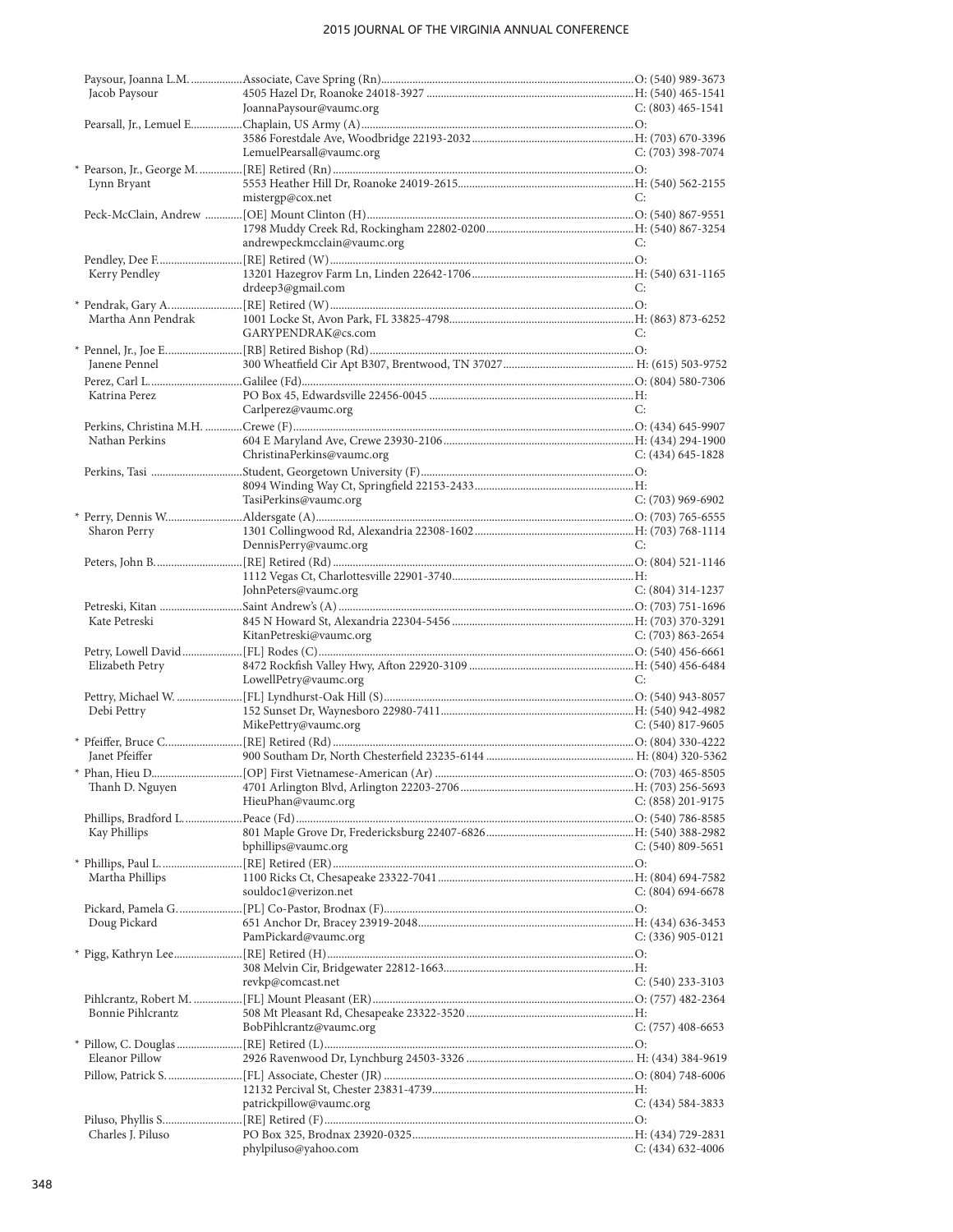| Jacob Paysour      | JoannaPaysour@vaumc.org     | $C: (803)$ 465-1541   |
|--------------------|-----------------------------|-----------------------|
|                    |                             |                       |
|                    |                             |                       |
|                    | LemuelPearsall@vaumc.org    | $C: (703)$ 398-7074   |
|                    |                             |                       |
| Lynn Bryant        |                             |                       |
|                    |                             | C:                    |
|                    | mistergp@cox.net            |                       |
|                    |                             |                       |
|                    |                             |                       |
|                    | andrewpeckmcclain@vaumc.org | C:                    |
|                    |                             |                       |
| Kerry Pendley      |                             |                       |
|                    | drdeep3@gmail.com           | C:                    |
|                    |                             |                       |
| Martha Ann Pendrak |                             |                       |
|                    | GARYPENDRAK@cs.com          | C:                    |
|                    |                             |                       |
|                    |                             |                       |
| Janene Pennel      |                             |                       |
|                    |                             |                       |
| Katrina Perez      |                             |                       |
|                    | Carlperez@vaumc.org         | C:                    |
|                    |                             |                       |
| Nathan Perkins     |                             |                       |
|                    | ChristinaPerkins@vaumc.org  | $C: (434)$ 645-1828   |
|                    |                             |                       |
|                    |                             |                       |
|                    |                             |                       |
|                    | TasiPerkins@vaumc.org       | $C: (703)$ 969-6902   |
|                    |                             |                       |
| Sharon Perry       |                             |                       |
|                    | DennisPerry@vaumc.org       | C:                    |
|                    |                             |                       |
|                    |                             |                       |
|                    |                             |                       |
|                    | JohnPeters@vaumc.org        | $C: (804)$ 314-1237   |
|                    |                             |                       |
| Kate Petreski      |                             |                       |
|                    | KitanPetreski@vaumc.org     | C: $(703)$ 863-2654   |
|                    |                             |                       |
| Elizabeth Petry    |                             |                       |
|                    | LowellPetry@vaumc.org       | C:                    |
|                    |                             |                       |
|                    |                             |                       |
| Debi Pettry        |                             |                       |
|                    | MikePettry@vaumc.org        | $C: (540)$ 817-9605   |
|                    |                             |                       |
| Janet Pfeiffer     |                             |                       |
|                    |                             |                       |
| Thanh D. Nguyen    |                             |                       |
|                    | HieuPhan@vaumc.org          | C: (858) 201-9175     |
|                    |                             |                       |
|                    |                             |                       |
| Kay Phillips       |                             |                       |
|                    | bphillips@vaumc.org         | $C: (540) 809 - 5651$ |
|                    |                             |                       |
| Martha Phillips    |                             |                       |
|                    | souldoc1@verizon.net        | $C: (804) 694-6678$   |
|                    |                             |                       |
| Doug Pickard       |                             |                       |
|                    | PamPickard@vaumc.org        | $C: (336)$ 905-0121   |
|                    |                             |                       |
|                    |                             |                       |
|                    |                             |                       |
|                    | revkp@comcast.net           | $C: (540)$ 233-3103   |
|                    |                             |                       |
| Bonnie Pihlcrantz  |                             |                       |
|                    | BobPihlcrantz@vaumc.org     | $C: (757)$ 408-6653   |
|                    |                             |                       |
| Eleanor Pillow     |                             |                       |
|                    |                             |                       |
|                    |                             |                       |
|                    |                             |                       |
|                    | patrickpillow@vaumc.org     | $C: (434) 584-3833$   |
|                    |                             |                       |
| Charles J. Piluso  |                             |                       |
|                    | phylpiluso@yahoo.com        | $C: (434)$ 632-4006   |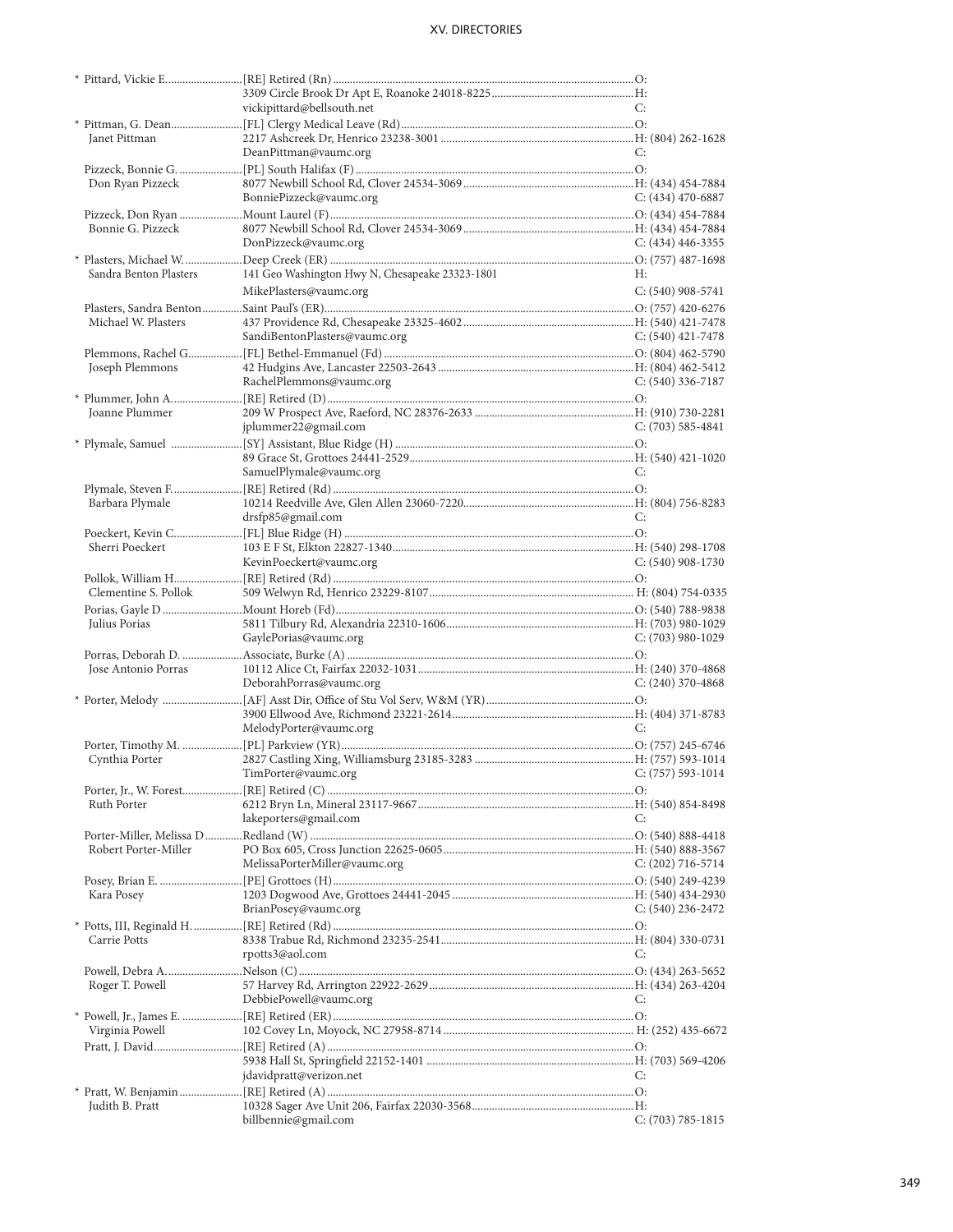|                        | vickipittard@bellsouth.net                                                | C:                        |
|------------------------|---------------------------------------------------------------------------|---------------------------|
| Janet Pittman          | DeanPittman@vaumc.org                                                     | C:                        |
| Don Ryan Pizzeck       | BonniePizzeck@vaumc.org                                                   | C: $(434)$ 470-6887       |
| Bonnie G. Pizzeck      | DonPizzeck@vaumc.org                                                      | $C: (434)$ 446-3355       |
| Sandra Benton Plasters | 141 Geo Washington Hwy N, Chesapeake 23323-1801<br>MikePlasters@vaumc.org | H:<br>$C: (540)$ 908-5741 |
| Michael W. Plasters    | SandiBentonPlasters@vaumc.org                                             | $C: (540)$ 421-7478       |
| Joseph Plemmons        | RachelPlemmons@vaumc.org                                                  | $C: (540)$ 336-7187       |
| <b>Joanne Plummer</b>  | jplummer22@gmail.com                                                      | $C: (703) 585-4841$       |
|                        |                                                                           |                           |
| Barbara Plymale        | SamuelPlymale@vaumc.org                                                   | C:                        |
| Sherri Poeckert        | drsfp85@gmail.com                                                         | C:                        |
| Clementine S. Pollok   | KevinPoeckert@vaumc.org                                                   | $C: (540)$ 908-1730       |
| Julius Porias          | GaylePorias@vaumc.org                                                     | $C: (703)$ 980-1029       |
| Jose Antonio Porras    | DeborahPorras@vaumc.org                                                   | $C: (240)$ 370-4868       |
|                        | MelodyPorter@vaumc.org                                                    | C:                        |
| Cynthia Porter         | TimPorter@vaumc.org                                                       | $C: (757) 593-1014$       |
| Ruth Porter            | lakeporters@gmail.com                                                     | C:                        |
| Robert Porter-Miller   | MelissaPorterMiller@vaumc.org                                             | $C: (202)$ 716-5714       |
| Kara Posey             | BrianPosey@vaumc.org                                                      | $C: (540)$ 236-2472       |
| Carrie Potts           | rpotts3@aol.com                                                           | C:                        |
| Roger T. Powell        | DebbiePowell@vaumc.org                                                    | C:                        |
| Virginia Powell        |                                                                           |                           |
|                        | jdavidpratt@verizon.net                                                   | C:                        |
| Judith B. Pratt        | billbennie@gmail.com                                                      | $C: (703) 785 - 1815$     |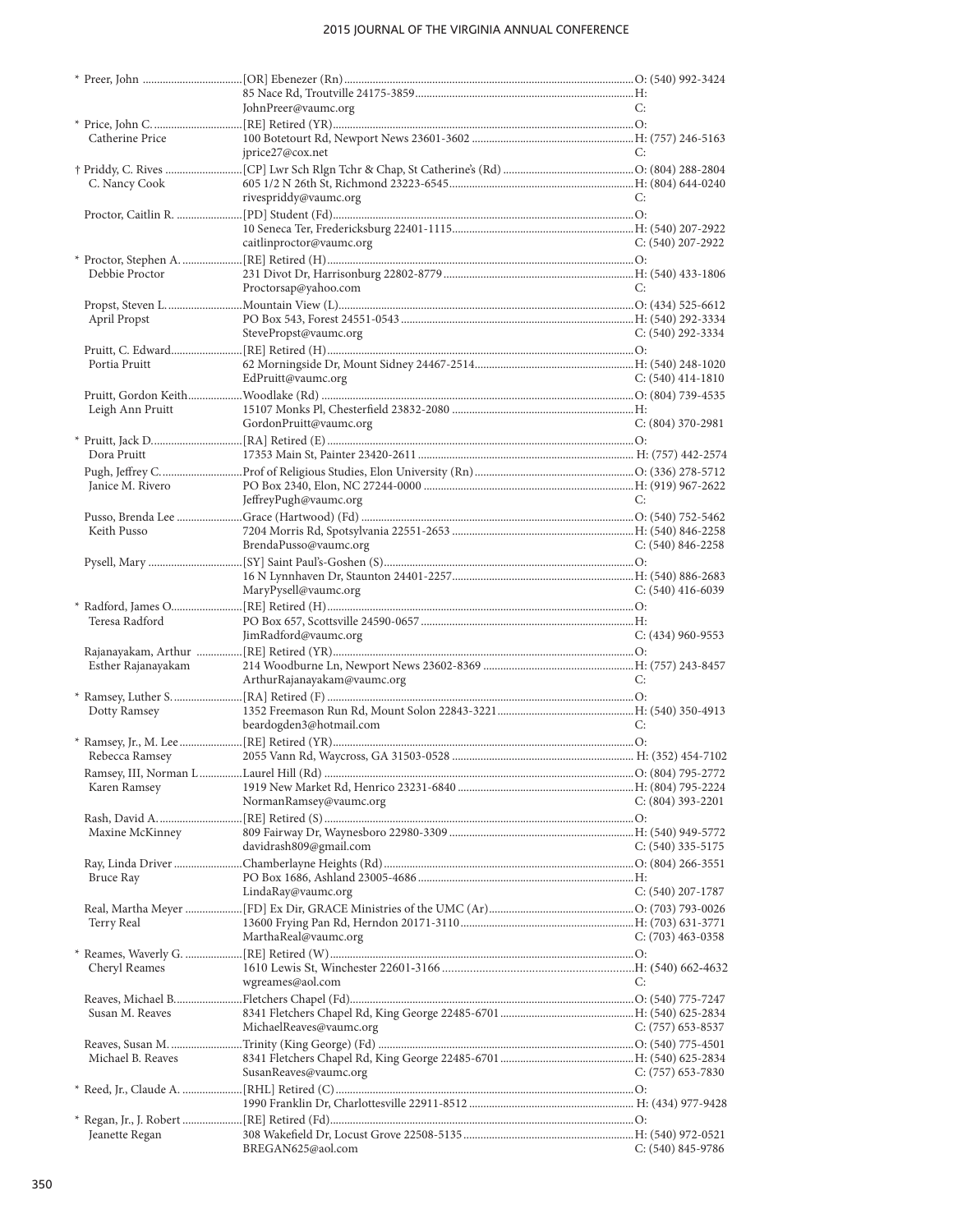|                    | JohnPreer@vaumc.org         | C:                    |
|--------------------|-----------------------------|-----------------------|
|                    |                             |                       |
| Catherine Price    |                             |                       |
|                    | jprice27@cox.net            | C:                    |
|                    |                             |                       |
| C. Nancy Cook      |                             |                       |
|                    | rivespriddy@vaumc.org       | C:                    |
|                    |                             |                       |
|                    |                             |                       |
|                    |                             |                       |
|                    | caitlinproctor@vaumc.org    | $C: (540)$ 207-2922   |
|                    |                             |                       |
| Debbie Proctor     |                             |                       |
|                    | Proctorsap@yahoo.com        | C:                    |
|                    |                             |                       |
| April Propst       |                             |                       |
|                    | StevePropst@vaumc.org       | $C: (540)$ 292-3334   |
|                    |                             |                       |
|                    |                             |                       |
| Portia Pruitt      |                             |                       |
|                    | EdPruitt@vaumc.org          | $C: (540)$ 414-1810   |
|                    |                             |                       |
| Leigh Ann Pruitt   |                             |                       |
|                    | GordonPruitt@vaumc.org      | $C: (804)$ 370-2981   |
|                    |                             |                       |
| Dora Pruitt        |                             |                       |
|                    |                             |                       |
|                    |                             |                       |
| Janice M. Rivero   |                             |                       |
|                    | JeffreyPugh@vaumc.org       | C:                    |
|                    |                             |                       |
| Keith Pusso        |                             |                       |
|                    | BrendaPusso@vaumc.org       | $C: (540) 846 - 2258$ |
|                    |                             |                       |
|                    |                             |                       |
|                    |                             |                       |
|                    | MaryPysell@vaumc.org        | C: $(540)$ 416-6039   |
|                    |                             |                       |
| Teresa Radford     |                             |                       |
|                    | JimRadford@vaumc.org        | $C: (434)$ 960-9553   |
|                    |                             |                       |
| Esther Rajanayakam |                             |                       |
|                    | ArthurRajanayakam@vaumc.org | C:                    |
|                    |                             |                       |
|                    |                             |                       |
| Dotty Ramsey       |                             |                       |
|                    | beardogden3@hotmail.com     | C:                    |
|                    |                             |                       |
| Rebecca Ramsey     |                             |                       |
|                    |                             |                       |
| Karen Ramsey       |                             |                       |
|                    | NormanRamsey@vaumc.org      | $C: (804)$ 393-2201   |
|                    |                             |                       |
|                    |                             |                       |
| Maxine McKinney    |                             |                       |
|                    | davidrash809@gmail.com      | $C: (540)$ 335-5175   |
|                    |                             |                       |
| Bruce Ray          |                             |                       |
|                    | LindaRay@vaumc.org          | $C: (540)$ 207-1787   |
|                    |                             |                       |
| Terry Real         |                             |                       |
|                    | MarthaReal@vaumc.org        | C: $(703)$ 463-0358   |
|                    |                             |                       |
|                    |                             |                       |
| Cheryl Reames      |                             |                       |
|                    | wgreames@aol.com            | C:                    |
|                    |                             |                       |
| Susan M. Reaves    |                             |                       |
|                    | MichaelReaves@vaumc.org     | C: (757) 653-8537     |
|                    |                             |                       |
| Michael B. Reaves  |                             |                       |
|                    |                             |                       |
|                    | SusanReaves@vaumc.org       | C: $(757)$ 653-7830   |
|                    |                             |                       |
|                    |                             |                       |
|                    |                             |                       |
| Jeanette Regan     |                             |                       |
|                    | BREGAN625@aol.com           | $C: (540) 845-9786$   |
|                    |                             |                       |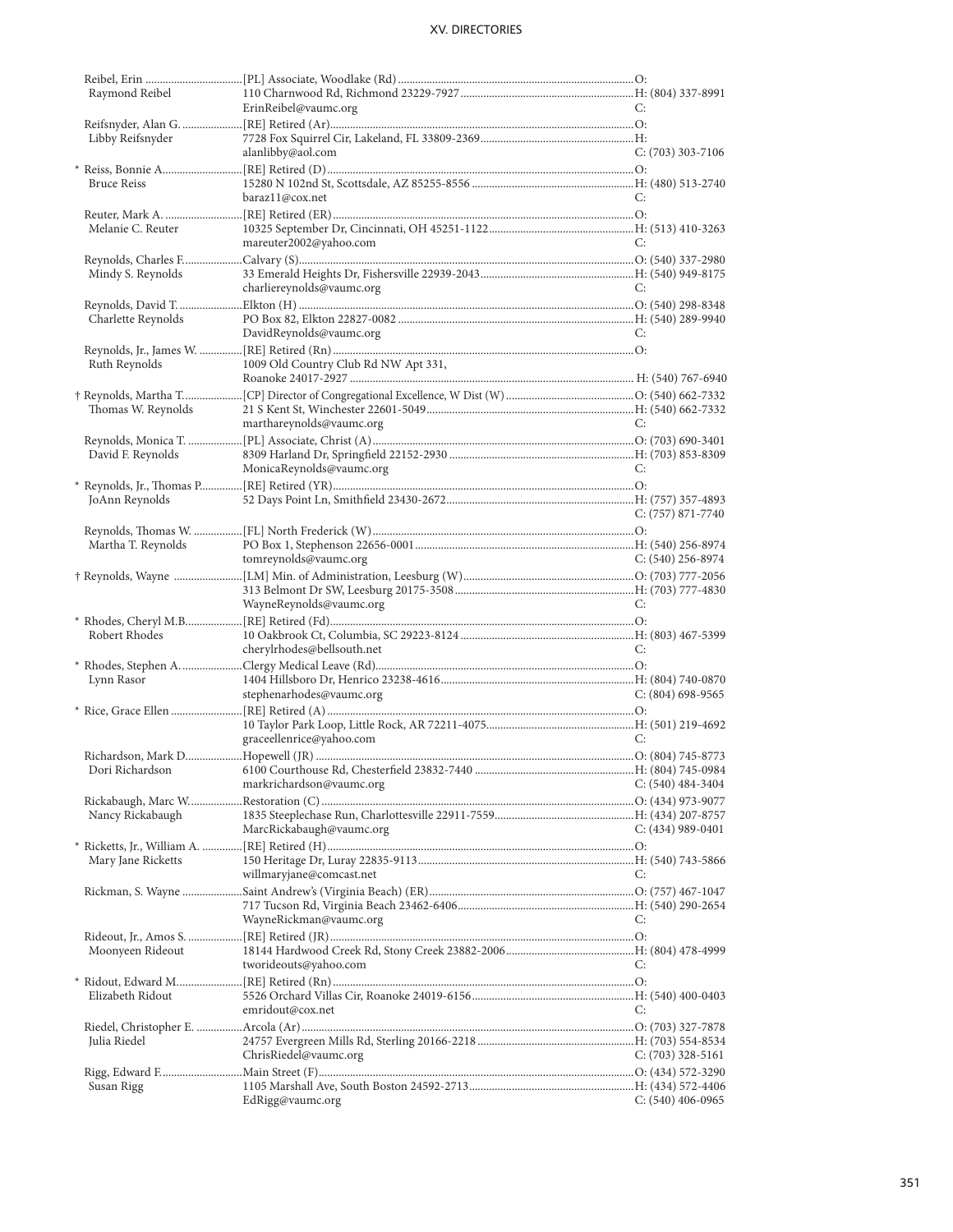| Raymond Reibel     |                                      |                       |
|--------------------|--------------------------------------|-----------------------|
|                    | ErinReibel@vaumc.org                 | C:                    |
|                    |                                      |                       |
| Libby Reifsnyder   |                                      |                       |
|                    | alanlibby@aol.com                    | $C: (703)$ 303-7106   |
|                    |                                      |                       |
| <b>Bruce Reiss</b> |                                      |                       |
|                    | baraz11@cox.net                      | C:                    |
|                    |                                      |                       |
|                    |                                      |                       |
| Melanie C. Reuter  |                                      |                       |
|                    | mareuter2002@yahoo.com               | C:                    |
|                    |                                      |                       |
| Mindy S. Reynolds  |                                      |                       |
|                    | charliereynolds@vaumc.org            | C:                    |
|                    |                                      |                       |
| Charlette Reynolds |                                      |                       |
|                    | DavidReynolds@vaumc.org              | C:                    |
|                    |                                      |                       |
| Ruth Reynolds      | 1009 Old Country Club Rd NW Apt 331, |                       |
|                    |                                      |                       |
|                    |                                      |                       |
|                    |                                      |                       |
| Thomas W. Reynolds |                                      |                       |
|                    | marthareynolds@vaumc.org             | C:                    |
|                    |                                      |                       |
| David F. Reynolds  |                                      |                       |
|                    | MonicaReynolds@vaumc.org             | C:                    |
|                    |                                      |                       |
| JoAnn Reynolds     |                                      |                       |
|                    |                                      | $C: (757) 871 - 7740$ |
|                    |                                      |                       |
|                    |                                      |                       |
| Martha T. Reynolds |                                      |                       |
|                    | tomreynolds@vaumc.org                | $C: (540)$ 256-8974   |
|                    |                                      |                       |
|                    |                                      |                       |
|                    | WayneReynolds@vaumc.org              | C:                    |
|                    |                                      |                       |
| Robert Rhodes      |                                      |                       |
|                    | cherylrhodes@bellsouth.net           | C:                    |
|                    |                                      |                       |
| Lynn Rasor         |                                      |                       |
|                    | stephenarhodes@vaumc.org             | $C: (804)$ 698-9565   |
|                    |                                      |                       |
|                    |                                      |                       |
|                    |                                      |                       |
|                    | graceellenrice@yahoo.com             | C:                    |
|                    |                                      |                       |
|                    |                                      |                       |
|                    | markrichardson@vaumc.org             | $C: (540) 484 - 3404$ |
|                    |                                      |                       |
| Nancy Rickabaugh   |                                      |                       |
|                    | MarcRickabaugh@vaumc.org             | $C: (434)$ 989-0401   |
|                    |                                      |                       |
| Mary Jane Ricketts |                                      |                       |
|                    |                                      |                       |
|                    | willmaryjane@comcast.net             | C:                    |
|                    |                                      |                       |
|                    |                                      |                       |
|                    | WayneRickman@vaumc.org               | C:                    |
|                    |                                      |                       |
| Moonyeen Rideout   |                                      |                       |
|                    | tworideouts@yahoo.com                | C:                    |
|                    |                                      |                       |
| Elizabeth Ridout   |                                      |                       |
|                    | emridout@cox.net                     | C:                    |
|                    |                                      |                       |
|                    |                                      |                       |
| Julia Riedel       |                                      |                       |
|                    | ChrisRiedel@vaumc.org                | C: $(703)$ 328-5161   |
|                    |                                      |                       |
| Susan Rigg         |                                      |                       |
|                    | EdRigg@vaumc.org                     | $C: (540)$ 406-0965   |
|                    |                                      |                       |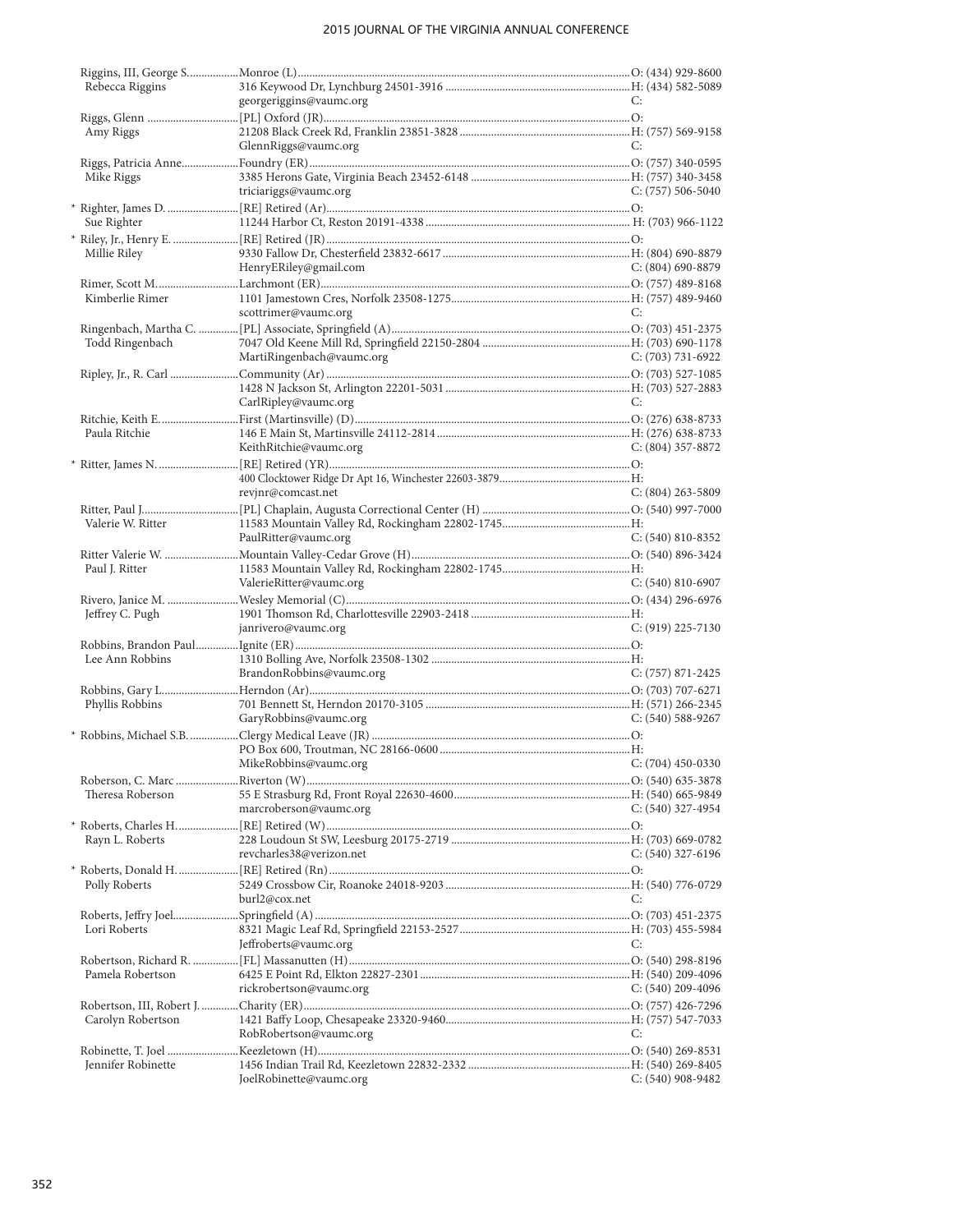| Rebecca Riggins    |                           |                       |
|--------------------|---------------------------|-----------------------|
|                    | georgeriggins@vaumc.org   | C:                    |
|                    |                           |                       |
|                    |                           |                       |
| Amy Riggs          |                           |                       |
|                    | GlennRiggs@vaumc.org      | C:                    |
|                    |                           |                       |
| Mike Riggs         |                           |                       |
|                    | triciariggs@vaumc.org     | $C: (757) 506 - 5040$ |
|                    |                           |                       |
|                    |                           |                       |
| Sue Righter        |                           |                       |
|                    |                           |                       |
| Millie Riley       |                           |                       |
|                    | HenryERiley@gmail.com     | $C: (804)$ 690-8879   |
|                    |                           |                       |
|                    |                           |                       |
| Kimberlie Rimer    |                           |                       |
|                    | scottrimer@vaumc.org      | C:                    |
|                    |                           |                       |
| Todd Ringenbach    |                           |                       |
|                    |                           |                       |
|                    | MartiRingenbach@vaumc.org | $C: (703) 731-6922$   |
|                    |                           |                       |
|                    |                           |                       |
|                    | CarlRipley@vaumc.org      | C:                    |
|                    |                           |                       |
|                    |                           |                       |
| Paula Ritchie      |                           |                       |
|                    | KeithRitchie@vaumc.org    | $C: (804)$ 357-8872   |
|                    |                           |                       |
|                    |                           |                       |
|                    | revjnr@comcast.net        | $C: (804)$ 263-5809   |
|                    |                           |                       |
|                    |                           |                       |
| Valerie W. Ritter  |                           |                       |
|                    | PaulRitter@vaumc.org      | $C: (540) 810 - 8352$ |
|                    |                           |                       |
|                    |                           |                       |
| Paul J. Ritter     |                           |                       |
|                    | ValerieRitter@vaumc.org   | $C: (540) 810-6907$   |
|                    |                           |                       |
| Jeffrey C. Pugh    |                           |                       |
|                    | janrivero@vaumc.org       | $C: (919)$ 225-7130   |
|                    |                           |                       |
|                    |                           |                       |
| Lee Ann Robbins    |                           |                       |
|                    | BrandonRobbins@vaumc.org  | $C: (757) 871 - 2425$ |
|                    |                           |                       |
| Phyllis Robbins    |                           |                       |
|                    | GaryRobbins@vaumc.org     | $C: (540) 588-9267$   |
|                    |                           |                       |
|                    |                           |                       |
|                    |                           |                       |
|                    | MikeRobbins@vaumc.org     | $C: (704)$ 450-0330   |
|                    |                           |                       |
| Theresa Roberson   |                           |                       |
|                    |                           |                       |
|                    | marcroberson@vaumc.org    | $C: (540)$ 327-4954   |
|                    |                           |                       |
| Rayn L. Roberts    |                           |                       |
|                    | revcharles38@verizon.net  | $C: (540)$ 327-6196   |
|                    |                           |                       |
|                    |                           |                       |
| Polly Roberts      |                           |                       |
|                    | burl2@cox.net             | C:                    |
|                    |                           |                       |
| Lori Roberts       |                           |                       |
|                    | Jeffroberts@vaumc.org     | C:                    |
|                    |                           |                       |
|                    |                           |                       |
| Pamela Robertson   |                           |                       |
|                    | rickrobertson@vaumc.org   | $C: (540)$ 209-4096   |
|                    |                           |                       |
|                    |                           |                       |
| Carolyn Robertson  |                           |                       |
|                    | RobRobertson@vaumc.org    | C:                    |
|                    |                           |                       |
| Jennifer Robinette |                           |                       |
|                    |                           |                       |
|                    | JoelRobinette@vaumc.org   | $C: (540)$ 908-9482   |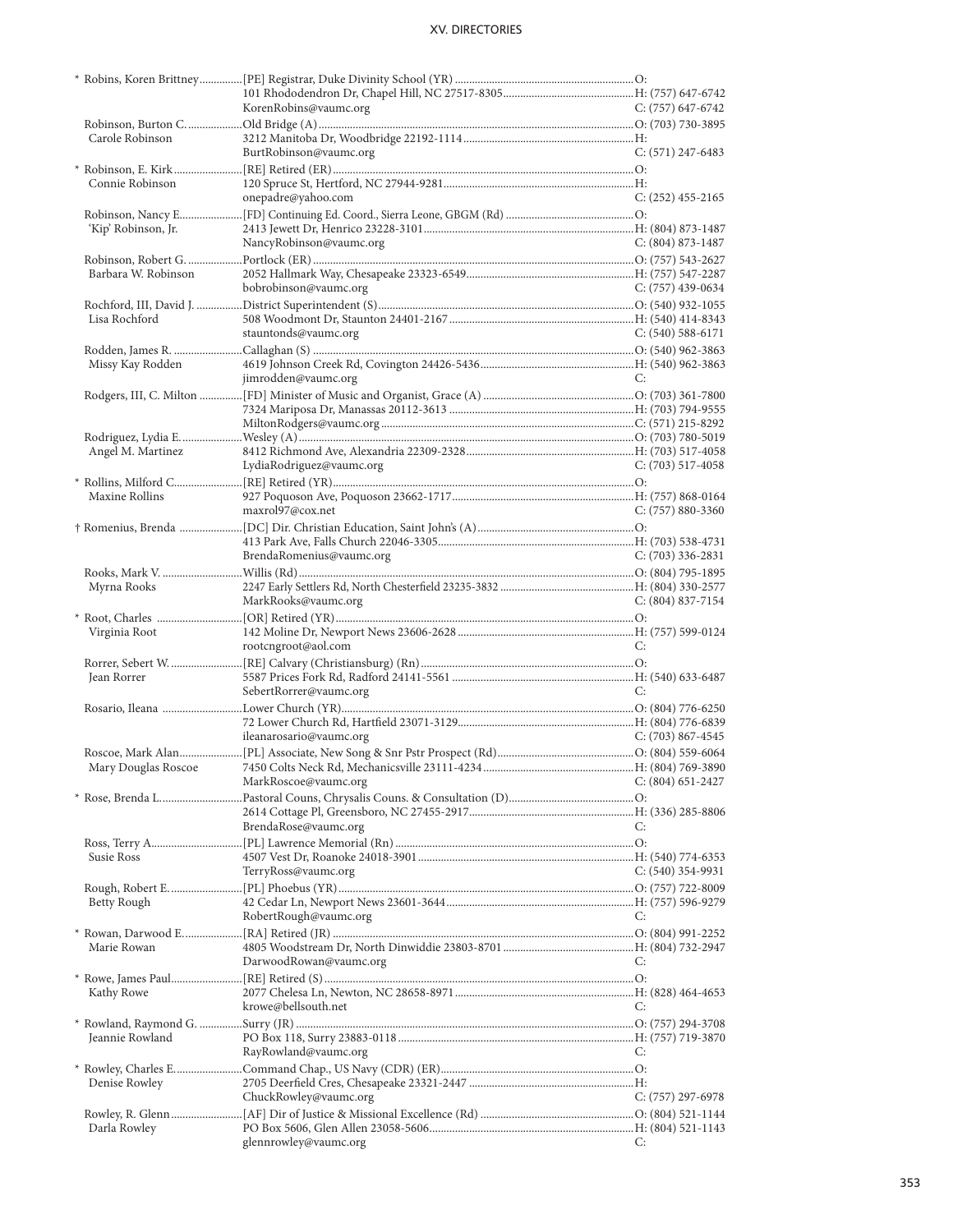|                     | KorenRobins@vaumc.org    | C: (757) 647-6742     |
|---------------------|--------------------------|-----------------------|
|                     |                          |                       |
| Carole Robinson     |                          |                       |
|                     | BurtRobinson@vaumc.org   | $C: (571)$ 247-6483   |
|                     |                          |                       |
| Connie Robinson     |                          |                       |
|                     |                          |                       |
|                     | onepadre@yahoo.com       | $C: (252)$ 455-2165   |
|                     |                          |                       |
| 'Kip' Robinson, Jr. |                          |                       |
|                     | NancyRobinson@vaumc.org  | $C: (804) 873 - 1487$ |
|                     |                          |                       |
| Barbara W. Robinson |                          |                       |
|                     | bobrobinson@vaumc.org    | C: (757) 439-0634     |
|                     |                          |                       |
|                     |                          |                       |
| Lisa Rochford       |                          |                       |
|                     | stauntonds@vaumc.org     | $C: (540) 588-6171$   |
|                     |                          |                       |
| Missy Kay Rodden    |                          |                       |
|                     | jimrodden@vaumc.org      | C:                    |
|                     |                          |                       |
|                     |                          |                       |
|                     |                          |                       |
|                     |                          |                       |
|                     |                          |                       |
| Angel M. Martinez   |                          |                       |
|                     | LydiaRodriguez@vaumc.org | C: $(703)$ 517-4058   |
|                     |                          |                       |
| Maxine Rollins      |                          |                       |
|                     | maxrol97@cox.net         |                       |
|                     |                          | $C: (757) 880 - 3360$ |
|                     |                          |                       |
|                     |                          |                       |
|                     | BrendaRomenius@vaumc.org | $C: (703)$ 336-2831   |
|                     |                          |                       |
| Myrna Rooks         |                          |                       |
|                     |                          |                       |
|                     | MarkRooks@vaumc.org      | $C: (804) 837 - 7154$ |
|                     |                          |                       |
|                     |                          |                       |
| Virginia Root       |                          |                       |
|                     | rootcngroot@aol.com      | C:                    |
|                     |                          |                       |
|                     |                          |                       |
| Jean Rorrer         |                          |                       |
|                     | SebertRorrer@vaumc.org   | C:                    |
|                     |                          |                       |
|                     |                          |                       |
|                     | ileanarosario@vaumc.org  | $C: (703) 867 - 4545$ |
|                     |                          |                       |
|                     |                          |                       |
| Mary Douglas Roscoe |                          |                       |
|                     | MarkRoscoe@vaumc.org     | $C: (804)$ 651-2427   |
|                     |                          |                       |
|                     |                          |                       |
|                     | BrendaRose@vaumc.org     | C:                    |
|                     |                          |                       |
| Susie Ross          |                          |                       |
|                     |                          |                       |
|                     | TerryRoss@vaumc.org      | $C: (540)$ 354-9931   |
|                     |                          |                       |
| Betty Rough         |                          |                       |
|                     | RobertRough@vaumc.org    | C:                    |
|                     |                          |                       |
| Marie Rowan         |                          |                       |
|                     | DarwoodRowan@vaumc.org   | C:                    |
|                     |                          |                       |
|                     |                          |                       |
| Kathy Rowe          |                          |                       |
|                     | krowe@bellsouth.net      | C:                    |
|                     |                          |                       |
| Jeannie Rowland     |                          |                       |
|                     | RayRowland@vaumc.org     | C:                    |
|                     |                          |                       |
|                     |                          |                       |
| Denise Rowley       |                          |                       |
|                     | ChuckRowley@vaumc.org    | $C: (757)$ 297-6978   |
|                     |                          |                       |
| Darla Rowley        | glennrowley@vaumc.org    | C:                    |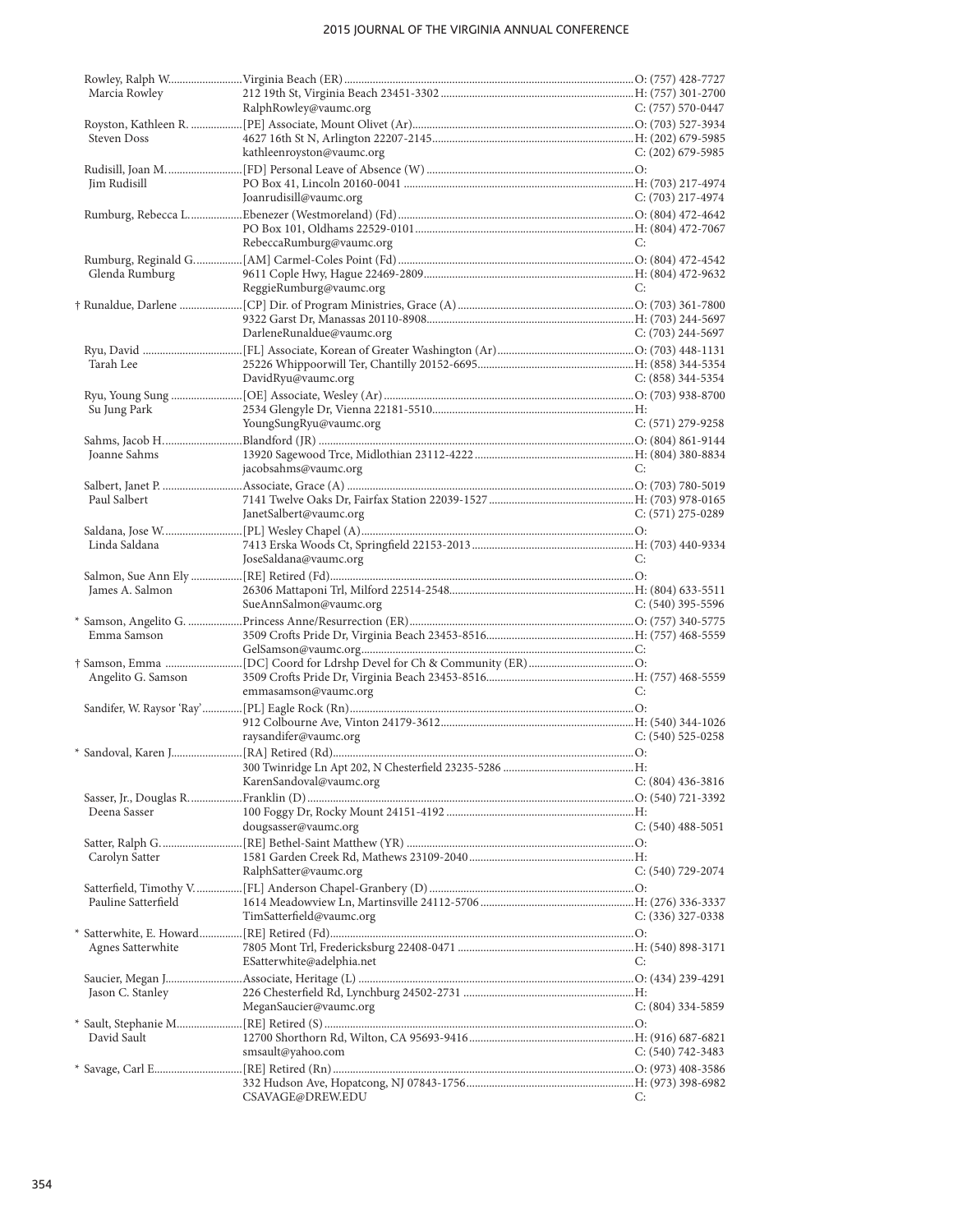| Marcia Rowley       |                           |                       |
|---------------------|---------------------------|-----------------------|
|                     | RalphRowley@vaumc.org     | $C: (757) 570-0447$   |
|                     |                           |                       |
| Steven Doss         |                           |                       |
|                     | kathleenroyston@vaumc.org | $C: (202)$ 679-5985   |
|                     |                           |                       |
| Jim Rudisill        |                           |                       |
|                     | Joanrudisill@vaumc.org    | $C: (703)$ 217-4974   |
|                     |                           |                       |
|                     |                           |                       |
|                     | RebeccaRumburg@vaumc.org  | C:                    |
|                     |                           |                       |
| Glenda Rumburg      |                           |                       |
|                     | ReggieRumburg@vaumc.org   | C:                    |
|                     |                           |                       |
|                     |                           |                       |
|                     |                           |                       |
|                     | DarleneRunaldue@vaumc.org | $C: (703)$ 244-5697   |
|                     |                           |                       |
| Tarah Lee           |                           |                       |
|                     | DavidRyu@vaumc.org        | $C: (858)$ 344-5354   |
|                     |                           |                       |
| Su Jung Park        |                           |                       |
|                     | YoungSungRyu@vaumc.org    | $C: (571)$ 279-9258   |
|                     |                           |                       |
| Joanne Sahms        |                           |                       |
|                     | jacobsahms@vaumc.org      | C:                    |
|                     |                           |                       |
| Paul Salbert        |                           |                       |
|                     | JanetSalbert@vaumc.org    | $C: (571)$ 275-0289   |
|                     |                           |                       |
| Linda Saldana       |                           |                       |
|                     | JoseSaldana@vaumc.org     | C:                    |
|                     |                           |                       |
|                     |                           |                       |
| James A. Salmon     |                           |                       |
|                     | SueAnnSalmon@vaumc.org    | $C: (540)$ 395-5596   |
|                     |                           |                       |
| Emma Samson         |                           |                       |
|                     |                           |                       |
|                     |                           |                       |
| Angelito G. Samson  |                           |                       |
|                     | emmasamson@vaumc.org      | C:                    |
|                     |                           |                       |
|                     |                           |                       |
|                     | raysandifer@vaumc.org     | $C: (540)$ 525-0258   |
|                     |                           |                       |
|                     |                           |                       |
|                     | KarenSandoval@vaumc.org   | C: $(804)$ 436-3816   |
|                     |                           |                       |
| Deena Sasser        |                           |                       |
|                     | dougsasser@vaumc.org      | $C: (540)$ 488-5051   |
|                     |                           |                       |
| Carolyn Satter      |                           |                       |
|                     | RalphSatter@vaumc.org     | $C: (540)$ 729-2074   |
|                     |                           |                       |
| Pauline Satterfield |                           |                       |
|                     | TimSatterfield@vaumc.org  | $C: (336)$ 327-0338   |
|                     |                           |                       |
| Agnes Satterwhite   |                           |                       |
|                     |                           |                       |
|                     | ESatterwhite@adelphia.net | C:                    |
|                     |                           |                       |
| Jason C. Stanley    |                           |                       |
|                     | MeganSaucier@vaumc.org    | C: (804) 334-5859     |
|                     |                           |                       |
| David Sault         |                           |                       |
|                     |                           |                       |
|                     | smsault@yahoo.com         | $C: (540) 742 - 3483$ |
|                     |                           |                       |
|                     | CSAVAGE@DREW.EDU          |                       |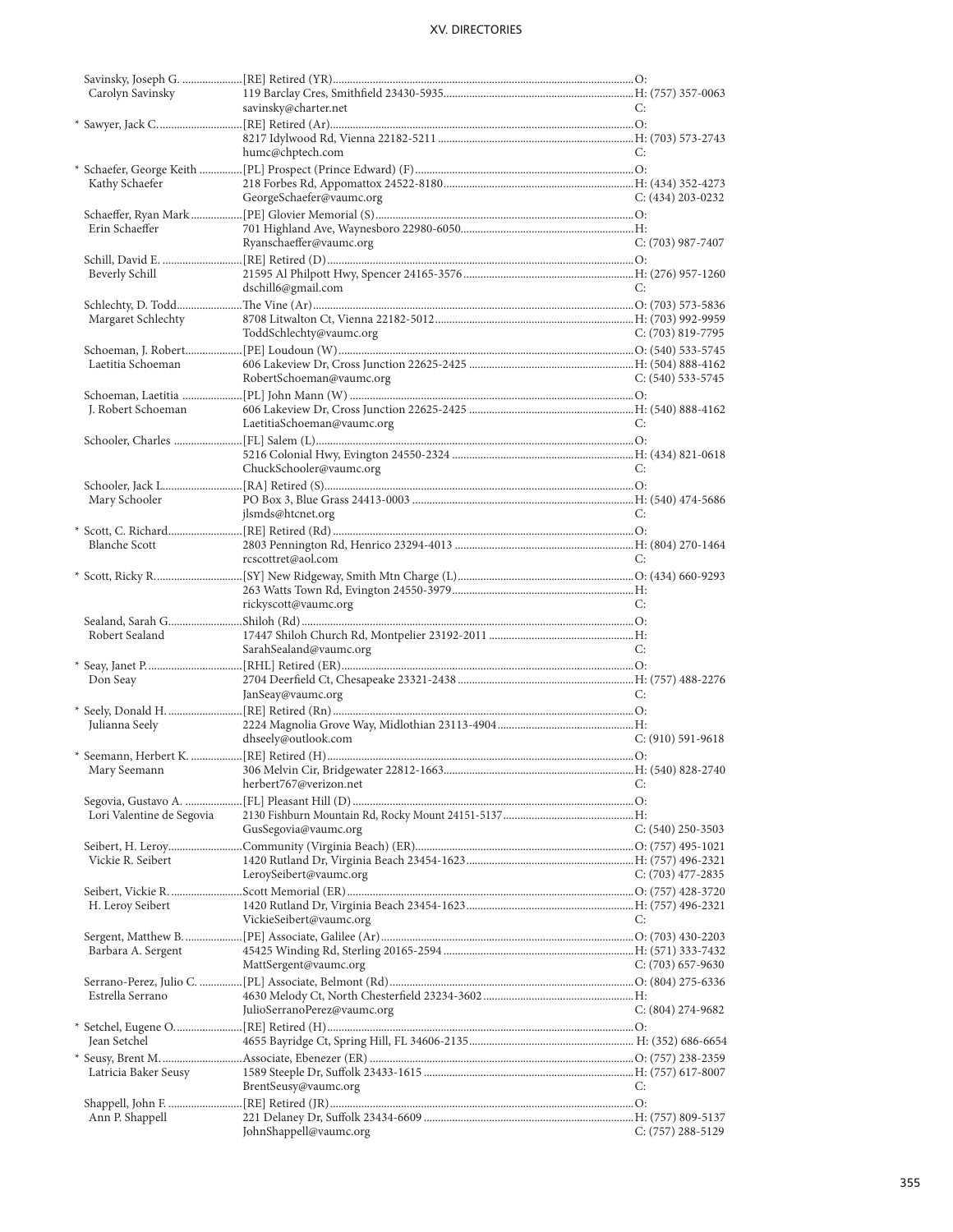| Carolyn Savinsky          |                             |                       |
|---------------------------|-----------------------------|-----------------------|
|                           | savinsky@charter.net        | C:                    |
|                           |                             |                       |
|                           |                             |                       |
|                           | humc@chptech.com            | C:                    |
|                           |                             |                       |
| Kathy Schaefer            |                             |                       |
|                           |                             |                       |
|                           | GeorgeSchaefer@vaumc.org    | $C: (434) 203 - 0232$ |
|                           |                             |                       |
| Erin Schaeffer            |                             |                       |
|                           | Ryanschaeffer@vaumc.org     | C: (703) 987-7407     |
|                           |                             |                       |
| Beverly Schill            |                             |                       |
|                           | dschill6@gmail.com          | C:                    |
|                           |                             |                       |
| Margaret Schlechty        |                             |                       |
|                           | ToddSchlechty@vaumc.org     | C: (703) 819-7795     |
|                           |                             |                       |
|                           |                             |                       |
| Laetitia Schoeman         |                             |                       |
|                           | RobertSchoeman@vaumc.org    | C: $(540)$ 533-5745   |
|                           |                             |                       |
| J. Robert Schoeman        |                             |                       |
|                           | LaetitiaSchoeman@vaumc.org  | C:                    |
|                           |                             |                       |
|                           |                             |                       |
|                           | ChuckSchooler@vaumc.org     | C:                    |
|                           |                             |                       |
|                           |                             |                       |
| Mary Schooler             |                             |                       |
|                           | jlsmds@htcnet.org           | C:                    |
|                           |                             |                       |
| <b>Blanche Scott</b>      |                             |                       |
|                           | rcscottret@aol.com          | C:                    |
|                           |                             |                       |
|                           |                             |                       |
|                           | rickyscott@vaumc.org        | C:                    |
|                           |                             |                       |
| Robert Sealand            |                             |                       |
|                           |                             |                       |
|                           | SarahSealand@vaumc.org      | C:                    |
|                           |                             |                       |
| Don Seay                  |                             |                       |
|                           | JanSeay@vaumc.org           | C:                    |
|                           |                             |                       |
| Julianna Seely            |                             |                       |
|                           | dhseely@outlook.com         | $C: (910) 591-9618$   |
|                           |                             |                       |
|                           |                             |                       |
|                           | herbert767@verizon.net      |                       |
|                           |                             | C:                    |
|                           |                             |                       |
| Lori Valentine de Segovia |                             |                       |
|                           | GusSegovia@vaumc.org        | $C: (540)$ 250-3503   |
|                           |                             |                       |
| Vickie R. Seibert         |                             |                       |
|                           | LeroySeibert@vaumc.org      | C: (703) 477-2835     |
|                           |                             |                       |
|                           |                             |                       |
| H. Leroy Seibert          |                             |                       |
|                           | VickieSeibert@vaumc.org     | C:                    |
|                           |                             |                       |
| Barbara A. Sergent        |                             |                       |
|                           |                             |                       |
|                           | MattSergent@vaumc.org       | $C: (703)$ 657-9630   |
|                           |                             |                       |
| Estrella Serrano          |                             |                       |
|                           |                             | $C: (804)$ 274-9682   |
|                           | JulioSerranoPerez@vaumc.org |                       |
|                           |                             |                       |
| Jean Setchel              |                             |                       |
|                           |                             |                       |
| Latricia Baker Seusy      |                             |                       |
|                           | BrentSeusy@vaumc.org        | C:                    |
|                           |                             |                       |
| Ann P. Shappell           |                             |                       |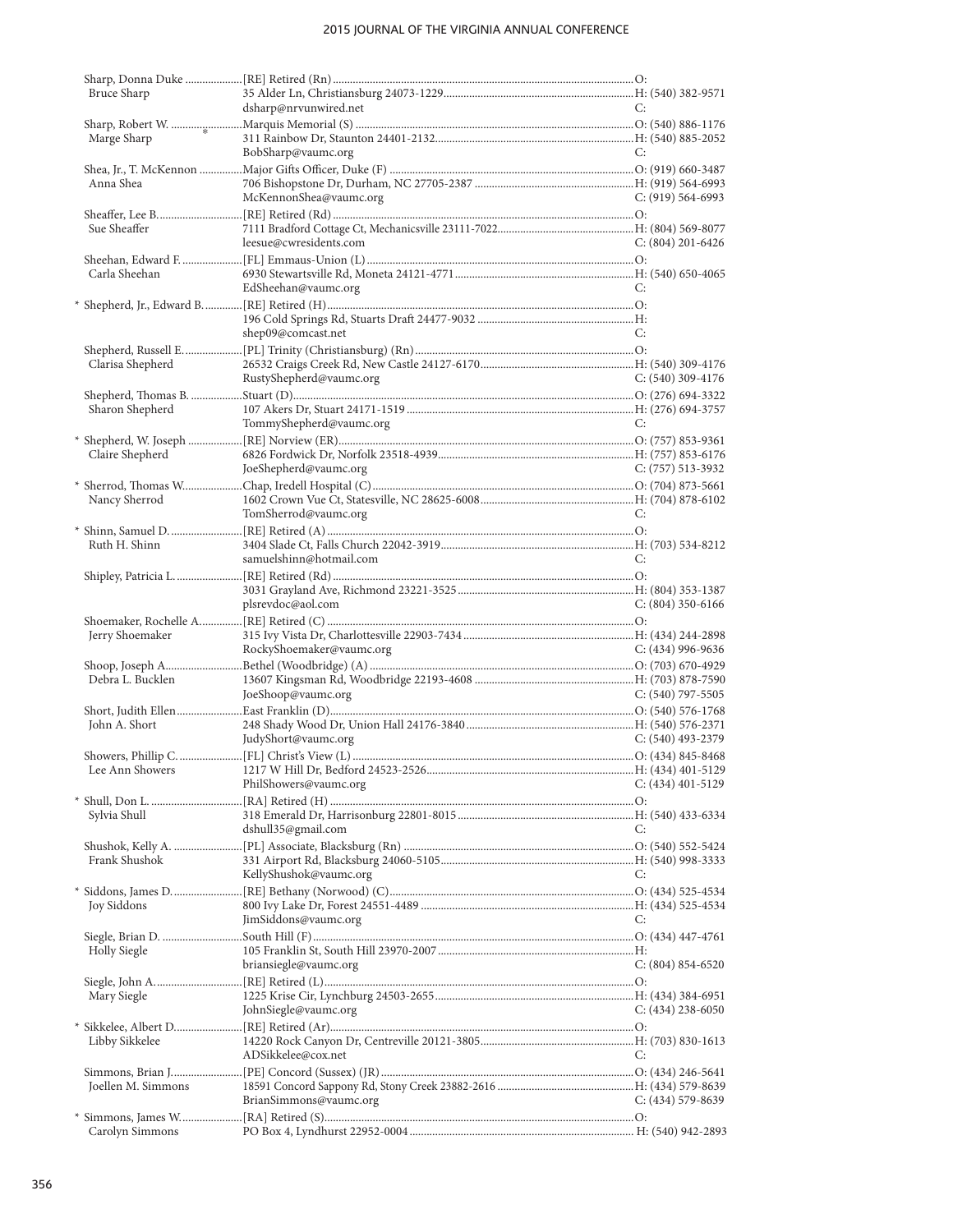| Bruce Sharp         |                          |                     |
|---------------------|--------------------------|---------------------|
|                     | dsharp@nrvunwired.net    | C:                  |
|                     |                          |                     |
| Marge Sharp         |                          |                     |
|                     | BobSharp@vaumc.org       | C:                  |
|                     |                          |                     |
| Anna Shea           |                          |                     |
|                     |                          |                     |
|                     | McKennonShea@vaumc.org   | C: (919) 564-6993   |
|                     |                          |                     |
| Sue Sheaffer        |                          |                     |
|                     | leesue@cwresidents.com   | $C: (804)$ 201-6426 |
|                     |                          |                     |
| Carla Sheehan       |                          |                     |
|                     | EdSheehan@vaumc.org      | C:                  |
|                     |                          |                     |
|                     |                          |                     |
|                     | shep09@comcast.net       | C:                  |
|                     |                          |                     |
|                     |                          |                     |
| Clarisa Shepherd    |                          |                     |
|                     | RustyShepherd@vaumc.org  | C: $(540)$ 309-4176 |
|                     |                          |                     |
| Sharon Shepherd     |                          |                     |
|                     | TommyShepherd@vaumc.org  | C:                  |
|                     |                          |                     |
| Claire Shepherd     |                          |                     |
|                     | JoeShepherd@vaumc.org    | C: (757) 513-3932   |
|                     |                          |                     |
|                     |                          |                     |
| Nancy Sherrod       |                          |                     |
|                     | TomSherrod@vaumc.org     | C:                  |
|                     |                          |                     |
| Ruth H. Shinn       |                          |                     |
|                     | samuelshinn@hotmail.com  | C:                  |
|                     |                          |                     |
|                     |                          |                     |
|                     | plsrevdoc@aol.com        | $C: (804)$ 350-6166 |
|                     |                          |                     |
|                     |                          |                     |
| Jerry Shoemaker     |                          |                     |
|                     | RockyShoemaker@vaumc.org | C: (434) 996-9636   |
|                     |                          |                     |
| Debra L. Bucklen    |                          |                     |
|                     | JoeShoop@vaumc.org       | C: $(540)$ 797-5505 |
|                     |                          |                     |
| John A. Short       |                          |                     |
|                     | JudyShort@vaumc.org      | C: (540) 493-2379   |
|                     |                          |                     |
|                     |                          |                     |
|                     |                          |                     |
|                     | PhilShowers@vaumc.org    | $C: (434)$ 401-5129 |
|                     |                          |                     |
| Sylvia Shull        |                          |                     |
|                     | dshull35@gmail.com       | C:                  |
|                     |                          |                     |
| Frank Shushok       |                          |                     |
|                     |                          | C:                  |
|                     | KellyShushok@vaumc.org   |                     |
|                     |                          |                     |
| Joy Siddons         |                          |                     |
|                     | JimSiddons@vaumc.org     | C:                  |
|                     |                          |                     |
| <b>Holly Siegle</b> |                          |                     |
|                     | briansiegle@vaumc.org    | $C: (804) 854-6520$ |
|                     |                          |                     |
|                     |                          |                     |
| Mary Siegle         |                          |                     |
|                     | JohnSiegle@vaumc.org     | $C: (434)$ 238-6050 |
|                     |                          |                     |
| Libby Sikkelee      |                          |                     |
|                     | ADSikkelee@cox.net       | C:                  |
|                     |                          |                     |
| Joellen M. Simmons  |                          |                     |
|                     | BrianSimmons@vaumc.org   | $C: (434) 579-8639$ |
|                     |                          |                     |
|                     |                          |                     |
| Carolyn Simmons     |                          |                     |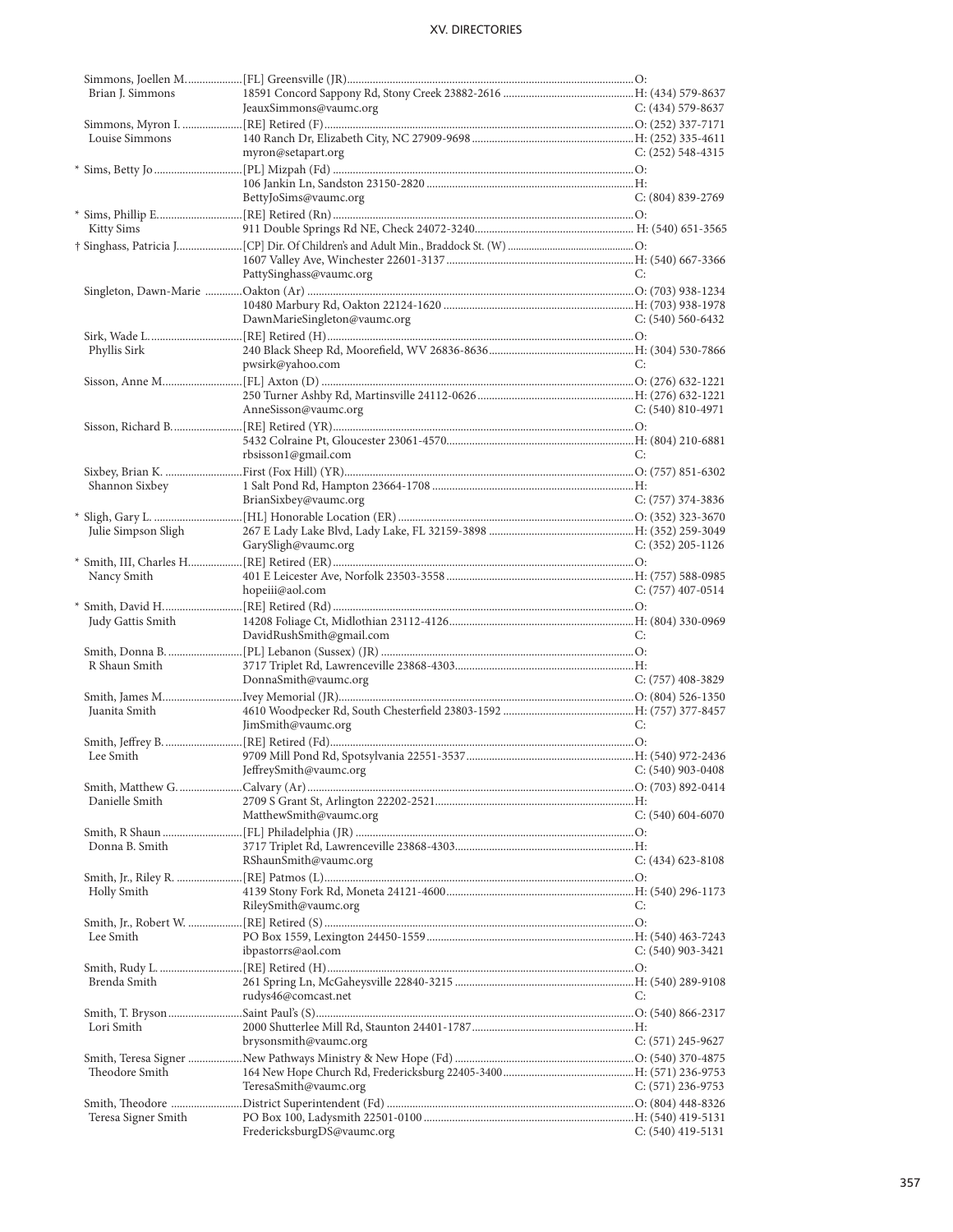| Brian J. Simmons    |                              |                     |
|---------------------|------------------------------|---------------------|
|                     | JeauxSimmons@vaumc.org       | C: (434) 579-8637   |
|                     |                              |                     |
| Louise Simmons      |                              |                     |
|                     | myron@setapart.org           | C: $(252)$ 548-4315 |
|                     |                              |                     |
|                     |                              |                     |
|                     |                              |                     |
|                     | BettyJoSims@vaumc.org        | C: (804) 839-2769   |
|                     |                              |                     |
| Kitty Sims          |                              |                     |
|                     |                              |                     |
|                     |                              |                     |
|                     | PattySinghass@vaumc.org      | C:                  |
|                     |                              |                     |
|                     |                              |                     |
|                     | DawnMarieSingleton@vaumc.org | C: $(540)$ 560-6432 |
|                     |                              |                     |
|                     |                              |                     |
| Phyllis Sirk        |                              |                     |
|                     | pwsirk@yahoo.com             | C:                  |
|                     |                              |                     |
|                     |                              |                     |
|                     | AnneSisson@vaumc.org         | C: $(540)$ 810-4971 |
|                     |                              |                     |
|                     |                              |                     |
|                     | rbsisson1@gmail.com          | C:                  |
|                     |                              |                     |
|                     |                              |                     |
| Shannon Sixbey      |                              |                     |
|                     | BrianSixbey@vaumc.org        | $C: (757)$ 374-3836 |
|                     |                              |                     |
| Julie Simpson Sligh |                              |                     |
|                     | GarySligh@vaumc.org          | $C: (352)$ 205-1126 |
|                     |                              |                     |
| Nancy Smith         |                              |                     |
|                     | hopeiii@aol.com              | $C: (757)$ 407-0514 |
|                     |                              |                     |
|                     |                              |                     |
| Judy Gattis Smith   |                              |                     |
|                     | DavidRushSmith@gmail.com     | C:                  |
|                     |                              |                     |
| R Shaun Smith       |                              |                     |
|                     | DonnaSmith@vaumc.org         | $C: (757)$ 408-3829 |
|                     |                              |                     |
| Juanita Smith       |                              |                     |
|                     |                              |                     |
|                     |                              |                     |
|                     | JimSmith@vaumc.org           | C:                  |
|                     |                              |                     |
| Lee Smith           |                              |                     |
|                     | JeffreySmith@vaumc.org       | $C: (540) 903-0408$ |
|                     |                              |                     |
| Danielle Smith      |                              |                     |
|                     | MatthewSmith@vaumc.org       | $C: (540) 604-6070$ |
|                     |                              |                     |
|                     |                              |                     |
| Donna B. Smith      |                              |                     |
|                     | RShaunSmith@vaumc.org        | $C: (434)$ 623-8108 |
|                     |                              |                     |
| Holly Smith         |                              |                     |
|                     | RileySmith@vaumc.org         | C:                  |
|                     |                              |                     |
| Lee Smith           |                              |                     |
|                     | ibpastorrs@aol.com           | $C: (540)$ 903-3421 |
|                     |                              |                     |
|                     |                              |                     |
| Brenda Smith        |                              |                     |
|                     | rudys46@comcast.net          | C:                  |
|                     |                              |                     |
| Lori Smith          |                              |                     |
|                     | brysonsmith@vaumc.org        | $C: (571)$ 245-9627 |
|                     |                              |                     |
| Theodore Smith      |                              |                     |
|                     |                              |                     |
|                     | TeresaSmith@vaumc.org        | $C: (571)$ 236-9753 |
|                     |                              |                     |
| Teresa Signer Smith | FredericksburgDS@vaumc.org   | $C: (540)$ 419-5131 |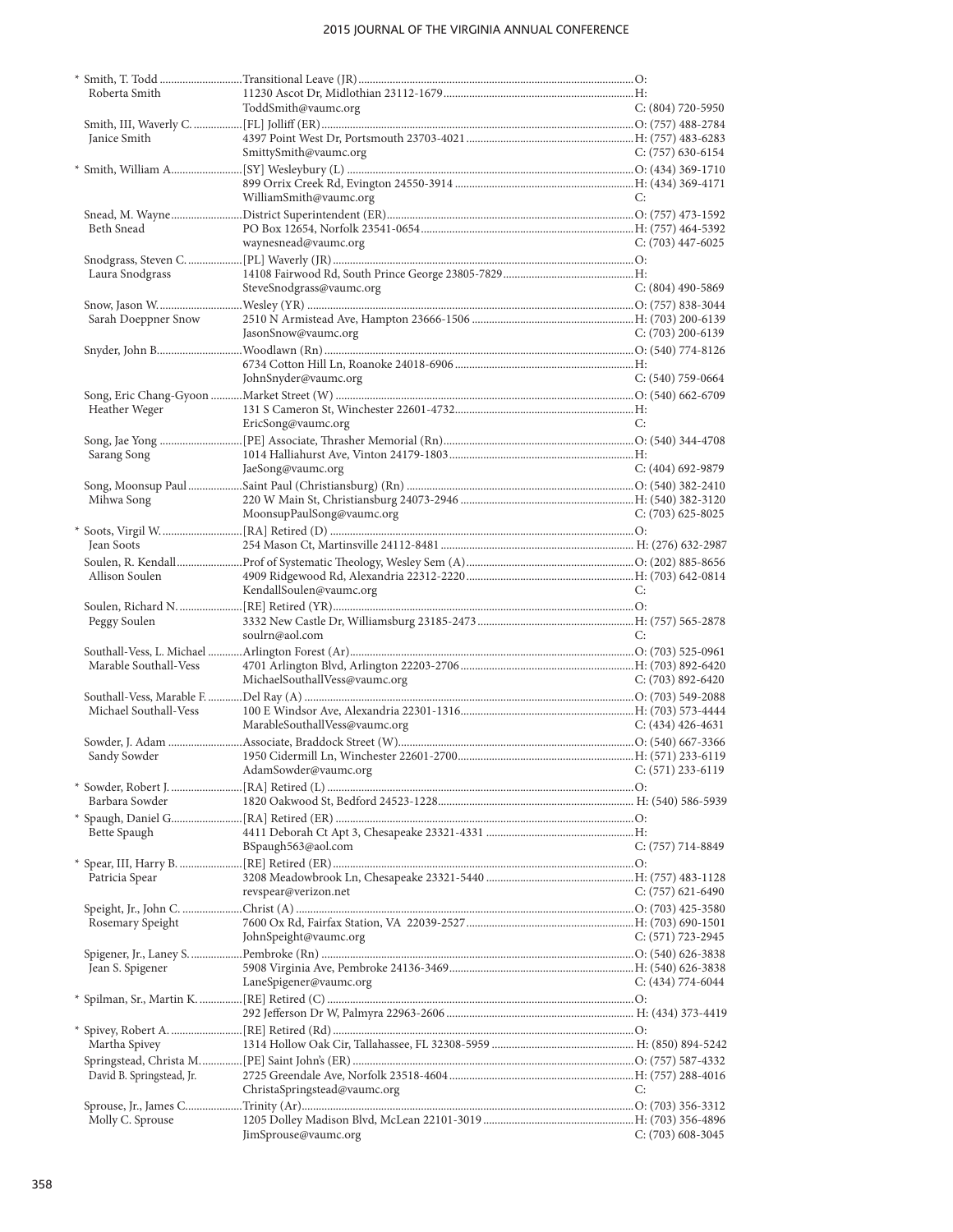| Roberta Smith             |                                             |                       |
|---------------------------|---------------------------------------------|-----------------------|
|                           | ToddSmith@vaumc.org                         | $C: (804)$ 720-5950   |
|                           |                                             |                       |
|                           |                                             |                       |
| Janice Smith              |                                             |                       |
|                           | SmittySmith@vaumc.org                       | $C: (757)$ 630-6154   |
|                           |                                             |                       |
|                           |                                             |                       |
|                           |                                             |                       |
|                           | WilliamSmith@vaumc.org                      | C:                    |
|                           |                                             |                       |
| Beth Snead                |                                             |                       |
|                           | waynesnead@vaumc.org                        | C: $(703)$ 447-6025   |
|                           |                                             |                       |
|                           |                                             |                       |
| Laura Snodgrass           |                                             |                       |
|                           | SteveSnodgrass@vaumc.org                    | $C: (804)$ 490-5869   |
|                           |                                             |                       |
|                           |                                             |                       |
| Sarah Doeppner Snow       |                                             |                       |
|                           | JasonSnow@vaumc.org                         | $C: (703)$ 200-6139   |
|                           |                                             |                       |
|                           |                                             |                       |
|                           |                                             |                       |
|                           | JohnSnyder@vaumc.org                        | $C: (540)$ 759-0664   |
|                           |                                             |                       |
| Heather Weger             |                                             |                       |
|                           |                                             | C:                    |
|                           | EricSong@vaumc.org                          |                       |
|                           |                                             |                       |
| Sarang Song               |                                             |                       |
|                           | JaeSong@vaumc.org                           | C: (404) 692-9879     |
|                           |                                             |                       |
|                           |                                             |                       |
| Mihwa Song                |                                             |                       |
|                           | MoonsupPaulSong@vaumc.org                   | $C: (703)$ 625-8025   |
|                           |                                             |                       |
|                           |                                             |                       |
| <b>Jean Soots</b>         |                                             |                       |
|                           |                                             |                       |
| Allison Soulen            |                                             |                       |
|                           | KendallSoulen@vaumc.org                     | C:                    |
|                           |                                             |                       |
|                           |                                             |                       |
|                           |                                             |                       |
|                           |                                             |                       |
| Peggy Soulen              | soulrn@aol.com                              | C:                    |
|                           |                                             |                       |
|                           |                                             |                       |
| Marable Southall-Vess     |                                             |                       |
|                           | MichaelSouthallVess@vaumc.org               | C: $(703)$ 892-6420   |
|                           |                                             |                       |
|                           |                                             |                       |
| Michael Southall-Vess     |                                             |                       |
|                           | MarableSouthallVess@vaumc.org               | $C: (434)$ 426-4631   |
|                           |                                             |                       |
|                           |                                             |                       |
| Sandy Sowder              |                                             |                       |
|                           | AdamSowder@vaumc.org<br>$C: (571)$ 233-6119 |                       |
|                           |                                             |                       |
| Barbara Sowder            |                                             |                       |
|                           |                                             |                       |
|                           |                                             |                       |
| Bette Spaugh              |                                             |                       |
|                           | BSpaugh563@aol.com                          | C: (757) 714-8849     |
|                           |                                             |                       |
|                           |                                             |                       |
| Patricia Spear            |                                             |                       |
|                           | revspear@verizon.net                        | $C: (757)$ 621-6490   |
|                           |                                             |                       |
| Rosemary Speight          |                                             |                       |
|                           | JohnSpeight@vaumc.org                       | $C: (571) 723 - 2945$ |
|                           |                                             |                       |
|                           |                                             |                       |
| Jean S. Spigener          |                                             |                       |
|                           | LaneSpigener@vaumc.org                      | C: $(434)$ 774-6044   |
|                           |                                             |                       |
|                           |                                             |                       |
|                           |                                             |                       |
|                           |                                             |                       |
| Martha Spivey             |                                             |                       |
|                           |                                             |                       |
|                           |                                             |                       |
| David B. Springstead, Jr. |                                             |                       |
|                           | ChristaSpringstead@vaumc.org                | C:                    |
|                           |                                             |                       |
|                           |                                             |                       |
| Molly C. Sprouse          | JimSprouse@vaumc.org                        | $C: (703)$ 608-3045   |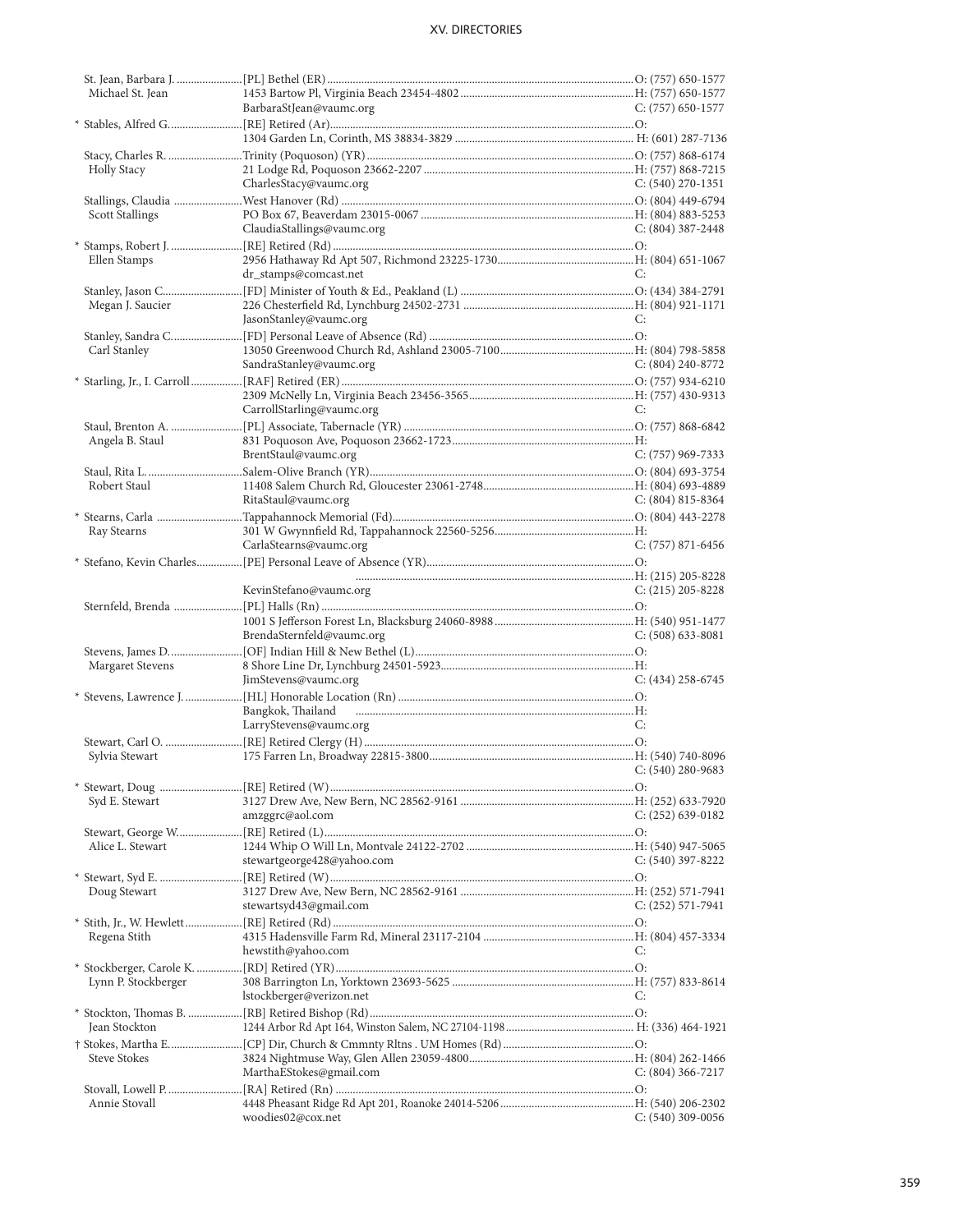| Michael St. Jean       |                            |                       |
|------------------------|----------------------------|-----------------------|
|                        | BarbaraStJean@vaumc.org    | $C: (757)$ 650-1577   |
|                        |                            |                       |
|                        |                            |                       |
|                        |                            |                       |
|                        |                            |                       |
| <b>Holly Stacy</b>     |                            |                       |
|                        | CharlesStacy@vaumc.org     | C: $(540)$ 270-1351   |
|                        |                            |                       |
|                        |                            |                       |
| <b>Scott Stallings</b> |                            |                       |
|                        | ClaudiaStallings@vaumc.org | $C: (804)$ 387-2448   |
|                        |                            |                       |
| Ellen Stamps           |                            |                       |
|                        |                            |                       |
|                        | dr_stamps@comcast.net      | C:                    |
|                        |                            |                       |
| Megan J. Saucier       |                            |                       |
|                        | JasonStanley@vaumc.org     | C:                    |
|                        |                            |                       |
|                        |                            |                       |
| Carl Stanley           |                            |                       |
|                        | SandraStanley@vaumc.org    | $C: (804) 240 - 8772$ |
|                        |                            |                       |
|                        |                            |                       |
|                        |                            |                       |
|                        | CarrollStarling@vaumc.org  | C:                    |
|                        |                            |                       |
| Angela B. Staul        |                            |                       |
|                        | BrentStaul@vaumc.org       | $C: (757)$ 969-7333   |
|                        |                            |                       |
|                        |                            |                       |
| Robert Staul           |                            |                       |
|                        | RitaStaul@vaumc.org        | $C: (804) 815 - 8364$ |
|                        |                            |                       |
|                        |                            |                       |
| Ray Stearns            |                            |                       |
|                        | CarlaStearns@vaumc.org     | $C: (757) 871-6456$   |
|                        |                            |                       |
|                        |                            |                       |
|                        |                            |                       |
|                        | KevinStefano@vaumc.org     | $C: (215)$ 205-8228   |
|                        |                            |                       |
|                        |                            |                       |
|                        |                            |                       |
|                        |                            |                       |
|                        | BrendaSternfeld@vaumc.org  | $C: (508)$ 633-8081   |
|                        |                            |                       |
| Margaret Stevens       |                            |                       |
|                        | JimStevens@vaumc.org       | $C: (434)$ 258-6745   |
|                        |                            |                       |
|                        |                            |                       |
|                        |                            |                       |
|                        | LarryStevens@vaumc.org     | C:                    |
|                        |                            |                       |
|                        |                            |                       |
| Sylvia Stewart         |                            |                       |
|                        | $C: (540)$ 280-9683        |                       |
|                        |                            |                       |
| Syd E. Stewart         |                            |                       |
|                        | amzggrc@aol.com            | $C: (252)$ 639-0182   |
|                        |                            |                       |
|                        |                            |                       |
| Alice L. Stewart       |                            |                       |
|                        | stewartgeorge428@yahoo.com | C: $(540)$ 397-8222   |
|                        |                            |                       |
|                        |                            |                       |
| Doug Stewart           |                            |                       |
|                        | stewartsyd43@gmail.com     | $C: (252) 571-7941$   |
|                        |                            |                       |
| Regena Stith           |                            |                       |
|                        |                            |                       |
|                        | hewstith@yahoo.com         | C:                    |
|                        |                            |                       |
| Lynn P. Stockberger    |                            |                       |
|                        | lstockberger@verizon.net   | C:                    |
|                        |                            |                       |
|                        |                            |                       |
| Jean Stockton          |                            |                       |
|                        |                            |                       |
| <b>Steve Stokes</b>    |                            |                       |
|                        |                            |                       |
|                        | MarthaEStokes@gmail.com    | $C: (804)$ 366-7217   |
|                        |                            |                       |
| Annie Stovall          | woodies02@cox.net          | $C: (540)$ 309-0056   |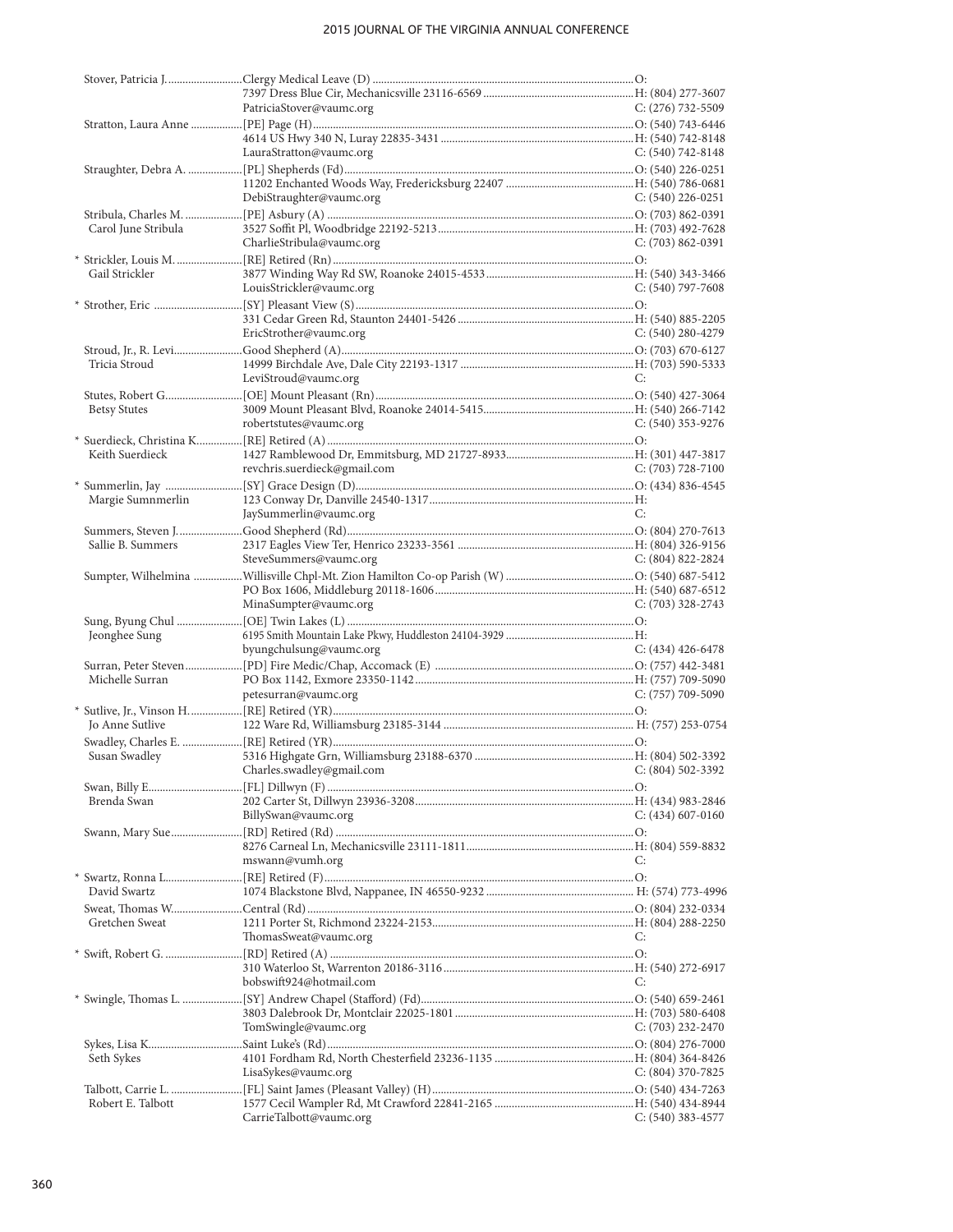|                     | PatriciaStover@vaumc.org                    | $C: (276)$ 732-5509   |
|---------------------|---------------------------------------------|-----------------------|
|                     |                                             |                       |
|                     |                                             |                       |
|                     | LauraStratton@vaumc.org                     | C: $(540)$ 742-8148   |
|                     |                                             |                       |
|                     |                                             |                       |
|                     | DebiStraughter@vaumc.org                    | $C: (540)$ 226-0251   |
|                     |                                             |                       |
| Carol June Stribula |                                             |                       |
|                     | CharlieStribula@vaumc.org                   | $C: (703) 862 - 0391$ |
|                     |                                             |                       |
| Gail Strickler      |                                             |                       |
|                     | LouisStrickler@vaumc.org                    |                       |
|                     |                                             | $C: (540)$ 797-7608   |
|                     |                                             |                       |
|                     |                                             |                       |
|                     | EricStrother@vaumc.org                      | C: (540) 280-4279     |
|                     |                                             |                       |
| Tricia Stroud       |                                             |                       |
|                     | LeviStroud@vaumc.org                        | C:                    |
|                     |                                             |                       |
| <b>Betsy Stutes</b> |                                             |                       |
|                     | robertstutes@vaumc.org                      | $C: (540)$ 353-9276   |
|                     |                                             |                       |
| Keith Suerdieck     |                                             |                       |
|                     |                                             |                       |
|                     | revchris.suerdieck@gmail.com                | $C: (703)$ 728-7100   |
|                     |                                             |                       |
| Margie Sumnmerlin   |                                             |                       |
|                     | JaySummerlin@vaumc.org                      | C:                    |
|                     |                                             |                       |
| Sallie B. Summers   |                                             |                       |
|                     | SteveSummers@vaumc.org                      | C: $(804)$ 822-2824   |
|                     |                                             |                       |
|                     |                                             |                       |
|                     | MinaSumpter@vaumc.org                       | $C: (703)$ 328-2743   |
|                     |                                             |                       |
|                     |                                             |                       |
| Jeonghee Sung       |                                             |                       |
|                     | byungchulsung@vaumc.org                     | $C: (434)$ 426-6478   |
|                     |                                             |                       |
| Michelle Surran     |                                             |                       |
|                     | petesurran@vaumc.org                        | $C: (757)$ 709-5090   |
|                     |                                             |                       |
| Jo Anne Sutlive     |                                             |                       |
|                     |                                             |                       |
| Susan Swadley       |                                             |                       |
|                     | Charles.swadley@gmail.com C: (804) 502-3392 |                       |
|                     |                                             |                       |
| Brenda Swan         |                                             |                       |
|                     | BillySwan@vaumc.org                         | $C: (434)$ 607-0160   |
|                     |                                             |                       |
|                     |                                             |                       |
|                     |                                             |                       |
|                     | mswann@vumh.org                             | C:                    |
|                     |                                             |                       |
| David Swartz        |                                             |                       |
|                     |                                             |                       |
| Gretchen Sweat      |                                             |                       |
|                     | ThomasSweat@vaumc.org                       | C:                    |
|                     |                                             |                       |
|                     |                                             |                       |
|                     | bobswift924@hotmail.com                     | C:                    |
|                     |                                             |                       |
|                     |                                             |                       |
|                     |                                             |                       |
|                     | TomSwingle@vaumc.org                        | C: (703) 232-2470     |
|                     |                                             |                       |
| Seth Sykes          |                                             |                       |
|                     | LisaSykes@vaumc.org                         | C: (804) 370-7825     |
|                     |                                             |                       |
| Robert E. Talbott   |                                             |                       |
|                     | CarrieTalbott@vaumc.org                     |                       |
|                     |                                             | $C: (540)$ 383-4577   |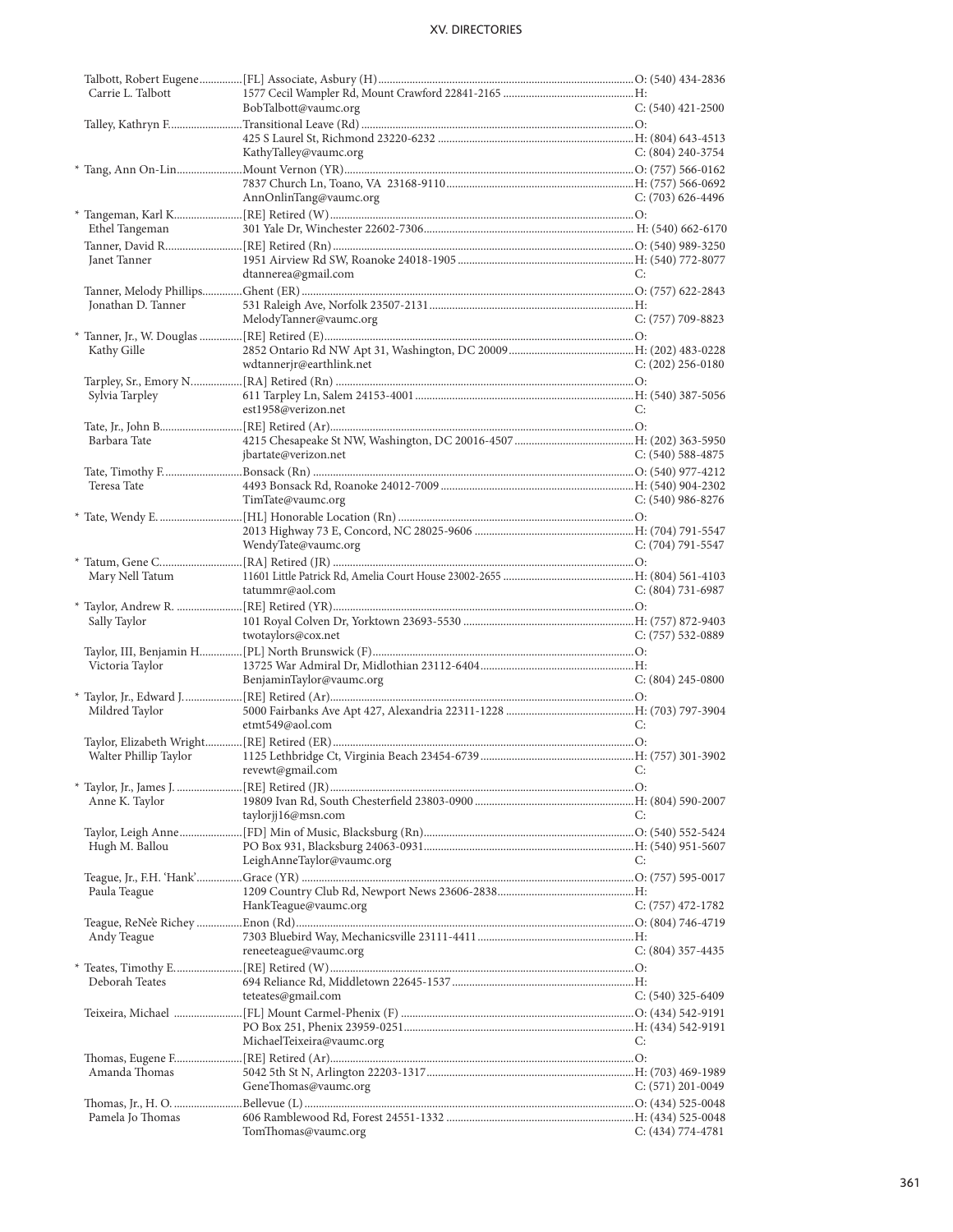| Carrie L. Talbott     |                           |                       |
|-----------------------|---------------------------|-----------------------|
|                       | BobTalbott@vaumc.org      | $C: (540)$ 421-2500   |
|                       |                           |                       |
|                       | KathyTalley@vaumc.org     | $C: (804)$ 240-3754   |
|                       |                           |                       |
|                       |                           |                       |
|                       | AnnOnlinTang@vaumc.org    | $C: (703)$ 626-4496   |
|                       |                           |                       |
| Ethel Tangeman        |                           |                       |
|                       |                           |                       |
| Janet Tanner          |                           |                       |
|                       | dtannerea@gmail.com       | C:                    |
|                       |                           |                       |
| Jonathan D. Tanner    |                           |                       |
|                       | MelodyTanner@vaumc.org    | $C: (757)$ 709-8823   |
|                       |                           |                       |
| Kathy Gille           | wdtannerjr@earthlink.net  | $C: (202)$ 256-0180   |
|                       |                           |                       |
| Sylvia Tarpley        |                           |                       |
|                       | est1958@verizon.net       | C:                    |
|                       |                           |                       |
| Barbara Tate          |                           |                       |
|                       | jbartate@verizon.net      | $C: (540) 588-4875$   |
|                       |                           |                       |
| Teresa Tate           |                           |                       |
|                       | TimTate@vaumc.org         | $C: (540)$ 986-8276   |
|                       |                           |                       |
|                       | WendyTate@vaumc.org       | $C: (704) 791 - 5547$ |
|                       |                           |                       |
| Mary Nell Tatum       |                           |                       |
|                       | tatummr@aol.com           | $C: (804) 731-6987$   |
|                       |                           |                       |
| Sally Taylor          |                           |                       |
|                       | twotaylors@cox.net        | $C: (757) 532-0889$   |
|                       |                           |                       |
| Victoria Taylor       |                           |                       |
|                       | BenjaminTaylor@vaumc.org  | $C: (804)$ 245-0800   |
|                       |                           |                       |
| Mildred Taylor        | etmt549@aol.com           | C:                    |
|                       |                           |                       |
| Walter Phillip Taylor |                           |                       |
|                       | revewt@gmail.com          | C:                    |
|                       |                           |                       |
| Anne K. Taylor        |                           |                       |
|                       | taylorjj16@msn.com        | C:                    |
|                       |                           |                       |
| Hugh M. Ballou        |                           |                       |
|                       | LeighAnneTaylor@vaumc.org | C:                    |
|                       |                           |                       |
| Paula Teague          |                           |                       |
|                       | HankTeague@vaumc.org      | $C: (757)$ 472-1782   |
| Andy Teague           |                           |                       |
|                       | reneeteague@vaumc.org     | $C: (804)$ 357-4435   |
|                       |                           |                       |
| Deborah Teates        |                           |                       |
|                       | teteates@gmail.com        | $C: (540)$ 325-6409   |
|                       |                           |                       |
|                       |                           |                       |
|                       | MichaelTeixeira@vaumc.org | C:                    |
|                       |                           |                       |
| Amanda Thomas         |                           |                       |
|                       | GeneThomas@vaumc.org      | $C: (571)$ 201-0049   |
| Pamela Jo Thomas      |                           |                       |
|                       | TomThomas@vaumc.org       | $C: (434) 774-4781$   |
|                       |                           |                       |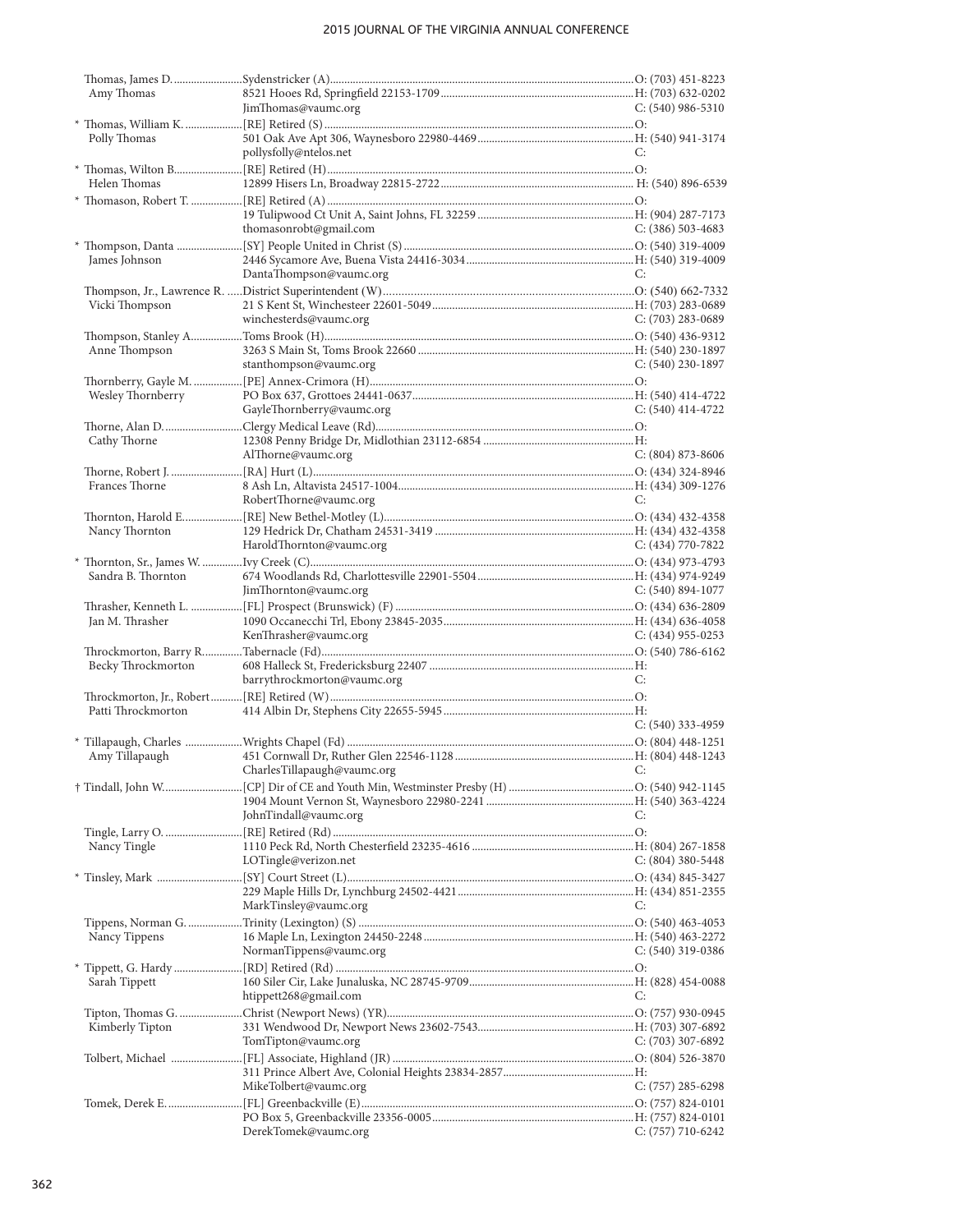## 2015 JOURNAL OF THE VIRGINIA ANNUAL CONFERENCE

| Amy Thomas         |                                |                     |
|--------------------|--------------------------------|---------------------|
|                    | JimThomas@vaumc.org            | $C: (540)$ 986-5310 |
|                    |                                |                     |
| Polly Thomas       |                                |                     |
|                    | pollysfolly@ntelos.net         | C:                  |
|                    |                                |                     |
|                    |                                |                     |
| Helen Thomas       |                                |                     |
|                    |                                |                     |
|                    |                                |                     |
|                    | thomasonrobt@gmail.com         | $C: (386)$ 503-4683 |
|                    |                                |                     |
| James Johnson      |                                |                     |
|                    | DantaThompson@vaumc.org        | C:                  |
|                    |                                |                     |
|                    |                                |                     |
| Vicki Thompson     |                                |                     |
|                    | winchesterds@vaumc.org         | $C: (703)$ 283-0689 |
|                    |                                |                     |
| Anne Thompson      |                                |                     |
|                    | stanthompson@vaumc.org         | $C: (540)$ 230-1897 |
|                    |                                |                     |
| Wesley Thornberry  |                                |                     |
|                    | GayleThornberry@vaumc.org      | $C: (540)$ 414-4722 |
|                    |                                |                     |
|                    |                                |                     |
| Cathy Thorne       |                                |                     |
|                    | AlThorne@vaumc.org             | $C: (804) 873-8606$ |
|                    |                                |                     |
| Frances Thorne     |                                |                     |
|                    | RobertThorne@vaumc.org         | C:                  |
|                    |                                |                     |
| Nancy Thornton     |                                |                     |
|                    | HaroldThornton@vaumc.org       | C: (434) 770-7822   |
|                    |                                |                     |
|                    |                                |                     |
| Sandra B. Thornton |                                |                     |
|                    | JimThornton@vaumc.org          | $C: (540) 894-1077$ |
|                    |                                |                     |
|                    |                                |                     |
| Jan M. Thrasher    |                                |                     |
|                    | KenThrasher@vaumc.org          | $C: (434)$ 955-0253 |
|                    |                                |                     |
|                    |                                |                     |
| Becky Throckmorton |                                |                     |
|                    | barrythrockmorton@vaumc.org    | C:                  |
|                    |                                |                     |
| Patti Throckmorton |                                |                     |
|                    |                                | $C: (540)$ 333-4959 |
|                    |                                |                     |
| Amy Tillapaugh     |                                |                     |
|                    | CharlesTillapaugh@vaumc.org C: |                     |
|                    |                                |                     |
|                    |                                |                     |
|                    |                                |                     |
|                    | JohnTindall@vaumc.org          | C:                  |
|                    |                                |                     |
| Nancy Tingle       |                                |                     |
|                    | LOTingle@verizon.net           | $C: (804)$ 380-5448 |
|                    |                                |                     |
|                    |                                |                     |
|                    | MarkTinsley@vaumc.org          | C:                  |
|                    |                                |                     |
|                    |                                |                     |
| Nancy Tippens      |                                |                     |
|                    | NormanTippens@vaumc.org        | $C: (540)$ 319-0386 |
|                    |                                |                     |
| Sarah Tippett      |                                |                     |
|                    | htippett268@gmail.com          | C:                  |
|                    |                                |                     |
| Kimberly Tipton    |                                |                     |
|                    | TomTipton@vaumc.org            | $C: (703)$ 307-6892 |
|                    |                                |                     |
|                    |                                |                     |
|                    |                                |                     |
|                    | MikeTolbert@vaumc.org          | C: (757) 285-6298   |
|                    |                                |                     |
|                    | DerekTomek@vaumc.org           | $C: (757) 710-6242$ |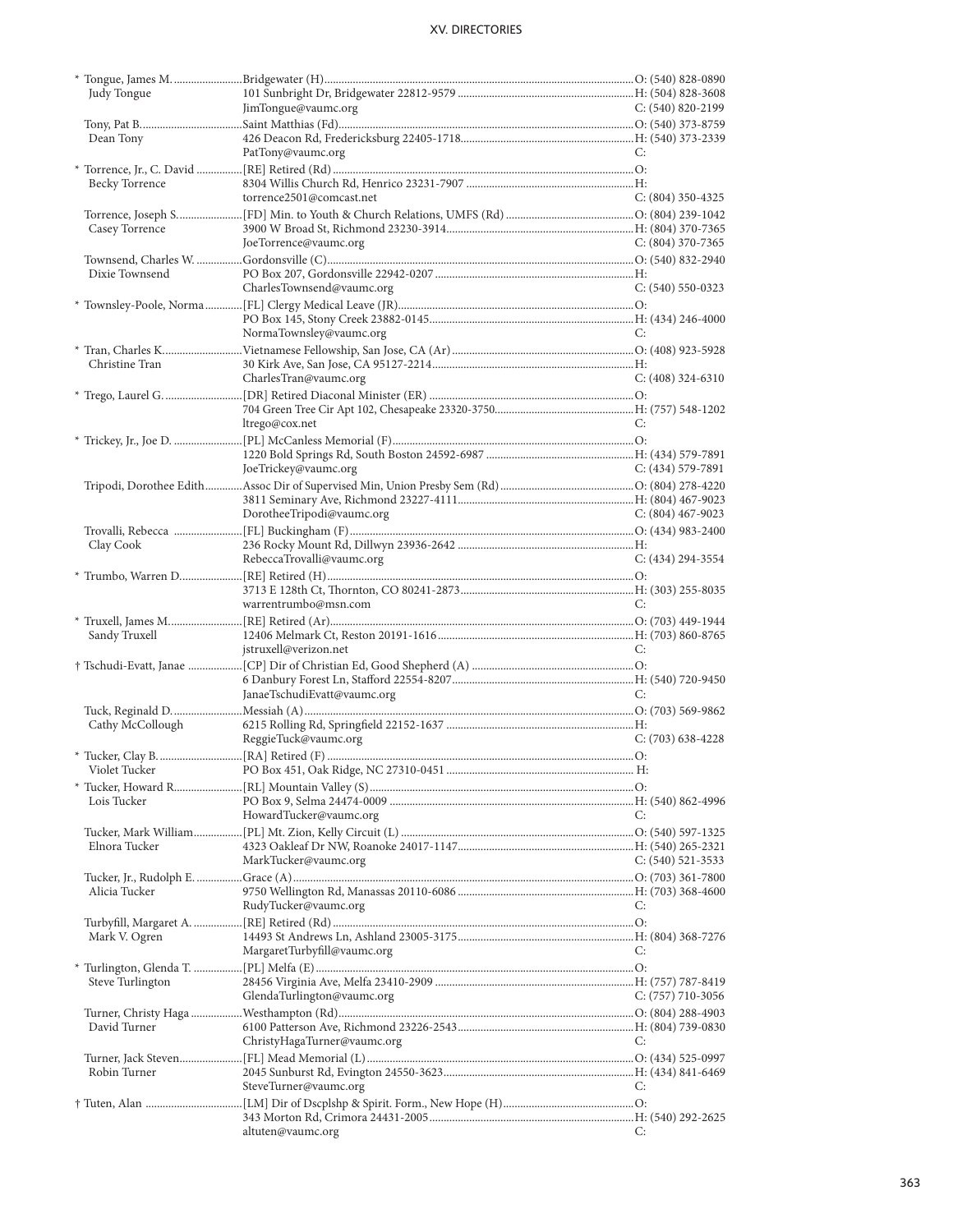| Judy Tongue      |                             |                       |
|------------------|-----------------------------|-----------------------|
|                  | JimTongue@vaumc.org         | $C: (540) 820 - 2199$ |
|                  |                             |                       |
| Dean Tony        |                             |                       |
|                  | PatTony@vaumc.org           | C:                    |
|                  |                             |                       |
|                  |                             |                       |
| Becky Torrence   |                             |                       |
|                  | torrence2501@comcast.net    | $C: (804)$ 350-4325   |
|                  |                             |                       |
| Casey Torrence   |                             |                       |
|                  | JoeTorrence@vaumc.org       | C: $(804)$ 370-7365   |
|                  |                             |                       |
| Dixie Townsend   |                             |                       |
|                  | CharlesTownsend@vaumc.org   | $C: (540) 550-0323$   |
|                  |                             |                       |
|                  |                             |                       |
|                  |                             |                       |
|                  | NormaTownsley@vaumc.org     | C:                    |
|                  |                             |                       |
| Christine Tran   |                             |                       |
|                  | CharlesTran@vaumc.org       | $C: (408)$ 324-6310   |
|                  |                             |                       |
|                  |                             |                       |
|                  | ltrego@cox.net              | C:                    |
|                  |                             |                       |
|                  |                             |                       |
|                  | JoeTrickey@vaumc.org        |                       |
|                  |                             | C: (434) 579-7891     |
|                  |                             |                       |
|                  |                             |                       |
|                  | DorotheeTripodi@vaumc.org   | C: $(804)$ 467-9023   |
|                  |                             |                       |
| Clay Cook        |                             |                       |
|                  | RebeccaTrovalli@vaumc.org   | $C: (434) 294 - 3554$ |
|                  |                             |                       |
|                  |                             |                       |
|                  | warrentrumbo@msn.com        | C:                    |
|                  |                             |                       |
|                  |                             |                       |
| Sandy Truxell    |                             |                       |
|                  | jstruxell@verizon.net       | C:                    |
|                  |                             |                       |
|                  |                             |                       |
|                  | JanaeTschudiEvatt@vaumc.org | C:                    |
|                  |                             |                       |
| Cathy McCollough |                             |                       |
|                  | ReggieTuck@vaumc.org        | $C: (703)$ 638-4228   |
|                  |                             |                       |
|                  |                             |                       |
|                  |                             |                       |
|                  |                             |                       |
| Lois Tucker      |                             |                       |
|                  | HowardTucker@vaumc.org      | C:                    |
|                  |                             |                       |
| Elnora Tucker    |                             |                       |
|                  | MarkTucker@vaumc.org        | $C: (540)$ 521-3533   |
|                  |                             |                       |
|                  |                             |                       |
| Alicia Tucker    |                             |                       |
|                  | RudyTucker@vaumc.org        | C:                    |
|                  |                             |                       |
| Mark V. Ogren    |                             |                       |
|                  | MargaretTurbyfill@vaumc.org | C:                    |
|                  |                             |                       |
| Steve Turlington |                             |                       |
|                  | GlendaTurlington@vaumc.org  | $C: (757)$ 710-3056   |
|                  |                             |                       |
|                  |                             |                       |
| David Turner     |                             |                       |
|                  | ChristyHagaTurner@vaumc.org | C:                    |
|                  |                             |                       |
| Robin Turner     |                             |                       |
|                  | SteveTurner@vaumc.org       | C:                    |
|                  |                             |                       |
|                  |                             |                       |
|                  | altuten@vaumc.org           | C:                    |
|                  |                             |                       |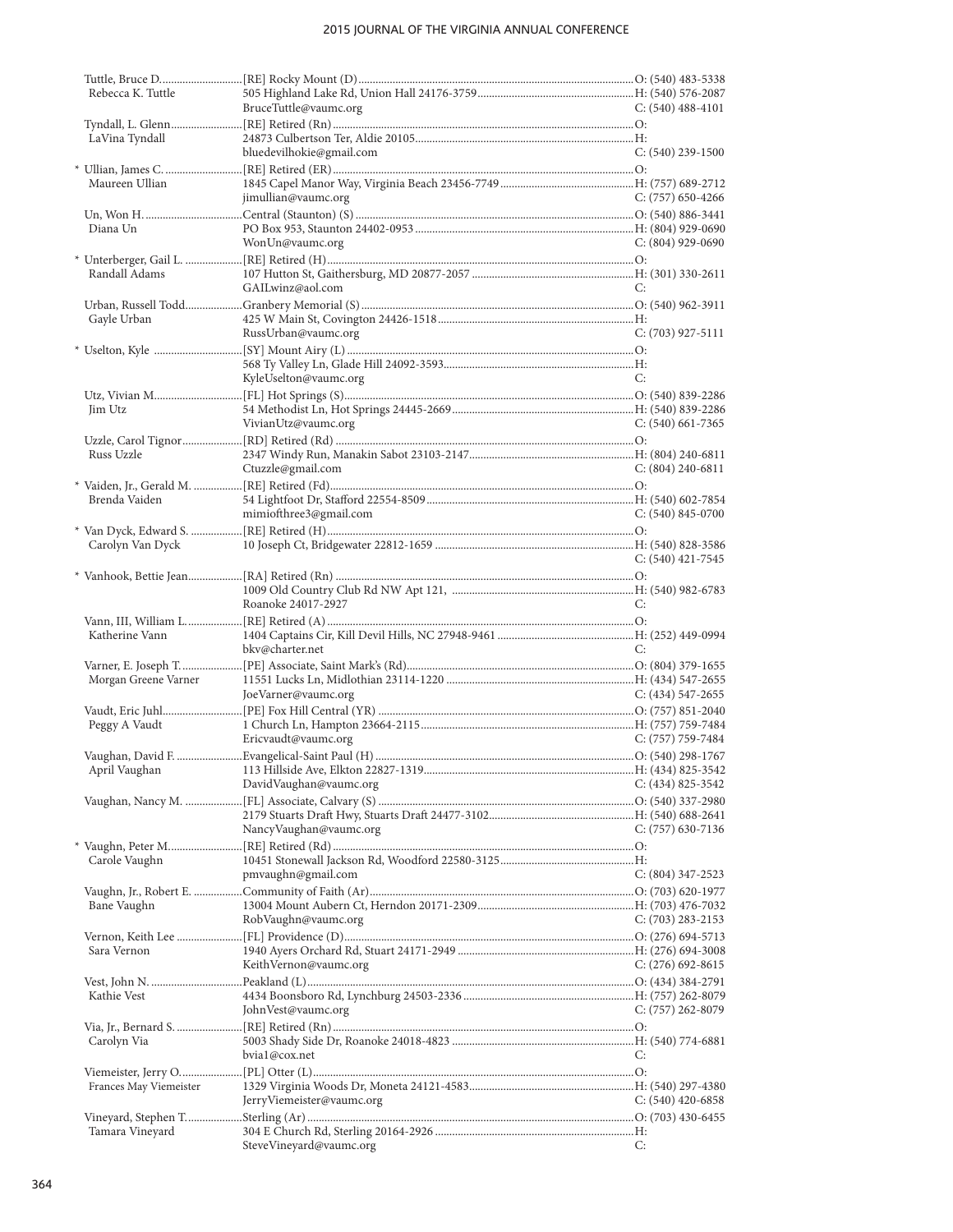| Rebecca K. Tuttle      |                           |    |                       |
|------------------------|---------------------------|----|-----------------------|
|                        | BruceTuttle@vaumc.org     |    | $C: (540)$ 488-4101   |
|                        |                           |    |                       |
| LaVina Tyndall         |                           |    |                       |
|                        | bluedevilhokie@gmail.com  |    | $C: (540)$ 239-1500   |
|                        |                           |    |                       |
|                        |                           |    |                       |
| Maureen Ullian         |                           |    |                       |
|                        | jimullian@vaumc.org       |    | C: (757) 650-4266     |
|                        |                           |    |                       |
| Diana Un               |                           |    |                       |
|                        | WonUn@vaumc.org           |    | $C: (804)$ 929-0690   |
|                        |                           |    |                       |
| Randall Adams          |                           |    |                       |
|                        | GAILwinz@aol.com          | C: |                       |
|                        |                           |    |                       |
|                        |                           |    |                       |
| Gayle Urban            |                           |    |                       |
|                        | RussUrban@vaumc.org       |    | $C: (703)$ 927-5111   |
|                        |                           |    |                       |
|                        |                           |    |                       |
|                        | KyleUselton@vaumc.org     | C: |                       |
|                        |                           |    |                       |
| <b>Iim Utz</b>         |                           |    |                       |
|                        | VivianUtz@vaumc.org       |    | $C: (540)$ 661-7365   |
|                        |                           |    |                       |
|                        |                           |    |                       |
| Russ Uzzle             |                           |    |                       |
|                        | Ctuzzle@gmail.com         |    | $C: (804)$ 240-6811   |
|                        |                           |    |                       |
| Brenda Vaiden          |                           |    |                       |
|                        | mimiofthree3@gmail.com    |    | $C: (540) 845-0700$   |
|                        |                           |    |                       |
| Carolyn Van Dyck       |                           |    |                       |
|                        |                           |    |                       |
|                        |                           |    | $C: (540)$ 421-7545   |
|                        |                           |    |                       |
|                        |                           |    |                       |
|                        | Roanoke 24017-2927        | C: |                       |
|                        |                           |    |                       |
| Katherine Vann         |                           |    |                       |
|                        | bkv@charter.net           | C: |                       |
|                        |                           |    |                       |
| Morgan Greene Varner   |                           |    |                       |
|                        |                           |    |                       |
|                        | JoeVarner@vaumc.org       |    | $C: (434) 547 - 2655$ |
|                        |                           |    |                       |
| Peggy A Vaudt          |                           |    |                       |
|                        | Ericvaudt@vaumc.org       |    | C: (757) 759-7484     |
|                        |                           |    |                       |
|                        |                           |    |                       |
|                        | DavidVaughan@vaumc.org    |    | $C: (434) 825 - 3542$ |
|                        |                           |    |                       |
|                        |                           |    |                       |
|                        |                           |    |                       |
|                        | NancyVaughan@vaumc.org    |    | $C: (757)$ 630-7136   |
|                        |                           |    |                       |
| Carole Vaughn          |                           |    |                       |
|                        | pmvaughn@gmail.com        |    | $C: (804)$ 347-2523   |
|                        |                           |    |                       |
| Bane Vaughn            |                           |    |                       |
|                        | RobVaughn@vaumc.org       |    | $C: (703)$ 283-2153   |
|                        |                           |    |                       |
|                        |                           |    |                       |
| Sara Vernon            |                           |    |                       |
|                        | KeithVernon@vaumc.org     |    | C: $(276)$ 692-8615   |
|                        |                           |    |                       |
| Kathie Vest            |                           |    |                       |
|                        | JohnVest@vaumc.org        |    | C: $(757)$ 262-8079   |
|                        |                           |    |                       |
| Carolyn Via            |                           |    |                       |
|                        | bvial@cox.net             | C: |                       |
|                        |                           |    |                       |
|                        |                           |    |                       |
| Frances May Viemeister |                           |    |                       |
|                        | JerryViemeister@vaumc.org |    | C: $(540)$ 420-6858   |
|                        |                           |    |                       |
| Tamara Vineyard        |                           |    |                       |
|                        | SteveVineyard@vaumc.org   | C: |                       |
|                        |                           |    |                       |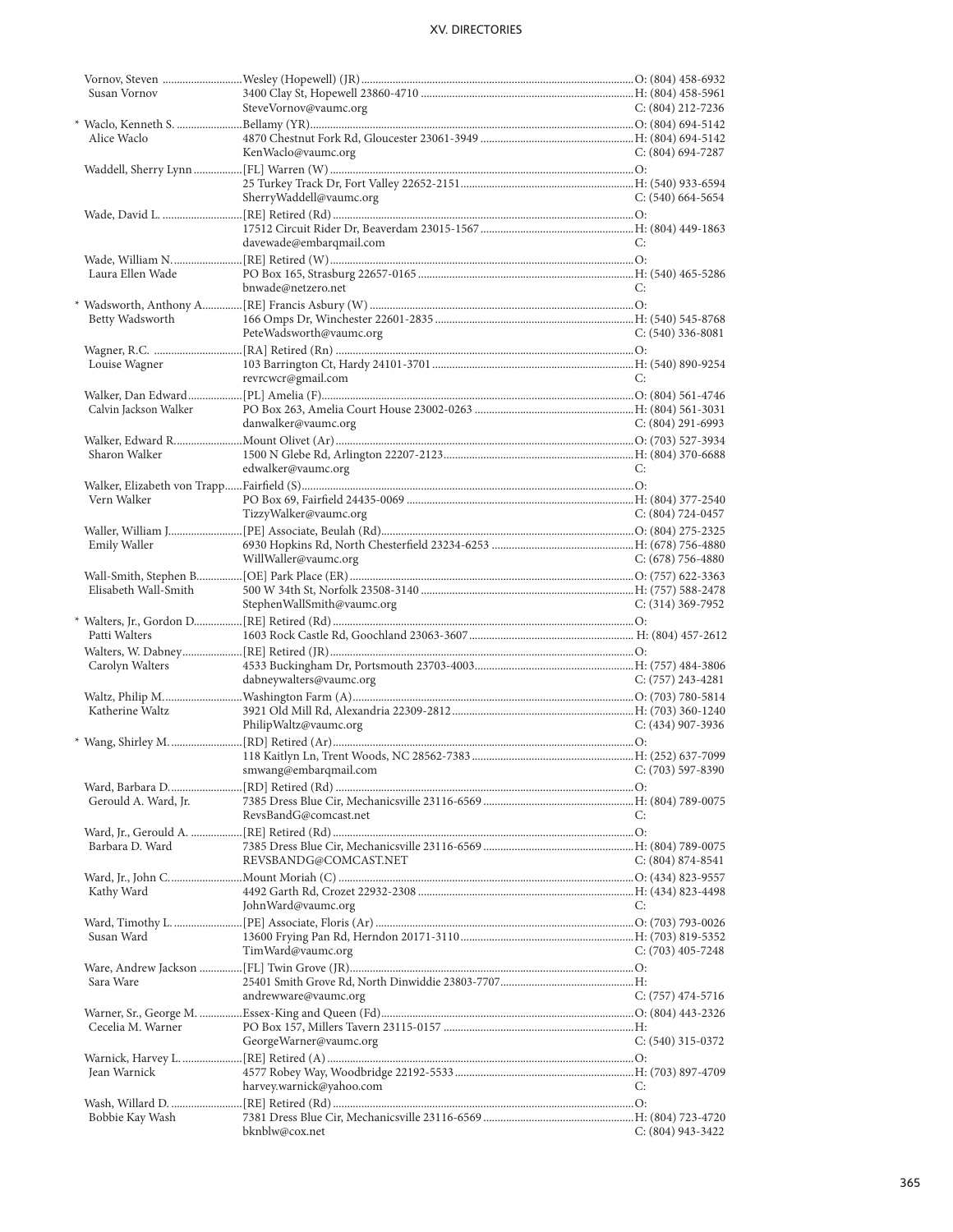| Susan Vornov          |                                              |                     |
|-----------------------|----------------------------------------------|---------------------|
|                       | SteveVornov@vaumc.org                        | $C: (804)$ 212-7236 |
|                       |                                              |                     |
| Alice Waclo           |                                              |                     |
|                       |                                              |                     |
|                       | KenWaclo@vaumc.org                           | $C: (804) 694-7287$ |
|                       |                                              |                     |
|                       |                                              |                     |
|                       | SherryWaddell@vaumc.org                      | $C: (540) 664-5654$ |
|                       |                                              |                     |
|                       |                                              |                     |
|                       |                                              |                     |
|                       | davewade@embarqmail.com                      | C:                  |
|                       |                                              |                     |
| Laura Ellen Wade      |                                              |                     |
|                       | bnwade@netzero.net                           | C:                  |
|                       |                                              |                     |
|                       |                                              |                     |
| Betty Wadsworth       |                                              |                     |
|                       | PeteWadsworth@vaumc.org                      | $C: (540)$ 336-8081 |
|                       |                                              |                     |
|                       |                                              |                     |
| Louise Wagner         |                                              |                     |
|                       | revrcwcr@gmail.com                           | C:                  |
|                       |                                              |                     |
| Calvin Jackson Walker |                                              |                     |
|                       | danwalker@vaumc.org                          | $C: (804)$ 291-6993 |
|                       |                                              |                     |
|                       |                                              |                     |
| Sharon Walker         |                                              |                     |
|                       | edwalker@vaumc.org                           | C:                  |
|                       |                                              |                     |
|                       |                                              |                     |
| Vern Walker           |                                              |                     |
|                       | TizzyWalker@vaumc.org                        | $C: (804) 724-0457$ |
|                       |                                              |                     |
| Emily Waller          |                                              |                     |
|                       | WillWaller@vaumc.org                         | C: $(678)$ 756-4880 |
|                       |                                              |                     |
|                       |                                              |                     |
|                       |                                              |                     |
| Elisabeth Wall-Smith  |                                              |                     |
|                       | StephenWallSmith@vaumc.org                   | $C: (314)$ 369-7952 |
|                       |                                              |                     |
|                       |                                              |                     |
| Patti Walters         |                                              |                     |
|                       |                                              |                     |
| Carolyn Walters       |                                              |                     |
|                       | dabneywalters@vaumc.org                      | $C: (757)$ 243-4281 |
|                       |                                              |                     |
|                       |                                              |                     |
| Katherine Waltz       |                                              |                     |
|                       | PhilipWaltz@vaumc.org                        | $C: (434)$ 907-3936 |
|                       |                                              |                     |
|                       |                                              |                     |
|                       |                                              |                     |
|                       | smwang@embarqmail.com<br>$C: (703)$ 597-8390 |                     |
|                       |                                              |                     |
| Gerould A. Ward, Jr.  |                                              |                     |
|                       | RevsBandG@comcast.net                        | C:                  |
|                       |                                              |                     |
|                       |                                              |                     |
| Barbara D. Ward       |                                              |                     |
|                       | REVSBANDG@COMCAST.NET                        | $C: (804) 874-8541$ |
|                       |                                              |                     |
| Kathy Ward            |                                              |                     |
|                       | JohnWard@vaumc.org                           | C:                  |
|                       |                                              |                     |
|                       |                                              |                     |
| Susan Ward            |                                              |                     |
|                       | TimWard@vaumc.org                            | $C: (703)$ 405-7248 |
|                       |                                              |                     |
| Sara Ware             |                                              |                     |
|                       |                                              |                     |
|                       | andrewware@vaumc.org                         | $C: (757)$ 474-5716 |
|                       |                                              |                     |
| Cecelia M. Warner     |                                              |                     |
|                       | GeorgeWarner@vaumc.org                       | $C: (540)$ 315-0372 |
|                       |                                              |                     |
|                       |                                              |                     |
| Jean Warnick          |                                              |                     |
|                       | harvey.warnick@yahoo.com                     | C:                  |
|                       |                                              |                     |
| Bobbie Kay Wash       |                                              |                     |
|                       | bknblw@cox.net                               | $C: (804)$ 943-3422 |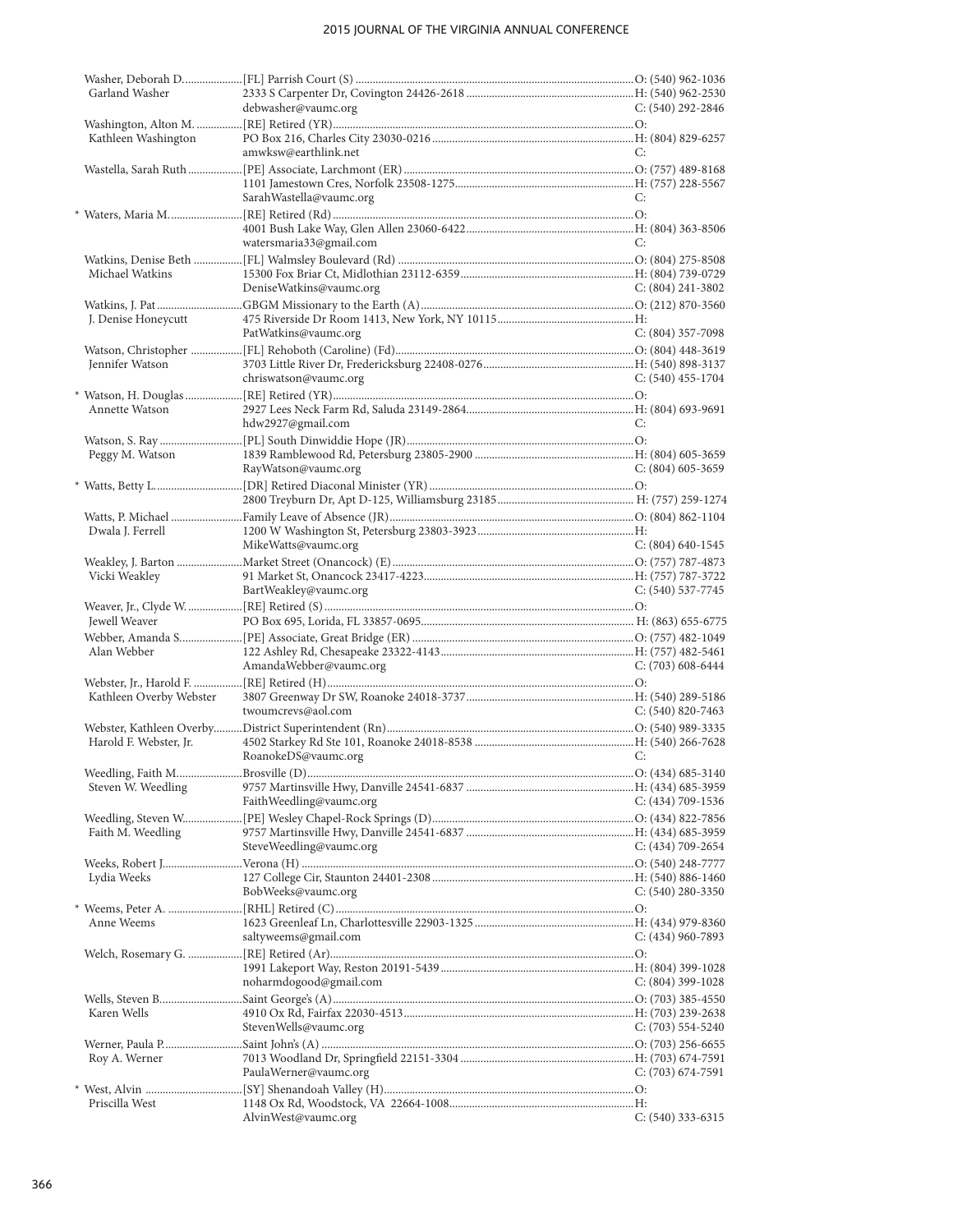| Garland Washer          |                         |                     |
|-------------------------|-------------------------|---------------------|
|                         | debwasher@vaumc.org     | $C: (540)$ 292-2846 |
|                         |                         |                     |
| Kathleen Washington     |                         |                     |
|                         | amwksw@earthlink.net    | C:                  |
|                         |                         |                     |
|                         |                         |                     |
|                         |                         |                     |
|                         | SarahWastella@vaumc.org | C:                  |
|                         |                         |                     |
|                         |                         |                     |
|                         | watersmaria33@gmail.com | C:                  |
|                         |                         |                     |
| Michael Watkins         |                         |                     |
|                         |                         |                     |
|                         | DeniseWatkins@vaumc.org | C: $(804)$ 241-3802 |
|                         |                         |                     |
| J. Denise Honeycutt     |                         |                     |
|                         | PatWatkins@vaumc.org    | $C: (804)$ 357-7098 |
|                         |                         |                     |
| Jennifer Watson         |                         |                     |
|                         | chriswatson@vaumc.org   | $C: (540)$ 455-1704 |
|                         |                         |                     |
|                         |                         |                     |
| Annette Watson          |                         |                     |
|                         | hdw2927@gmail.com       | C:                  |
|                         |                         |                     |
| Peggy M. Watson         |                         |                     |
|                         | RayWatson@vaumc.org     | $C: (804)$ 605-3659 |
|                         |                         |                     |
|                         |                         |                     |
|                         |                         |                     |
|                         |                         |                     |
| Dwala J. Ferrell        |                         |                     |
|                         | MikeWatts@vaumc.org     | $C: (804)$ 640-1545 |
|                         |                         |                     |
|                         |                         |                     |
| Vicki Weakley           |                         |                     |
|                         | BartWeakley@vaumc.org   | $C: (540)$ 537-7745 |
|                         |                         |                     |
| <b>Jewell Weaver</b>    |                         |                     |
|                         |                         |                     |
|                         |                         |                     |
|                         |                         |                     |
| Alan Webber             |                         |                     |
|                         | AmandaWebber@vaumc.org  | $C: (703)$ 608-6444 |
|                         |                         |                     |
| Kathleen Overby Webster |                         |                     |
|                         | twoumcrevs@aol.com      | $C: (540)$ 820-7463 |
|                         |                         |                     |
|                         |                         |                     |
| Harold F. Webster, Jr.  |                         |                     |
|                         | RoanokeDS@vaumc.org     | C:                  |
|                         |                         |                     |
| Steven W. Weedling      |                         |                     |
|                         | FaithWeedling@vaumc.org | C: (434) 709-1536   |
|                         |                         |                     |
| Faith M. Weedling       |                         |                     |
|                         |                         |                     |
|                         | SteveWeedling@vaumc.org | C: $(434)$ 709-2654 |
|                         |                         |                     |
| Lydia Weeks             |                         |                     |
|                         | BobWeeks@vaumc.org      | $C: (540)$ 280-3350 |
|                         |                         |                     |
| Anne Weems              |                         |                     |
|                         |                         | $C: (434)$ 960-7893 |
|                         | saltyweems@gmail.com    |                     |
|                         |                         |                     |
|                         |                         |                     |
|                         | noharmdogood@gmail.com  | C: $(804)$ 399-1028 |
|                         |                         |                     |
| Karen Wells             |                         |                     |
|                         | StevenWells@vaumc.org   | $C: (703) 554-5240$ |
|                         |                         |                     |
|                         |                         |                     |
| Roy A. Werner           |                         |                     |
|                         | PaulaWerner@vaumc.org   | $C: (703) 674-7591$ |
|                         |                         |                     |
| Priscilla West          | AlvinWest@vaumc.org     | $C: (540)$ 333-6315 |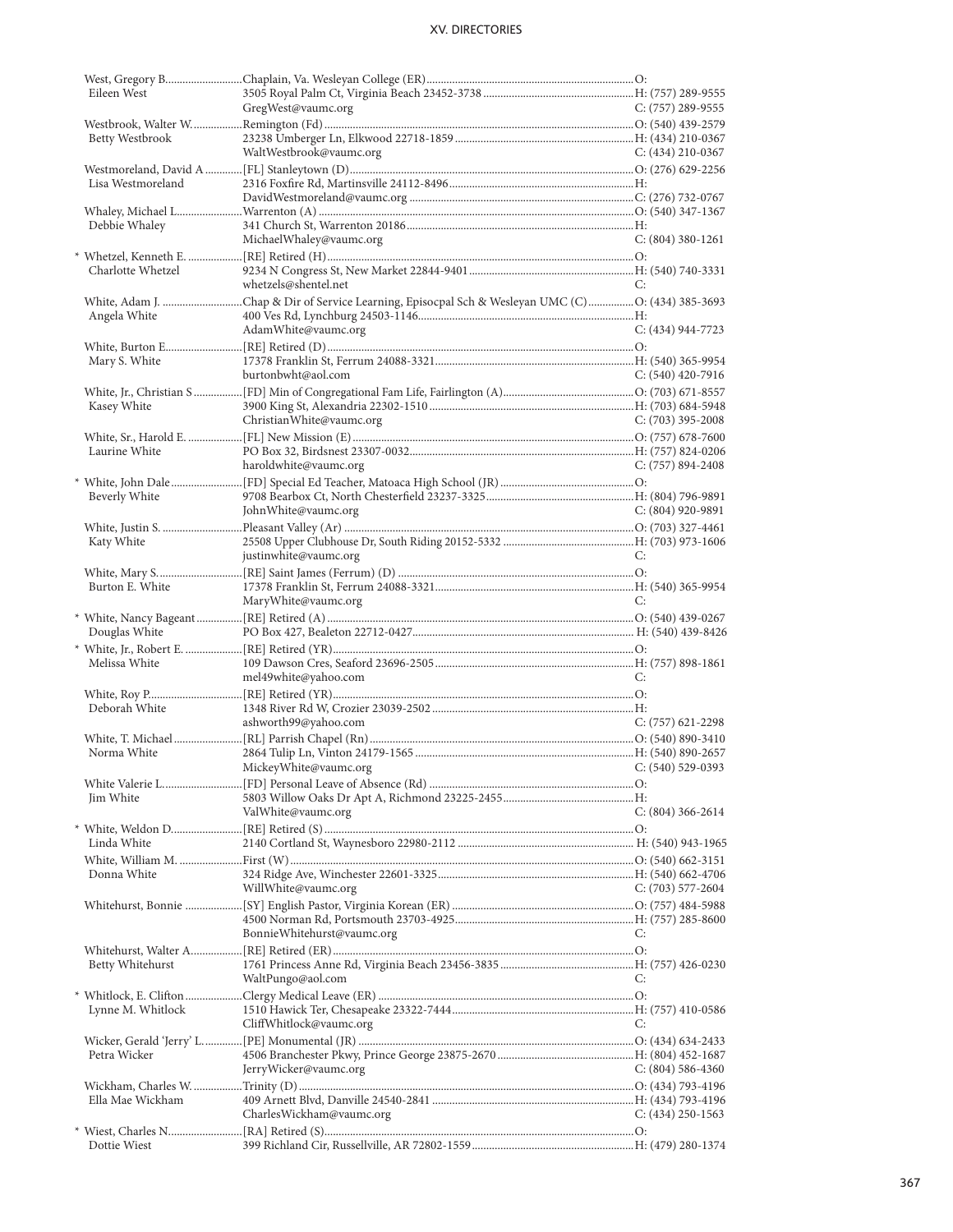| Eileen West       |                                                                                                    |                       |
|-------------------|----------------------------------------------------------------------------------------------------|-----------------------|
|                   | GregWest@vaumc.org                                                                                 | C: (757) 289-9555     |
|                   |                                                                                                    |                       |
| Betty Westbrook   |                                                                                                    |                       |
|                   | WaltWestbrook@vaumc.org                                                                            |                       |
|                   |                                                                                                    | C: $(434)$ 210-0367   |
|                   |                                                                                                    |                       |
| Lisa Westmoreland |                                                                                                    |                       |
|                   |                                                                                                    |                       |
|                   |                                                                                                    |                       |
| Debbie Whaley     |                                                                                                    |                       |
|                   | MichaelWhaley@vaumc.org                                                                            | $C: (804)$ 380-1261   |
|                   |                                                                                                    |                       |
|                   |                                                                                                    |                       |
| Charlotte Whetzel |                                                                                                    |                       |
|                   | whetzels@shentel.net                                                                               | C:                    |
|                   | White, Adam J. Chap & Dir of Service Learning, Episocpal Sch & Wesleyan UMC (C)  O: (434) 385-3693 |                       |
| Angela White      |                                                                                                    |                       |
|                   | AdamWhite@vaumc.org                                                                                | $C: (434) 944-7723$   |
|                   |                                                                                                    |                       |
|                   |                                                                                                    |                       |
| Mary S. White     |                                                                                                    |                       |
|                   | burtonbwht@aol.com                                                                                 | $C: (540)$ 420-7916   |
|                   |                                                                                                    |                       |
| Kasey White       |                                                                                                    |                       |
|                   | ChristianWhite@vaumc.org                                                                           | $C: (703)$ 395-2008   |
|                   |                                                                                                    |                       |
|                   |                                                                                                    |                       |
| Laurine White     |                                                                                                    |                       |
|                   | haroldwhite@vaumc.org                                                                              | $C: (757) 894 - 2408$ |
|                   |                                                                                                    |                       |
| Beverly White     |                                                                                                    |                       |
|                   | JohnWhite@vaumc.org                                                                                | $C: (804)$ 920-9891   |
|                   |                                                                                                    |                       |
|                   |                                                                                                    |                       |
| Katy White        |                                                                                                    |                       |
|                   | justinwhite@vaumc.org                                                                              | C:                    |
|                   |                                                                                                    |                       |
| Burton E. White   |                                                                                                    |                       |
|                   | MaryWhite@vaumc.org                                                                                | C:                    |
|                   |                                                                                                    |                       |
|                   |                                                                                                    |                       |
| Douglas White     |                                                                                                    |                       |
|                   |                                                                                                    |                       |
| Melissa White     |                                                                                                    |                       |
|                   | mel49white@yahoo.com                                                                               | C:                    |
|                   |                                                                                                    |                       |
| Deborah White     |                                                                                                    |                       |
|                   |                                                                                                    |                       |
|                   | ashworth99@yahoo.com                                                                               | $C: (757)$ 621-2298   |
|                   |                                                                                                    |                       |
| Norma White       |                                                                                                    |                       |
|                   |                                                                                                    |                       |
|                   | MickeyWhite@vaumc.org                                                                              | $C: (540) 529-0393$   |
|                   |                                                                                                    |                       |
|                   |                                                                                                    |                       |
| Jim White         |                                                                                                    |                       |
|                   | ValWhite@vaumc.org                                                                                 | $C: (804)$ 366-2614   |
|                   |                                                                                                    |                       |
| Linda White       |                                                                                                    |                       |
|                   |                                                                                                    |                       |
| Donna White       |                                                                                                    |                       |
|                   |                                                                                                    |                       |
|                   | WillWhite@vaumc.org                                                                                | $C: (703)$ 577-2604   |
|                   |                                                                                                    |                       |
|                   |                                                                                                    |                       |
|                   | BonnieWhitehurst@vaumc.org                                                                         | C:                    |
|                   |                                                                                                    |                       |
|                   |                                                                                                    |                       |
| Betty Whitehurst  |                                                                                                    |                       |
|                   | WaltPungo@aol.com                                                                                  | C:                    |
|                   |                                                                                                    |                       |
| Lynne M. Whitlock |                                                                                                    |                       |
|                   | CliffWhitlock@vaumc.org                                                                            | C:                    |
|                   |                                                                                                    |                       |
| Petra Wicker      |                                                                                                    |                       |
|                   |                                                                                                    |                       |
|                   | JerryWicker@vaumc.org                                                                              | $C: (804) 586-4360$   |
|                   |                                                                                                    |                       |
| Ella Mae Wickham  |                                                                                                    |                       |
|                   | CharlesWickham@vaumc.org                                                                           | $C: (434)$ 250-1563   |
|                   |                                                                                                    |                       |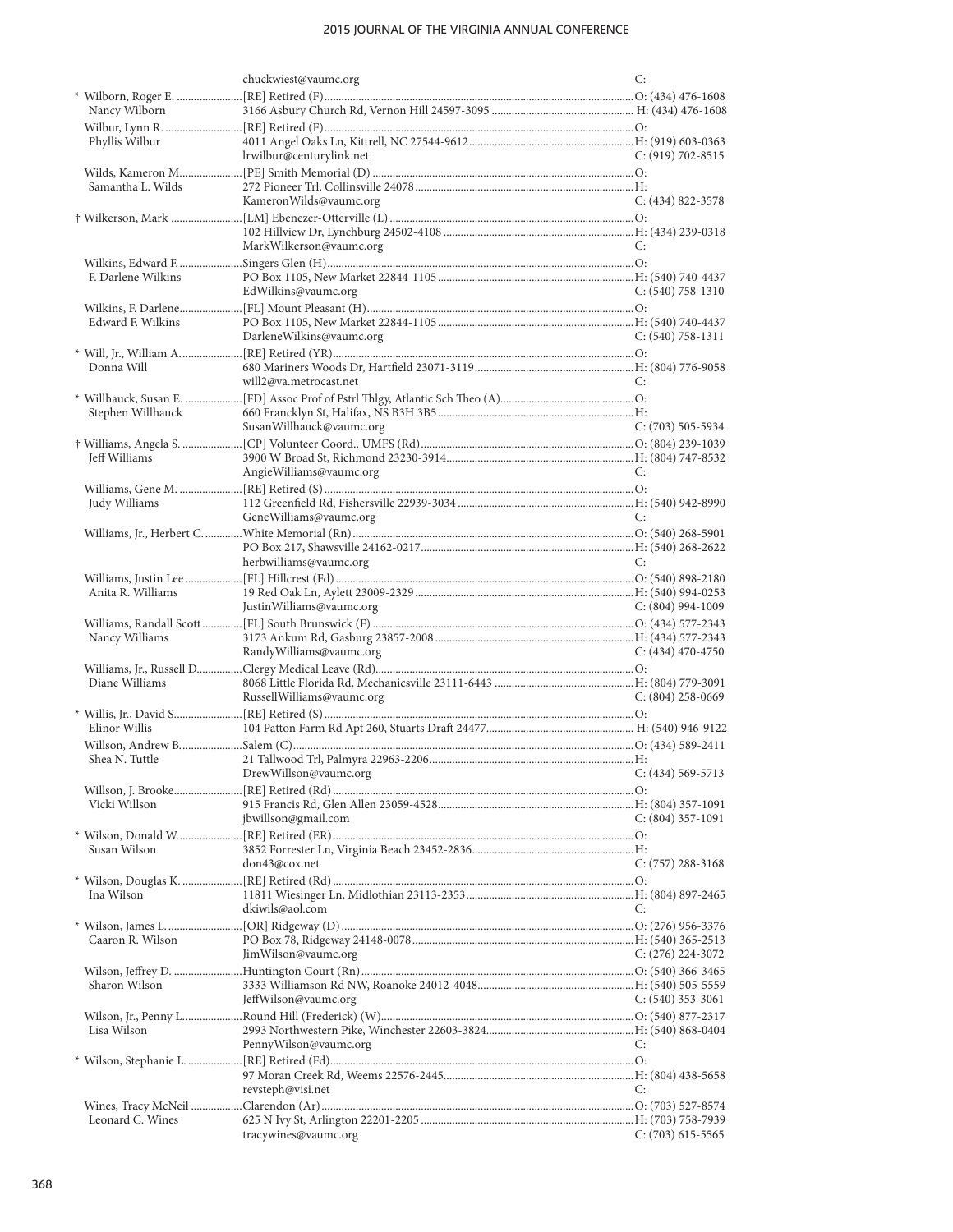|                   | chuckwiest@vaumc.org                    | С:                  |
|-------------------|-----------------------------------------|---------------------|
|                   |                                         |                     |
| Nancy Wilborn     |                                         |                     |
|                   |                                         |                     |
| Phyllis Wilbur    |                                         |                     |
|                   | lrwilbur@centurylink.net                | C: $(919)$ 702-8515 |
|                   |                                         |                     |
| Samantha L. Wilds |                                         |                     |
|                   | KameronWilds@vaumc.org                  | C: (434) 822-3578   |
|                   |                                         |                     |
|                   |                                         |                     |
|                   | MarkWilkerson@vaumc.org                 | C:                  |
|                   |                                         |                     |
| E Darlene Wilkins |                                         |                     |
|                   | EdWilkins@vaumc.org                     | $C: (540) 758-1310$ |
|                   |                                         |                     |
| Edward F. Wilkins |                                         |                     |
|                   | DarleneWilkins@vaumc.org                | $C: (540) 758-1311$ |
|                   |                                         |                     |
|                   |                                         |                     |
| Donna Will        |                                         |                     |
|                   | will2@va.metrocast.net                  | C:                  |
|                   |                                         |                     |
| Stephen Willhauck |                                         |                     |
|                   | SusanWillhauck@vaumc.org                | C: (703) 505-5934   |
|                   |                                         |                     |
| Jeff Williams     |                                         |                     |
|                   | AngieWilliams@vaumc.org                 | C:                  |
|                   |                                         |                     |
| Judy Williams     |                                         |                     |
|                   | GeneWilliams@vaumc.org                  | C:                  |
|                   |                                         |                     |
|                   |                                         |                     |
|                   | herbwilliams@vaumc.org                  | C:                  |
|                   |                                         |                     |
| Anita R. Williams |                                         |                     |
|                   | JustinWilliams@vaumc.org                | $C: (804)$ 994-1009 |
|                   |                                         |                     |
|                   |                                         |                     |
| Nancy Williams    |                                         |                     |
|                   | RandyWilliams@vaumc.org                 | $C: (434)$ 470-4750 |
|                   |                                         |                     |
| Diane Williams    |                                         |                     |
|                   | RussellWilliams@vaumc.org               | $C: (804)$ 258-0669 |
|                   |                                         |                     |
| Elinor Willis     |                                         |                     |
|                   |                                         |                     |
| Shea N. Tuttle    |                                         |                     |
|                   | DrewWillson@vaumc.org C: (434) 569-5713 |                     |
|                   |                                         |                     |
| Vicki Willson     |                                         |                     |
|                   |                                         |                     |
|                   | jbwillson@gmail.com                     | $C: (804)$ 357-1091 |
|                   |                                         |                     |
|                   |                                         |                     |
| Susan Wilson      | don43@cox.net                           |                     |
|                   |                                         | $C: (757)$ 288-3168 |
|                   |                                         |                     |
| Ina Wilson        |                                         |                     |
|                   | dkiwils@aol.com                         | C:                  |
|                   |                                         |                     |
| Caaron R. Wilson  |                                         |                     |
|                   | JimWilson@vaumc.org                     | $C: (276)$ 224-3072 |
|                   |                                         |                     |
| Sharon Wilson     |                                         |                     |
|                   | JeffWilson@vaumc.org                    | $C: (540)$ 353-3061 |
|                   |                                         |                     |
| Lisa Wilson       |                                         |                     |
|                   | PennyWilson@vaumc.org                   | C:                  |
|                   |                                         |                     |
|                   |                                         |                     |
|                   | revsteph@visi.net                       | C:                  |
|                   |                                         |                     |
| Leonard C. Wines  |                                         |                     |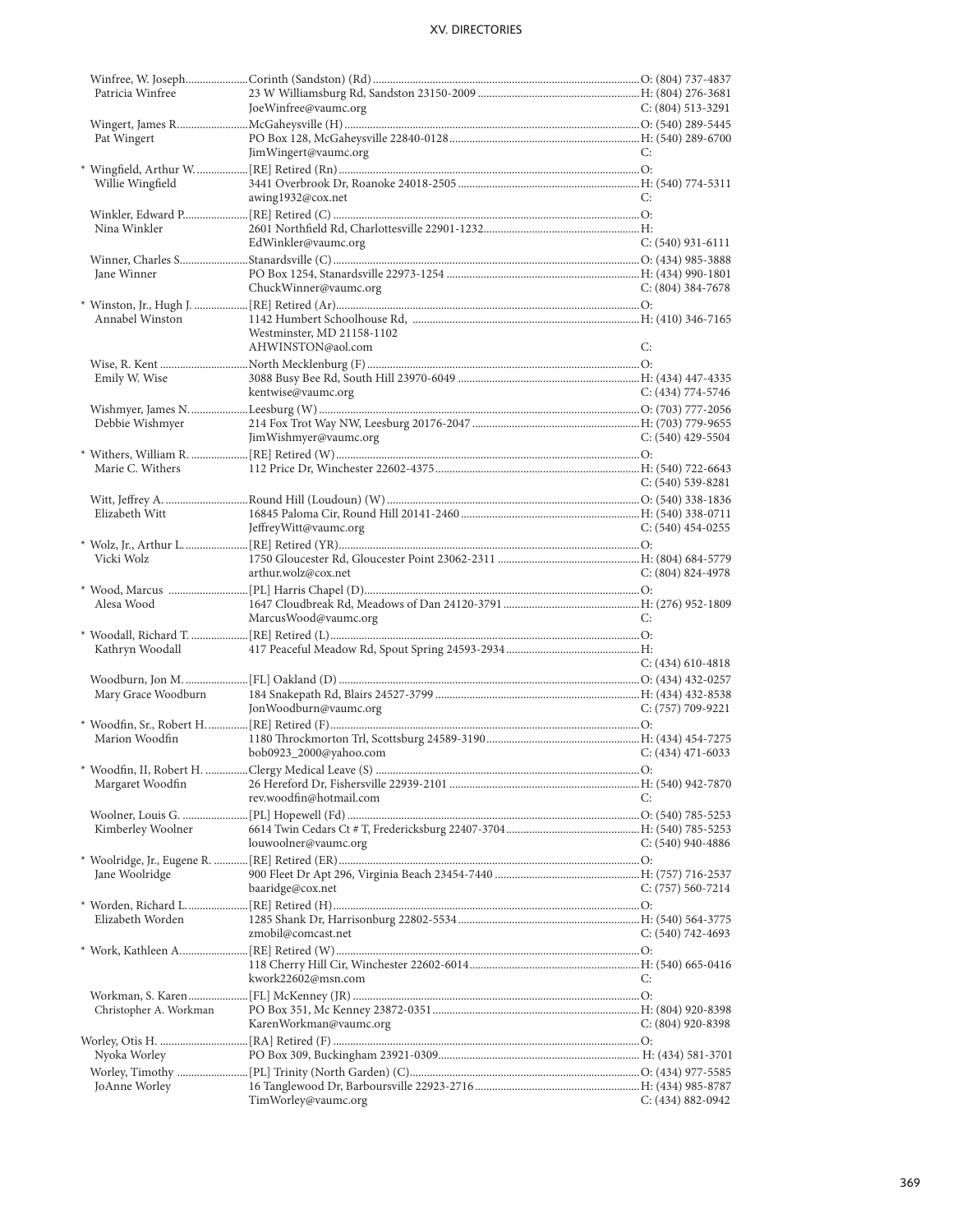| Patricia Winfree       |                            |                       |
|------------------------|----------------------------|-----------------------|
|                        | JoeWinfree@vaumc.org       | $C: (804) 513 - 3291$ |
|                        |                            |                       |
| Pat Wingert            |                            |                       |
|                        | JimWingert@vaumc.org       | C:                    |
|                        |                            |                       |
| Willie Wingfield       |                            |                       |
|                        |                            | C:                    |
|                        | awing1932@cox.net          |                       |
|                        |                            |                       |
| Nina Winkler           |                            |                       |
|                        | EdWinkler@vaumc.org        | $C: (540)$ 931-6111   |
|                        |                            |                       |
| Jane Winner            |                            |                       |
|                        | ChuckWinner@vaumc.org      | $C: (804)$ 384-7678   |
|                        |                            |                       |
| Annabel Winston        |                            |                       |
|                        |                            |                       |
|                        | Westminster, MD 21158-1102 |                       |
|                        | AHWINSTON@aol.com          | C:                    |
|                        |                            |                       |
| Emily W. Wise          |                            |                       |
|                        | kentwise@vaumc.org         | $C: (434) 774-5746$   |
|                        |                            |                       |
| Debbie Wishmyer        |                            |                       |
|                        |                            |                       |
|                        | JimWishmyer@vaumc.org      | C: $(540)$ 429-5504   |
|                        |                            |                       |
| Marie C. Withers       |                            |                       |
|                        |                            | $C: (540)$ 539-8281   |
|                        |                            |                       |
| Elizabeth Witt         |                            |                       |
|                        | JeffreyWitt@vaumc.org      | $C: (540)$ 454-0255   |
|                        |                            |                       |
|                        |                            |                       |
| Vicki Wolz             |                            |                       |
|                        | arthur.wolz@cox.net        | $C: (804) 824-4978$   |
|                        |                            |                       |
| Alesa Wood             |                            |                       |
|                        | MarcusWood@vaumc.org       | C:                    |
|                        |                            |                       |
|                        |                            |                       |
| Kathryn Woodall        |                            |                       |
|                        |                            | $C: (434) 610-4818$   |
|                        |                            |                       |
| Mary Grace Woodburn    |                            |                       |
|                        | JonWoodburn@vaumc.org      | C: $(757)$ 709-9221   |
|                        |                            |                       |
| Marion Woodfin         |                            |                       |
|                        | bob0923_2000@yahoo.com     | $C: (434)$ 471-6033   |
|                        |                            |                       |
|                        |                            |                       |
| Margaret Woodfin       |                            |                       |
|                        | rev.woodfin@hotmail.com    | C:                    |
|                        |                            |                       |
| Kimberley Woolner      |                            |                       |
|                        | louwoolner@vaumc.org       | C: $(540)$ 940-4886   |
|                        |                            |                       |
| Jane Woolridge         |                            |                       |
|                        |                            |                       |
|                        | baaridge@cox.net           | $C: (757) 560-7214$   |
|                        |                            |                       |
| Elizabeth Worden       |                            |                       |
|                        | zmobil@comcast.net         | C: $(540)$ 742-4693   |
|                        |                            |                       |
|                        |                            |                       |
|                        | kwork22602@msn.com         | C:                    |
|                        |                            |                       |
|                        |                            |                       |
| Christopher A. Workman |                            |                       |
|                        | KarenWorkman@vaumc.org     | $C: (804)$ 920-8398   |
|                        |                            |                       |
| Nyoka Worley           |                            |                       |
|                        |                            |                       |
|                        |                            |                       |
|                        |                            |                       |
| JoAnne Worley          | TimWorley@vaumc.org        | C: $(434) 882 - 0942$ |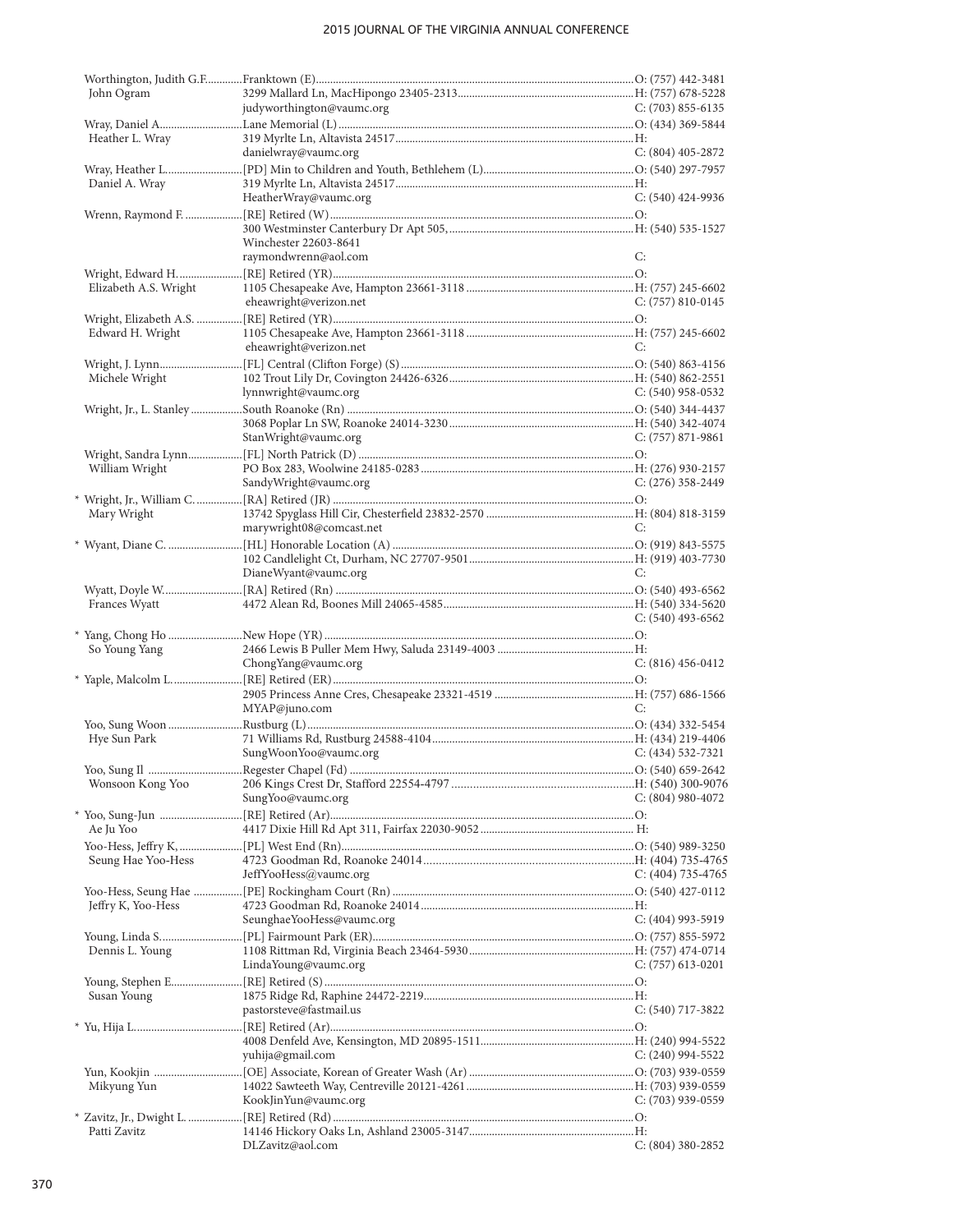| John Ogram            |                           |                       |
|-----------------------|---------------------------|-----------------------|
|                       | judyworthington@vaumc.org | $C: (703)$ 855-6135   |
|                       |                           |                       |
|                       |                           |                       |
| Heather L. Wray       |                           |                       |
|                       | danielwray@vaumc.org      | $C: (804)$ 405-2872   |
|                       |                           |                       |
| Daniel A. Wray        |                           |                       |
|                       | HeatherWray@vaumc.org     | $C: (540)$ 424-9936   |
|                       |                           |                       |
|                       |                           |                       |
|                       |                           |                       |
|                       | Winchester 22603-8641     |                       |
|                       | raymondwrenn@aol.com      | C:                    |
|                       |                           |                       |
| Elizabeth A.S. Wright |                           |                       |
|                       | eheawright@verizon.net    | $C: (757) 810 - 0145$ |
|                       |                           |                       |
|                       |                           |                       |
| Edward H. Wright      |                           |                       |
|                       | eheawright@verizon.net    | C:                    |
|                       |                           |                       |
| Michele Wright        |                           |                       |
|                       | lynnwright@vaumc.org      | C: $(540)$ 958-0532   |
|                       |                           |                       |
|                       |                           |                       |
|                       |                           |                       |
|                       | StanWright@vaumc.org      | $C: (757) 871-9861$   |
|                       |                           |                       |
| William Wright        |                           |                       |
|                       | SandyWright@vaumc.org     | $C: (276)$ 358-2449   |
|                       |                           |                       |
|                       |                           |                       |
| Mary Wright           |                           |                       |
|                       | marywright08@comcast.net  | C:                    |
|                       |                           |                       |
|                       |                           |                       |
|                       | DianeWyant@vaumc.org      | C:                    |
|                       |                           |                       |
|                       |                           |                       |
| Frances Wyatt         |                           |                       |
|                       |                           | C: $(540)$ 493-6562   |
|                       |                           |                       |
|                       |                           |                       |
|                       |                           |                       |
| So Young Yang         |                           |                       |
|                       | ChongYang@vaumc.org       | $C: (816) 456-0412$   |
|                       |                           |                       |
|                       |                           |                       |
|                       | MYAP@juno.com             | C:                    |
|                       |                           |                       |
|                       |                           |                       |
| Hye Sun Park          |                           |                       |
|                       | SungWoonYoo@vaumc.org     | $C: (434) 532 - 7321$ |
|                       |                           |                       |
| Wonsoon Kong Yoo      |                           |                       |
|                       | SungYoo@vaumc.org         |                       |
|                       |                           | C: (804) 980-4072     |
|                       |                           |                       |
| Ae Ju Yoo             |                           |                       |
|                       |                           |                       |
| Seung Hae Yoo-Hess    |                           |                       |
|                       | JeffYooHess@vaumc.org     | $C: (404)$ 735-4765   |
|                       |                           |                       |
|                       |                           |                       |
| Jeffry K, Yoo-Hess    |                           |                       |
|                       | SeunghaeYooHess@vaumc.org | $C: (404)$ 993-5919   |
|                       |                           |                       |
| Dennis L. Young       |                           |                       |
|                       | LindaYoung@vaumc.org      | $C: (757)$ 613-0201   |
|                       |                           |                       |
|                       |                           |                       |
| Susan Young           |                           |                       |
|                       | pastorsteve@fastmail.us   | C: (540) 717-3822     |
|                       |                           |                       |
|                       |                           |                       |
|                       |                           | C: $(240)$ 994-5522   |
|                       | yuhija@gmail.com          |                       |
|                       |                           |                       |
| Mikyung Yun           |                           |                       |
|                       | KookJinYun@vaumc.org      | $C: (703)$ 939-0559   |
|                       |                           |                       |
| Patti Zavitz          |                           |                       |
|                       | DLZavitz@aol.com          | $C: (804)$ 380-2852   |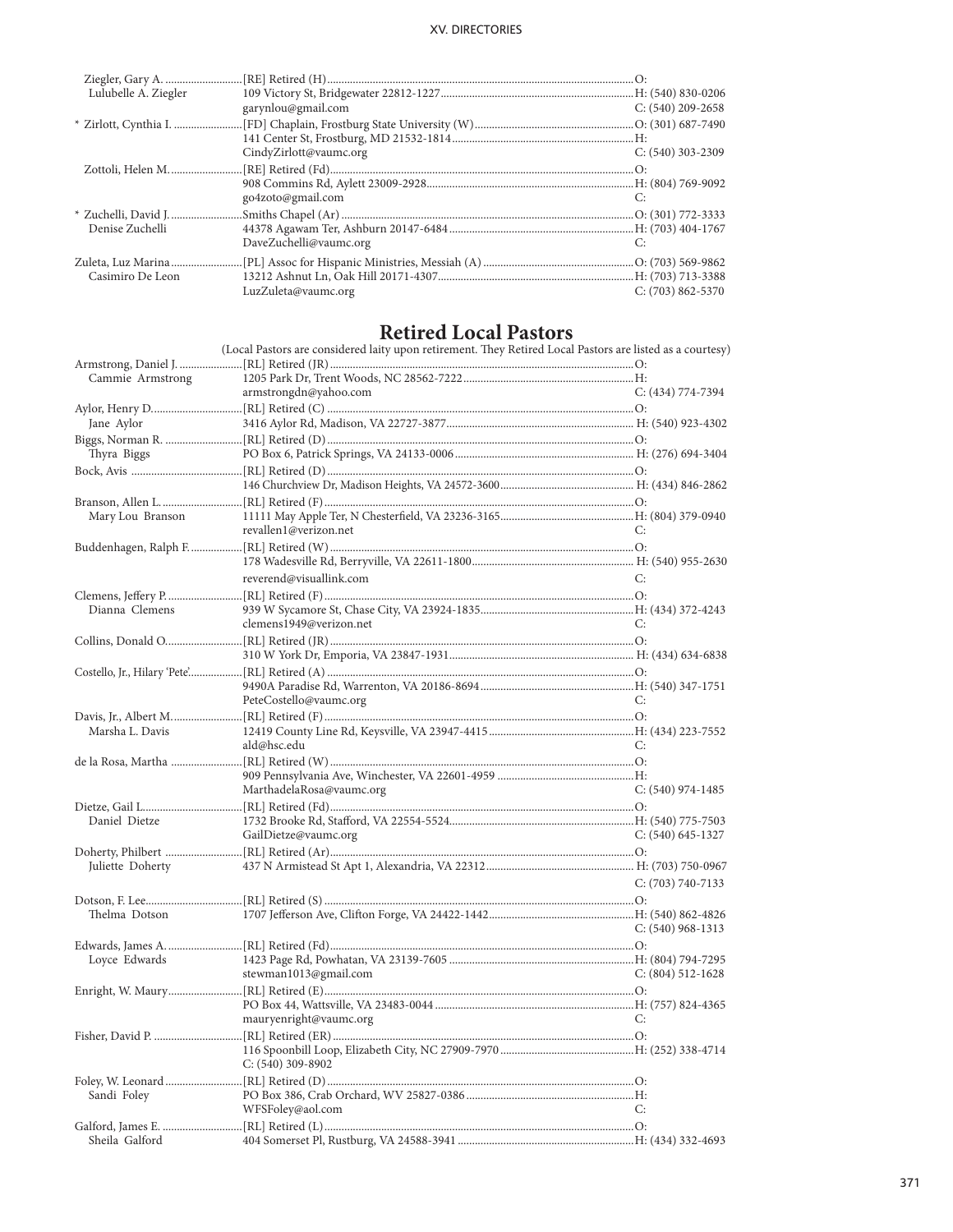### XV. DIRECTORIES

| Lulubelle A. Ziegler |                        |                       |
|----------------------|------------------------|-----------------------|
|                      | garynlou@gmail.com     | $C: (540)$ 209-2658   |
|                      |                        |                       |
|                      |                        |                       |
|                      | CindyZirlott@vaumc.org | $C: (540)$ 303-2309   |
|                      |                        |                       |
|                      |                        |                       |
|                      | go4zoto@gmail.com      | €                     |
|                      |                        |                       |
| Denise Zuchelli      |                        |                       |
|                      | DaveZuchelli@vaumc.org | C.                    |
|                      |                        |                       |
| Casimiro De Leon     |                        |                       |
|                      | LuzZuleta@vaumc.org    | $C: (703) 862 - 5370$ |

# **Retired Local Pastors**

|                  | (Local Pastors are considered laity upon retirement. They Retired Local Pastors are listed as a courtesy) |                       |
|------------------|-----------------------------------------------------------------------------------------------------------|-----------------------|
|                  |                                                                                                           |                       |
| Cammie Armstrong |                                                                                                           |                       |
|                  | armstrongdn@yahoo.com                                                                                     | C: (434) 774-7394     |
|                  |                                                                                                           |                       |
| Jane Aylor       |                                                                                                           |                       |
|                  |                                                                                                           |                       |
| Thyra Biggs      |                                                                                                           |                       |
|                  |                                                                                                           |                       |
|                  |                                                                                                           |                       |
|                  |                                                                                                           |                       |
| Mary Lou Branson |                                                                                                           |                       |
|                  | revallen1@verizon.net                                                                                     | C:                    |
|                  |                                                                                                           |                       |
|                  |                                                                                                           |                       |
|                  | reverend@visuallink.com                                                                                   | C:                    |
|                  |                                                                                                           |                       |
| Dianna Clemens   |                                                                                                           |                       |
|                  | clemens1949@verizon.net                                                                                   | C:                    |
|                  |                                                                                                           |                       |
|                  |                                                                                                           |                       |
|                  |                                                                                                           |                       |
|                  |                                                                                                           |                       |
|                  | PeteCostello@vaumc.org                                                                                    | C:                    |
|                  |                                                                                                           |                       |
| Marsha L. Davis  |                                                                                                           |                       |
|                  | ald@hsc.edu                                                                                               | C:                    |
|                  |                                                                                                           |                       |
|                  |                                                                                                           |                       |
|                  | MarthadelaRosa@vaumc.org                                                                                  | $C: (540)$ 974-1485   |
|                  |                                                                                                           |                       |
| Daniel Dietze    |                                                                                                           |                       |
|                  | GailDietze@vaumc.org                                                                                      | $C: (540) 645-1327$   |
|                  |                                                                                                           |                       |
| Juliette Doherty |                                                                                                           |                       |
|                  |                                                                                                           | $C: (703) 740-7133$   |
|                  |                                                                                                           |                       |
| Thelma Dotson    |                                                                                                           |                       |
|                  |                                                                                                           | C: $(540)$ 968-1313   |
|                  |                                                                                                           |                       |
| Loyce Edwards    |                                                                                                           |                       |
|                  | stewman1013@gmail.com                                                                                     | $C: (804) 512 - 1628$ |
|                  |                                                                                                           |                       |
|                  |                                                                                                           |                       |
|                  | mauryenright@vaumc.org                                                                                    | C:                    |
|                  |                                                                                                           |                       |
|                  |                                                                                                           |                       |
|                  | $C: (540)$ 309-8902                                                                                       |                       |
|                  |                                                                                                           |                       |
| Sandi Foley      |                                                                                                           |                       |
|                  | WFSFoley@aol.com                                                                                          | C:                    |
|                  |                                                                                                           |                       |
|                  |                                                                                                           |                       |
|                  |                                                                                                           |                       |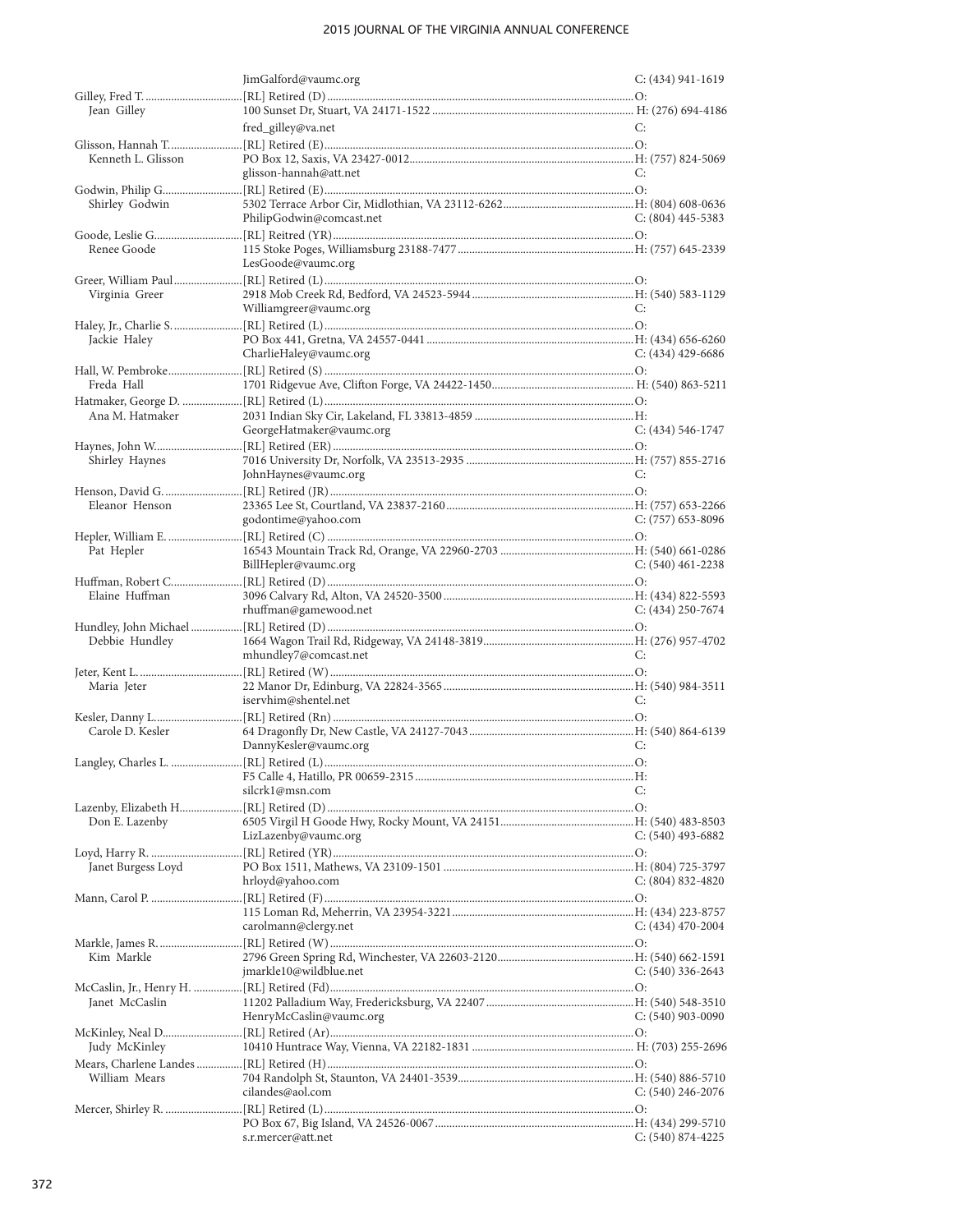|                    | JimGalford@vaumc.org     | $C: (434)$ 941-1619   |
|--------------------|--------------------------|-----------------------|
|                    |                          |                       |
| Jean Gilley        |                          |                       |
|                    | fred_gilley@va.net       | C:                    |
|                    |                          |                       |
| Kenneth L. Glisson |                          |                       |
|                    | glisson-hannah@att.net   | C:                    |
|                    |                          |                       |
| Shirley Godwin     |                          |                       |
|                    | PhilipGodwin@comcast.net | $C: (804)$ 445-5383   |
|                    |                          |                       |
| Renee Goode        |                          |                       |
|                    | LesGoode@vaumc.org       |                       |
|                    |                          |                       |
| Virginia Greer     |                          |                       |
|                    |                          | C:                    |
|                    | Williamgreer@vaumc.org   |                       |
|                    |                          |                       |
| Jackie Haley       |                          |                       |
|                    | CharlieHaley@vaumc.org   | $C: (434)$ 429-6686   |
|                    |                          |                       |
| Freda Hall         |                          |                       |
|                    |                          |                       |
| Ana M. Hatmaker    |                          |                       |
|                    | GeorgeHatmaker@vaumc.org | $C: (434) 546-1747$   |
|                    |                          |                       |
| Shirley Haynes     |                          |                       |
|                    | JohnHaynes@vaumc.org     | C:                    |
|                    |                          |                       |
| Eleanor Henson     |                          |                       |
|                    | godontime@yahoo.com      | $C: (757)$ 653-8096   |
|                    |                          |                       |
| Pat Hepler         |                          |                       |
|                    |                          |                       |
|                    | BillHepler@vaumc.org     | $C: (540)$ 461-2238   |
|                    |                          |                       |
| Elaine Huffman     |                          |                       |
|                    | rhuffman@gamewood.net    | $C: (434)$ 250-7674   |
|                    |                          |                       |
| Debbie Hundley     |                          |                       |
|                    | mhundley7@comcast.net    | C:                    |
|                    |                          |                       |
| Maria Jeter        |                          |                       |
|                    | iservhim@shentel.net     | C:                    |
|                    |                          |                       |
| Carole D. Kesler   |                          |                       |
|                    | DannyKesler@vaumc.org    | C:                    |
|                    |                          |                       |
|                    |                          |                       |
|                    | silcrk1@msn.com          | C:                    |
|                    |                          |                       |
| Don E. Lazenby     |                          |                       |
|                    | LizLazenby@vaumc.org     | $C: (540)$ 493-6882   |
|                    |                          |                       |
|                    |                          |                       |
| Janet Burgess Loyd |                          |                       |
|                    | hrloyd@yahoo.com         | $C: (804) 832 - 4820$ |
|                    |                          |                       |
|                    |                          |                       |
|                    | carolmann@clergy.net     | $C: (434)$ 470-2004   |
|                    |                          |                       |
| Kim Markle         |                          |                       |
|                    | jmarkle10@wildblue.net   | $C: (540)$ 336-2643   |
|                    |                          |                       |
| Janet McCaslin     |                          |                       |
|                    | HenryMcCaslin@vaumc.org  | $C: (540)$ 903-0090   |
|                    |                          |                       |
| Judy McKinley      |                          |                       |
|                    |                          |                       |
| William Mears      |                          |                       |
|                    | cilandes@aol.com         | $C: (540)$ 246-2076   |
|                    |                          |                       |
|                    |                          |                       |
|                    | s.r.mercer@att.net       | $C: (540) 874-4225$   |
|                    |                          |                       |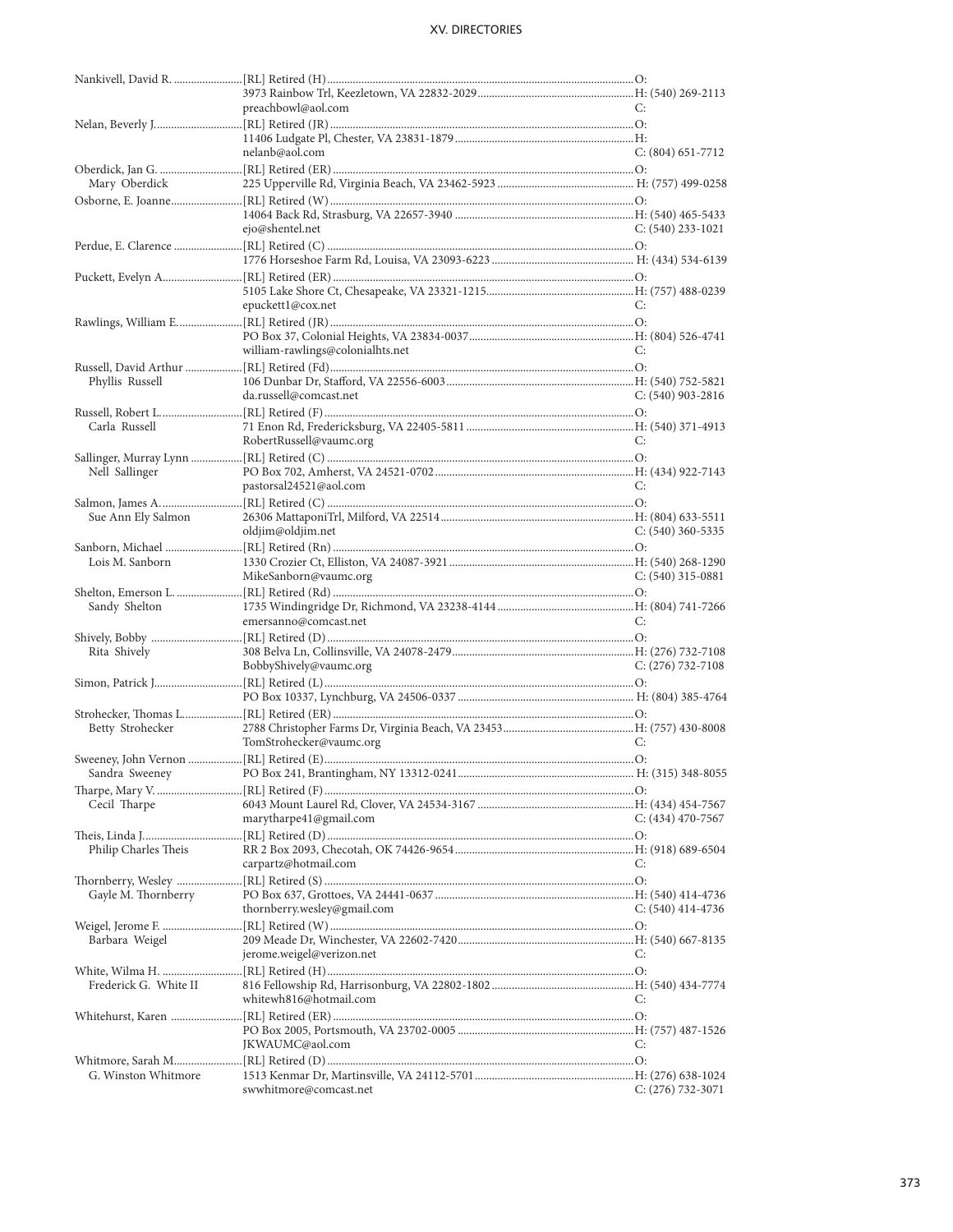|                       | preachbowl@aol.com               | C:                  |
|-----------------------|----------------------------------|---------------------|
|                       |                                  |                     |
|                       |                                  |                     |
|                       | nelanb@aol.com                   | $C: (804)$ 651-7712 |
|                       |                                  |                     |
| Mary Oberdick         |                                  |                     |
|                       |                                  |                     |
|                       |                                  |                     |
|                       |                                  |                     |
|                       | ejo@shentel.net                  | $C: (540)$ 233-1021 |
|                       |                                  |                     |
|                       |                                  |                     |
|                       |                                  |                     |
|                       |                                  |                     |
|                       | epuckett1@cox.net                | C:                  |
|                       |                                  |                     |
|                       |                                  |                     |
|                       |                                  |                     |
|                       | william-rawlings@colonialhts.net | C:                  |
|                       |                                  |                     |
| Phyllis Russell       |                                  |                     |
|                       | da.russell@comcast.net           | $C: (540)$ 903-2816 |
|                       |                                  |                     |
|                       |                                  |                     |
| Carla Russell         |                                  |                     |
|                       | RobertRussell@vaumc.org          | C:                  |
|                       |                                  |                     |
| Nell Sallinger        |                                  |                     |
|                       | pastorsal24521@aol.com           | C:                  |
|                       |                                  |                     |
| Sue Ann Ely Salmon    |                                  |                     |
|                       |                                  |                     |
|                       | oldjim@oldjim.net                | $C: (540)$ 360-5335 |
|                       |                                  |                     |
| Lois M. Sanborn       |                                  |                     |
|                       | MikeSanborn@vaumc.org            | $C: (540)$ 315-0881 |
|                       |                                  |                     |
|                       |                                  |                     |
|                       |                                  |                     |
| Sandy Shelton         |                                  |                     |
|                       | emersanno@comcast.net            | C:                  |
|                       |                                  |                     |
| Rita Shively          |                                  |                     |
|                       | BobbyShively@vaumc.org           | $C: (276)$ 732-7108 |
|                       |                                  |                     |
|                       |                                  |                     |
|                       |                                  |                     |
|                       |                                  |                     |
| Betty Strohecker      |                                  |                     |
|                       | TomStrohecker@vaumc.org          | C:                  |
|                       |                                  |                     |
|                       |                                  |                     |
|                       |                                  |                     |
|                       |                                  |                     |
| Cecil Tharpe          |                                  |                     |
|                       | marytharpe41@gmail.com           | C: $(434)$ 470-7567 |
|                       |                                  |                     |
| Philip Charles Theis  |                                  |                     |
|                       | carpartz@hotmail.com             | C:                  |
|                       |                                  |                     |
|                       |                                  |                     |
| Gayle M. Thornberry   |                                  |                     |
|                       | thornberry.wesley@gmail.com      | $C: (540)$ 414-4736 |
|                       |                                  |                     |
| Barbara Weigel        |                                  |                     |
|                       | jerome.weigel@verizon.net        | C:                  |
|                       |                                  |                     |
| Frederick G. White II |                                  |                     |
|                       | whitewh816@hotmail.com           | C:                  |
|                       |                                  |                     |
|                       |                                  |                     |
|                       |                                  |                     |
|                       | JKWAUMC@aol.com                  | C:                  |
|                       |                                  |                     |
| G. Winston Whitmore   |                                  |                     |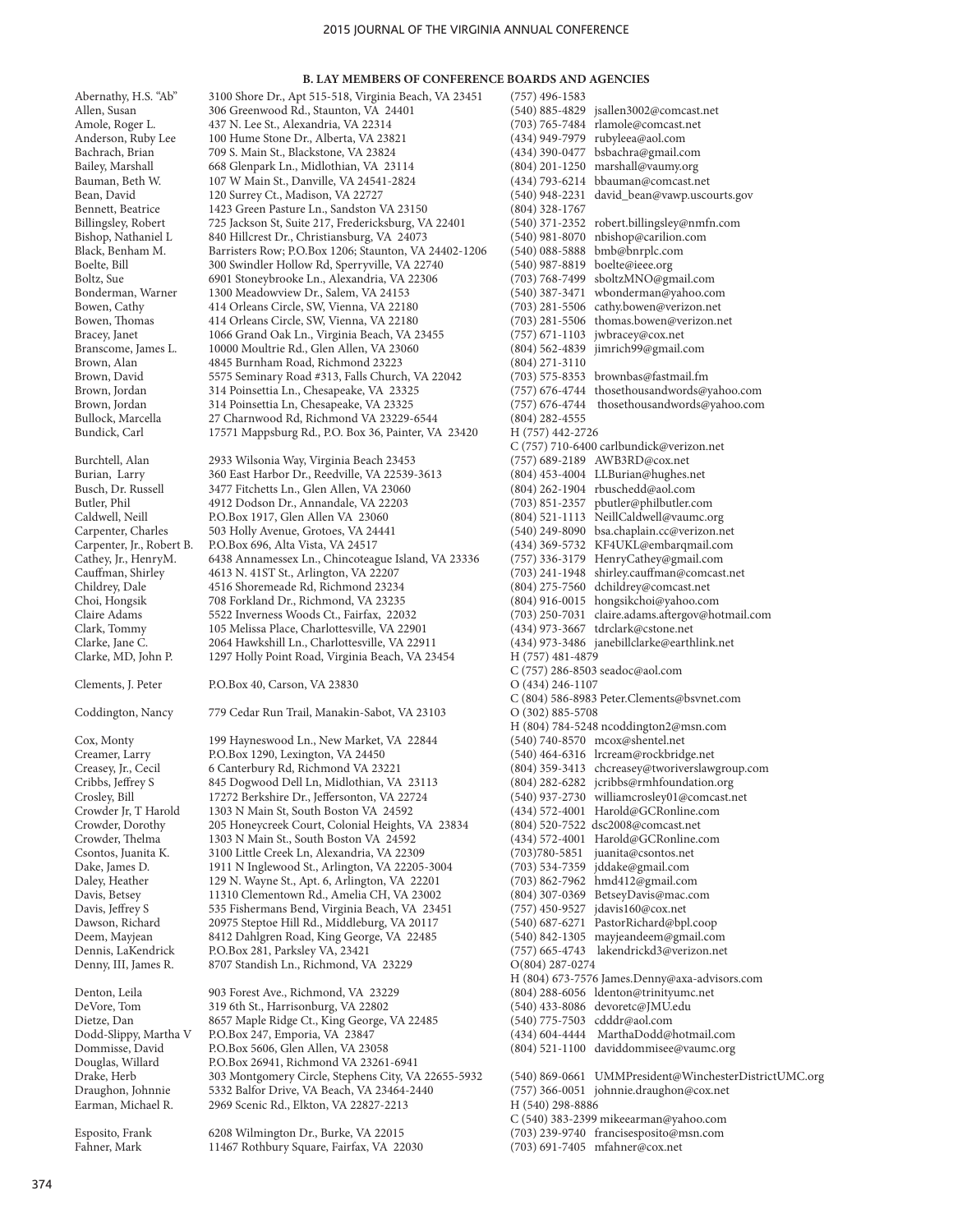#### **B. LAY MEMBERS OF CONFERENCE BOARDS AND AGENCIES**

Abernathy, H.S. "Ab" 3100 Shore Dr., Apt 515-518, Virginia Beach, VA 23451 (757) 496-1583<br>Allen, Susan 306 Greenwood Rd., Staunton, VA 24401 (540) 885-4829 isallen3002@comcast.net Allen, Susan 306 Greenwood Rd., Staunton, VA 24401<br>Amole. Roger L. 437 N. Lee St., Alexandria, VA 22314 Amole, Roger L. 437 N. Lee St., Alexandria, VA 22314 (703) 765-7484 rlamole@comcast.net<br>Anderson, Ruby Lee 100 Hume Stone Dr., Alberta, VA 23821 (434) 949-7979 rubyleea@aol.com Anderson, Ruby Lee 100 Hume Stone Dr., Alberta, VA 23821 (434) 949-7979 rubyleea@aol.com<br>Bachrach, Brian 709 S. Main St., Blackstone, VA 23824 (434) 390-0477 bsbachra@gmail.com Bachrach, Brian 709 S. Main St., Blackstone, VA 23824<br>Bailey. Marshall 668 Glenpark Ln., Midlothian, VA 23114 Bailey, Marshall 668 Glenpark Ln., Midlothian, VA 23114 (804) 201-1250 marshall@vaumy.org<br>Bauman, Beth W. 107 W Main St., Danville, VA 24541-2824 (434) 793-6214 bbauman@comcast.net Bauman, Beth W. 107 W Main St., Danville, VA 24541-2824<br>
Bean, David 120 Surrey Ct., Madison, VA 22727 Bean, David 120 Surrey Ct., Madison, VA 22727 (540) 948-2231 david\_bean@vawp.uscourts.gov<br>Bennett, Beatrice 1423 Green Pasture Ln., Sandston VA 23150 (804) 328-1767 Bennett, Beatrice 1423 Green Pasture Ln., Sandston VA 23150 (804) 328-1767<br>Billingsley, Robert 725 Jackson St, Suite 217, Fredericksburg, VA 22401 (540) 371-2352 Billingsley, Robert 725 Jackson St, Suite 217, Fredericksburg, VA 22401 (540) 371-2352 robert.billingsley@nmfn.com<br>Bishop. Nathaniel L 840 Hillcrest Dr., Christiansburg, VA 24073 (540) 981-8070 nbishop@carilion.com Bishop, Nathaniel L 840 Hillcrest Dr., Christiansburg, VA 24073 (540) 981-8070 nbishop@carilion.<br>Black, Benham M. Barristers Row; P.O.Box 1206; Staunton, VA 24402-1206 (540) 088-5888 bmb@bnrplc.com Black, Benham M. Barristers Row; P.O.Box 1206; Staunton, VA 24402-1206 (540) 088-5888 bmb@bnrplc.com<br>Boelte, Bill 300 Swindler Hollow Rd, Sperryville, VA 22740 (540) 987-8819 boelte@ieee.org Boelte, Bill 300 Swindler Hollow Rd, Sperryville, VA 22740 (540) 987-8819 boelte@ieee.org<br>Boltz, Sue 6901 Stoneybrooke Ln., Alexandria, VA 22306 (703) 768-7499 sboltzMNO@gmail.com Boltz, Sue 6901 Stoneybrooke Ln., Alexandria, VA 22306 (703) 768-7499 sboltzMNO@gmail.com Bonderman, Warner 1300 Meadowview Dr., Salem, VA 24153 (540) 387-3471 wbonderman@yahoo.com<br>Bowen, Cathy 114 Orleans Circle, SW, Vienna, VA 22180 (703) 281-5506 cathy.bowen@verizon.net Bowen, Cathy 414 Orleans Circle, SW, Vienna, VA 22180 (703) 281-5506 cathy.bowen@verizon.net<br>Bowen, Thomas 414 Orleans Circle, SW, Vienna, VA 22180 (703) 281-5506 thomas.bowen@verizon.net Bowen, Thomas 414 Orleans Circle, SW, Vienna, VA 22180 (703) 281-5506 thomas.bowen@verital back and Dak Ln., Virginia Beach, VA 23455 (757) 671-1103 iwbracey@cox.net Bracey, Janet 1066 Grand Oak Ln., Virginia Beach, VA 23455 (757) 671-1103 jwbracey@cox.net<br>Branscome, James L. 10000 Moultrie Rd., Glen Allen, VA 23060 (804) 562-4839 jimrich99@gmail.com Branscome, James L. 10000 Moultrie Rd., Glen Allen, VA 23060 (804) 562-4839<br>Brown, Alan 19845 Burnham Road, Richmond 23223 (804) 271-3110 Brown, Alan 4845 Burnham Road, Richmond 23223 (804) 271-3110<br>Brown, David 5575 Seminary Road #313, Falls Church, VA 22042 (703) 575-8353 brownbas@fastmail.fm Brown, David 5575 Seminary Road #313, Falls Church, VA 22042<br>Brown, Jordan 314 Poinsettia Ln., Chesapeake, VA 23325 Brown, Jordan 314 Poinsettia Ln., Chesapeake, VA 23325 (757) 676-4744 thosethousandwords@yahoo.com<br>Brown, Jordan 314 Poinsettia Ln, Chesapeake, VA 23325 (757) 676-4744 thosethousandwords@yahoo.com Brown, Jordan 314 Poinsettia Ln, Chesapeake, VA 23325 (757) 676-4744<br>Bullock, Marcella 27 Charnwood Rd, Richmond VA 23229-6544 (804) 282-4555 Bullock, Marcella 27 Charnwood Rd, Richmond VA 23229-6544 (804) 282-4555 17571 Mappsburg Rd., P.O. Box 36, Painter, VA 23420 C (757) 710-6400 carlbundick@verizon.net<br>Burchtell, Alan 2933 Wilsonia Way, Virginia Beach 23453 (757) 689-2189 AWB3RD@cox.net Burchtell, Alan 2933 Wilsonia Way, Virginia Beach 23453<br>Burian, Larry 360 East Harbor Dr., Reedville, VA 22539-3613

Burian, Larry 360 East Harbor Dr., Reedville, VA 22539-3613 (804) 453-4004 LLBurian@hughes.net<br>Busch, Dr. Russell 3477 Fitchetts Ln., Glen Allen, VA 23060 (804) 262-1904 rbuschedd@aol.com Busch, Dr. Russell 3477 Fitchetts Ln., Glen Allen, VA 23060 (804) 262-1904 rbuschedd@aol.com<br>Butler, Phil 3912 Dodson Dr., Annandale, VA 22203 (703) 851-2357 pbutler@philbutler.com Butler, Phil 4912 Dodson Dr., Annandale, VA 22203<br>Caldwell, Neill B.O.Box 1917, Glen Allen VA 23060 Caldwell, Neill **P.O.Box 1917, Glen Allen VA 23060** (804) 521-1113 NeillCaldwell@vaumc.org<br>Carpenter, Charles 503 Holly Avenue, Grotoes, VA 24441 (540) 249-8090 bsa.chaplain.cc@verizon.n Carpenter, Charles 503 Holly Avenue, Grotoes, VA 24441 (540) 249-8090 bsa.chaplain.cc@verizon.net<br>Carpenter, Jr., Robert B. P.O.Box 696, Alta Vista, VA 24517 (434) 369-5732 KF4UKL@embarqmail.com Carpenter, Jr., Robert B. P.O.Box 696, Alta Vista, VA 24517 (434) 369-5732 KF4UKL@embarqmail.com<br>Cathey, Jr., HenryM. 6438 Annamessex Ln., Chincoteague Island, VA 23336 (757) 336-3179 HenryCathey@gmail.com Cathey, Jr., HenryM. 6438 Annamessex Ln., Chincoteague Island, VA 23336<br>Cauffman, Shirley 4613 N. 41ST St., Arlington, VA 22207 Cauffman, Shirley 4613 N. 41ST St., Arlington, VA 22207 (703) 241-1948 shirley.cauffman@comcast.net<br>Childrey, Dale 4516 Shoremeade Rd, Richmond 23234 (804) 275-7560 dchildrey@comcast.net Childrey, Dale 4516 Shoremeade Rd, Richmond 23234 (804) 275-7560 dchildrey@comcast.net Choi, Hongsik 708 Forkland Dr., Richmond, VA 23235 (804) 916-0015 hongsikchoi@yahoo.com Clark, Tommy 105 Melissa Place, Charlottesville, VA 22901<br>Clarke, Jane C. 2064 Hawkshill Ln., Charlottesville, VA 22911 Clarke, Jane C. 2064 Hawkshill Ln., Charlottesville, VA 22911 (434) 973-3486 janebillclarke@earthlink.net<br>Clarke, MD, John P. 1297 Holly Point Road, Virginia Beach, VA 23454 H (757) 481-4879 1297 Holly Point Road, Virginia Beach, VA 23454 Clements, J. Peter P.O.Box 40, Carson, VA 23830

Coddington, Nancy 779 Cedar Run Trail, Manakin-Sabot, VA 23103

Cox, Monty 199 Hayneswood Ln., New Market, VA 22844<br>Creamer, Larry P.O.Box 1290, Lexington, VA 24450 Creamer, Larry P.O.Box 1290, Lexington, VA 24450 (540) 464-6316 lrcream@rockbridge.net<br>Creasey, Jr., Cecil 6 Canterbury Rd, Richmond VA 23221 (804) 359-3413 chcreasey@tworiverslaw Cribbs, Jeffrey S 845 Dogwood Dell Ln, Midlothian, VA 23113 (804) 282-6282 jcribbs@rmhfoundation.org<br>Crosley, Bill 17272 Berkshire Dr., Jeffersonton, VA 22724 (540) 937-2730 williamcrosley01@comcast.net Crosley, Bill 17272 Berkshire Dr., Jeffersonton, VA 22724<br>Crowder Ir. T Harold 1303 N Main St. South Boston VA 24592 Crowder Jr, T Harold 1303 N Main St, South Boston VA 24592 (434) 572-4001 Harold@GCRonline.com<br>Crowder, Dorothy 205 Honeycreek Court, Colonial Heights, VA 23834 (804) 520-7522 dsc2008@comcast.net Crowder, Dorothy 205 Honeycreek Court, Colonial Heights, VA 23834<br>Crowder, Thelma 1303 N Main St., South Boston VA 24592 Crowder, Thelma 1303 N Main St., South Boston VA 24592 (434) 572-4001 Harold@GCRonline.com<br>Csontos, Juanita K. 3100 Little Creek Ln, Alexandria, VA 22309 (703)780-5851 juanita@csontos.net Csontos, Juanita K. 3100 Little Creek Ln, Alexandria, VA 22309 (703)780-5851 juanita@csontos.net<br>Dake, James D. 1911 N Inglewood St., Arlington, VA 22205-3004 (703) 534-7359 jddake@gmail.com Dake, James D. 1911 N Inglewood St., Arlington, VA 22205-3004 (703) 534-7359 jddake@gmail.com Daley, Heather 129 N. Wayne St., Apt. 6, Arlington, VA 22201 (703) 862-7962 hmd412@gmail.com Davis, Betsey 11310 Clementown Rd., Amelia CH, VA 23002 (804) 307-0369 BetseyDavis@mac.com<br>Davis, Jeffrey S 535 Fishermans Bend, Virginia Beach, VA 23451 (757) 450-9527 jdavis160@cox.net Davis, Jeffrey S 535 Fishermans Bend, Virginia Beach, VA 23451 (757) 450-9527 jdavis160@cox.net<br>Dawson, Richard 20975 Steptoe Hill Rd., Middleburg, VA 20117 (540) 687-6271 PastorRichard@bpl.coop Dawson, Richard 20975 Steptoe Hill Rd., Middleburg, VA 20117 (540) 687-6271 PastorRichard@bpl.coop Deem, Mayjean 8412 Dahlgren Road, King George, VA 22485<br>Dennis, LaKendrick P.O.Box 281, Parksley VA, 23421 Dennis, LaKendrick P.O.Box 281, Parksley VA, 23421 (757) 665-4743 lakendrickd3@verizon.net<br>Denny, III, James R. 8707 Standish Ln., Richmond, VA 23229 (287-0274 (287-0274) 8707 Standish Ln., Richmond, VA 23229

Denton, Leila 903 Forest Ave., Richmond, VA 23229 (804) 288-6056 ldenton@trinityumc.<br>DeVore, Tom 319 6th St., Harrisonburg, VA 22802 (540) 433-8086 devoretc@JMU.edu DeVore, Tom 319 6th St., Harrisonburg, VA 22802 (540) 433-8086 devoretc@JMU.<br>Dietze, Dan 8657 Maple Ridge Ct., King George, VA 22485 (540) 775-7503 cdddr@aol.com Dietze, Dan 8657 Maple Ridge Ct., King George, VA 22485<br>Dodd-Slippy, Martha V P.O.Box 247, Emporia, VA 23847 Dodd-Slippy, Martha V P.O.Box 247, Emporia, VA 23847 (434) 604-4444 MarthaDodd@hotmail.com Dommisse, David P.O.Box 5606, Glen Allen, VA 23058 (804) 521-1100 daviddommisee@vaumc.org Douglas, Willard P.O.Box 26941, Richmond VA 23261-6941 Drake, Herb 303 Montgomery Circle, Stephens City, VA 22655-5932 (540) 869-0661 UMMPresident@WinchesterDistrictUMC.org Draughon, Johnnie 5332 Balfor Drive, VA Beach, VA 23464-2440 (757) 366-0051 johnnie.draughon@cox.net 2969 Scenic Rd., Elkton, VA 22827-2213

Esposito, Frank 6208 Wilmington Dr., Burke, VA 22015 (703) 239-9740 francisesposito@msn.com 11467 Rothbury Square, Fairfax, VA 22030

Claire Adams 5522 Inverness Woods Ct., Fairfax, 22032 (703) 250-7031 claire.adams.aftergov@hotmail.com C (757) 286-8503 seadoc@aol.com<br>O (434) 246-1107 C (804) 586-8983 Peter.Clements@bsvnet.com H (804) 784-5248 ncoddington2@msn.com<br>(540) 740-8570 mcox@shentel.net Creasey, Jr., Cecil 6 Canterbury Rd, Richmond VA 23221 (804) 359-3413 chcreasey@tworiverslawgroup.com<br>Cribbs, Jeffrey S 845 Dogwood Dell Ln, Midlothian, VA 23113 (804) 282-6282 jcribbs@rmhfoundation.org H (804) 673-7576 James.Denny@axa-advisors.com<br>Denton, Leila 903 Forest Ave., Richmond, VA 23229 (804) 288-6056 Identon@trinityumc.net C (540) 383-2399 mikeearman@yahoo.com<br>Esposito, Frank 6208 Wilmington Dr., Burke, VA 22015 (703) 239-9740 francisesposito@msn.com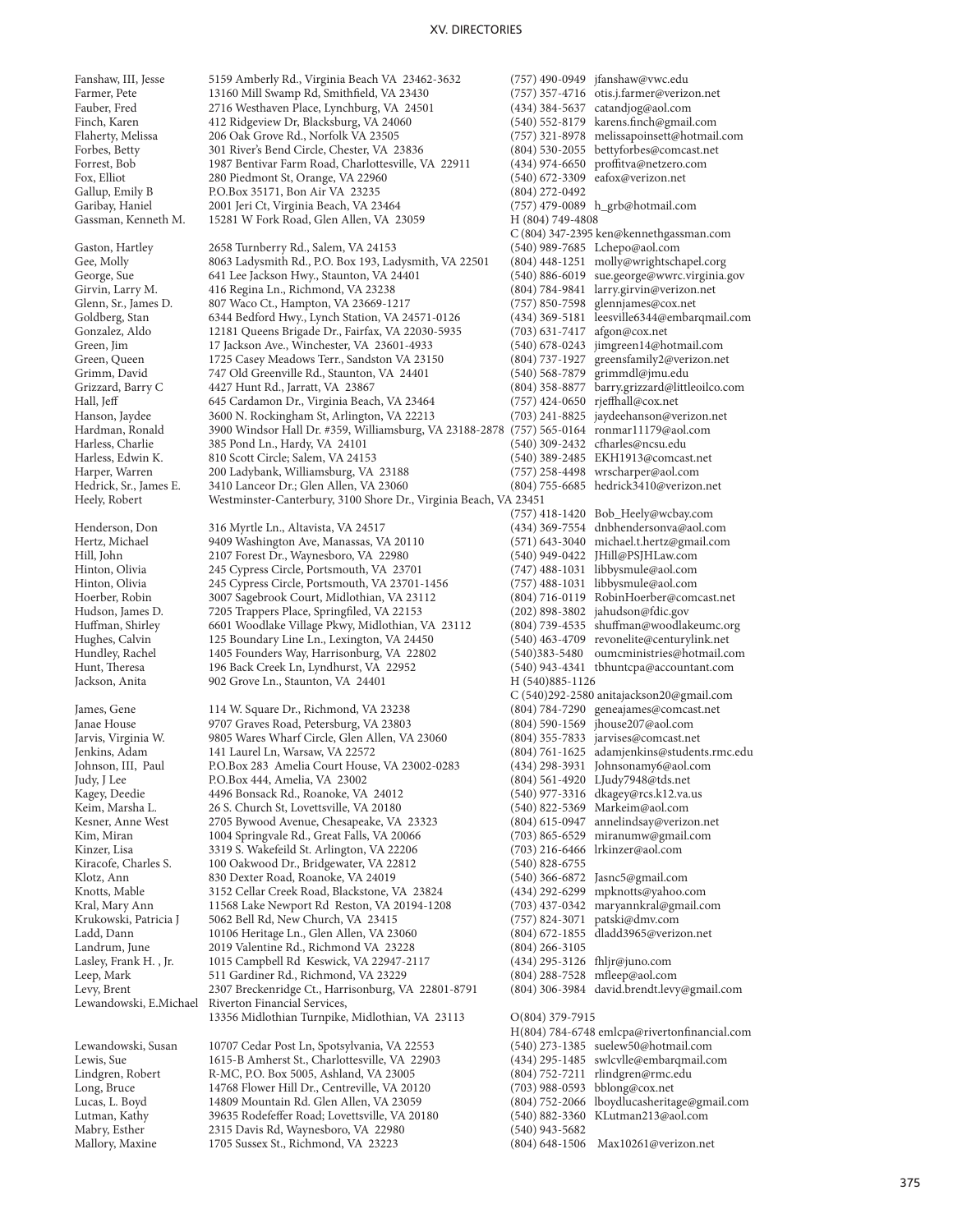Fanshaw, III, Jesse 5159 Amberly Rd., Virginia Beach VA 23462-3632 (757) 490-0949 jfanshaw@vwc.edu<br>Farmer, Pete 13160 Mill Swamp Rd, Smithfield, VA 23430 (757) 357-4716 otis.j.farmer@verizon.net Farmer, Pete 13160 Mill Swamp Rd, Smithfield, VA 23430 (757) 357-4716 otis.j.farmer@verizon.<br>12716 Westhaven Place, Lynchburg, VA 24501 (434) 384-5637 catandjog@aol.com Fauber, Fred 2716 Westhaven Place, Lynchburg, VA 24501 (434) 384-5637 catandjog@aol.com Finch, Karen 412 Ridgeview Dr, Blacksburg, VA 24060<br>Flaherty, Melissa 206 Oak Grove Rd., Norfolk VA 23505 Forbes, Betty 301 River's Bend Circle, Chester, VA 23836 (804) 530-2055 bettyforbes@comcast.netries, Bob 1987 Bentivar Farm Road, Charlottesville, VA 22911 (434) 974-6650 proffitva@netzero.com Forrest, Bob 1987 Bentivar Farm Road, Charlottesville, VA 22911 (434) 974-6650 proffitva@netzero.com<br>Fox. Elliot 280 Piedmont St. Orange. VA 22960 (540) 672-3309 eafox@verizon.net Fox, Elliot 280 Piedmont St, Orange, VA 22960<br>Gallup, Emily B eD.Box 35171, Bon Air VA 23235 Gallup, Emily B P.O.Box 35171, Bon Air VA 23235 (804) 272-0492<br>
Garibay, Haniel 2001 Jeri Ct, Virginia Beach, VA 23464 (757) 479-0089 Garibay, Haniel 2001 Jeri Ct, Virginia Beach, VA 23464 (757) 479-0089 h\_grb@hotmail.com<br>Gassman, Kenneth M. 15281 W Fork Road, Glen Allen, VA 23059 H (804) 749-4808 15281 W Fork Road, Glen Allen, VA 23059

Gee, Molly 8063 Ladysmith Rd., P.O. Box 193, Ladysmith, VA 22501<br>George, Sue 641 Lee Jackson Hwy., Staunton, VA 24401 George, Sue 641 Lee Jackson Hwy., Staunton, VA 24401 (540) 886-6019 sue.george@wwrc.virginia.gov<br>Girvin, Larry M. 416 Regina Ln., Richmond, VA 23238 (804) 784-9841 larry.girvin@verizon.net Girvin, Larry M. 416 Regina Ln., Richmond, VA 23238 (804) 784-9841 larry.girvin@verizon.net<br>Glenn, Sr., James D. 807 Waco Ct., Hampton, VA 23669-1217 (757) 850-7598 glenniames@cox.net Glenn, Sr., James D. 807 Waco Ct., Hampton, VA 23669-1217 (757) 850-7598 glennjames@cox.net<br>
Goldberg, Stan 6344 Bedford Hwy., Lynch Station, VA 24571-0126 (434) 369-5181 leesville6344@embarqmail.com Goldberg, Stan 6344 Bedford Hwy., Lynch Station, VA 24571-0126 (434) 369-5181 leesville6344@e<br>Gonzalez, Aldo 12181 Queens Brigade Dr., Fairfax, VA 22030-5935 (703) 631-7417 afgon@cox.net Gonzalez, Aldo 12181 Queens Brigade Dr., Fairfax, VA 22030-5935 (703) 631-7417 afgon@cox.net<br>Green, Jim 17 Jackson Ave., Winchester, VA 23601-4933 (540) 678-0243 jimgreen14@hotmail.com Green, Jim 17 Jackson Ave., Winchester, VA 23601-4933 (540) 678-0243 jimgreen14@hotmail.com<br>Green, Queen 1725 Casey Meadows Terr., Sandston VA 23150 (804) 737-1927 greensfamily2@verizon.net Green, Queen 1725 Casey Meadows Terr., Sandston VA 23150 (804) 737-1927 greensfamily2@veri<br>Grimm, David 747 Old Greenville Rd., Staunton, VA 24401 (540) 568-7879 grimmdl@jmu.edu Grimm, David 747 Old Greenville Rd., Staunton, VA 24401 (540) 568-7879 grimmdl@jmu.edu<br>Grizzard, Barry C 4427 Hunt Rd., Jarratt, VA 23867 (804) 358-8877 barry.grizzard@littleoilco.com Grizzard, Barry C 4427 Hunt Rd., Jarratt, VA 23867 (804) 358-8877 barry.grizzard@littleoilco.com Hall, Jeff 645 Cardamon Dr., Virginia Beach, VA 23464 (757) 424-0650 rjeffhall@cox.net<br>Hanson, Javdee 3600 N. Rockingham St. Arlington, VA 22213 (703) 241-8825 iavdeehanson@verizon.net Hanson, Jaydee 3600 N. Rockingham St, Arlington, VA 22213 (703) 241-8825 jaydeehanson@verizon.<br>Hardman, Ronald 3900 Windsor Hall Dr. #359, Williamsburg, VA 23188-2878 (757) 565-0164 ronmar11179@aol.com Hardman, Ronald 3900 Windsor Hall Dr. #359, Williamsburg, VA 23188-2878<br>Harless, Charlie 385 Pond Ln., Hardy, VA 24101 Harless, Charlie 385 Pond Ln., Hardy, VA 24101 (540) 309-2432 cfharles@ncsu.edu<br>Harless, Edwin K. 810 Scott Circle; Salem, VA 24153 (540) 389-2485 EKH1913@comcas Harless, Edwin K. 810 Scott Circle; Salem, VA 24153 (540) 389-2485 EKH1913@comcast.net<br>
Harper, Warren 200 Ladybank, Williamsburg, VA 23188 (757) 258-4498 wrscharper@aol.com Harper, Warren 200 Ladybank, Williamsburg, VA 23188<br>Hedrick, Sr., James E. 3410 Lanceor Dr.; Glen Allen, VA 23060 Heely, Robert Westminster-Canterbury, 3100 Shore Dr., Virginia Beach, VA 23451

Henderson, Don 316 Myrtle Ln., Altavista, VA 24517<br>Hertz, Michael 9409 Washington Ave, Manassas, VA 20110 Hertz, Michael 9409 Washington Ave, Manassas, VA 20110 (571) 643-3040 michael.t.hertz@gmail.com Hill, John 2107 Forest Dr., Waynesboro, VA 22980 (540) 949-0422 JHill@PSJHLaw.com<br>Hinton, Olivia 245 Cypress Circle, Portsmouth, VA 23701 (747) 488-1031 libbysmule@aol.com Hinton, Olivia 245 Cypress Circle, Portsmouth, VA 23701 (747) 488-1031 libbysmule@aol.com Hinton, Olivia 245 Cypress Circle, Portsmouth, VA 23701-1456 (757) 488-1031 libbysmule@aol.com<br>Hoerber, Robin 3007 Sagebrook Court, Midlothian, VA 23112 (804) 716-0119 RobinHoerber@comcast.net Hoerber, Robin 3007 Sagebrook Court, Midlothian, VA 23112 (804) 716-0119 RobinHoerber@com<br>Hudson, James D. 2205 Trappers Place, Springfiled, VA 22153 (202) 898-3802 jahudson@fdic.gov Hudson, James D. 7205 Trappers Place, Springfiled, VA 22153 (202) 898-3802 jahudson@fdic.gov Huffman, Shirley 6601 Woodlake Village Pkwy, Midlothian, VA 23112 (804) 739-4535 shuffman@woodlakeumc.org<br>Hughes, Calvin 125 Boundary Line Ln., Lexington, VA 24450 (540) 463-4709 revonelite@centurylink.net Hughes, Calvin 125 Boundary Line Ln., Lexington, VA 24450 (540) 463-4709 revonelite@centurylink.net<br>Hundlev. Rachel 1405 Founders Wav. Harrisonburg. VA 22802 (540)383-5480 oumcministries@hotmail.com Hundley, Rachel 1405 Founders Way, Harrisonburg, VA 22802<br>Hunt, Theresa 196 Back Creek Ln, Lyndhurst, VA 22952 Hunt, Theresa 196 Back Creek Ln, Lyndhurst, VA 22952 (540) 943-4341 tbhuntcpa@accountant.com<br>Jackson, Anita 902 Grove Ln., Staunton, VA 24401 H (540)885-1126 902 Grove Ln., Staunton, VA 24401

Janae House 9707 Graves Road, Petersburg, VA 23803 (804) 590-1569 jhouse207@aol.com Jarvis, Virginia W. 9805 Wares Wharf Circle, Glen Allen, VA 23060<br>Jenkins, Adam 141 Laurel Ln, Warsaw, VA 22572 Jenkins, Adam 141 Laurel Ln, Warsaw, VA 22572 (804) 761-1625 adamjenkins@students.rmc.edu Johnson, III, Paul P.O.Box 283 Amelia Court House, VA 23002-0283<br>Judy, J Lee P.O.Box 444, Amelia, VA 23002 Judy, J Lee P.O.Box 444, Amelia, VA 23002 (804) 561-4920 LJudy7948@tds.net Kagey, Deedie 4496 Bonsack Rd., Roanoke, VA 24012 (540) 977-3316 dkagey@rcs.k12.va.us Keim, Marsha L. 26 S. Church St, Lovettsville, VA 20180 (540) 822-5369 Markeim@aol.com<br>Kesner, Anne West 2705 Bywood Avenue, Chesapeake, VA 23323 (804) 615-0947 annelindsay@verizon.net Kesner, Anne West 2705 Bywood Avenue, Chesapeake, VA 23323 (804) 615-0947 annelindsay@verizon.ne<br>Kim, Miran 1004 Springvale Rd., Great Falls, VA 20066 (703) 865-6529 miranumw@gmail.com Kim, Miran 1004 Springvale Rd., Great Falls, VA 20066 (703) 865-6529 miranumw@gmai<br>Kinzer, Lisa 3319 S. Wakefeild St. Arlington, VA 22206 (703) 216-6466 lrkinzer@aol.com Kinzer, Lisa 3319 S. Wakefeild St. Arlington, VA 22206 (703) 216-6466 lrkinzer@aol.com 100 Oakwood Dr., Bridgewater, VA 22812 Klotz, Ann 830 Dexter Road, Roanoke, VA 24019 (540) 366-6872 Jasnc5@gmail.com Knotts, Mable 3152 Cellar Creek Road, Blackstone, VA 23824 (434) 292-6299 mpknotts@yahoo.com Kral, Mary Ann 11568 Lake Newport Rd Reston, VA 20194-1208 (703) 437-0342 maryannkral@gm<br>Krukowski, Patricia J 5062 Bell Rd, New Church, VA 23415 (757) 824-3071 patski@dmv.com Krukowski, Patricia J 5062 Bell Rd, New Church, VA 23415 (757) 824-3071 patski@dmv.com<br>
Ladd, Dann 10106 Heritage Ln., Glen Allen, VA 23060 (804) 672-1855 dladd3965@verizon.net Ladd, Dann 10106 Heritage Ln., Glen Allen, VA 23060 (804) 672-1855<br>
Landrum, June 2019 Valentine Rd., Richmond VA 23228 (804) 266-3105 Landrum, June 2019 Valentine Rd., Richmond VA 23228 (804) 266-3105<br>
Laslev. Frank H. , Ir. 1015 Campbell Rd Keswick. VA 22947-2117 (434) 295-3126 fhlir@iuno.com Lasley, Frank H., Jr. 1015 Campbell Rd Keswick, VA 22947-2117 (434) 295-3126 fhljr@juno.com<br>
Leep, Mark 511 Gardiner Rd., Richmond, VA 23229 (804) 288-7528 mfleep@aol.com Leep, Mark 511 Gardiner Rd., Richmond, VA 23229 (804) 288-7528 mfleep@aol.com<br>19307 Breckenridge Ct., Harrisonburg, VA 22801-8791 (804) 306-3984 david.brendt.levy@gmail.com Levy, Brent 2307 Breckenridge Ct., Harrisonburg, VA 22801-8791<br>Lewandowski, E.Michael Riverton Financial Services, Riverton Financial Services, 13356 Midlothian Turnpike, Midlothian, VA 23113 O(804) 379-7915

Lewis, Sue 1615-B Amherst St., Charlottesville, VA 22903 (434) 295-1485 swlcvlle@embarqmail.<br>Lindgren, Robert R-MC, P.O. Box 5005, Ashland, VA 23005 (804) 752-7211 rlindgren@rmc.edu Lindgren, Robert R-MC, P.O. Box 5005, Ashland, VA 23005 (804) 752-7211 rlindgren@rmc.e<br>
Long, Bruce 14768 Flower Hill Dr., Centreville, VA 20120 (703) 988-0593 bblong@cox.net Long, Bruce 14768 Flower Hill Dr., Centreville, VA 20120<br>
Lucas, L. Boyd 14809 Mountain Rd. Glen Allen, VA 23059 Lutman, Kathy 39635 Rodefeffer Road; Lovettsville, VA 20180 (540) 882-3360 KLutman213@aol.com Mabry, Esther 2315 Davis Rd, Waynesboro, VA 22980 (540) 943-5682 1705 Sussex St., Richmond, VA 23223

Flaherty, Melissa 206 Oak Grove Rd., Norfolk VA 23505 (757) 321-8978 melissapoinsett@hotmail.com<br>Forbes, Betty 301 River's Bend Circle, Chester, VA 23836 (804) 530-2055 bettyforbes@comcast.net C (804) 347-2395 ken@kennethgassman.com<br>Gaston, Hartley 2658 Turnberry Rd., Salem, VA 24153 (540) 989-7685 Lchepo@aol.com 2658 Turnberry Rd., Salem, VA 24153 (540) 989-7685 Lchepo@aol.com<br>8063 Ladysmith Rd., P.O. Box 193, Ladysmith, VA 22501 (804) 448-1251 molly@wrightschapel.corg  $(804)$  755-6685 hedrick3410@verizon.net (757) 418-1420 Bob\_Heely@wcbay.com C (540)292-2580 anitajackson20@gmail.com James, Gene 114 W. Square Dr., Richmond, VA 23238 (804) 784-7290 geneajames@comcast.net<br>
19707 Graves Road. Petersburg. VA 23803 (804) 590-1569 ihouse207@aol.com H(804) 784-6748 emlcpa@rivertonfinancial.com<br>(540) 273-1385 suelew50@hotmail.com Lewandowski, Susan 10707 Cedar Post Ln, Spotsylvania, VA 22553 (540) 273-1385 suelew50@hotmail.com (804) 752-2066 lboydlucasheritage@gmail.com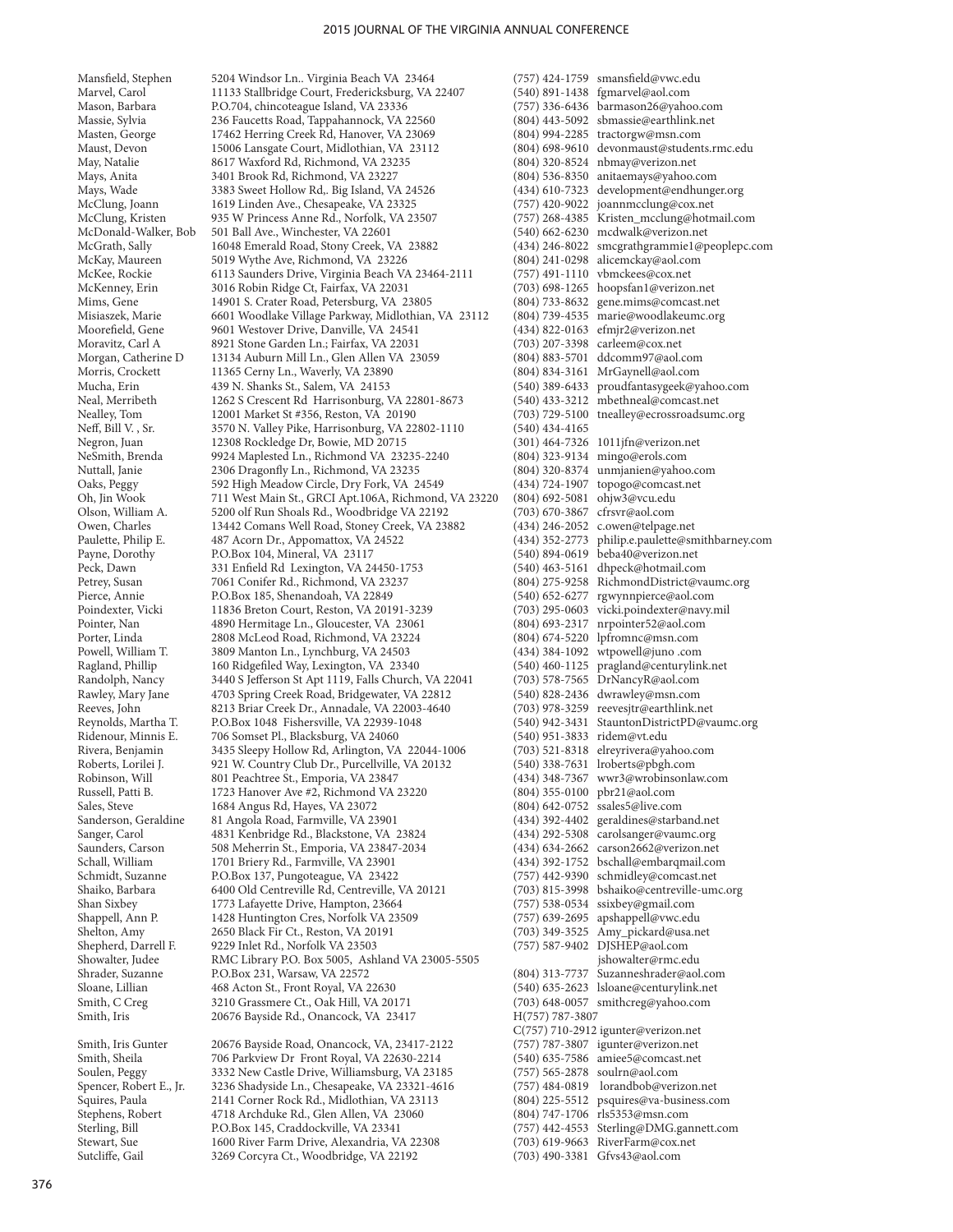Mansfield, Stephen 5204 Windsor Ln.. Virginia Beach VA 23464 (757) 424-1759 smansfield@vwc.edu Marvel, Carol 11133 Stallbridge Court, Fredericksburg, VA 22407 (540) 891-1438 fgmarvel@aol.com<br>Mason, Barbara 19. P.O.704, chincoteague Island, VA 23336 (757) 336-6436 barmason26@vahoo.com Mason, Barbara P.O.704, chincoteague Island, VA 23336 (757) 336-6436 barmason26@yahoo.com Massie, Sylvia 236 Faucetts Road, Tappahannock, VA 22560 (804) 443-5092 sbmassie@earthlink.ret Masten, George 17462 Herring Creek Rd, Hanover, VA 23069 (804) 994-2285 tractorgw@msn.com Masten, George 17462 Herring Creek Rd, Hanover, VA 23069 (804) 994-2285 tractorgw@msn.com Maust, Devon 15006 Lansgate Court, Midlothian, VA 23112<br>May, Natalie 8617 Waxford Rd, Richmond. VA 23235 May, Natalie 8617 Waxford Rd, Richmond, VA 23235 (804) 320-8524 nbmay@verizon.net Mays, Anita 3401 Brook Rd, Richmond, VA 23227 (804) 536-8350 anitaemays@yahoo.com Mays, Wade 3383 Sweet Hollow Rd,. Big Island, VA 24526 (434) 610-7323 development@endhung<br>McClung, Joann 1619 Linden Ave., Chesapeake, VA 23325 (757) 420-9022 joannmcclung@cox.net McClung, Joann 1619 Linden Ave., Chesapeake, VA 23325<br>McClung, Kristen 935 W Princess Anne Rd., Norfolk, VA 23507 McClung, Kristen 935 W Princess Anne Rd., Norfolk, VA 23507 (757) 268-4385 Kristen\_mcclung@hotmail.com<br>McDonald-Walker. Bob 501 Ball Ave., Winchester, VA 22601 (540) 662-6230 mcdwalk@verizon.net McDonald-Walker, Bob 501 Ball Ave., Winchester, VA 22601 (540) 662-6230 mcdwalk@verizon.net<br>McGrath, Sally 16048 Emerald Road, Stony Creek, VA 23882 (434) 246-8022 smcgrathgrammie1@p McGrath, Sally 16048 Emerald Road, Stony Creek, VA 23882 (434) 246-8022 smcgrathgrammie1@peoplepc.com<br>McKay, Maureen 5019 Wythe Ave, Richmond, VA 23226 (804) 241-0298 alicemckay@aol.com McKay, Maureen 5019 Wythe Ave, Richmond, VA 23226 (804) 241-0298 alicemckay@aol.com<br>McKee, Rockie 6113 Saunders Drive, Virginia Beach VA 23464-2111 (757) 491-1110 vbmckees@cox.net McKee, Rockie 6113 Saunders Drive, Virginia Beach VA 23464-2111 (757) 491-1110 vbmckees@cox.net<br>McKenney, Erin 3016 Robin Ridge Ct, Fairfax, VA 22031 (703) 698-1265 hoopsfan1@verizon.net McKenney, Erin 3016 Robin Ridge Ct, Fairfax, VA 22031 (703) 698-1265 hoopsfan1@verizon.net<br>Mims, Gene 14901 S. Crater Road, Petersburg, VA 23805 (804) 733-8632 gene.mims@comcast.net Mims, Gene 14901 S. Crater Road, Petersburg, VA 23805 (804) 733-8632 gene.mims@comcast.net<br>Misiaszek, Marie 6601 Woodlake Village Parkway, Midlothian, VA 23112 (804) 739-4535 marie@woodlakeumc.org Misiaszek, Marie 6601 Woodlake Village Parkway, Midlothian, VA 23112 (804) 739-4535 marie@woodlakeun<br>Moorefield, Gene 9601 Westover Drive. Danville. VA 24541 (434) 822-0163 efmir2@verizon.net Moorefield, Gene 9601 Westover Drive, Danville, VA 24541 (434) 822-0163 efmjr2@verizon.ret<br>Moravitz, Carl A 8921 Stone Garden Ln.; Fairfax, VA 22031 (703) 207-3398 carleem@cox.net Moravitz, Carl A 8921 Stone Garden Ln.; Fairfax, VA 22031 (703) 207-3398 carleem@cox.net Morgan, Catherine D 13134 Auburn Mill Ln., Glen Allen VA 23059 (804) 883-5701 ddcomm97@aol.com Morris, Crockett 11365 Cerny Ln., Waverly, VA 23890<br>
Mucha, Erin 11365 Cerny Ln., Waverly, VA 23890 (804) 834-3161 MrGaynell@aol.com<br>
Mucha, Erin 139 N. Shanks St., Salem, VA 24153 (540) 389-6433 proudfantasygeek@yahoo.com Mucha, Erin 439 N. Shanks St., Salem, VA 24153 (540) 389-6433 proudfantasygeek@yahoo.<br>Neal. Merribeth 1262 S Crescent Rd Harrisonburg. VA 22801-8673 (540) 433-3212 mbethneal@comcast.net Neal, Merribeth 1262 S Crescent Rd Harrisonburg, VA 22801-8673 (540) 433-3212 mbethneal@comcast.net<br>Nealley, Tom 12001 Market St #356, Reston, VA 20190 (703) 729-5100 tnealley@ecrossroadsumc.org Nealley, Tom 12001 Market St #356, Reston, VA 20190 (703) 729-5100<br>Neff, Bill V., Sr. 3570 N. Valley Pike, Harrisonburg, VA 22802-1110 (540) 434-4165 Neff, Bill V., Sr. 3570 N. Valley Pike, Harrisonburg, VA 22802-1110 (540) 434-4165<br>Negron, Juan 12308 Rockledge Dr, Bowie, MD 20715 (301) 464-7326 1011jfn@verizon.net Negron, Juan 12308 Rockledge Dr, Bowie, MD 20715 (301) 464-7326 1011jfn@verizon.net<br>NeSmith, Brenda 9924 Maplested Ln., Richmond VA 23235-2240 (804) 323-9134 mingo@erols.com NeSmith, Brenda 9924 Maplested Ln., Richmond VA 23235-2240 (804) 323-9134 mingo@erols.com Nuttall, Janie 2306 Dragonfly Ln., Richmond, VA 23235 (804) 320-8374 unmjanien@yahoo.com<br>Caks, Peggy 592 High Meadow Circle, Dry Fork, VA 24549 (434) 724-1907 topogo@comcast.net Oaks, Peggy 592 High Meadow Circle, Dry Fork, VA 24549 (434) 724-1907 topogo@comcas<br>Oh, Jin Wook 711 West Main St., GRCI Apt.106A, Richmond, VA 23220 (804) 692-5081 ohjw3@vcu.edu Oh, Jin Wook 711 West Main St., GRCI Apt.106A, Richmond, VA 23220 (804) 692-5081 ohjw3@vcu.edu<br>Olson, William A. 5200 olf Run Shoals Rd., Woodbridge VA 22192 (703) 670-3867 cfrsvr@aol.com Olson, William A. 5200 olf Run Shoals Rd., Woodbridge VA 22192 (703) 670-3867 cfrsvr@aol.com Owen, Charles 13442 Comans Well Road, Stoney Creek, VA 23882 (434) 246-2052 c.owen@telpage.net<br>
Paulette, Philip E. 487 Acorn Dr., Appomattox, VA 24522 (434) 352-2773 philip.e.paulette@smithbarney.com Paulette, Philip E. 487 Acorn Dr., Appomattox, VA 24522<br>Payne, Dorothy B.O.Box 104, Mineral, VA 23117 Payne, Dorothy P.O.Box 104, Mineral, VA 23117 (540) 894-0619 beba40@verizon.net<br>Peck, Dawn 331 Enfield Rd Lexington, VA 24450-1753 (540) 463-5161 dhpeck@hotmail.com Peck, Dawn 331 Enfield Rd Lexington, VA 24450-1753<br>Petrey, Susan 7061 Conifer Rd., Richmond, VA 23237 Petrey, Susan 7061 Conifer Rd., Richmond, VA 23237 (804) 275-9258 RichmondDistrict@vaumc.org<br>Pierce, Annie P.O.Box 185, Shenandoah, VA 22849 (540) 652-6277 rgwynnpierce@aol.com Pierce, Annie P.O.Box 185, Shenandoah, VA 22849 (540) 652-6277 rgwynnpierce@aol.com<br>Poindexter, Vicki 11836 Breton Court, Reston, VA 20191-3239 (703) 295-0603 vicki.poindexter@navy.mil Poindexter, Vicki 11836 Breton Court, Reston, VA 20191-3239 (703) 295-0603 vicki.poindexter@navy.<br>Pointer, Nan 4890 Hermitage Ln., Gloucester, VA 23061 (804) 693-2317 nrpointer52@aol.com Pointer, Nan 4890 Hermitage Ln., Gloucester, VA 23061 (804) 693-2317 nrpointer52@aol.com Porter, Linda 2808 McLeod Road, Richmond, VA 23224 (804) 674-5220 lpfromnc@msn.com Powell, William T. 3809 Manton Ln., Lynchburg, VA 24503 (434) 384-1092 wtpowell@juno .com Ragland, Phillip 160 Ridgefiled Way, Lexington, VA 23340 (540) 460-1125 pragland@centurylin<br>Randolph, Nancy 3440 S Jefferson St Apt 1119, Falls Church, VA 22041 (703) 578-7565 DrNancyR@aol.com Randolph, Nancy 3440 S Jefferson St Apt 1119, Falls Church, VA 22041 (703) 578-7565 DrNancyR@aol.com<br>Rawley, Mary Jane 4703 Spring Creek Road, Bridgewater, VA 22812 (540) 828-2436 dwrawley@msn.com Rawley, Mary Jane 4703 Spring Creek Road, Bridgewater, VA 22812 (540) 828-2436 dwrawley@msn.com<br>Reeves. John 8213 Briar Creek Dr., Annadale, VA 22003-4640 (703) 978-3259 reevesitr@earthlink.net Reeves, John 8213 Briar Creek Dr., Annadale, VA 22003-4640<br>Reynolds, Martha T. P.O.Box 1048 Fishersville, VA 22939-1048 Reynolds, Martha T. P.O.Box 1048 Fishersville, VA 22939-1048 (540) 942-3431 StauntonDistrictPD@vaumc.org<br>Ridenour, Minnis E. 706 Somset Pl., Blacksburg, VA 24060 (540) 951-3833 ridem@vt.edu Ridenour, Minnis E. 706 Somset Pl., Blacksburg, VA 24060 (540) 951-3833 ridem@vt.edu<br>Rivera, Benjamin 3435 Sleepy Hollow Rd, Arlington, VA 22044-1006 (703) 521-8318 elrevrivera@vahoo.com Rivera, Benjamin 3435 Sleepy Hollow Rd, Arlington, VA 22044-1006 (703) 521-8318 elreyrivera@yahoo.com<br>Roberts, Lorilei J. 921 W. Country Club Dr., Purcellville, VA 20132 (540) 338-7631 Iroberts@pbgh.com Roberts, Lorilei J. 921 W. Country Club Dr., Purcellville, VA 20132<br>Robinson, Will 301 Peachtree St., Emporia, VA 23847 Robinson, Will 801 Peachtree St., Emporia, VA 23847 (434) 348-7367 wwr3@wrobinsonlaw.com<br>
Russell, Patti B. 1723 Hanover Ave #2, Richmond VA 23220 (804) 355-0100 pbr21@aol.com Russell, Patti B. 1723 Hanover Ave #2, Richmond VA 23220<br>Sales, Steve 1684 Angus Rd, Hayes, VA 23072 Sales, Steve 1684 Angus Rd, Hayes, VA 23072 (804) 642-0752 ssales5@live.com<br>Sanderson, Geraldine 81 Angola Road, Farmville, VA 23901 (434) 392-4402 geraldines@starba Sanderson, Geraldine 81 Angola Road, Farmville, VA 23901 (434) 392-4402 geraldines@starband.net Sanger, Carol 4831 Kenbridge Rd., Blackstone, VA 23824 (434) 292-5308 carolsanger@vaumc.org Saunders, Carson 508 Meherrin St., Emporia, VA 23847-2034 (434) 634-2662 carson2662@verizon.net<br>Schall, William 1701 Briery Rd., Farmville, VA 23901 (434) 392-1752 bschall@embargmail.com Schall, William 1701 Briery Rd., Farmville, VA 23901<br>Schmidt, Suzanne P.O.Box 137, Pungoteague, VA 23422 Schmidt, Suzanne P.O.Box 137, Pungoteague, VA 23422 (757) 442-9390 schmidley@comcast.net<br>Shaiko, Barbara 6400 Old Centreville Rd, Centreville, VA 20121 (703) 815-3998 bshaiko@centreville-umc.org Shaiko, Barbara 6400 Old Centreville Rd, Centreville, VA 20121 (703) 815-3998 bshaiko@centreville<br>Shan Sixbey 1773 Lafayette Drive, Hampton, 23664 (757) 538-0534 ssixbey@gmail.com Shan Sixbey 1773 Lafayette Drive, Hampton, 23664 (757) 538-0534 ssixbey@gmail.com<br>Shappell, Ann P. 1428 Huntington Cres, Norfolk VA 23509 (757) 639-2695 apshappell@vwc.edu Shappell, Ann P. 1428 Huntington Cres, Norfolk VA 23509<br>Shelton, Amy 2650 Black Fir Ct., Reston, VA 20191 Shelton, Amy 2650 Black Fir Ct., Reston, VA 20191 (703) 349-3525 Amy\_pickard@usa.net<br>Shepherd. Darrell E. 9229 Inlet Rd., Norfolk VA 23503 (757) 587-9402 DISHEP@aol.com Shepherd, Darrell F. 9229 Inlet Rd., Norfolk VA 23503 (757) 587-9402 DJSHEP@aol.com<br>Showalter, Judee RMC Library P.O. Box 5005, Ashland VA 23005-5505 ishowalter@rmc.edu Showalter, Judee RMC Library P.O. Box 5005, Ashland VA 23005-5505<br>Shrader, Suzanne P.O.Box 231, Warsaw, VA 22572 Shrader, Suzanne P.O.Box 231, Warsaw, VA 22572 (804) 313-7737 Suzanneshrader@aol.com Sloane, Lillian 468 Acton St., Front Royal, VA 22630 (540) 635-2623 lsloane@centurylink.net<br>Smith, C Creg 3210 Grassmere Ct., Oak Hill, VA 20171 (703) 648-0057 smithcreg@yahoo.com Smith, C Creg 3210 Grassmere Ct., Oak Hill, VA 20171 (703) 648-0057 smith. Iris 20676 Bayside Rd., Onancock. VA 23417 H(757) 787-3807 20676 Bayside Rd., Onancock, VA 23417 C(757) 710-2912 igunter@verizon.net

Smith, Sheila 706 Parkview Dr Front Royal, VA 22630-2214 (540) 635-7586 amiee5@comcas<br>Soulen, Peggy 3332 New Castle Drive, Williamsburg, VA 23185 (757) 565-2878 soulrn@aol.com Soulen, Peggy 3332 New Castle Drive, Williamsburg, VA 23185 (757) 565-2878 soulrn@aol.com<br>Spencer, Robert E., Jr. 3236 Shadyside Ln., Chesapeake, VA 23321-4616 (757) 484-0819 lorandbob@verizon.net Spencer, Robert E., Jr. 3236 Shadyside Ln., Chesapeake, VA 23321-4616<br>Squires, Paula 2141 Corner Rock Rd., Midlothian, VA 23113 Squires, Paula 2141 Corner Rock Rd., Midlothian, VA 23113 (804) 225-5512 psquires@va-business.com<br>Stephens, Robert 4718 Archduke Rd., Glen Allen, VA 23060 (804) 747-1706 rls5353@msn.com Stephens, Robert 4718 Archduke Rd., Glen Allen, VA 23060<br>Sterling, Bill P.O.Box 145, Craddockville, VA 23341 Sterling, Bill P.O.Box 145, Craddockville, VA 23341 (757) 442-4553 Sterling@DMG.gannett.com<br>Stewart. Sue 1600 River Farm Drive. Alexandria. VA 22308 (703) 619-9663 RiverFarm@cox.net Stewart, Sue 1600 River Farm Drive, Alexandria, VA 22308 (703) 619-9663 RiverFarm@cox.net<br>Sutcliffe, Gail 3269 Corcyra Ct., Woodbridge, VA 22192 (703) 490-3381 Gfys43@aol.com 3269 Corcyra Ct., Woodbridge, VA 22192

Smith, Iris Gunter 20676 Bayside Road, Onancock, VA, 23417-2122 (757) 787-3807 igunter@verizon.net<br>Smith, Sheila 20676 Barkview Dr. Front Roval, VA 22630-2214 (540) 635-7586 amiee5@comcast.net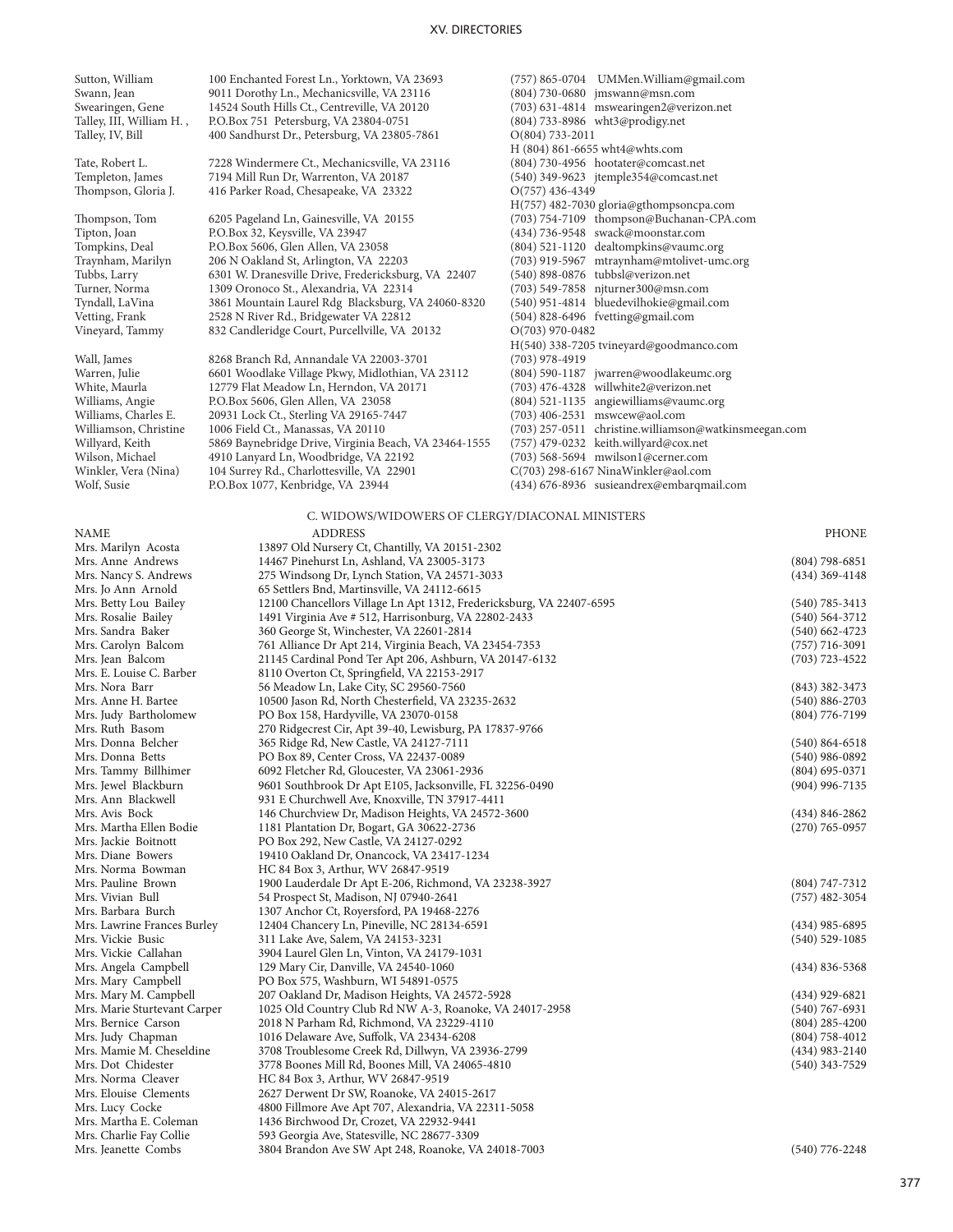#### Sutton, William 100 Enchanted Forest Ln., Yorktown, VA 23693 (757) 865-0704 UMMen. William@gmail.com<br>Swann, Jean 9011 Dorothy Ln., Mechanicsville, VA 23116 (804) 730-0680 jmswann@msn.com Swann, Jean 9011 Dorothy Ln., Mechanicsville, VA 23116 (804) 730-0680 jmswann@msn.com<br>Swearingen, Gene 14524 South Hills Ct., Centreville, VA 20120 (703) 631-4814 mswearingen2@verizon.net Swearingen, Gene 14524 South Hills Ct., Centreville, VA 20120 (703) 631-4814 mswearingen2@ve<br>
Talley, III, William H., P.O.Box 751 Petersburg, VA 23804-0751 (804) 733-8986 wht3@prodigy.net Talley, III, William H., P.O.Box 751 Petersburg, VA 23804-0751 (804) 733-8986 v<br>Talley, IV, Bill 400 Sandhurst Dr., Petersburg, VA 23805-7861 (804) 733-2011 400 Sandhurst Dr., Petersburg, VA 23805-7861

Tate, Robert L. 7228 Windermere Ct., Mechanicsville, VA 23116<br>Templeton, James 7194 Mill Run Dr, Warrenton, VA 20187 Templeton, James 7194 Mill Run Dr, Warrenton, VA 20187 (540) 349-9623 jtemple354@comcast.net<br>Thompson, Gloria J. 416 Parker Road, Chesapeake, VA 23322 (20757) 436-4349 416 Parker Road, Chesapeake, VA 23322

Thompson, Tom 6205 Pageland Ln, Gainesville, VA 20155 (703) 754-7109 thompson@Buchanan-CPA.com<br>Tipton, Joan P.O.Box 32, Keysville, VA 23947 (434) 736-9548 swack@moonstar.com Tipton, Joan P.O.Box 32, Keysville, VA 23947 (434) 736-9548 swack@moonstar.com Tompkins, Deal P.O.Box 5606, Glen Allen, VA 23058 (804) 521-1120 dealtompkins@vaumc.org<br>Traynham, Marilyn 206 N Oakland St, Arlington, VA 22203 (703) 919-5967 mtraynham@mtolivet-um Traynham, Marilyn 206 N Oakland St, Arlington, VA 22203 (703) 919-5967 mtraynham@mtolivet-umc.org Tubbs, Larry 6301 W. Dranesville Drive, Fredericksburg, VA 22407 (540) 898-0876 tubbsl@verizon.net Turner, Norma 1309 Oronoco St., Alexandria, VA 22314 (703) 549-7858 njturner300@msn.com<br>Tyndall, LaVina 3861 Mountain Laurel Rdg Blacksburg, VA 24060-8320 (540) 951-4814 bluedevilhokie@gmail.com Tyndall, LaVina 3861 Mountain Laurel Rdg Blacksburg, VA 24060-8320<br>Vetting, Frank 2528 N River Rd., Bridgewater VA 22812 Vetting, Frank 2528 N River Rd., Bridgewater VA 22812 (504) 828-6496 fvetting@gmail.com 832 Candleridge Court, Purcellville, VA 20132

Wall, James 8268 Branch Rd, Annandale VA 22003-3701 (703) 978-4919<br>
Warren, Julie 6601 Woodlake Village Pkwy, Midlothian, VA 23112 (804) 590-1187 jwarren@woodlakeumc.org Warren, Julie 6601 Woodlake Village Pkwy, Midlothian, VA 23112 (804) 590-1187 jwarren@woodlakeumc<br>White, Maurla 12779 Flat Meadow Ln, Herndon, VA 20171 (703) 476-4328 willwhite2@verizon.net White, Maurla 12779 Flat Meadow Ln, Herndon, VA 20171<br>Williams, Angie P.O.Box 5606, Glen Allen, VA 23058 Williams, Angie P.O.Box 5606, Glen Allen, VA 23058 (804) 521-1135 angiewilliams@vaumc.org<br>Williams, Charles E. 20931 Lock Ct., Sterling VA 29165-7447 (703) 406-2531 mswcew@aol.com Williams, Charles E. 20931 Lock Ct., Sterling VA 29165-7447<br>Williamson, Christine 1006 Field Ct., Manassas, VA 20110 Williamson, Christine 1006 Field Ct., Manassas, VA 20110 (703) 257-0511 christine.williamson@watkinsmeegan.com<br>Willyard, Keith 5869 Baynebridge Drive, Virginia Beach, VA 23464-1555 (757) 479-0232 keith.willyard@cox.net Willyard, Keith 5869 Baynebridge Drive, Virginia Beach, VA 23464-1555 (757) 479-0232 keith.willyard@cox.net<br>Wilson, Michael 4910 Lanyard Ln, Woodbridge, VA 22192 (703) 568-5694 mwilson1@cerner.com Wilson, Michael 4910 Lanyard Ln, Woodbridge, VA 22192 (703) 568-5694 mwilson1@cerner.com<br>Winkler, Vera (Nina) 104 Surrey Rd., Charlottesville, VA 22901 (703) 298-6167 NinaWinkler@aol.com Winkler, Vera (Nina) 104 Surrey Rd., Charlottesville, VA 22901<br>Wolf, Susie 2003-7, Kenbridge, VA 23944

H (804) 861-6655 wht4@whts.com<br>Tate, Robert L. 2228 Windermere Ct., Mechanicsville, VA 23116 (804) 730-4956 hootater@comcast.net H(757) 482-7030 gloria@gthompsoncpa.com H(540) 338-7205 tvineyard@goodmanco.com<br>Wall, James 8268 Branch Rd. Annandale VA 22003-3701 (703) 978-4919 (434) 676-8936 susieandrex@embarqmail.com

# C. WIDOWS/WIDOWERS OF CLERGY/DIACONAL MINISTERS

| NAME                         | <b>ADDRESS</b>                                                       | PHONE              |
|------------------------------|----------------------------------------------------------------------|--------------------|
| Mrs. Marilyn Acosta          | 13897 Old Nursery Ct, Chantilly, VA 20151-2302                       |                    |
| Mrs. Anne Andrews            | 14467 Pinehurst Ln, Ashland, VA 23005-3173                           | $(804) 798 - 6851$ |
| Mrs. Nancy S. Andrews        | 275 Windsong Dr, Lynch Station, VA 24571-3033                        | (434) 369-4148     |
| Mrs. Jo Ann Arnold           | 65 Settlers Bnd, Martinsville, VA 24112-6615                         |                    |
| Mrs. Betty Lou Bailey        | 12100 Chancellors Village Ln Apt 1312, Fredericksburg, VA 22407-6595 | $(540)$ 785-3413   |
| Mrs. Rosalie Bailey          | 1491 Virginia Ave # 512, Harrisonburg, VA 22802-2433                 | $(540) 564 - 3712$ |
| Mrs. Sandra Baker            | 360 George St, Winchester, VA 22601-2814                             | $(540)$ 662-4723   |
| Mrs. Carolyn Balcom          | 761 Alliance Dr Apt 214, Virginia Beach, VA 23454-7353               | (757) 716-3091     |
| Mrs. Jean Balcom             | 21145 Cardinal Pond Ter Apt 206, Ashburn, VA 20147-6132              | (703) 723-4522     |
| Mrs. E. Louise C. Barber     | 8110 Overton Ct, Springfield, VA 22153-2917                          |                    |
| Mrs. Nora Barr               | 56 Meadow Ln, Lake City, SC 29560-7560                               | $(843)$ 382-3473   |
| Mrs. Anne H. Bartee          | 10500 Jason Rd, North Chesterfield, VA 23235-2632                    | $(540) 886 - 2703$ |
| Mrs. Judy Bartholomew        | PO Box 158, Hardyville, VA 23070-0158                                | $(804)$ 776-7199   |
| Mrs. Ruth Basom              | 270 Ridgecrest Cir, Apt 39-40, Lewisburg, PA 17837-9766              |                    |
| Mrs. Donna Belcher           | 365 Ridge Rd, New Castle, VA 24127-7111                              | $(540) 864 - 6518$ |
| Mrs. Donna Betts             | PO Box 89, Center Cross, VA 22437-0089                               | $(540)$ 986-0892   |
| Mrs. Tammy Billhimer         | 6092 Fletcher Rd, Gloucester, VA 23061-2936                          | $(804)$ 695-0371   |
| Mrs. Jewel Blackburn         | 9601 Southbrook Dr Apt E105, Jacksonville, FL 32256-0490             | $(904)$ 996-7135   |
| Mrs. Ann Blackwell           | 931 E Churchwell Ave, Knoxville, TN 37917-4411                       |                    |
| Mrs. Avis Bock               | 146 Churchview Dr, Madison Heights, VA 24572-3600                    | $(434) 846 - 2862$ |
| Mrs. Martha Ellen Bodie      | 1181 Plantation Dr, Bogart, GA 30622-2736                            | $(270)$ 765-0957   |
| Mrs. Jackie Boitnott         | PO Box 292, New Castle, VA 24127-0292                                |                    |
| Mrs. Diane Bowers            | 19410 Oakland Dr, Onancock, VA 23417-1234                            |                    |
| Mrs. Norma Bowman            | HC 84 Box 3, Arthur, WV 26847-9519                                   |                    |
| Mrs. Pauline Brown           | 1900 Lauderdale Dr Apt E-206, Richmond, VA 23238-3927                | (804) 747-7312     |
| Mrs. Vivian Bull             | 54 Prospect St, Madison, NJ 07940-2641                               | (757) 482-3054     |
| Mrs. Barbara Burch           | 1307 Anchor Ct, Royersford, PA 19468-2276                            |                    |
| Mrs. Lawrine Frances Burley  | 12404 Chancery Ln, Pineville, NC 28134-6591                          | $(434)$ 985-6895   |
| Mrs. Vickie Busic            | 311 Lake Ave, Salem, VA 24153-3231                                   | $(540)$ 529-1085   |
| Mrs. Vickie Callahan         | 3904 Laurel Glen Ln, Vinton, VA 24179-1031                           |                    |
| Mrs. Angela Campbell         | 129 Mary Cir, Danville, VA 24540-1060                                | $(434) 836 - 5368$ |
| Mrs. Mary Campbell           | PO Box 575, Washburn, WI 54891-0575                                  |                    |
| Mrs. Mary M. Campbell        | 207 Oakland Dr, Madison Heights, VA 24572-5928                       | $(434)$ 929-6821   |
| Mrs. Marie Sturtevant Carper | 1025 Old Country Club Rd NW A-3, Roanoke, VA 24017-2958              | $(540)$ 767-6931   |
| Mrs. Bernice Carson          | 2018 N Parham Rd, Richmond, VA 23229-4110                            | (804) 285-4200     |
| Mrs. Judy Chapman            | 1016 Delaware Ave, Suffolk, VA 23434-6208                            | $(804)$ 758-4012   |
| Mrs. Mamie M. Cheseldine     | 3708 Troublesome Creek Rd, Dillwyn, VA 23936-2799                    | (434) 983-2140     |
| Mrs. Dot Chidester           | 3778 Boones Mill Rd, Boones Mill, VA 24065-4810                      | $(540)$ 343-7529   |
| Mrs. Norma Cleaver           | HC 84 Box 3, Arthur, WV 26847-9519                                   |                    |
| Mrs. Elouise Clements        | 2627 Derwent Dr SW, Roanoke, VA 24015-2617                           |                    |
| Mrs. Lucy Cocke              | 4800 Fillmore Ave Apt 707, Alexandria, VA 22311-5058                 |                    |
| Mrs. Martha E. Coleman       | 1436 Birchwood Dr, Crozet, VA 22932-9441                             |                    |
| Mrs. Charlie Fay Collie      | 593 Georgia Ave, Statesville, NC 28677-3309                          |                    |
| Mrs. Jeanette Combs          | 3804 Brandon Ave SW Apt 248, Roanoke, VA 24018-7003                  | $(540)$ 776-2248   |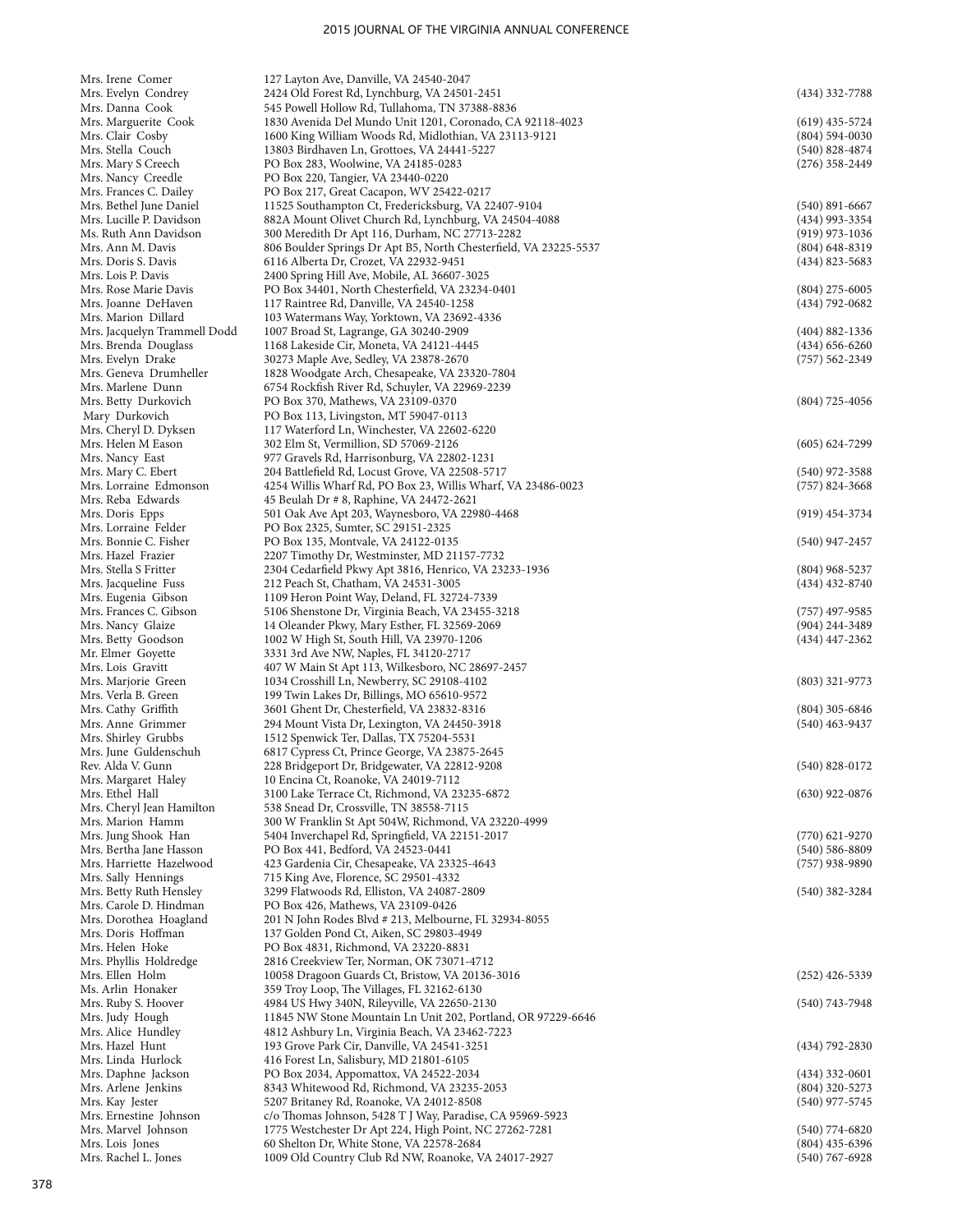Mrs. Evelyn Condrey 2424 Old Forest Rd, Lynchburg, VA 24501-2451 (434) 332-7788

127 Layton Ave, Danville, VA 24540-2047

| Mrs. Irene Comer                                                                                                             |
|------------------------------------------------------------------------------------------------------------------------------|
| Mrs. Evelyn Condrey                                                                                                          |
| Mrs. Danna Cook                                                                                                              |
| Mrs. Marguerite Cook                                                                                                         |
| Mrs. Clair Cosby                                                                                                             |
| Mrs. Stella Couch                                                                                                            |
| Mrs. Mary S Creech                                                                                                           |
| Mrs. Nancy Creedle                                                                                                           |
| Mrs. Frances C. Dailey<br>Mrs. Bethel June Daniel                                                                            |
| Mrs. Lucille P. Davidson                                                                                                     |
| Ms. Ruth Ann Davidson                                                                                                        |
| Mrs. Ann M. Davis                                                                                                            |
| Mrs. Doris S. Davis                                                                                                          |
| Mrs. Lois P. Davis                                                                                                           |
| Mrs. Rose Marie Davis                                                                                                        |
| Mrs. Joanne DeHaven                                                                                                          |
| Mrs. Marion Dillard                                                                                                          |
| Mrs. Jacquelyn Trammell Dodd                                                                                                 |
| Mrs. Brenda Douglass                                                                                                         |
| Mrs. Evelyn Drake                                                                                                            |
| Mrs. Geneva Drumheller                                                                                                       |
| Mrs. Marlene Dunn                                                                                                            |
| Mrs. Betty Durkovich                                                                                                         |
| Mary Durkovich                                                                                                               |
| Mrs. Cheryl D. Dyksen                                                                                                        |
| Mrs. Helen M Eason                                                                                                           |
| Mrs. Nancy East<br>Mrs. Mary C. Ebert                                                                                        |
| Mrs. Lorraine Edmonson                                                                                                       |
| Mrs. Reba Edwards                                                                                                            |
| Mrs. Doris Epps                                                                                                              |
| Mrs. Lorraine Felder                                                                                                         |
| Mrs. Bonnie C. Fisher                                                                                                        |
| Mrs. Hazel Frazier                                                                                                           |
| Mrs. Stella S Fritter                                                                                                        |
| Mrs. Jacqueline Fuss                                                                                                         |
| Mrs. Eugenia Gibson                                                                                                          |
| Mrs. Frances C. Gibson                                                                                                       |
| Mrs. Nancy Glaize<br>Mrs. Betty Goodson                                                                                      |
| Mr. Elmer Goyette                                                                                                            |
| Mrs. Lois Gravitt                                                                                                            |
| Mrs. Marjorie Green                                                                                                          |
| Mrs. Verla B. Green                                                                                                          |
| Mrs. Cathy Griffith                                                                                                          |
| Mrs. Anne Grimmer                                                                                                            |
| Mrs. Shirley Grubbs                                                                                                          |
| Mrs. June Guldenschuh                                                                                                        |
| Rev. Alda V. Gunn                                                                                                            |
| Mrs. Margaret Haley<br>Mrs. Ethel Hall                                                                                       |
| Mrs. Cheryl Jean Hamilton                                                                                                    |
| Mrs. Marion Hamm                                                                                                             |
| Mrs. Jung Shook Han                                                                                                          |
| Mrs. Bertha Jane Hasson                                                                                                      |
| Mrs. Harriette Hazelwood                                                                                                     |
| Mrs. Sally Hennings                                                                                                          |
| Mrs. Betty Ruth Hensley                                                                                                      |
| Mrs. Carole D. Hindman                                                                                                       |
| Mrs. Dorothea Hoagland                                                                                                       |
| Mrs. Doris Hoffman                                                                                                           |
| Mrs. Helen Hoke                                                                                                              |
| Mrs. Phyllis Holdredge<br>Mrs. Ellen Holm                                                                                    |
|                                                                                                                              |
|                                                                                                                              |
| Ms. Arlin Honaker                                                                                                            |
| Mrs. Ruby S. Hoover                                                                                                          |
|                                                                                                                              |
|                                                                                                                              |
|                                                                                                                              |
|                                                                                                                              |
| Mrs. Judy Hough<br>Mrs. Alice Hundley<br>Mrs. Hazel Hunt<br>Mrs. Linda Hurlock<br>Mrs. Daphne Jackson<br>Mrs. Arlene Jenkins |
|                                                                                                                              |
| Mrs. Kay Jester<br>Mrs. Ernestine Johnson                                                                                    |
| Mrs. Marvel Johnson<br>Mrs. Lois Jones                                                                                       |

| Mrs. Danna Cook                                     | 545 Powell Hollow Rd, Tullahoma, TN 37388-8836                                                          |                                      |
|-----------------------------------------------------|---------------------------------------------------------------------------------------------------------|--------------------------------------|
| Mrs. Marguerite Cook                                | 1830 Avenida Del Mundo Unit 1201, Coronado, CA 92118-4023                                               | $(619)$ 435-5724                     |
| Mrs. Clair Cosby                                    | 1600 King William Woods Rd, Midlothian, VA 23113-9121                                                   | $(804) 594 - 0030$                   |
| Mrs. Stella Couch                                   | 13803 Birdhaven Ln, Grottoes, VA 24441-5227                                                             | (540) 828-4874                       |
| Mrs. Mary S Creech                                  | PO Box 283, Woolwine, VA 24185-0283                                                                     | (276) 358-2449                       |
| Mrs. Nancy Creedle                                  | PO Box 220, Tangier, VA 23440-0220                                                                      |                                      |
| Mrs. Frances C. Dailey                              | PO Box 217, Great Cacapon, WV 25422-0217                                                                |                                      |
| Mrs. Bethel June Daniel<br>Mrs. Lucille P. Davidson | 11525 Southampton Ct, Fredericksburg, VA 22407-9104                                                     | $(540)$ 891-6667                     |
| Ms. Ruth Ann Davidson                               | 882A Mount Olivet Church Rd, Lynchburg, VA 24504-4088<br>300 Meredith Dr Apt 116, Durham, NC 27713-2282 | (434) 993-3354<br>(919) 973-1036     |
| Mrs. Ann M. Davis                                   | 806 Boulder Springs Dr Apt B5, North Chesterfield, VA 23225-5537                                        | (804) 648-8319                       |
| Mrs. Doris S. Davis                                 | 6116 Alberta Dr, Crozet, VA 22932-9451                                                                  | (434) 823-5683                       |
| Mrs. Lois P. Davis                                  | 2400 Spring Hill Ave, Mobile, AL 36607-3025                                                             |                                      |
| Mrs. Rose Marie Davis                               | PO Box 34401, North Chesterfield, VA 23234-0401                                                         | $(804)$ 275-6005                     |
| Mrs. Joanne DeHaven                                 | 117 Raintree Rd, Danville, VA 24540-1258                                                                | (434) 792-0682                       |
| Mrs. Marion Dillard                                 | 103 Watermans Way, Yorktown, VA 23692-4336                                                              |                                      |
| Mrs. Jacquelyn Trammell Dodd                        | 1007 Broad St, Lagrange, GA 30240-2909                                                                  | (404) 882-1336                       |
| Mrs. Brenda Douglass                                | 1168 Lakeside Cir, Moneta, VA 24121-4445                                                                | $(434)$ 656-6260                     |
| Mrs. Evelyn Drake                                   | 30273 Maple Ave, Sedley, VA 23878-2670                                                                  | (757) 562-2349                       |
| Mrs. Geneva Drumheller                              | 1828 Woodgate Arch, Chesapeake, VA 23320-7804                                                           |                                      |
| Mrs. Marlene Dunn                                   | 6754 Rockfish River Rd, Schuyler, VA 22969-2239                                                         |                                      |
| Mrs. Betty Durkovich                                | PO Box 370, Mathews, VA 23109-0370                                                                      | $(804) 725 - 4056$                   |
| Mary Durkovich                                      | PO Box 113, Livingston, MT 59047-0113                                                                   |                                      |
| Mrs. Cheryl D. Dyksen                               | 117 Waterford Ln, Winchester, VA 22602-6220                                                             |                                      |
| Mrs. Helen M Eason                                  | 302 Elm St, Vermillion, SD 57069-2126                                                                   | $(605) 624 - 7299$                   |
| Mrs. Nancy East                                     | 977 Gravels Rd, Harrisonburg, VA 22802-1231                                                             |                                      |
| Mrs. Mary C. Ebert                                  | 204 Battlefield Rd, Locust Grove, VA 22508-5717                                                         | $(540)$ 972-3588                     |
| Mrs. Lorraine Edmonson                              | 4254 Willis Wharf Rd, PO Box 23, Willis Wharf, VA 23486-0023                                            | $(757)$ 824-3668                     |
| Mrs. Reba Edwards                                   | 45 Beulah Dr # 8, Raphine, VA 24472-2621                                                                |                                      |
| Mrs. Doris Epps                                     | 501 Oak Ave Apt 203, Waynesboro, VA 22980-4468                                                          | (919) 454-3734                       |
| Mrs. Lorraine Felder                                | PO Box 2325, Sumter, SC 29151-2325                                                                      |                                      |
| Mrs. Bonnie C. Fisher                               | PO Box 135, Montvale, VA 24122-0135                                                                     | (540) 947-2457                       |
| Mrs. Hazel Frazier                                  | 2207 Timothy Dr, Westminster, MD 21157-7732                                                             |                                      |
| Mrs. Stella S Fritter                               | 2304 Cedarfield Pkwy Apt 3816, Henrico, VA 23233-1936                                                   | $(804)$ 968-5237                     |
| Mrs. Jacqueline Fuss                                | 212 Peach St, Chatham, VA 24531-3005                                                                    | (434) 432-8740                       |
| Mrs. Eugenia Gibson                                 | 1109 Heron Point Way, Deland, FL 32724-7339                                                             |                                      |
| Mrs. Frances C. Gibson                              | 5106 Shenstone Dr, Virginia Beach, VA 23455-3218                                                        | (757) 497-9585                       |
| Mrs. Nancy Glaize<br>Mrs. Betty Goodson             | 14 Oleander Pkwy, Mary Esther, FL 32569-2069<br>1002 W High St, South Hill, VA 23970-1206               | (904) 244-3489<br>(434) 447-2362     |
| Mr. Elmer Goyette                                   | 3331 3rd Ave NW, Naples, FL 34120-2717                                                                  |                                      |
| Mrs. Lois Gravitt                                   | 407 W Main St Apt 113, Wilkesboro, NC 28697-2457                                                        |                                      |
| Mrs. Marjorie Green                                 | 1034 Crosshill Ln, Newberry, SC 29108-4102                                                              | $(803)$ 321-9773                     |
| Mrs. Verla B. Green                                 | 199 Twin Lakes Dr, Billings, MO 65610-9572                                                              |                                      |
| Mrs. Cathy Griffith                                 | 3601 Ghent Dr, Chesterfield, VA 23832-8316                                                              | $(804)$ 305-6846                     |
| Mrs. Anne Grimmer                                   | 294 Mount Vista Dr, Lexington, VA 24450-3918                                                            | $(540)$ 463-9437                     |
| Mrs. Shirley Grubbs                                 | 1512 Spenwick Ter, Dallas, TX 75204-5531                                                                |                                      |
| Mrs. June Guldenschuh                               | 6817 Cypress Ct, Prince George, VA 23875-2645                                                           |                                      |
| Rev. Alda V. Gunn                                   | 228 Bridgeport Dr, Bridgewater, VA 22812-9208                                                           | $(540)$ 828-0172                     |
| Mrs. Margaret Haley                                 | 10 Encina Ct, Roanoke, VA 24019-7112                                                                    |                                      |
| Mrs. Ethel Hall                                     | 3100 Lake Terrace Ct, Richmond, VA 23235-6872                                                           | $(630)$ 922-0876                     |
| Mrs. Cheryl Jean Hamilton                           | 538 Snead Dr, Crossville, TN 38558-7115                                                                 |                                      |
| Mrs. Marion Hamm                                    | 300 W Franklin St Apt 504W, Richmond, VA 23220-4999                                                     |                                      |
| Mrs. Jung Shook Han                                 | 5404 Inverchapel Rd, Springfield, VA 22151-2017                                                         | $(770)$ 621-9270                     |
| Mrs. Bertha Jane Hasson                             | PO Box 441, Bedford, VA 24523-0441                                                                      | $(540) 586 - 8809$                   |
| Mrs. Harriette Hazelwood                            | 423 Gardenia Cir, Chesapeake, VA 23325-4643                                                             | (757) 938-9890                       |
| Mrs. Sally Hennings                                 | 715 King Ave, Florence, SC 29501-4332                                                                   |                                      |
| Mrs. Betty Ruth Hensley                             | 3299 Flatwoods Rd, Elliston, VA 24087-2809                                                              | $(540)$ 382-3284                     |
| Mrs. Carole D. Hindman                              | PO Box 426, Mathews, VA 23109-0426                                                                      |                                      |
| Mrs. Dorothea Hoagland                              | 201 N John Rodes Blvd # 213, Melbourne, FL 32934-8055                                                   |                                      |
| Mrs. Doris Hoffman                                  | 137 Golden Pond Ct, Aiken, SC 29803-4949                                                                |                                      |
| Mrs. Helen Hoke                                     | PO Box 4831, Richmond, VA 23220-8831                                                                    |                                      |
| Mrs. Phyllis Holdredge                              | 2816 Creekview Ter, Norman, OK 73071-4712                                                               |                                      |
| Mrs. Ellen Holm                                     | 10058 Dragoon Guards Ct, Bristow, VA 20136-3016                                                         | (252) 426-5339                       |
| Ms. Arlin Honaker                                   | 359 Troy Loop, The Villages, FL 32162-6130                                                              |                                      |
| Mrs. Ruby S. Hoover                                 | 4984 US Hwy 340N, Rileyville, VA 22650-2130                                                             | (540) 743-7948                       |
| Mrs. Judy Hough                                     | 11845 NW Stone Mountain Ln Unit 202, Portland, OR 97229-6646                                            |                                      |
| Mrs. Alice Hundley                                  | 4812 Ashbury Ln, Virginia Beach, VA 23462-7223                                                          |                                      |
| Mrs. Hazel Hunt                                     | 193 Grove Park Cir, Danville, VA 24541-3251                                                             | $(434) 792 - 2830$                   |
| Mrs. Linda Hurlock                                  | 416 Forest Ln, Salisbury, MD 21801-6105                                                                 |                                      |
| Mrs. Daphne Jackson<br>Mrs. Arlene Jenkins          | PO Box 2034, Appomattox, VA 24522-2034<br>8343 Whitewood Rd, Richmond, VA 23235-2053                    | $(434)$ 332-0601<br>$(804)$ 320-5273 |
| Mrs. Kay Jester                                     | 5207 Britaney Rd, Roanoke, VA 24012-8508                                                                | (540) 977-5745                       |
| Mrs. Ernestine Johnson                              | c/o Thomas Johnson, 5428 T J Way, Paradise, CA 95969-5923                                               |                                      |
| Mrs. Marvel Johnson                                 | 1775 Westchester Dr Apt 224, High Point, NC 27262-7281                                                  | $(540)$ 774-6820                     |
| Mrs. Lois Jones                                     | 60 Shelton Dr, White Stone, VA 22578-2684                                                               | $(804)$ 435-6396                     |
| Mrs. Rachel L. Jones                                | 1009 Old Country Club Rd NW, Roanoke, VA 24017-2927                                                     | (540) 767-6928                       |
|                                                     |                                                                                                         |                                      |
|                                                     |                                                                                                         |                                      |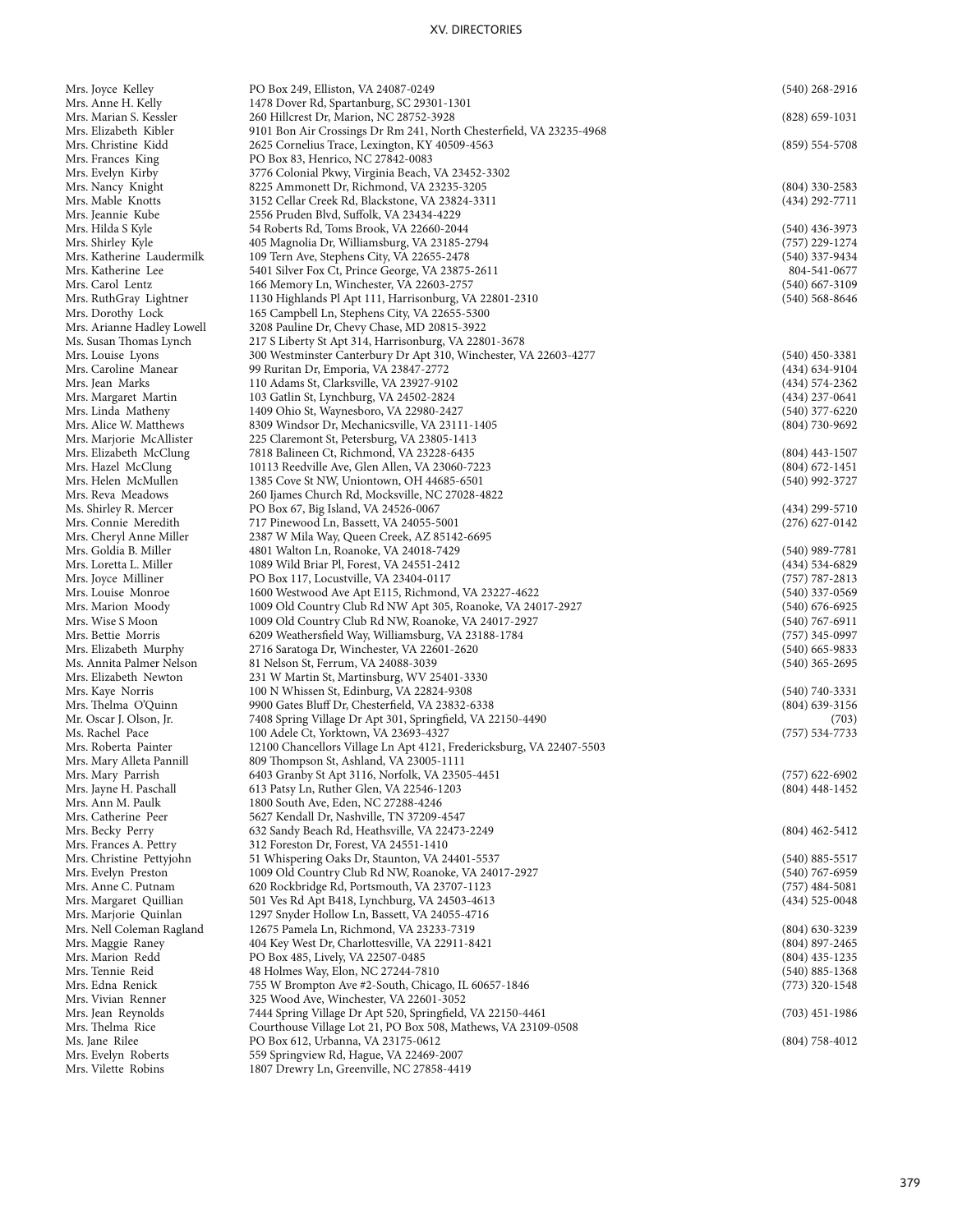| Mrs. Joyce Kelley                               | PO Box 249, Elliston, VA 24087-0249                                                                 | $(540)$ 268-2916                     |
|-------------------------------------------------|-----------------------------------------------------------------------------------------------------|--------------------------------------|
| Mrs. Anne H. Kelly                              | 1478 Dover Rd, Spartanburg, SC 29301-1301                                                           |                                      |
| Mrs. Marian S. Kessler                          | 260 Hillcrest Dr, Marion, NC 28752-3928                                                             | $(828)$ 659-1031                     |
| Mrs. Elizabeth Kibler                           | 9101 Bon Air Crossings Dr Rm 241, North Chesterfield, VA 23235-4968                                 |                                      |
| Mrs. Christine Kidd                             | 2625 Cornelius Trace, Lexington, KY 40509-4563                                                      | $(859) 554 - 5708$                   |
| Mrs. Frances King                               | PO Box 83, Henrico, NC 27842-0083                                                                   |                                      |
| Mrs. Evelyn Kirby                               | 3776 Colonial Pkwy, Virginia Beach, VA 23452-3302                                                   |                                      |
| Mrs. Nancy Knight                               | 8225 Ammonett Dr, Richmond, VA 23235-3205                                                           | $(804)$ 330-2583                     |
| Mrs. Mable Knotts                               | 3152 Cellar Creek Rd, Blackstone, VA 23824-3311                                                     | $(434)$ 292-7711                     |
| Mrs. Jeannie Kube                               | 2556 Pruden Blvd, Suffolk, VA 23434-4229                                                            |                                      |
| Mrs. Hilda S Kyle                               | 54 Roberts Rd, Toms Brook, VA 22660-2044                                                            | $(540)$ 436-3973                     |
| Mrs. Shirley Kyle<br>Mrs. Katherine Laudermilk  | 405 Magnolia Dr, Williamsburg, VA 23185-2794<br>109 Tern Ave, Stephens City, VA 22655-2478          | (757) 229-1274<br>$(540)$ 337-9434   |
| Mrs. Katherine Lee                              | 5401 Silver Fox Ct, Prince George, VA 23875-2611                                                    | 804-541-0677                         |
| Mrs. Carol Lentz                                | 166 Memory Ln, Winchester, VA 22603-2757                                                            | $(540)$ 667-3109                     |
| Mrs. RuthGray Lightner                          | 1130 Highlands Pl Apt 111, Harrisonburg, VA 22801-2310                                              | $(540) 568 - 8646$                   |
| Mrs. Dorothy Lock                               | 165 Campbell Ln, Stephens City, VA 22655-5300                                                       |                                      |
| Mrs. Arianne Hadley Lowell                      | 3208 Pauline Dr, Chevy Chase, MD 20815-3922                                                         |                                      |
| Ms. Susan Thomas Lynch                          | 217 S Liberty St Apt 314, Harrisonburg, VA 22801-3678                                               |                                      |
| Mrs. Louise Lyons                               | 300 Westminster Canterbury Dr Apt 310, Winchester, VA 22603-4277                                    | $(540)$ 450-3381                     |
| Mrs. Caroline Manear                            | 99 Ruritan Dr, Emporia, VA 23847-2772                                                               | (434) 634-9104                       |
| Mrs. Jean Marks                                 | 110 Adams St, Clarksville, VA 23927-9102                                                            | $(434) 574 - 2362$                   |
| Mrs. Margaret Martin                            | 103 Gatlin St, Lynchburg, VA 24502-2824                                                             | $(434)$ 237-0641                     |
| Mrs. Linda Matheny                              | 1409 Ohio St, Waynesboro, VA 22980-2427                                                             | $(540)$ 377-6220                     |
| Mrs. Alice W. Matthews                          | 8309 Windsor Dr, Mechanicsville, VA 23111-1405                                                      | $(804) 730 - 9692$                   |
| Mrs. Marjorie McAllister                        | 225 Claremont St, Petersburg, VA 23805-1413                                                         |                                      |
| Mrs. Elizabeth McClung                          | 7818 Balineen Ct, Richmond, VA 23228-6435                                                           | $(804)$ 443-1507                     |
| Mrs. Hazel McClung                              | 10113 Reedville Ave, Glen Allen, VA 23060-7223                                                      | $(804)$ 672-1451                     |
| Mrs. Helen McMullen                             | 1385 Cove St NW, Uniontown, OH 44685-6501                                                           | $(540)$ 992-3727                     |
| Mrs. Reva Meadows                               | 260 Ijames Church Rd, Mocksville, NC 27028-4822                                                     |                                      |
| Ms. Shirley R. Mercer                           | PO Box 67, Big Island, VA 24526-0067                                                                | $(434)$ 299-5710                     |
| Mrs. Connie Meredith                            | 717 Pinewood Ln, Bassett, VA 24055-5001                                                             | $(276)$ 627-0142                     |
| Mrs. Cheryl Anne Miller                         | 2387 W Mila Way, Queen Creek, AZ 85142-6695                                                         |                                      |
| Mrs. Goldia B. Miller                           | 4801 Walton Ln, Roanoke, VA 24018-7429                                                              | $(540)$ 989-7781                     |
| Mrs. Loretta L. Miller                          | 1089 Wild Briar Pl, Forest, VA 24551-2412                                                           | (434) 534-6829                       |
| Mrs. Joyce Milliner                             | PO Box 117, Locustville, VA 23404-0117                                                              | $(757) 787 - 2813$                   |
| Mrs. Louise Monroe                              | 1600 Westwood Ave Apt E115, Richmond, VA 23227-4622                                                 | $(540)$ 337-0569                     |
| Mrs. Marion Moody                               | 1009 Old Country Club Rd NW Apt 305, Roanoke, VA 24017-2927                                         | $(540)$ 676-6925                     |
| Mrs. Wise S Moon                                | 1009 Old Country Club Rd NW, Roanoke, VA 24017-2927                                                 | (540) 767-6911                       |
| Mrs. Bettie Morris                              | 6209 Weathersfield Way, Williamsburg, VA 23188-1784                                                 | (757) 345-0997                       |
| Mrs. Elizabeth Murphy                           | 2716 Saratoga Dr, Winchester, VA 22601-2620                                                         | $(540)$ 665-9833                     |
| Ms. Annita Palmer Nelson                        | 81 Nelson St, Ferrum, VA 24088-3039                                                                 | $(540)$ 365-2695                     |
| Mrs. Elizabeth Newton                           | 231 W Martin St, Martinsburg, WV 25401-3330                                                         |                                      |
| Mrs. Kaye Norris                                | 100 N Whissen St, Edinburg, VA 22824-9308                                                           | $(540) 740 - 3331$                   |
| Mrs. Thelma O'Quinn                             | 9900 Gates Bluff Dr, Chesterfield, VA 23832-6338                                                    | $(804)$ 639-3156                     |
| Mr. Oscar J. Olson, Jr.                         | 7408 Spring Village Dr Apt 301, Springfield, VA 22150-4490                                          | (703)                                |
| Ms. Rachel Pace                                 | 100 Adele Ct, Yorktown, VA 23693-4327                                                               | $(757) 534 - 7733$                   |
| Mrs. Roberta Painter                            | 12100 Chancellors Village Ln Apt 4121, Fredericksburg, VA 22407-5503                                |                                      |
| Mrs. Mary Alleta Pannill                        | 809 Thompson St, Ashland, VA 23005-1111                                                             |                                      |
| Mrs. Mary Parrish                               | 6403 Granby St Apt 3116, Norfolk, VA 23505-4451                                                     | $(757)$ 622-6902                     |
| Mrs. Jayne H. Paschall                          | 613 Patsy Ln, Ruther Glen, VA 22546-1203                                                            | $(804)$ 448-1452                     |
| Mrs. Ann M. Paulk                               | 1800 South Ave, Eden, NC 27288-4246                                                                 |                                      |
| Mrs. Catherine Peer                             | 5627 Kendall Dr, Nashville, TN 37209-4547                                                           |                                      |
| Mrs. Becky Perry                                | 632 Sandy Beach Rd, Heathsville, VA 22473-2249                                                      | $(804)$ 462-5412                     |
| Mrs. Frances A. Pettry                          | 312 Foreston Dr, Forest, VA 24551-1410                                                              |                                      |
| Mrs. Christine Pettyjohn<br>Mrs. Evelyn Preston | 51 Whispering Oaks Dr, Staunton, VA 24401-5537                                                      | $(540) 885 - 5517$                   |
| Mrs. Anne C. Putnam                             | 1009 Old Country Club Rd NW, Roanoke, VA 24017-2927<br>620 Rockbridge Rd, Portsmouth, VA 23707-1123 | $(540)$ 767-6959                     |
| Mrs. Margaret  Quillian                         | 501 Ves Rd Apt B418, Lynchburg, VA 24503-4613                                                       | $(757)$ 484-5081<br>$(434)$ 525-0048 |
| Mrs. Marjorie Quinlan                           | 1297 Snyder Hollow Ln, Bassett, VA 24055-4716                                                       |                                      |
| Mrs. Nell Coleman Ragland                       | 12675 Pamela Ln, Richmond, VA 23233-7319                                                            | $(804)$ 630-3239                     |
| Mrs. Maggie Raney                               | 404 Key West Dr, Charlottesville, VA 22911-8421                                                     | $(804)$ 897-2465                     |
| Mrs. Marion Redd                                | PO Box 485, Lively, VA 22507-0485                                                                   | $(804)$ 435-1235                     |
| Mrs. Tennie Reid                                | 48 Holmes Way, Elon, NC 27244-7810                                                                  | $(540) 885 - 1368$                   |
| Mrs. Edna Renick                                | 755 W Brompton Ave #2-South, Chicago, IL 60657-1846                                                 | $(773)$ 320-1548                     |
| Mrs. Vivian Renner                              | 325 Wood Ave, Winchester, VA 22601-3052                                                             |                                      |
| Mrs. Jean Reynolds                              | 7444 Spring Village Dr Apt 520, Springfield, VA 22150-4461                                          | $(703)$ 451-1986                     |
| Mrs. Thelma Rice                                | Courthouse Village Lot 21, PO Box 508, Mathews, VA 23109-0508                                       |                                      |
| Ms. Jane Rilee                                  | PO Box 612, Urbanna, VA 23175-0612                                                                  | $(804) 758 - 4012$                   |
| Mrs. Evelyn Roberts                             | 559 Springview Rd, Hague, VA 22469-2007                                                             |                                      |
| Mrs. Vilette Robins                             | 1807 Drewry Ln, Greenville, NC 27858-4419                                                           |                                      |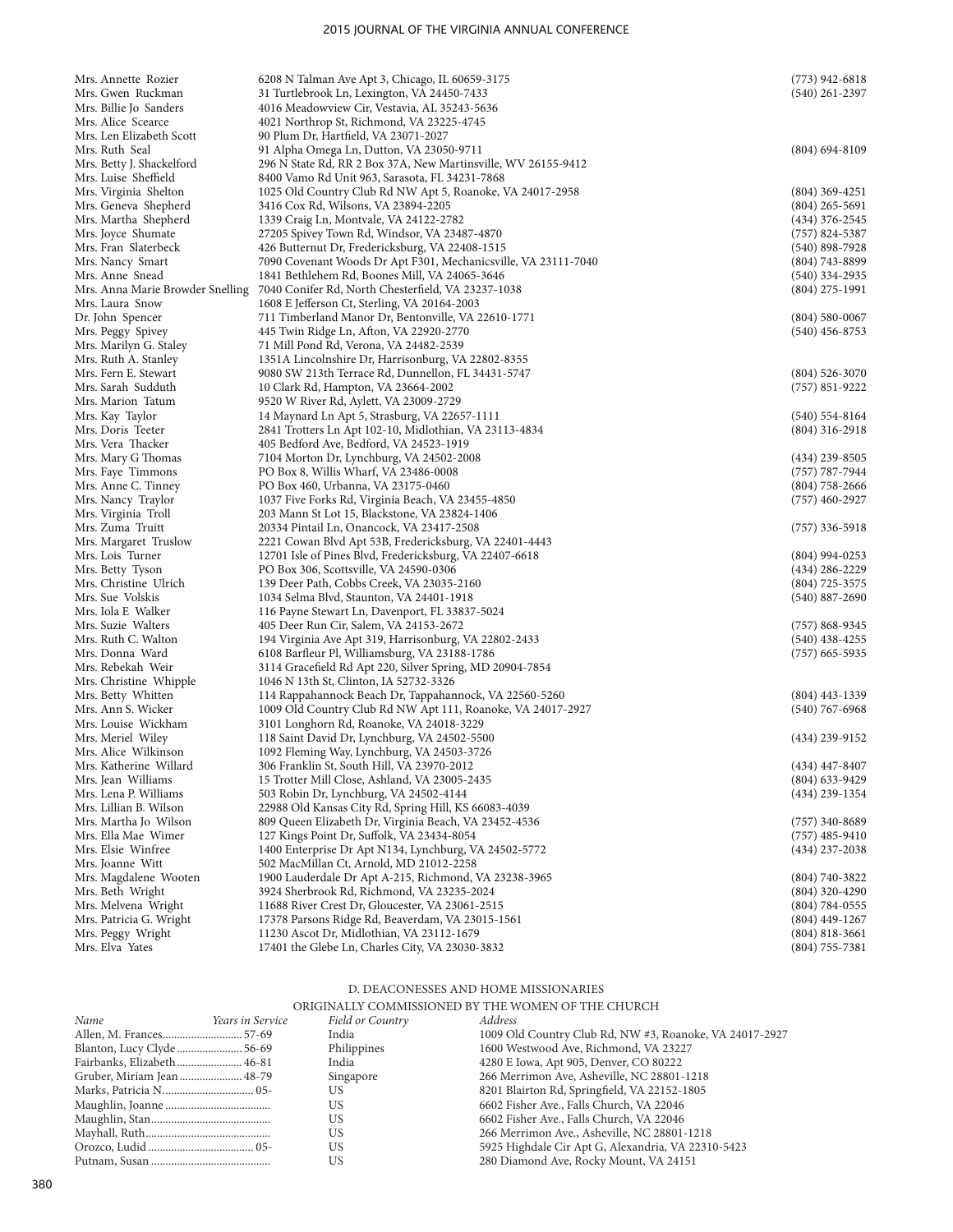| Mrs. Annette Rozier              | 6208 N Talman Ave Apt 3, Chicago, IL 60659-3175                | $(773)$ 942-6818   |
|----------------------------------|----------------------------------------------------------------|--------------------|
| Mrs. Gwen Ruckman                | 31 Turtlebrook Ln, Lexington, VA 24450-7433                    | $(540)$ 261-2397   |
| Mrs. Billie Jo Sanders           | 4016 Meadowview Cir, Vestavia, AL 35243-5636                   |                    |
| Mrs. Alice Scearce               | 4021 Northrop St, Richmond, VA 23225-4745                      |                    |
| Mrs. Len Elizabeth Scott         |                                                                |                    |
|                                  | 90 Plum Dr, Hartfield, VA 23071-2027                           |                    |
| Mrs. Ruth Seal                   | 91 Alpha Omega Ln, Dutton, VA 23050-9711                       | (804) 694-8109     |
| Mrs. Betty J. Shackelford        | 296 N State Rd, RR 2 Box 37A, New Martinsville, WV 26155-9412  |                    |
| Mrs. Luise Sheffield             | 8400 Vamo Rd Unit 963, Sarasota, FL 34231-7868                 |                    |
| Mrs. Virginia Shelton            | 1025 Old Country Club Rd NW Apt 5, Roanoke, VA 24017-2958      | (804) 369-4251     |
| Mrs. Geneva Shepherd             | 3416 Cox Rd, Wilsons, VA 23894-2205                            | (804) 265-5691     |
| Mrs. Martha Shepherd             | 1339 Craig Ln, Montvale, VA 24122-2782                         | (434) 376-2545     |
| Mrs. Joyce Shumate               | 27205 Spivey Town Rd, Windsor, VA 23487-4870                   | (757) 824-5387     |
| Mrs. Fran Slaterbeck             | 426 Butternut Dr, Fredericksburg, VA 22408-1515                | (540) 898-7928     |
| Mrs. Nancy Smart                 | 7090 Covenant Woods Dr Apt F301, Mechanicsville, VA 23111-7040 | (804) 743-8899     |
| Mrs. Anne Snead                  | 1841 Bethlehem Rd, Boones Mill, VA 24065-3646                  | $(540)$ 334-2935   |
| Mrs. Anna Marie Browder Snelling | 7040 Conifer Rd, North Chesterfield, VA 23237-1038             | (804) 275-1991     |
| Mrs. Laura Snow                  | 1608 E Jefferson Ct, Sterling, VA 20164-2003                   |                    |
| Dr. John Spencer                 | 711 Timberland Manor Dr, Bentonville, VA 22610-1771            | $(804) 580 - 0067$ |
| Mrs. Peggy Spivey                | 445 Twin Ridge Ln, Afton, VA 22920-2770                        | $(540)$ 456-8753   |
| Mrs. Marilyn G. Staley           | 71 Mill Pond Rd, Verona, VA 24482-2539                         |                    |
|                                  |                                                                |                    |
| Mrs. Ruth A. Stanley             | 1351A Lincolnshire Dr, Harrisonburg, VA 22802-8355             |                    |
| Mrs. Fern E. Stewart             | 9080 SW 213th Terrace Rd, Dunnellon, FL 34431-5747             | (804) 526-3070     |
| Mrs. Sarah Sudduth               | 10 Clark Rd, Hampton, VA 23664-2002                            | (757) 851-9222     |
| Mrs. Marion Tatum                | 9520 W River Rd, Aylett, VA 23009-2729                         |                    |
| Mrs. Kay Taylor                  | 14 Maynard Ln Apt 5, Strasburg, VA 22657-1111                  | $(540) 554 - 8164$ |
| Mrs. Doris Teeter                | 2841 Trotters Ln Apt 102-10, Midlothian, VA 23113-4834         | $(804)$ 316-2918   |
| Mrs. Vera Thacker                | 405 Bedford Ave, Bedford, VA 24523-1919                        |                    |
| Mrs. Mary G Thomas               | 7104 Morton Dr, Lynchburg, VA 24502-2008                       | (434) 239-8505     |
| Mrs. Faye Timmons                | PO Box 8, Willis Wharf, VA 23486-0008                          | (757) 787-7944     |
| Mrs. Anne C. Tinney              | PO Box 460, Urbanna, VA 23175-0460                             | $(804)$ 758-2666   |
| Mrs. Nancy Traylor               | 1037 Five Forks Rd, Virginia Beach, VA 23455-4850              | (757) 460-2927     |
| Mrs. Virginia Troll              | 203 Mann St Lot 15, Blackstone, VA 23824-1406                  |                    |
| Mrs. Zuma Truitt                 | 20334 Pintail Ln, Onancock, VA 23417-2508                      | (757) 336-5918     |
| Mrs. Margaret Truslow            | 2221 Cowan Blvd Apt 53B, Fredericksburg, VA 22401-4443         |                    |
| Mrs. Lois Turner                 | 12701 Isle of Pines Blvd, Fredericksburg, VA 22407-6618        | (804) 994-0253     |
| Mrs. Betty Tyson                 | PO Box 306, Scottsville, VA 24590-0306                         | (434) 286-2229     |
| Mrs. Christine Ulrich            | 139 Deer Path, Cobbs Creek, VA 23035-2160                      | (804) 725-3575     |
| Mrs. Sue Volskis                 | 1034 Selma Blvd, Staunton, VA 24401-1918                       | $(540) 887 - 2690$ |
| Mrs. Iola E Walker               | 116 Payne Stewart Ln, Davenport, FL 33837-5024                 |                    |
| Mrs. Suzie Walters               | 405 Deer Run Cir, Salem, VA 24153-2672                         | (757) 868-9345     |
| Mrs. Ruth C. Walton              |                                                                |                    |
|                                  | 194 Virginia Ave Apt 319, Harrisonburg, VA 22802-2433          | $(540)$ 438-4255   |
| Mrs. Donna Ward                  | 6108 Barfleur Pl, Williamsburg, VA 23188-1786                  | $(757)$ 665-5935   |
| Mrs. Rebekah Weir                | 3114 Gracefield Rd Apt 220, Silver Spring, MD 20904-7854       |                    |
| Mrs. Christine Whipple           | 1046 N 13th St, Clinton, IA 52732-3326                         |                    |
| Mrs. Betty Whitten               | 114 Rappahannock Beach Dr, Tappahannock, VA 22560-5260         | (804) 443-1339     |
| Mrs. Ann S. Wicker               | 1009 Old Country Club Rd NW Apt 111, Roanoke, VA 24017-2927    | $(540)$ 767-6968   |
| Mrs. Louise Wickham              | 3101 Longhorn Rd, Roanoke, VA 24018-3229                       |                    |
| Mrs. Meriel Wiley                | 118 Saint David Dr, Lynchburg, VA 24502-5500                   | $(434)$ 239-9152   |
| Mrs. Alice Wilkinson             | 1092 Fleming Way, Lynchburg, VA 24503-3726                     |                    |
| Mrs. Katherine Willard           | 306 Franklin St, South Hill, VA 23970-2012                     | $(434)$ 447-8407   |
| Mrs. Jean Williams               | 15 Trotter Mill Close, Ashland, VA 23005-2435                  | (804) 633-9429     |
| Mrs. Lena P. Williams            | 503 Robin Dr, Lynchburg, VA 24502-4144                         | (434) 239-1354     |
| Mrs. Lillian B. Wilson           | 22988 Old Kansas City Rd, Spring Hill, KS 66083-4039           |                    |
| Mrs. Martha Jo Wilson            | 809 Queen Elizabeth Dr, Virginia Beach, VA 23452-4536          | (757) 340-8689     |
| Mrs. Ella Mae Wimer              | 127 Kings Point Dr, Suffolk, VA 23434-8054                     | (757) 485-9410     |
| Mrs. Elsie Winfree               | 1400 Enterprise Dr Apt N134, Lynchburg, VA 24502-5772          | (434) 237-2038     |
| Mrs. Joanne Witt                 | 502 MacMillan Ct, Arnold, MD 21012-2258                        |                    |
| Mrs. Magdalene Wooten            | 1900 Lauderdale Dr Apt A-215, Richmond, VA 23238-3965          | (804) 740-3822     |
| Mrs. Beth Wright                 | 3924 Sherbrook Rd, Richmond, VA 23235-2024                     | (804) 320-4290     |
| Mrs. Melvena Wright              | 11688 River Crest Dr, Gloucester, VA 23061-2515                | (804) 784-0555     |
| Mrs. Patricia G. Wright          | 17378 Parsons Ridge Rd, Beaverdam, VA 23015-1561               | (804) 449-1267     |
|                                  | 11230 Ascot Dr, Midlothian, VA 23112-1679                      | (804) 818-3661     |
| Mrs. Peggy Wright                |                                                                |                    |
| Mrs. Elva Yates                  | 17401 the Glebe Ln, Charles City, VA 23030-3832                | (804) 755-7381     |

#### D. DEACONESSES AND HOME MISSIONARIES

| ORIGINALLY COMMISSIONED BY THE WOMEN OF THE CHURCH |                  |                         |                                                         |  |  |  |
|----------------------------------------------------|------------------|-------------------------|---------------------------------------------------------|--|--|--|
| Name                                               | Years in Service | <b>Field or Country</b> | Address                                                 |  |  |  |
|                                                    |                  | India                   | 1009 Old Country Club Rd, NW #3, Roanoke, VA 24017-2927 |  |  |  |
| Blanton, Lucy Clyde  56-69                         |                  | Philippines             | 1600 Westwood Ave, Richmond, VA 23227                   |  |  |  |
| Fairbanks, Elizabeth 46-81                         |                  | India                   | 4280 E Iowa, Apt 905, Denver, CO 80222                  |  |  |  |
| Gruber, Miriam Jean 48-79                          |                  | Singapore               | 266 Merrimon Ave, Asheville, NC 28801-1218              |  |  |  |
|                                                    |                  | US                      | 8201 Blairton Rd, Springfield, VA 22152-1805            |  |  |  |
|                                                    |                  | US                      | 6602 Fisher Ave., Falls Church, VA 22046                |  |  |  |
|                                                    |                  | US                      | 6602 Fisher Ave., Falls Church, VA 22046                |  |  |  |
|                                                    |                  | US                      | 266 Merrimon Ave., Asheville, NC 28801-1218             |  |  |  |
|                                                    |                  | US                      | 5925 Highdale Cir Apt G, Alexandria, VA 22310-5423      |  |  |  |
|                                                    |                  | US                      | 280 Diamond Ave, Rocky Mount, VA 24151                  |  |  |  |